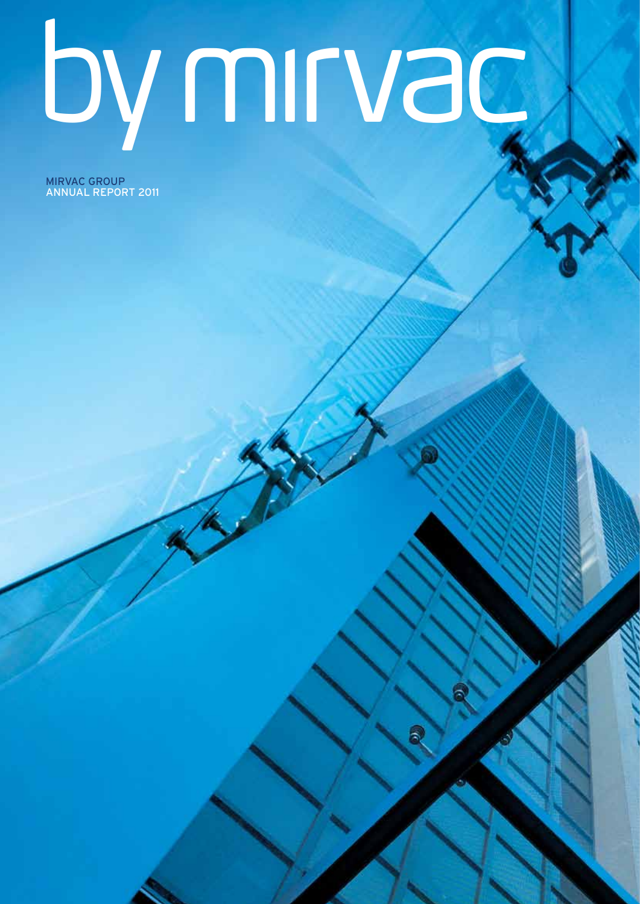# by mirvac

MIRVAC group annual report 2011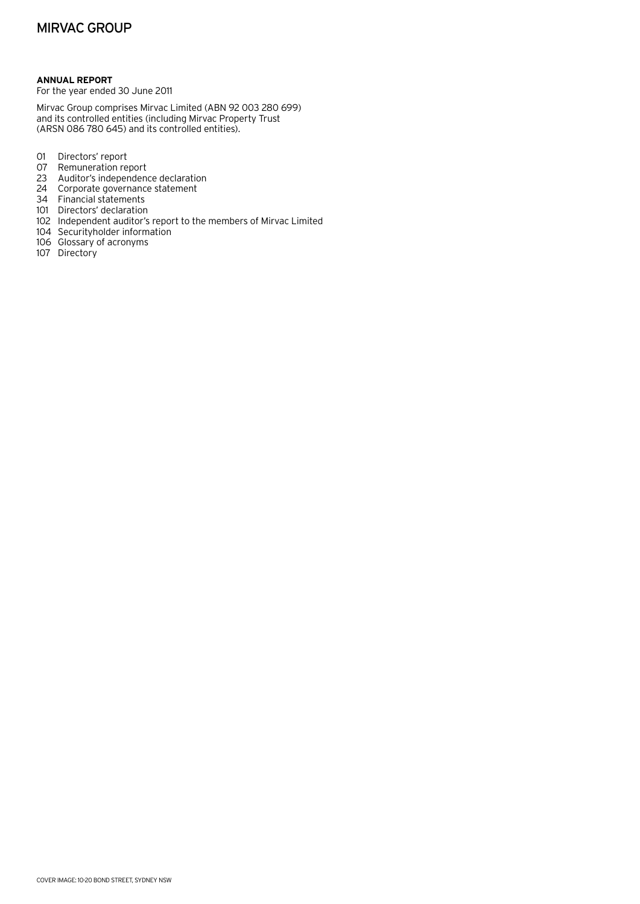# **Annual Report**

For the year ended 30 June 2011

Mirvac Group comprises Mirvac Limited (ABN 92 003 280 699) and its controlled entities (including Mirvac Property Trust (ARSN 086 780 645) and its controlled entities).

- 01 Directors' report
- 07 Remuneration report
- 23 Auditor's independence declaration
- 24 Corporate governance statement
- 34 Financial statements
- 101 Directors' declaration
- 102 Independent auditor's report to the members of Mirvac Limited
- 104 Securityholder information
- 106 Glossary of acronyms
- 107 Directory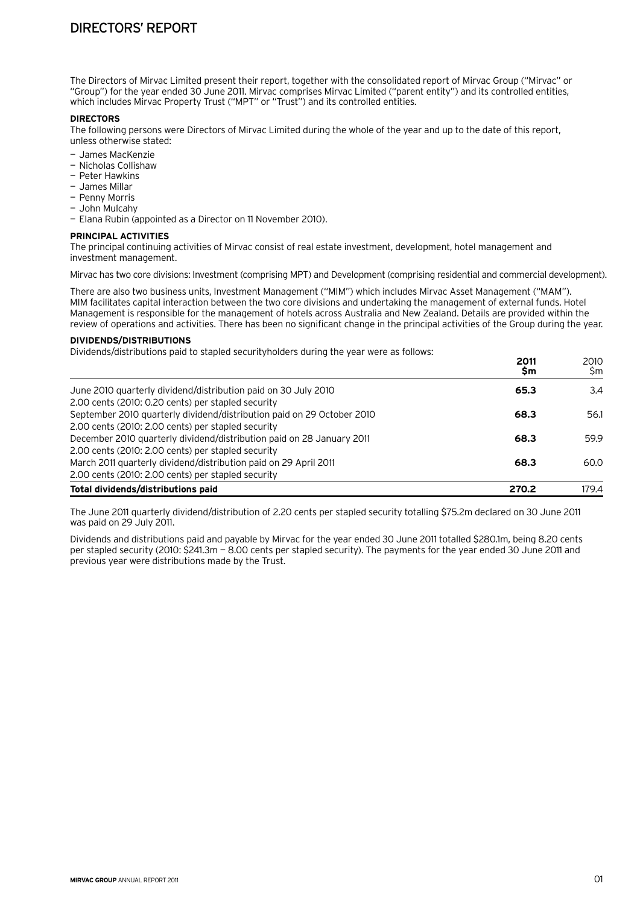The Directors of Mirvac Limited present their report, together with the consolidated report of Mirvac Group ("Mirvac" or "Group") for the year ended 30 June 2011. Mirvac comprises Mirvac Limited ("parent entity") and its controlled entities, which includes Mirvac Property Trust ("MPT" or "Trust") and its controlled entities.

# **DIRECTORS**

The following persons were Directors of Mirvac Limited during the whole of the year and up to the date of this report, unless otherwise stated:

- James MacKenzie
- Nicholas Collishaw
- Peter Hawkins
- James Millar
- Penny Morris
- John Mulcahy
- Elana Rubin (appointed as a Director on 11 November 2010).

#### **Principal activities**

The principal continuing activities of Mirvac consist of real estate investment, development, hotel management and investment management.

Mirvac has two core divisions: Investment (comprising MPT) and Development (comprising residential and commercial development).

There are also two business units, Investment Management ("MIM") which includes Mirvac Asset Management ("MAM"). MIM facilitates capital interaction between the two core divisions and undertaking the management of external funds. Hotel Management is responsible for the management of hotels across Australia and New Zealand. Details are provided within the review of operations and activities. There has been no significant change in the principal activities of the Group during the year.

# **Dividends/distributions**

Dividends/distributions paid to stapled securityholders during the year were as follows:

|                                                                        | \$m   | \$m   |
|------------------------------------------------------------------------|-------|-------|
| June 2010 quarterly dividend/distribution paid on 30 July 2010         | 65.3  | 3.4   |
| 2.00 cents (2010: 0.20 cents) per stapled security                     |       |       |
| September 2010 quarterly dividend/distribution paid on 29 October 2010 | 68.3  | 56.1  |
| 2.00 cents (2010: 2.00 cents) per stapled security                     |       |       |
| December 2010 quarterly dividend/distribution paid on 28 January 2011  | 68.3  | 59.9  |
| 2.00 cents (2010: 2.00 cents) per stapled security                     |       |       |
| March 2011 quarterly dividend/distribution paid on 29 April 2011       | 68.3  | 60.0  |
| 2.00 cents (2010: 2.00 cents) per stapled security                     |       |       |
| Total dividends/distributions paid                                     | 270.2 | 179.4 |

The June 2011 quarterly dividend/distribution of 2.20 cents per stapled security totalling \$75.2m declared on 30 June 2011 was paid on 29 July 2011.

Dividends and distributions paid and payable by Mirvac for the year ended 30 June 2011 totalled \$280.1m, being 8.20 cents per stapled security (2010: \$241.3m — 8.00 cents per stapled security). The payments for the year ended 30 June 2011 and previous year were distributions made by the Trust.

**2011** 2010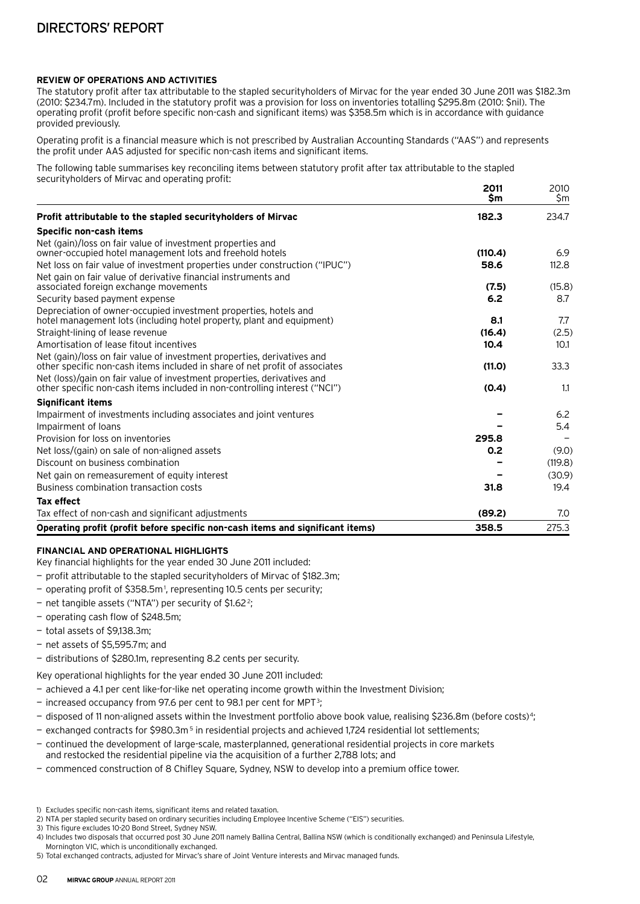# **Review of operations and activities**

The statutory profit after tax attributable to the stapled securityholders of Mirvac for the year ended 30 June 2011 was \$182.3m (2010: \$234.7m). Included in the statutory profit was a provision for loss on inventories totalling \$295.8m (2010: \$nil). The operating profit (profit before specific non-cash and significant items) was \$358.5m which is in accordance with guidance provided previously.

Operating profit is a financial measure which is not prescribed by Australian Accounting Standards ("AAS") and represents the profit under AAS adjusted for specific non-cash items and significant items.

The following table summarises key reconciling items between statutory profit after tax attributable to the stapled securityholders of Mirvac and operating profit:

|                                                                                                                                                        | 2011<br>\$m | 2010<br>\$m |
|--------------------------------------------------------------------------------------------------------------------------------------------------------|-------------|-------------|
| Profit attributable to the stapled securityholders of Mirvac                                                                                           | 182.3       | 234.7       |
| Specific non-cash items                                                                                                                                |             |             |
| Net (gain)/loss on fair value of investment properties and<br>owner-occupied hotel management lots and freehold hotels                                 | (110.4)     | 6.9         |
| Net loss on fair value of investment properties under construction ("IPUC")                                                                            | 58.6        | 112.8       |
| Net gain on fair value of derivative financial instruments and<br>associated foreign exchange movements                                                | (7.5)       | (15.8)      |
| Security based payment expense                                                                                                                         | 6.2         | 8.7         |
| Depreciation of owner-occupied investment properties, hotels and                                                                                       |             |             |
| hotel management lots (including hotel property, plant and equipment)                                                                                  | 8.1         | 7.7         |
| Straight-lining of lease revenue                                                                                                                       | (16.4)      | (2.5)       |
| Amortisation of lease fitout incentives                                                                                                                | 10.4        | 10.1        |
| Net (gain)/loss on fair value of investment properties, derivatives and<br>other specific non-cash items included in share of net profit of associates | (11.0)      | 33.3        |
| Net (loss)/gain on fair value of investment properties, derivatives and<br>other specific non-cash items included in non-controlling interest ("NCI")  | (0.4)       | 1.1         |
| <b>Significant items</b>                                                                                                                               |             |             |
| Impairment of investments including associates and joint ventures                                                                                      |             | 6.2         |
| Impairment of loans                                                                                                                                    |             | 5.4         |
| Provision for loss on inventories                                                                                                                      | 295.8       |             |
| Net loss/(gain) on sale of non-aligned assets                                                                                                          | 0.2         | (9.0)       |
| Discount on business combination                                                                                                                       |             | (119.8)     |
| Net gain on remeasurement of equity interest                                                                                                           |             | (30.9)      |
| Business combination transaction costs                                                                                                                 | 31.8        | 19.4        |
| <b>Tax effect</b>                                                                                                                                      |             |             |
| Tax effect of non-cash and significant adjustments                                                                                                     | (89.2)      | 7.0         |
| Operating profit (profit before specific non-cash items and significant items)                                                                         | 358.5       | 275.3       |

# **Financial and operational highlights**

Key financial highlights for the year ended 30 June 2011 included:

- profit attributable to the stapled securityholders of Mirvac of \$182.3m;
- operating profit of \$358.5m 1, representing 10.5 cents per security;
- net tangible assets ("NTA") per security of \$1.62<sup>2</sup>;
- operating cash flow of \$248.5m;
- total assets of \$9,138.3m;
- net assets of \$5,595.7m; and

— distributions of \$280.1m, representing 8.2 cents per security.

Key operational highlights for the year ended 30 June 2011 included:

- achieved a 4.1 per cent like-for-like net operating income growth within the Investment Division;
- $-$  increased occupancy from 97.6 per cent to 98.1 per cent for MPT<sup>3</sup>;
- disposed of 11 non-aligned assets within the Investment portfolio above book value, realising \$236.8m (before costs)<sup>4</sup>;
- exchanged contracts for \$980.3m<sup>5</sup> in residential projects and achieved 1,724 residential lot settlements;
- continued the development of large-scale, masterplanned, generational residential projects in core markets

and restocked the residential pipeline via the acquisition of a further 2,788 lots; and

— commenced construction of 8 Chifley Square, Sydney, NSW to develop into a premium office tower.

3) This figure excludes 10-20 Bond Street, Sydney NSW.

Mornington VIC, which is unconditionally exchanged.

<sup>1)</sup> Excludes specific non-cash items, significant items and related taxation.

<sup>2)</sup> NTA per stapled security based on ordinary securities including Employee Incentive Scheme ("EIS") securities.

<sup>4)</sup> Includes two disposals that occurred post 30 June 2011 namely Ballina Central, Ballina NSW (which is conditionally exchanged) and Peninsula Lifestyle,

<sup>5)</sup> Total exchanged contracts, adjusted for Mirvac's share of Joint Venture interests and Mirvac managed funds.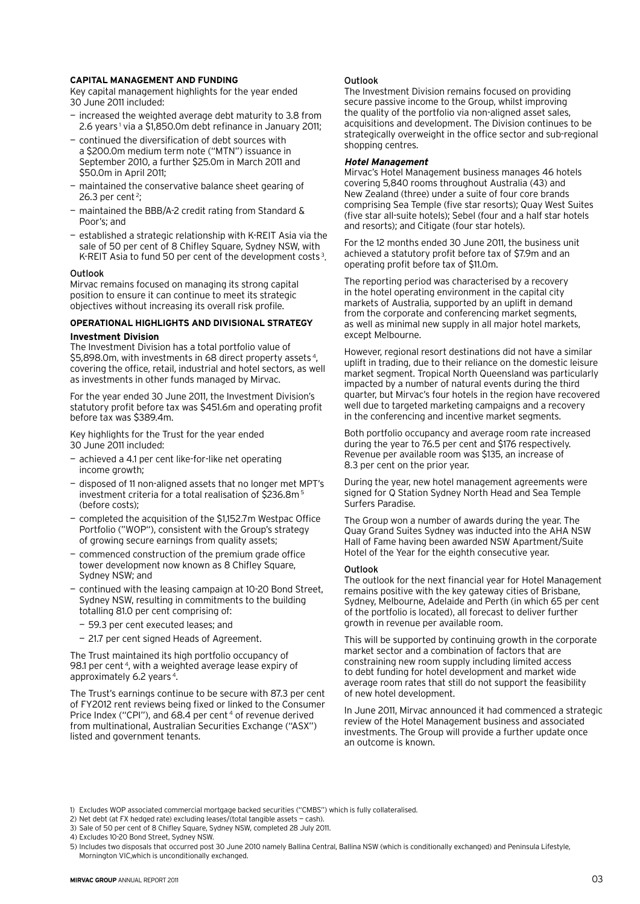#### **Capital management and funding**

Key capital management highlights for the year ended 30 June 2011 included:

- increased the weighted average debt maturity to 3.8 from 2.6 years<sup>1</sup> via a \$1,850.0m debt refinance in January 2011;
- continued the diversification of debt sources with a \$200.0m medium term note ("MTN") issuance in September 2010, a further \$25.0m in March 2011 and \$50.0m in April 2011;
- maintained the conservative balance sheet gearing of 26.3 per cent<sup>2</sup>;
- maintained the BBB/A-2 credit rating from Standard & Poor's; and
- established a strategic relationship with K-REIT Asia via the sale of 50 per cent of 8 Chifley Square, Sydney NSW, with K-REIT Asia to fund 50 per cent of the development costs<sup>3</sup>.

#### **Outlook**

Mirvac remains focused on managing its strong capital position to ensure it can continue to meet its strategic objectives without increasing its overall risk profile.

# **Operational highlights and divisional strategy**

#### **Investment Division**

The Investment Division has a total portfolio value of \$5,898.0m, with investments in 68 direct property assets 4, covering the office, retail, industrial and hotel sectors, as well as investments in other funds managed by Mirvac.

For the year ended 30 June 2011, the Investment Division's statutory profit before tax was \$451.6m and operating profit before tax was \$389.4m.

Key highlights for the Trust for the year ended 30 June 2011 included:

- achieved a 4.1 per cent like-for-like net operating income growth;
- disposed of 11 non-aligned assets that no longer met MPT's investment criteria for a total realisation of \$236.8m 5 (before costs);
- completed the acquisition of the \$1,152.7m Westpac Office Portfolio ("WOP"), consistent with the Group's strategy of growing secure earnings from quality assets;
- commenced construction of the premium grade office tower development now known as 8 Chifley Square, Sydney NSW; and
- continued with the leasing campaign at 10-20 Bond Street, Sydney NSW, resulting in commitments to the building totalling 81.0 per cent comprising of:
	- 59.3 per cent executed leases; and
	- 21.7 per cent signed Heads of Agreement.

The Trust maintained its high portfolio occupancy of 98.1 per cent<sup>4</sup>, with a weighted average lease expiry of approximately 6.2 years 4.

The Trust's earnings continue to be secure with 87.3 per cent of FY2012 rent reviews being fixed or linked to the Consumer Price Index ("CPI"), and 68.4 per cent<sup>4</sup> of revenue derived from multinational, Australian Securities Exchange ("ASX") listed and government tenants.

#### Outlook

The Investment Division remains focused on providing secure passive income to the Group, whilst improving the quality of the portfolio via non-aligned asset sales, acquisitions and development. The Division continues to be strategically overweight in the office sector and sub-regional shopping centres.

#### **Hotel Management**

Mirvac's Hotel Management business manages 46 hotels covering 5,840 rooms throughout Australia (43) and New Zealand (three) under a suite of four core brands comprising Sea Temple (five star resorts); Quay West Suites (five star all-suite hotels); Sebel (four and a half star hotels and resorts); and Citigate (four star hotels).

For the 12 months ended 30 June 2011, the business unit achieved a statutory profit before tax of \$7.9m and an operating profit before tax of \$11.0m.

The reporting period was characterised by a recovery in the hotel operating environment in the capital city markets of Australia, supported by an uplift in demand from the corporate and conferencing market segments, as well as minimal new supply in all major hotel markets, except Melbourne.

However, regional resort destinations did not have a similar uplift in trading, due to their reliance on the domestic leisure market segment. Tropical North Queensland was particularly impacted by a number of natural events during the third quarter, but Mirvac's four hotels in the region have recovered well due to targeted marketing campaigns and a recovery in the conferencing and incentive market segments.

Both portfolio occupancy and average room rate increased during the year to 76.5 per cent and \$176 respectively. Revenue per available room was \$135, an increase of 8.3 per cent on the prior year.

During the year, new hotel management agreements were signed for Q Station Sydney North Head and Sea Temple Surfers Paradise.

The Group won a number of awards during the year. The Quay Grand Suites Sydney was inducted into the AHA NSW Hall of Fame having been awarded NSW Apartment/Suite Hotel of the Year for the eighth consecutive year.

#### Outlook

The outlook for the next financial year for Hotel Management remains positive with the key gateway cities of Brisbane, Sydney, Melbourne, Adelaide and Perth (in which 65 per cent of the portfolio is located), all forecast to deliver further growth in revenue per available room.

This will be supported by continuing growth in the corporate market sector and a combination of factors that are constraining new room supply including limited access to debt funding for hotel development and market wide average room rates that still do not support the feasibility of new hotel development.

In June 2011, Mirvac announced it had commenced a strategic review of the Hotel Management business and associated investments. The Group will provide a further update once an outcome is known.

<sup>1)</sup> Excludes WOP associated commercial mortgage backed securities ("CMBS") which is fully collateralised.

<sup>2)</sup> Net debt (at FX hedged rate) excluding leases/(total tangible assets — cash).

<sup>3)</sup> Sale of 50 per cent of 8 Chifley Square, Sydney NSW, completed 28 July 2011.

<sup>4)</sup> Excludes 10-20 Bond Street, Sydney NSW.

<sup>5)</sup> Includes two disposals that occurred post 30 June 2010 namely Ballina Central, Ballina NSW (which is conditionally exchanged) and Peninsula Lifestyle, Mornington VIC,which is unconditionally exchanged.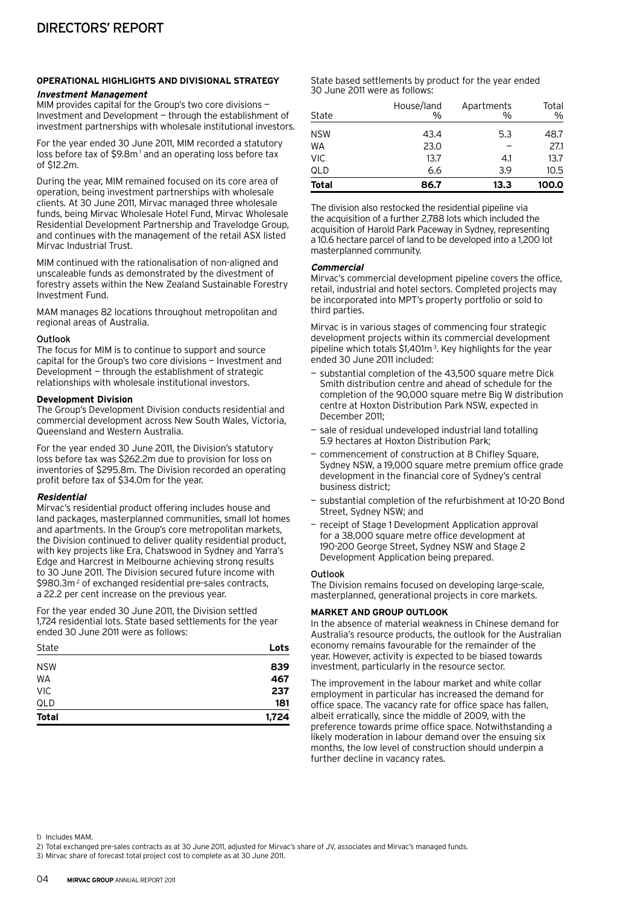# **Operational highlights and divisional strategy Investment Management**

MIM provides capital for the Group's two core divisions — Investment and Development — through the establishment of investment partnerships with wholesale institutional investors.

For the year ended 30 June 2011, MIM recorded a statutory loss before tax of \$9.8m<sup>1</sup> and an operating loss before tax of \$12.2m.

During the year, MIM remained focused on its core area of operation, being investment partnerships with wholesale clients. At 30 June 2011, Mirvac managed three wholesale funds, being Mirvac Wholesale Hotel Fund, Mirvac Wholesale Residential Development Partnership and Travelodge Group, and continues with the management of the retail ASX listed Mirvac Industrial Trust.

MIM continued with the rationalisation of non-aligned and unscaleable funds as demonstrated by the divestment of forestry assets within the New Zealand Sustainable Forestry Investment Fund.

MAM manages 82 locations throughout metropolitan and regional areas of Australia.

#### Outlook

The focus for MIM is to continue to support and source capital for the Group's two core divisions — Investment and Development — through the establishment of strategic relationships with wholesale institutional investors.

#### **Development Division**

The Group's Development Division conducts residential and commercial development across New South Wales, Victoria, Queensland and Western Australia.

For the year ended 30 June 2011, the Division's statutory loss before tax was \$262.2m due to provision for loss on inventories of \$295.8m. The Division recorded an operating profit before tax of \$34.0m for the year.

# **Residential**

Mirvac's residential product offering includes house and land packages, masterplanned communities, small lot homes and apartments. In the Group's core metropolitan markets, the Division continued to deliver quality residential product, with key projects like Era, Chatswood in Sydney and Yarra's Edge and Harcrest in Melbourne achieving strong results to 30 June 2011. The Division secured future income with \$980.3m<sup>2</sup> of exchanged residential pre-sales contracts, a 22.2 per cent increase on the previous year.

For the year ended 30 June 2011, the Division settled 1,724 residential lots. State based settlements for the year ended 30 June 2011 were as follows:

| State        | Lots  |
|--------------|-------|
| <b>NSW</b>   | 839   |
| <b>WA</b>    | 467   |
| <b>VIC</b>   | 237   |
| QLD          | 181   |
| <b>Total</b> | 1,724 |

State based settlements by product for the year ended 30 June 2011 were as follows:

| State        | House/land<br>$\%$ | Apartments<br>$\frac{0}{0}$ | Total<br>$\%$ |
|--------------|--------------------|-----------------------------|---------------|
| <b>NSW</b>   | 43.4               | 5.3                         | 48.7          |
| WA           | 23.0               |                             | 27.1          |
| <b>VIC</b>   | 13.7               | 4.1                         | 13.7          |
| QLD          | 6.6                | 3.9                         | 10.5          |
| <b>Total</b> | 86.7               | 13.3                        | 100.0         |

The division also restocked the residential pipeline via the acquisition of a further 2,788 lots which included the acquisition of Harold Park Paceway in Sydney, representing a 10.6 hectare parcel of land to be developed into a 1,200 lot masterplanned community.

#### **Commercial**

Mirvac's commercial development pipeline covers the office, retail, industrial and hotel sectors. Completed projects may be incorporated into MPT's property portfolio or sold to third parties.

Mirvac is in various stages of commencing four strategic development projects within its commercial development pipeline which totals \$1,401m<sup>3</sup>. Key highlights for the year ended 30 June 2011 included:

- substantial completion of the 43,500 square metre Dick Smith distribution centre and ahead of schedule for the completion of the 90,000 square metre Big W distribution centre at Hoxton Distribution Park NSW, expected in December 2011;
- sale of residual undeveloped industrial land totalling 5.9 hectares at Hoxton Distribution Park;
- commencement of construction at 8 Chifley Square, Sydney NSW, a 19,000 square metre premium office grade development in the financial core of Sydney's central business district;
- substantial completion of the refurbishment at 10-20 Bond Street, Sydney NSW; and
- receipt of Stage 1 Development Application approval for a 38,000 square metre office development at 190-200 George Street, Sydney NSW and Stage 2 Development Application being prepared.

# Outlook

The Division remains focused on developing large-scale, masterplanned, generational projects in core markets.

# **Market and Group Outlook**

In the absence of material weakness in Chinese demand for Australia's resource products, the outlook for the Australian economy remains favourable for the remainder of the year. However, activity is expected to be biased towards investment, particularly in the resource sector.

The improvement in the labour market and white collar employment in particular has increased the demand for office space. The vacancy rate for office space has fallen, albeit erratically, since the middle of 2009, with the preference towards prime office space. Notwithstanding a likely moderation in labour demand over the ensuing six months, the low level of construction should underpin a further decline in vacancy rates.

1) Includes MAM.

- 2) Total exchanged pre-sales contracts as at 30 June 2011, adjusted for Mirvac's share of JV, associates and Mirvac's managed funds.
- 3) Mirvac share of forecast total project cost to complete as at 30 June 2011.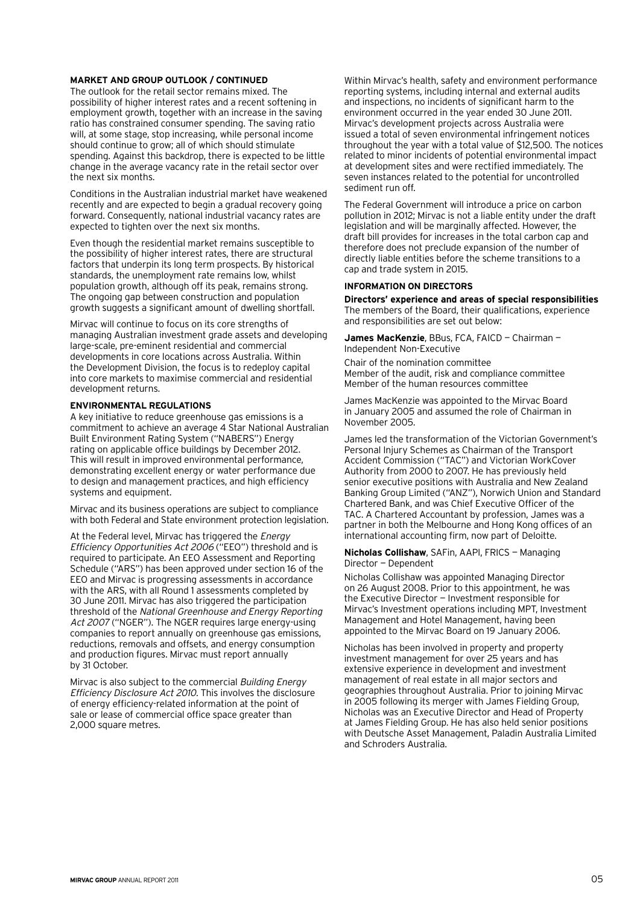#### **Market and Group Outlook / continued**

The outlook for the retail sector remains mixed. The possibility of higher interest rates and a recent softening in employment growth, together with an increase in the saving ratio has constrained consumer spending. The saving ratio will, at some stage, stop increasing, while personal income should continue to grow; all of which should stimulate spending. Against this backdrop, there is expected to be little change in the average vacancy rate in the retail sector over the next six months.

Conditions in the Australian industrial market have weakened recently and are expected to begin a gradual recovery going forward. Consequently, national industrial vacancy rates are expected to tighten over the next six months.

Even though the residential market remains susceptible to the possibility of higher interest rates, there are structural factors that underpin its long term prospects. By historical standards, the unemployment rate remains low, whilst population growth, although off its peak, remains strong. The ongoing gap between construction and population growth suggests a significant amount of dwelling shortfall.

Mirvac will continue to focus on its core strengths of managing Australian investment grade assets and developing large-scale, pre-eminent residential and commercial developments in core locations across Australia. Within the Development Division, the focus is to redeploy capital into core markets to maximise commercial and residential development returns.

#### **Environmental regulations**

A key initiative to reduce greenhouse gas emissions is a commitment to achieve an average 4 Star National Australian Built Environment Rating System ("NABERS") Energy rating on applicable office buildings by December 2012. This will result in improved environmental performance, demonstrating excellent energy or water performance due to design and management practices, and high efficiency systems and equipment.

Mirvac and its business operations are subject to compliance with both Federal and State environment protection legislation.

At the Federal level, Mirvac has triggered the Energy Efficiency Opportunities Act 2006 ("EEO") threshold and is required to participate. An EEO Assessment and Reporting Schedule ("ARS") has been approved under section 16 of the EEO and Mirvac is progressing assessments in accordance with the ARS, with all Round 1 assessments completed by 30 June 2011. Mirvac has also triggered the participation threshold of the National Greenhouse and Energy Reporting Act 2007 ("NGER"). The NGER requires large energy-using companies to report annually on greenhouse gas emissions, reductions, removals and offsets, and energy consumption and production figures. Mirvac must report annually by 31 October.

Mirvac is also subject to the commercial Building Energy Efficiency Disclosure Act 2010. This involves the disclosure of energy efficiency-related information at the point of sale or lease of commercial office space greater than 2,000 square metres.

Within Mirvac's health, safety and environment performance reporting systems, including internal and external audits and inspections, no incidents of significant harm to the environment occurred in the year ended 30 June 2011. Mirvac's development projects across Australia were issued a total of seven environmental infringement notices throughout the year with a total value of \$12,500. The notices related to minor incidents of potential environmental impact at development sites and were rectified immediately. The seven instances related to the potential for uncontrolled sediment run off.

The Federal Government will introduce a price on carbon pollution in 2012; Mirvac is not a liable entity under the draft legislation and will be marginally affected. However, the draft bill provides for increases in the total carbon cap and therefore does not preclude expansion of the number of directly liable entities before the scheme transitions to a cap and trade system in 2015.

#### **Information on Directors**

**Directors' experience and areas of special responsibilities** The members of the Board, their qualifications, experience and responsibilities are set out below:

**James MacKenzie**, BBus, FCA, FAICD — Chairman — Independent Non-Executive

Chair of the nomination committee Member of the audit, risk and compliance committee Member of the human resources committee

James MacKenzie was appointed to the Mirvac Board in January 2005 and assumed the role of Chairman in November 2005.

James led the transformation of the Victorian Government's Personal Injury Schemes as Chairman of the Transport Accident Commission ("TAC") and Victorian WorkCover Authority from 2000 to 2007. He has previously held senior executive positions with Australia and New Zealand Banking Group Limited ("ANZ"), Norwich Union and Standard Chartered Bank, and was Chief Executive Officer of the TAC. A Chartered Accountant by profession, James was a partner in both the Melbourne and Hong Kong offices of an international accounting firm, now part of Deloitte.

#### **Nicholas Collishaw**, SAFin, AAPI, FRICS — Managing Director — Dependent

Nicholas Collishaw was appointed Managing Director on 26 August 2008. Prior to this appointment, he was the Executive Director — Investment responsible for Mirvac's Investment operations including MPT, Investment Management and Hotel Management, having been appointed to the Mirvac Board on 19 January 2006.

Nicholas has been involved in property and property investment management for over 25 years and has extensive experience in development and investment management of real estate in all major sectors and geographies throughout Australia. Prior to joining Mirvac in 2005 following its merger with James Fielding Group, Nicholas was an Executive Director and Head of Property at James Fielding Group. He has also held senior positions with Deutsche Asset Management, Paladin Australia Limited and Schroders Australia.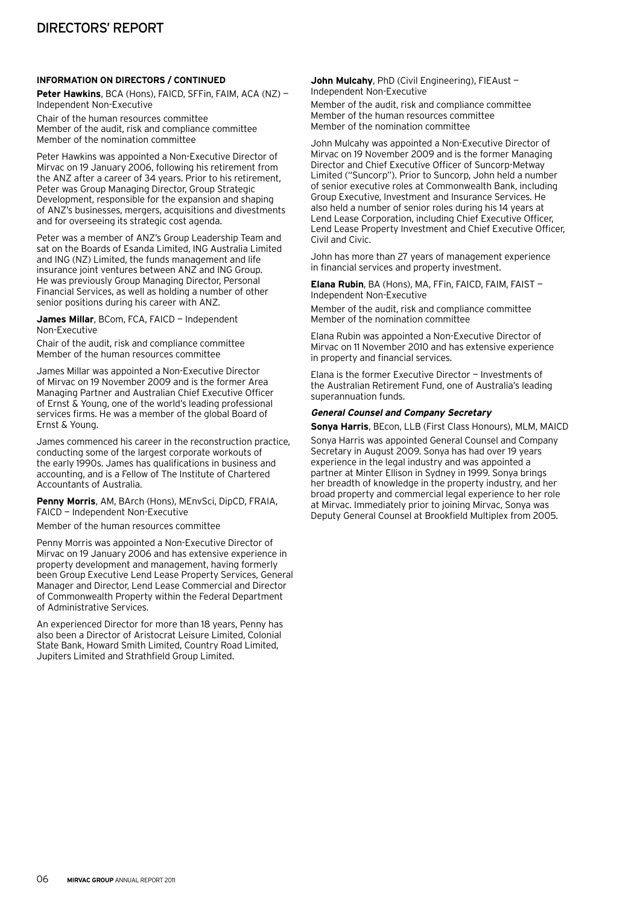# **Information on Directors / continued**

**Peter Hawkins**, BCA (Hons), FAICD, SFFin, FAIM, ACA (NZ) — Independent Non-Executive

Chair of the human resources committee Member of the audit, risk and compliance committee Member of the nomination committee

Peter Hawkins was appointed a Non-Executive Director of Mirvac on 19 January 2006, following his retirement from the ANZ after a career of 34 years. Prior to his retirement, Peter was Group Managing Director, Group Strategic Development, responsible for the expansion and shaping of ANZ's businesses, mergers, acquisitions and divestments and for overseeing its strategic cost agenda.

Peter was a member of ANZ's Group Leadership Team and sat on the Boards of Esanda Limited, ING Australia Limited and ING (NZ) Limited, the funds management and life insurance joint ventures between ANZ and ING Group. He was previously Group Managing Director, Personal Financial Services, as well as holding a number of other senior positions during his career with ANZ.

**James Millar**, BCom, FCA, FAICD — Independent Non‑Executive

Chair of the audit, risk and compliance committee Member of the human resources committee

James Millar was appointed a Non-Executive Director of Mirvac on 19 November 2009 and is the former Area Managing Partner and Australian Chief Executive Officer of Ernst & Young, one of the world's leading professional services firms. He was a member of the global Board of Ernst & Young.

James commenced his career in the reconstruction practice, conducting some of the largest corporate workouts of the early 1990s. James has qualifications in business and accounting, and is a Fellow of The Institute of Chartered Accountants of Australia.

**Penny Morris**, AM, BArch (Hons), MEnvSci, DipCD, FRAIA, FAICD — Independent Non-Executive

Member of the human resources committee

Penny Morris was appointed a Non-Executive Director of Mirvac on 19 January 2006 and has extensive experience in property development and management, having formerly been Group Executive Lend Lease Property Services, General Manager and Director, Lend Lease Commercial and Director of Commonwealth Property within the Federal Department of Administrative Services.

An experienced Director for more than 18 years, Penny has also been a Director of Aristocrat Leisure Limited, Colonial State Bank, Howard Smith Limited, Country Road Limited, Jupiters Limited and Strathfield Group Limited.

**John Mulcahy**, PhD (Civil Engineering), FIEAust — Independent Non-Executive

Member of the audit, risk and compliance committee Member of the human resources committee Member of the nomination committee

John Mulcahy was appointed a Non-Executive Director of Mirvac on 19 November 2009 and is the former Managing Director and Chief Executive Officer of Suncorp-Metway Limited ("Suncorp"). Prior to Suncorp, John held a number of senior executive roles at Commonwealth Bank, including Group Executive, Investment and Insurance Services. He also held a number of senior roles during his 14 years at Lend Lease Corporation, including Chief Executive Officer, Lend Lease Property Investment and Chief Executive Officer, Civil and Civic.

John has more than 27 years of management experience in financial services and property investment.

**Elana Rubin**, BA (Hons), MA, FFin, FAICD, FAIM, FAIST — Independent Non-Executive

Member of the audit, risk and compliance committee Member of the nomination committee

Elana Rubin was appointed a Non-Executive Director of Mirvac on 11 November 2010 and has extensive experience in property and financial services.

Elana is the former Executive Director — Investments of the Australian Retirement Fund, one of Australia's leading superannuation funds.

# **General Counsel and Company Secretary**

**Sonya Harris**, BEcon, LLB (First Class Honours), MLM, MAICD

Sonya Harris was appointed General Counsel and Company Secretary in August 2009. Sonya has had over 19 years experience in the legal industry and was appointed a partner at Minter Ellison in Sydney in 1999. Sonya brings her breadth of knowledge in the property industry, and her broad property and commercial legal experience to her role at Mirvac. Immediately prior to joining Mirvac, Sonya was Deputy General Counsel at Brookfield Multiplex from 2005.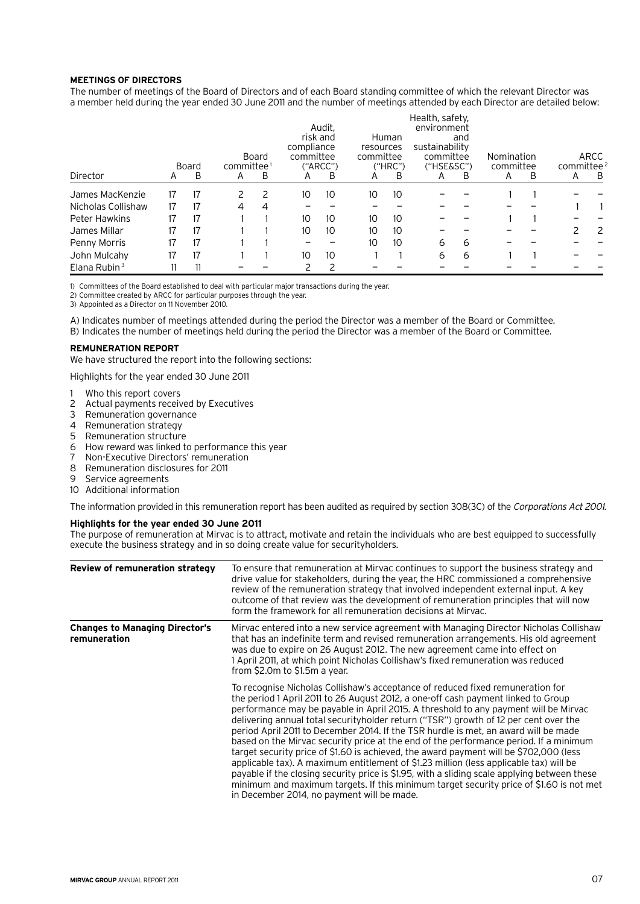#### **Meetings of Directors**

The number of meetings of the Board of Directors and of each Board standing committee of which the relevant Director was a member held during the year ended 30 June 2011 and the number of meetings attended by each Director are detailed below:

|                      |    | Board | committee <sup>1</sup> | Board | compliance<br>committee | Audit.<br>risk and<br>("ARCC") | resources<br>committee | Human<br>("HRC") | Health, safety,<br>environment<br>sustainability<br>committee<br>('HSE&SC") | and | Nomination<br>committee |   | committee <sup>2</sup> | ARCC |
|----------------------|----|-------|------------------------|-------|-------------------------|--------------------------------|------------------------|------------------|-----------------------------------------------------------------------------|-----|-------------------------|---|------------------------|------|
| Director             | A  | B     | A                      | B     | A                       | B                              | A                      | B                | A                                                                           | B   | A                       | B | A                      | B    |
| James MacKenzie      | 17 | 17    |                        |       | 10                      | 10                             | 10                     | 10               |                                                                             |     |                         |   |                        |      |
| Nicholas Collishaw   | 17 | 17    | 4                      | 4     |                         |                                |                        |                  |                                                                             |     |                         |   |                        |      |
| <b>Peter Hawkins</b> | 17 | 17    |                        |       | 10                      | 10                             | 10                     | 10               |                                                                             |     |                         |   |                        |      |
| James Millar         | 17 | 17    |                        |       | 10 <sup>°</sup>         | 10                             | 10                     | 10               |                                                                             |     |                         |   |                        | 2    |
| Penny Morris         | 17 | 17    |                        |       |                         |                                | 10                     | 10               | 6                                                                           | 6   |                         |   |                        |      |
| John Mulcahy         | 17 | 17    |                        |       | 10                      | 10                             |                        |                  | 6                                                                           | 6   |                         |   |                        |      |
| Elana Rubin $3$      | 11 | 11    |                        |       |                         |                                |                        |                  |                                                                             |     |                         |   |                        |      |

1) Committees of the Board established to deal with particular major transactions during the year.

2) Committee created by ARCC for particular purposes through the year.

3) Appointed as a Director on 11 November 2010.

A) Indicates number of meetings attended during the period the Director was a member of the Board or Committee.

B) Indicates the number of meetings held during the period the Director was a member of the Board or Committee.

#### **Remuneration report**

We have structured the report into the following sections:

Highlights for the year ended 30 June 2011

- 1 Who this report covers
- 2 Actual payments received by Executives
- Remuneration governance
- 4 Remuneration strategy
- 5 Remuneration structure
- 6 How reward was linked to performance this year
- 7 Non-Executive Directors' remuneration
- 8 Remuneration disclosures for 2011
- 9 Service agreements
- 10 Additional information

The information provided in this remuneration report has been audited as required by section 308(3C) of the Corporations Act 2001.

# **Highlights for the year ended 30 June 2011**

The purpose of remuneration at Mirvac is to attract, motivate and retain the individuals who are best equipped to successfully execute the business strategy and in so doing create value for securityholders.

| Review of remuneration strategy                       | To ensure that remuneration at Mirvac continues to support the business strategy and<br>drive value for stakeholders, during the year, the HRC commissioned a comprehensive<br>review of the remuneration strategy that involved independent external input. A key<br>outcome of that review was the development of remuneration principles that will now<br>form the framework for all remuneration decisions at Mirvac.                                                                                                                                                                                                                                                                                                                                                                                                                                                                                                                                       |
|-------------------------------------------------------|-----------------------------------------------------------------------------------------------------------------------------------------------------------------------------------------------------------------------------------------------------------------------------------------------------------------------------------------------------------------------------------------------------------------------------------------------------------------------------------------------------------------------------------------------------------------------------------------------------------------------------------------------------------------------------------------------------------------------------------------------------------------------------------------------------------------------------------------------------------------------------------------------------------------------------------------------------------------|
| <b>Changes to Managing Director's</b><br>remuneration | Mirvac entered into a new service agreement with Managing Director Nicholas Collishaw<br>that has an indefinite term and revised remuneration arrangements. His old agreement<br>was due to expire on 26 August 2012. The new agreement came into effect on<br>1 April 2011, at which point Nicholas Collishaw's fixed remuneration was reduced<br>from \$2.0m to \$1.5m a year.                                                                                                                                                                                                                                                                                                                                                                                                                                                                                                                                                                                |
|                                                       | To recognise Nicholas Collishaw's acceptance of reduced fixed remuneration for<br>the period 1 April 2011 to 26 August 2012, a one-off cash payment linked to Group<br>performance may be payable in April 2015. A threshold to any payment will be Mirvac<br>delivering annual total securityholder return ("TSR") growth of 12 per cent over the<br>period April 2011 to December 2014. If the TSR hurdle is met, an award will be made<br>based on the Mirvac security price at the end of the performance period. If a minimum<br>target security price of \$1.60 is achieved, the award payment will be \$702,000 (less<br>applicable tax). A maximum entitlement of \$1.23 million (less applicable tax) will be<br>payable if the closing security price is \$1.95, with a sliding scale applying between these<br>minimum and maximum targets. If this minimum target security price of \$1.60 is not met<br>in December 2014, no payment will be made. |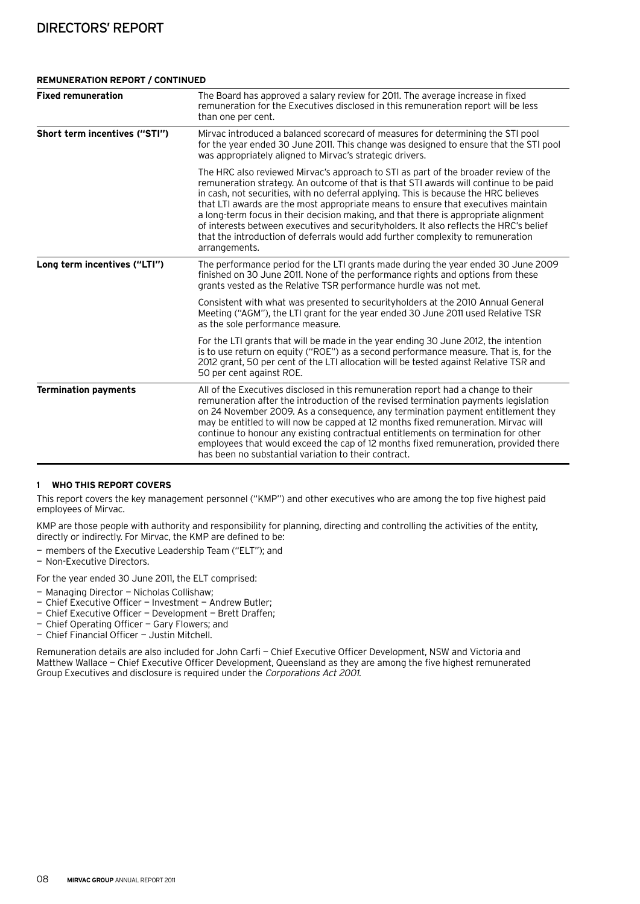#### **Remuneration report / continued**

| <b>Fixed remuneration</b>     | The Board has approved a salary review for 2011. The average increase in fixed<br>remuneration for the Executives disclosed in this remuneration report will be less<br>than one per cent.                                                                                                                                                                                                                                                                                                                                                                                                                                                      |
|-------------------------------|-------------------------------------------------------------------------------------------------------------------------------------------------------------------------------------------------------------------------------------------------------------------------------------------------------------------------------------------------------------------------------------------------------------------------------------------------------------------------------------------------------------------------------------------------------------------------------------------------------------------------------------------------|
| Short term incentives ("STI") | Mirvac introduced a balanced scorecard of measures for determining the STI pool<br>for the year ended 30 June 2011. This change was designed to ensure that the STI pool<br>was appropriately aligned to Mirvac's strategic drivers.                                                                                                                                                                                                                                                                                                                                                                                                            |
|                               | The HRC also reviewed Mirvac's approach to STI as part of the broader review of the<br>remuneration strategy. An outcome of that is that STI awards will continue to be paid<br>in cash, not securities, with no deferral applying. This is because the HRC believes<br>that LTI awards are the most appropriate means to ensure that executives maintain<br>a long-term focus in their decision making, and that there is appropriate alignment<br>of interests between executives and security holders. It also reflects the HRC's belief<br>that the introduction of deferrals would add further complexity to remuneration<br>arrangements. |
| Long term incentives ("LTI")  | The performance period for the LTI grants made during the year ended 30 June 2009<br>finished on 30 June 2011. None of the performance rights and options from these<br>grants vested as the Relative TSR performance hurdle was not met.                                                                                                                                                                                                                                                                                                                                                                                                       |
|                               | Consistent with what was presented to securityholders at the 2010 Annual General<br>Meeting ("AGM"), the LTI grant for the year ended 30 June 2011 used Relative TSR<br>as the sole performance measure.                                                                                                                                                                                                                                                                                                                                                                                                                                        |
|                               | For the LTI grants that will be made in the year ending 30 June 2012, the intention<br>is to use return on equity ("ROE") as a second performance measure. That is, for the<br>2012 grant, 50 per cent of the LTI allocation will be tested against Relative TSR and<br>50 per cent against ROE.                                                                                                                                                                                                                                                                                                                                                |
| <b>Termination payments</b>   | All of the Executives disclosed in this remuneration report had a change to their<br>remuneration after the introduction of the revised termination payments legislation<br>on 24 November 2009. As a consequence, any termination payment entitlement they<br>may be entitled to will now be capped at 12 months fixed remuneration. Mirvac will<br>continue to honour any existing contractual entitlements on termination for other<br>employees that would exceed the cap of 12 months fixed remuneration, provided there<br>has been no substantial variation to their contract.                                                           |

#### **1 Who this report covers**

This report covers the key management personnel ("KMP") and other executives who are among the top five highest paid employees of Mirvac.

KMP are those people with authority and responsibility for planning, directing and controlling the activities of the entity, directly or indirectly. For Mirvac, the KMP are defined to be:

- members of the Executive Leadership Team ("ELT"); and
- Non-Executive Directors.

For the year ended 30 June 2011, the ELT comprised:

- Managing Director Nicholas Collishaw;
- Chief Executive Officer Investment Andrew Butler;
- Chief Executive Officer Development Brett Draffen;
- Chief Operating Officer Gary Flowers; and
- Chief Financial Officer Justin Mitchell.

Remuneration details are also included for John Carfi — Chief Executive Officer Development, NSW and Victoria and Matthew Wallace — Chief Executive Officer Development, Queensland as they are among the five highest remunerated Group Executives and disclosure is required under the Corporations Act 2001.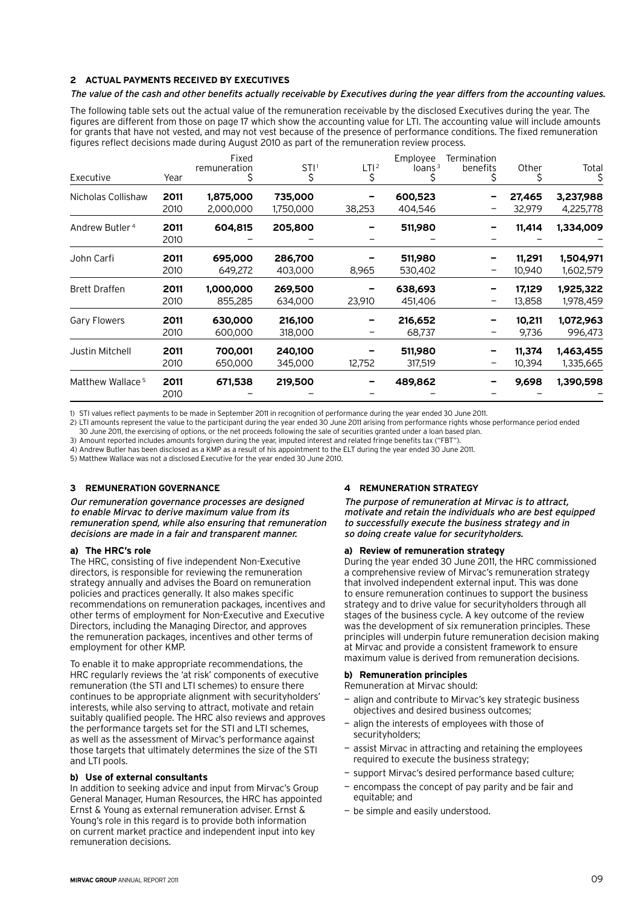# **2 Actual payments received by Executives**

#### The value of the cash and other benefits actually receivable by Executives during the year differs from the accounting values.

The following table sets out the actual value of the remuneration receivable by the disclosed Executives during the year. The figures are different from those on page 17 which show the accounting value for LTI. The accounting value will include amounts for grants that have not vested, and may not vest because of the presence of performance conditions. The fixed remuneration figures reflect decisions made during August 2010 as part of the remuneration review process.

| Executive                    | Year         | Fixed<br>remuneration  | STI <sup>1</sup><br>\$ | LTI <sup>2</sup><br>\$ | Employee<br>loans $3$ | Termination<br>benefits | Other            | Total<br>\$            |
|------------------------------|--------------|------------------------|------------------------|------------------------|-----------------------|-------------------------|------------------|------------------------|
| Nicholas Collishaw           | 2011<br>2010 | 1,875,000<br>2,000,000 | 735,000<br>1,750,000   | 38,253                 | 600,523<br>404,546    |                         | 27,465<br>32,979 | 3,237,988<br>4,225,778 |
| Andrew Butler <sup>4</sup>   | 2011<br>2010 | 604,815                | 205,800                |                        | 511,980               |                         | 11,414           | 1,334,009              |
| John Carfi                   | 2011<br>2010 | 695,000<br>649,272     | 286,700<br>403,000     | 8,965                  | 511,980<br>530,402    |                         | 11,291<br>10,940 | 1,504,971<br>1,602,579 |
| <b>Brett Draffen</b>         | 2011<br>2010 | 1,000,000<br>855,285   | 269,500<br>634,000     | 23,910                 | 638,693<br>451,406    | -                       | 17,129<br>13,858 | 1,925,322<br>1,978,459 |
| Gary Flowers                 | 2011<br>2010 | 630,000<br>600,000     | 216,100<br>318,000     | -                      | 216,652<br>68,737     | -                       | 10,211<br>9,736  | 1,072,963<br>996,473   |
| Justin Mitchell              | 2011<br>2010 | 700,001<br>650,000     | 240,100<br>345,000     | 12,752                 | 511,980<br>317,519    | -                       | 11,374<br>10,394 | 1,463,455<br>1,335,665 |
| Matthew Wallace <sup>5</sup> | 2011<br>2010 | 671,538                | 219,500                |                        | 489,862               |                         | 9,698            | 1,390,598              |

1) STI values reflect payments to be made in September 2011 in recognition of performance during the year ended 30 June 2011.

2) LTI amounts represent the value to the participant during the year ended 30 June 2011 arising from performance rights whose performance period ended

30 June 2011, the exercising of options, or the net proceeds following the sale of securities granted under a loan based plan.

3) Amount reported includes amounts forgiven during the year, imputed interest and related fringe benefits tax ("FBT"). 4) Andrew Butler has been disclosed as a KMP as a result of his appointment to the ELT during the year ended 30 June 2011.

5) Matthew Wallace was not a disclosed Executive for the year ended 30 June 2010.

# **3 Remuneration governance**

Our remuneration governance processes are designed to enable Mirvac to derive maximum value from its remuneration spend, while also ensuring that remuneration decisions are made in a fair and transparent manner.

#### **a) The HRC's role**

The HRC, consisting of five independent Non-Executive directors, is responsible for reviewing the remuneration strategy annually and advises the Board on remuneration policies and practices generally. It also makes specific recommendations on remuneration packages, incentives and other terms of employment for Non-Executive and Executive Directors, including the Managing Director, and approves the remuneration packages, incentives and other terms of employment for other KMP.

To enable it to make appropriate recommendations, the HRC regularly reviews the 'at risk' components of executive remuneration (the STI and LTI schemes) to ensure there continues to be appropriate alignment with securityholders' interests, while also serving to attract, motivate and retain suitably qualified people. The HRC also reviews and approves the performance targets set for the STI and LTI schemes, as well as the assessment of Mirvac's performance against those targets that ultimately determines the size of the STI and LTI pools.

# **b) Use of external consultants**

In addition to seeking advice and input from Mirvac's Group General Manager, Human Resources, the HRC has appointed Ernst & Young as external remuneration adviser. Ernst & Young's role in this regard is to provide both information on current market practice and independent input into key remuneration decisions.

# **4 Remuneration strategy**

The purpose of remuneration at Mirvac is to attract, motivate and retain the individuals who are best equipped to successfully execute the business strategy and in so doing create value for securityholders.

#### **a) Review of remuneration strategy**

During the year ended 30 June 2011, the HRC commissioned a comprehensive review of Mirvac's remuneration strategy that involved independent external input. This was done to ensure remuneration continues to support the business strategy and to drive value for securityholders through all stages of the business cycle. A key outcome of the review was the development of six remuneration principles. These principles will underpin future remuneration decision making at Mirvac and provide a consistent framework to ensure maximum value is derived from remuneration decisions.

#### **b) Remuneration principles**

Remuneration at Mirvac should:

- align and contribute to Mirvac's key strategic business objectives and desired business outcomes;
- align the interests of employees with those of securityholders;
- assist Mirvac in attracting and retaining the employees required to execute the business strategy;
- support Mirvac's desired performance based culture;
- encompass the concept of pay parity and be fair and equitable; and
- be simple and easily understood.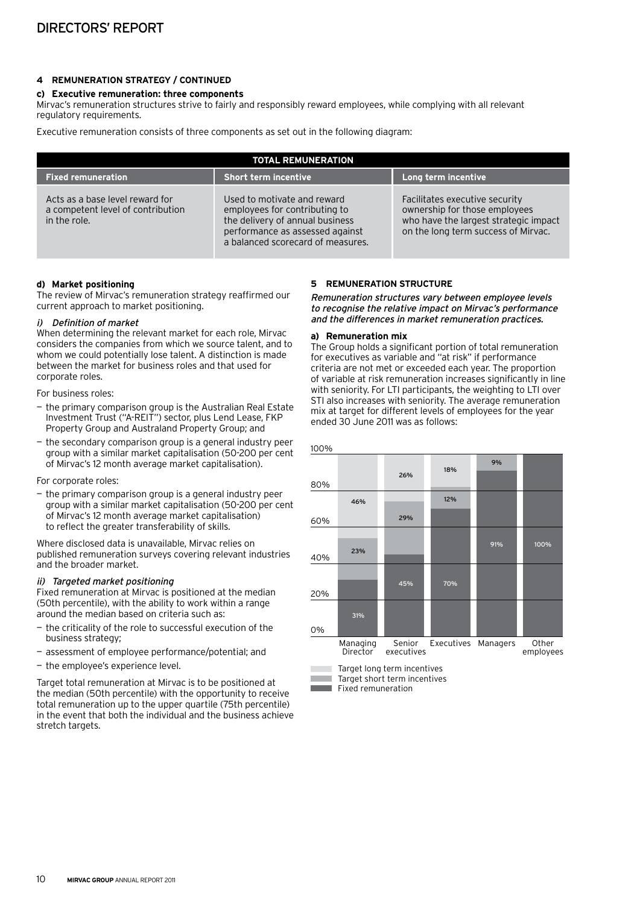# **4 Remuneration strategy / continued**

#### **c) Executive remuneration: three components**

Mirvac's remuneration structures strive to fairly and responsibly reward employees, while complying with all relevant regulatory requirements.

Executive remuneration consists of three components as set out in the following diagram:

| <b>TOTAL REMUNERATION</b>                                                            |                                                                                                                                                                         |                                                                                                                                                 |  |  |
|--------------------------------------------------------------------------------------|-------------------------------------------------------------------------------------------------------------------------------------------------------------------------|-------------------------------------------------------------------------------------------------------------------------------------------------|--|--|
| <b>Fixed remuneration</b>                                                            | <b>Short term incentive</b>                                                                                                                                             | Long term incentive                                                                                                                             |  |  |
| Acts as a base level reward for<br>a competent level of contribution<br>in the role. | Used to motivate and reward<br>employees for contributing to<br>the delivery of annual business<br>performance as assessed against<br>a balanced scorecard of measures. | Facilitates executive security<br>ownership for those employees<br>who have the largest strategic impact<br>on the long term success of Mirvac. |  |  |

#### **d) Market positioning**

The review of Mirvac's remuneration strategy reaffirmed our current approach to market positioning.

# i) Definition of market

When determining the relevant market for each role, Mirvac considers the companies from which we source talent, and to whom we could potentially lose talent. A distinction is made between the market for business roles and that used for corporate roles.

For business roles:

- the primary comparison group is the Australian Real Estate Investment Trust ("A-REIT") sector, plus Lend Lease, FKP Property Group and Australand Property Group; and
- the secondary comparison group is a general industry peer group with a similar market capitalisation (50-200 per cent of Mirvac's 12 month average market capitalisation).

For corporate roles:

— the primary comparison group is a general industry peer group with a similar market capitalisation (50-200 per cent of Mirvac's 12 month average market capitalisation) to reflect the greater transferability of skills.

Where disclosed data is unavailable, Mirvac relies on published remuneration surveys covering relevant industries and the broader market.

# ii) Targeted market positioning

Fixed remuneration at Mirvac is positioned at the median (50th percentile), with the ability to work within a range around the median based on criteria such as:

- the criticality of the role to successful execution of the business strategy;
- assessment of employee performance/potential; and
- the employee's experience level.

Target total remuneration at Mirvac is to be positioned at the median (50th percentile) with the opportunity to receive total remuneration up to the upper quartile (75th percentile) in the event that both the individual and the business achieve stretch targets.

#### **5 Remuneration structure**

Remuneration structures vary between employee levels to recognise the relative impact on Mirvac's performance and the differences in market remuneration practices.

#### **a) Remuneration mix**

The Group holds a significant portion of total remuneration for executives as variable and "at risk" if performance criteria are not met or exceeded each year. The proportion of variable at risk remuneration increases significantly in line with seniority. For LTI participants, the weighting to LTI over STI also increases with seniority. The average remuneration mix at target for different levels of employees for the year ended 30 June 2011 was as follows:

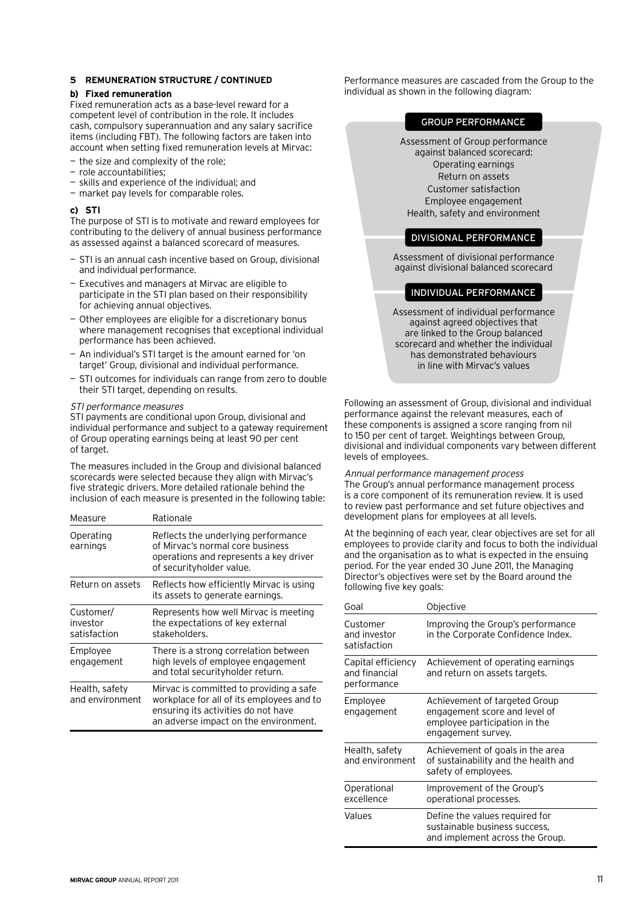#### **b) Fixed remuneration**

Fixed remuneration acts as a base-level reward for a competent level of contribution in the role. It includes cash, compulsory superannuation and any salary sacrifice items (including FBT). The following factors are taken into account when setting fixed remuneration levels at Mirvac:

- the size and complexity of the role;
- role accountabilities:
- skills and experience of the individual; and
- market pay levels for comparable roles.

#### **c) STI**

The purpose of STI is to motivate and reward employees for contributing to the delivery of annual business performance as assessed against a balanced scorecard of measures.

- STI is an annual cash incentive based on Group, divisional and individual performance.
- Executives and managers at Mirvac are eligible to participate in the STI plan based on their responsibility for achieving annual objectives.
- Other employees are eligible for a discretionary bonus where management recognises that exceptional individual performance has been achieved.
- An individual's STI target is the amount earned for 'on target' Group, divisional and individual performance.
- STI outcomes for individuals can range from zero to double their STI target, depending on results.

#### STI performance measures

STI payments are conditional upon Group, divisional and individual performance and subject to a gateway requirement of Group operating earnings being at least 90 per cent of target.

The measures included in the Group and divisional balanced scorecards were selected because they align with Mirvac's five strategic drivers. More detailed rationale behind the inclusion of each measure is presented in the following table:

| Measure                               | Rationale                                                                                                                                                            |
|---------------------------------------|----------------------------------------------------------------------------------------------------------------------------------------------------------------------|
| Operating<br>earnings                 | Reflects the underlying performance<br>of Mirvac's normal core business<br>operations and represents a key driver<br>of securityholder value.                        |
| Return on assets                      | Reflects how efficiently Mirvac is using<br>its assets to generate earnings.                                                                                         |
| Customer/<br>investor<br>satisfaction | Represents how well Mirvac is meeting<br>the expectations of key external<br>stakeholders.                                                                           |
| Employee<br>engagement                | There is a strong correlation between<br>high levels of employee engagement<br>and total security holder return.                                                     |
| Health, safety<br>and environment     | Mirvac is committed to providing a safe<br>workplace for all of its employees and to<br>ensuring its activities do not have<br>an adverse impact on the environment. |

Performance measures are cascaded from the Group to the individual as shown in the following diagram:

#### Group performance

Assessment of Group performance against balanced scorecard: Operating earnings Return on assets Customer satisfaction Employee engagement Health, safety and environment

# Divisional performance

Assessment of divisional performance against divisional balanced scorecard

# Individual performance

Assessment of individual performance against agreed objectives that are linked to the Group balanced scorecard and whether the individual has demonstrated behaviours in line with Mirvac's values

Following an assessment of Group, divisional and individual performance against the relevant measures, each of these components is assigned a score ranging from nil to 150 per cent of target. Weightings between Group, divisional and individual components vary between different levels of employees.

Annual performance management process The Group's annual performance management process is a core component of its remuneration review. It is used to review past performance and set future objectives and development plans for employees at all levels.

At the beginning of each year, clear objectives are set for all employees to provide clarity and focus to both the individual and the organisation as to what is expected in the ensuing period. For the year ended 30 June 2011, the Managing Director's objectives were set by the Board around the following five key goals:

| Goal                                               | Objective                                                                                                             |
|----------------------------------------------------|-----------------------------------------------------------------------------------------------------------------------|
| Customer<br>and investor<br>satisfaction           | Improving the Group's performance<br>in the Corporate Confidence Index.                                               |
| Capital efficiency<br>and financial<br>performance | Achievement of operating earnings<br>and return on assets targets.                                                    |
| Employee<br>engagement                             | Achievement of targeted Group<br>engagement score and level of<br>employee participation in the<br>engagement survey. |
| Health, safety<br>and environment                  | Achievement of goals in the area<br>of sustainability and the health and<br>safety of employees.                      |
| Operational<br>excellence                          | Improvement of the Group's<br>operational processes.                                                                  |
| Values                                             | Define the values required for<br>sustainable business success,<br>and implement across the Group.                    |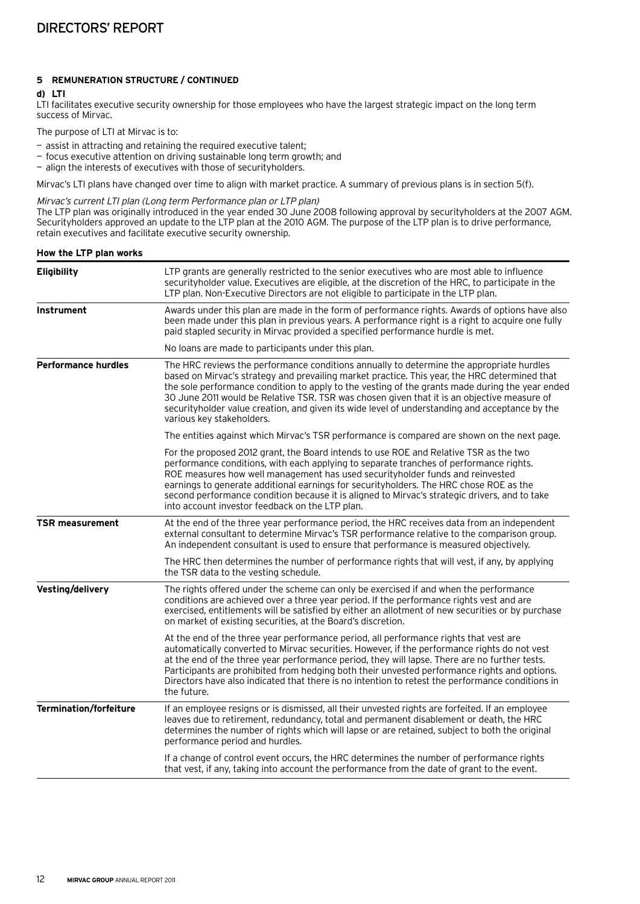#### **d) LTI**

LTI facilitates executive security ownership for those employees who have the largest strategic impact on the long term success of Mirvac.

The purpose of LTI at Mirvac is to:

— assist in attracting and retaining the required executive talent;

- focus executive attention on driving sustainable long term growth; and
- align the interests of executives with those of securityholders.

Mirvac's LTI plans have changed over time to align with market practice. A summary of previous plans is in section 5(f).

#### Mirvac's current LTI plan (Long term Performance plan or LTP plan)

The LTP plan was originally introduced in the year ended 30 June 2008 following approval by securityholders at the 2007 AGM. Securityholders approved an update to the LTP plan at the 2010 AGM. The purpose of the LTP plan is to drive performance, retain executives and facilitate executive security ownership.

# **How the LTP plan works**

| <b>Eligibility</b>            | LTP grants are generally restricted to the senior executives who are most able to influence<br>securityholder value. Executives are eligible, at the discretion of the HRC, to participate in the<br>LTP plan. Non-Executive Directors are not eligible to participate in the LTP plan.                                                                                                                                                                                                                                    |
|-------------------------------|----------------------------------------------------------------------------------------------------------------------------------------------------------------------------------------------------------------------------------------------------------------------------------------------------------------------------------------------------------------------------------------------------------------------------------------------------------------------------------------------------------------------------|
| <b>Instrument</b>             | Awards under this plan are made in the form of performance rights. Awards of options have also<br>been made under this plan in previous years. A performance right is a right to acquire one fully<br>paid stapled security in Mirvac provided a specified performance hurdle is met.                                                                                                                                                                                                                                      |
|                               | No loans are made to participants under this plan.                                                                                                                                                                                                                                                                                                                                                                                                                                                                         |
| <b>Performance hurdles</b>    | The HRC reviews the performance conditions annually to determine the appropriate hurdles<br>based on Mirvac's strategy and prevailing market practice. This year, the HRC determined that<br>the sole performance condition to apply to the vesting of the grants made during the year ended<br>30 June 2011 would be Relative TSR. TSR was chosen given that it is an objective measure of<br>securityholder value creation, and given its wide level of understanding and acceptance by the<br>various key stakeholders. |
|                               | The entities against which Mirvac's TSR performance is compared are shown on the next page.                                                                                                                                                                                                                                                                                                                                                                                                                                |
|                               | For the proposed 2012 grant, the Board intends to use ROE and Relative TSR as the two<br>performance conditions, with each applying to separate tranches of performance rights.<br>ROE measures how well management has used security holder funds and reinvested<br>earnings to generate additional earnings for securityholders. The HRC chose ROE as the<br>second performance condition because it is aligned to Mirvac's strategic drivers, and to take<br>into account investor feedback on the LTP plan.            |
| <b>TSR measurement</b>        | At the end of the three year performance period, the HRC receives data from an independent<br>external consultant to determine Mirvac's TSR performance relative to the comparison group.<br>An independent consultant is used to ensure that performance is measured objectively.                                                                                                                                                                                                                                         |
|                               | The HRC then determines the number of performance rights that will vest, if any, by applying<br>the TSR data to the vesting schedule.                                                                                                                                                                                                                                                                                                                                                                                      |
| Vesting/delivery              | The rights offered under the scheme can only be exercised if and when the performance<br>conditions are achieved over a three year period. If the performance rights vest and are<br>exercised, entitlements will be satisfied by either an allotment of new securities or by purchase<br>on market of existing securities, at the Board's discretion.                                                                                                                                                                     |
|                               | At the end of the three year performance period, all performance rights that vest are<br>automatically converted to Mirvac securities. However, if the performance rights do not vest<br>at the end of the three year performance period, they will lapse. There are no further tests.<br>Participants are prohibited from hedging both their unvested performance rights and options.<br>Directors have also indicated that there is no intention to retest the performance conditions in<br>the future.                  |
| <b>Termination/forfeiture</b> | If an employee resigns or is dismissed, all their unvested rights are forfeited. If an employee<br>leaves due to retirement, redundancy, total and permanent disablement or death, the HRC<br>determines the number of rights which will lapse or are retained, subject to both the original<br>performance period and hurdles.                                                                                                                                                                                            |
|                               | If a change of control event occurs, the HRC determines the number of performance rights<br>that vest, if any, taking into account the performance from the date of grant to the event.                                                                                                                                                                                                                                                                                                                                    |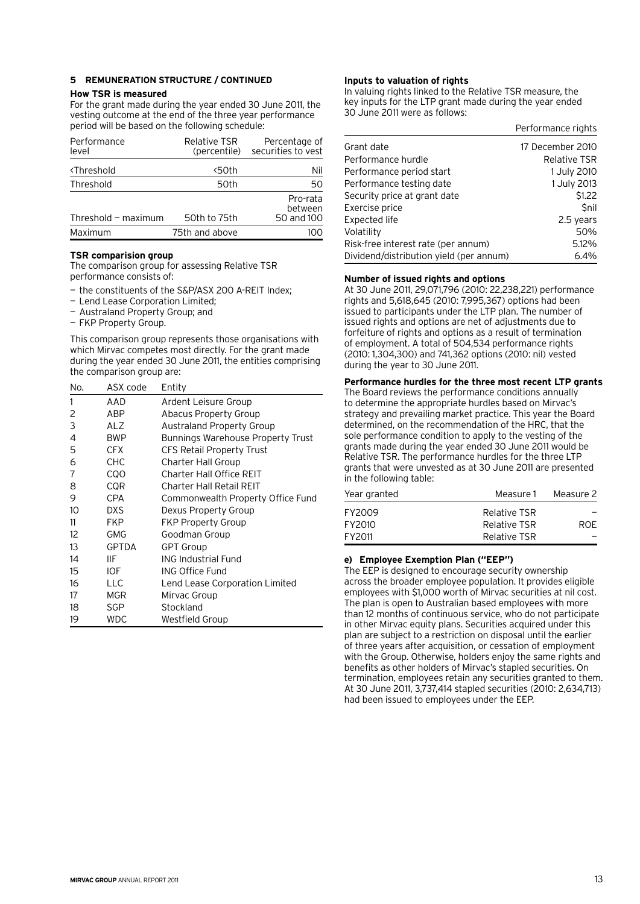# **How TSR is measured**

For the grant made during the year ended 30 June 2011, the vesting outcome at the end of the three year performance period will be based on the following schedule:

| Performance<br>level                  | <b>Relative TSR</b><br>(percentile) | Percentage of<br>securities to vest |
|---------------------------------------|-------------------------------------|-------------------------------------|
| <b><threshold< b=""></threshold<></b> | <50th                               | Nil                                 |
| Threshold                             | 50th                                | 50                                  |
| Threshold $-$ maximum                 | 50th to 75th                        | Pro-rata<br>between<br>50 and 100   |
| Maximum                               | 75th and above                      |                                     |

#### **TSR comparision group**

The comparison group for assessing Relative TSR performance consists of:

- the constituents of the S&P/ASX 200 A-REIT Index;
- Lend Lease Corporation Limited;
- Australand Property Group; and
- FKP Property Group.

This comparison group represents those organisations with which Mirvac competes most directly. For the grant made during the year ended 30 June 2011, the entities comprising the comparison group are:

| AAD<br>1<br>Ardent Leisure Group                            |  |
|-------------------------------------------------------------|--|
|                                                             |  |
| 2<br>ABP<br><b>Abacus Property Group</b>                    |  |
| 3<br><b>ALZ</b><br><b>Australand Property Group</b>         |  |
| 4<br><b>BWP</b><br><b>Bunnings Warehouse Property Trust</b> |  |
| 5<br><b>CFX</b><br><b>CFS Retail Property Trust</b>         |  |
| 6<br><b>CHC</b><br><b>Charter Hall Group</b>                |  |
| <b>COO</b><br>Charter Hall Office REIT<br>7                 |  |
| <b>COR</b><br>8<br>Charter Hall Retail REIT                 |  |
| 9<br>CPA<br>Commonwealth Property Office Fund               |  |
| 10<br>DXS<br>Dexus Property Group                           |  |
| 11<br><b>FKP</b><br><b>FKP Property Group</b>               |  |
| 12<br>GMG<br>Goodman Group                                  |  |
| 13<br><b>GPTDA</b><br><b>GPT Group</b>                      |  |
| <b>ING Industrial Fund</b><br>14<br>IIF                     |  |
| 15<br>IOF.<br>ING Office Fund                               |  |
| 16<br><b>LLC</b><br>Lend Lease Corporation Limited          |  |
| <b>MGR</b><br>17<br>Mirvac Group                            |  |
| <b>SGP</b><br>Stockland<br>18                               |  |
| <b>WDC</b><br>19<br>Westfield Group                         |  |

# **Inputs to valuation of rights**

In valuing rights linked to the Relative TSR measure, the key inputs for the LTP grant made during the year ended 30 June 2011 were as follows:

|                                         | Performance rights  |
|-----------------------------------------|---------------------|
| Grant date                              | 17 December 2010    |
| Performance hurdle                      | <b>Relative TSR</b> |
| Performance period start                | 1 July 2010         |
| Performance testing date                | 1 July 2013         |
| Security price at grant date            | \$1.22              |
| Exercise price                          | <b>Snil</b>         |
| Expected life                           | 2.5 years           |
| Volatility                              | 50%                 |
| Risk-free interest rate (per annum)     | 5.12%               |
| Dividend/distribution yield (per annum) | $6.4\%$             |

#### **Number of issued rights and options**

At 30 June 2011, 29,071,796 (2010: 22,238,221) performance rights and 5,618,645 (2010: 7,995,367) options had been issued to participants under the LTP plan. The number of issued rights and options are net of adjustments due to forfeiture of rights and options as a result of termination of employment. A total of 504,534 performance rights (2010: 1,304,300) and 741,362 options (2010: nil) vested during the year to 30 June 2011.

# **Performance hurdles for the three most recent LTP grants**

The Board reviews the performance conditions annually to determine the appropriate hurdles based on Mirvac's strategy and prevailing market practice. This year the Board determined, on the recommendation of the HRC, that the sole performance condition to apply to the vesting of the grants made during the year ended 30 June 2011 would be Relative TSR. The performance hurdles for the three LTP grants that were unvested as at 30 June 2011 are presented in the following table:

| Year granted | Measure 1    | Measure 2  |  |
|--------------|--------------|------------|--|
| FY2009       | Relative TSR |            |  |
| FY2010       | Relative TSR | <b>ROF</b> |  |
| FY2011       | Relative TSR |            |  |

# **e) Employee Exemption Plan ("EEP")**

The EEP is designed to encourage security ownership across the broader employee population. It provides eligible employees with \$1,000 worth of Mirvac securities at nil cost. The plan is open to Australian based employees with more than 12 months of continuous service, who do not participate in other Mirvac equity plans. Securities acquired under this plan are subject to a restriction on disposal until the earlier of three years after acquisition, or cessation of employment with the Group. Otherwise, holders enjoy the same rights and benefits as other holders of Mirvac's stapled securities. On termination, employees retain any securities granted to them. At 30 June 2011, 3,737,414 stapled securities (2010: 2,634,713) had been issued to employees under the EEP.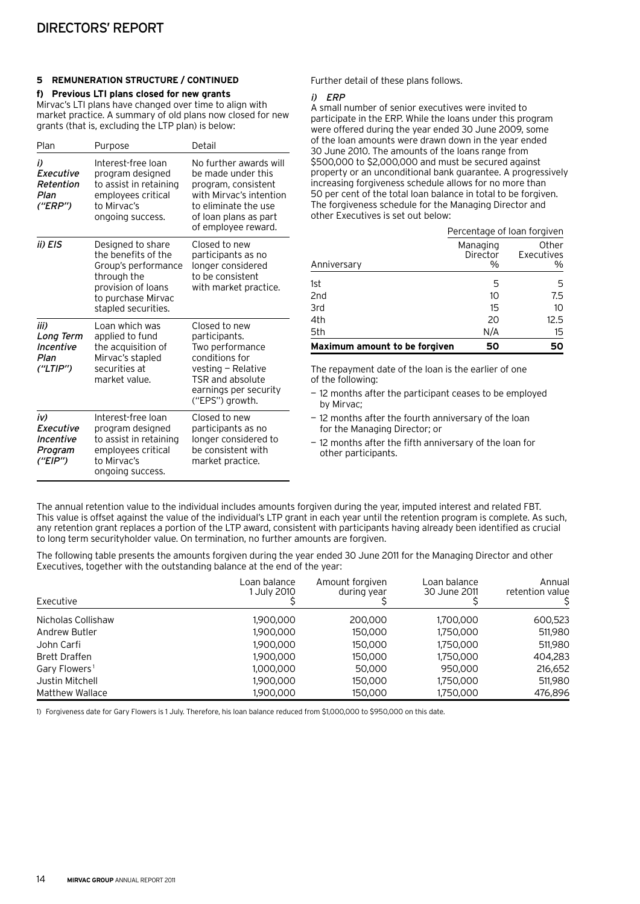**f) Previous LTI plans closed for new grants** Mirvac's LTI plans have changed over time to align with market practice. A summary of old plans now closed for new grants (that is, excluding the LTP plan) is below:

| Plan                                                | Purpose                                                                                                                                           | Detail                                                                                                                                                                 |
|-----------------------------------------------------|---------------------------------------------------------------------------------------------------------------------------------------------------|------------------------------------------------------------------------------------------------------------------------------------------------------------------------|
| i)<br>Executive<br>Retention<br>Plan<br>(''ERP'')   | Interest-free loan<br>program designed<br>to assist in retaining<br>employees critical<br>to Mirvac's<br>ongoing success.                         | No further awards will<br>be made under this<br>program, consistent<br>with Mirvac's intention<br>to eliminate the use<br>of loan plans as part<br>of employee reward. |
| ii) EIS                                             | Designed to share<br>the benefits of the<br>Group's performance<br>through the<br>provision of loans<br>to purchase Mirvac<br>stapled securities. | Closed to new<br>participants as no<br>longer considered<br>to be consistent<br>with market practice.                                                                  |
| iii)<br>Long Term<br>Incentive<br>Plan<br>("LTIP")  | Loan which was<br>applied to fund<br>the acquisition of<br>Mirvac's stapled<br>securities at<br>market value.                                     | Closed to new<br>participants.<br>Two performance<br>conditions for<br>$vesting - Relative$<br>TSR and absolute<br>earnings per security<br>("EPS") growth.            |
| iv)<br>Executive<br>Incentive<br>Program<br>("EIP") | Interest-free loan<br>program designed<br>to assist in retaining<br>employees critical<br>to Mirvac's<br>ongoing success.                         | Closed to new<br>participants as no<br>longer considered to<br>be consistent with<br>market practice.                                                                  |

Further detail of these plans follows.

#### i) ERP

A small number of senior executives were invited to participate in the ERP. While the loans under this program were offered during the year ended 30 June 2009, some of the loan amounts were drawn down in the year ended 30 June 2010. The amounts of the loans range from \$500,000 to \$2,000,000 and must be secured against property or an unconditional bank guarantee. A progressively increasing forgiveness schedule allows for no more than 50 per cent of the total loan balance in total to be forgiven. The forgiveness schedule for the Managing Director and other Executives is set out below:

|                               |                           | Percentage of loan forgiven |  |  |  |
|-------------------------------|---------------------------|-----------------------------|--|--|--|
| Anniversary                   | Managing<br>Director<br>% | Other<br>Executives<br>%    |  |  |  |
| 1st                           | 5                         | 5                           |  |  |  |
| 2 <sub>nd</sub>               | 10                        | 7.5                         |  |  |  |
| 3rd                           | 15                        | 10                          |  |  |  |
| 4th                           | 20                        | 12.5                        |  |  |  |
| 5th                           | N/A                       | 15                          |  |  |  |
| Maximum amount to be forgiven | 50                        |                             |  |  |  |

The repayment date of the loan is the earlier of one of the following:

- 12 months after the participant ceases to be employed by Mirvac;
- 12 months after the fourth anniversary of the loan for the Managing Director; or
- 12 months after the fifth anniversary of the loan for other participants.

The annual retention value to the individual includes amounts forgiven during the year, imputed interest and related FBT. This value is offset against the value of the individual's LTP grant in each year until the retention program is complete. As such, any retention grant replaces a portion of the LTP award, consistent with participants having already been identified as crucial to long term securityholder value. On termination, no further amounts are forgiven.

The following table presents the amounts forgiven during the year ended 30 June 2011 for the Managing Director and other Executives, together with the outstanding balance at the end of the year:

| Executive                 | Loan balance<br>1 July 2010 | Amount forgiven<br>during year | Loan balance<br>30 June 2011 | Annual<br>retention value |
|---------------------------|-----------------------------|--------------------------------|------------------------------|---------------------------|
| Nicholas Collishaw        | 1.900.000                   | 200,000                        | 1,700,000                    | 600,523                   |
| Andrew Butler             | 1.900.000                   | 150.000                        | 1,750,000                    | 511,980                   |
| John Carfi                | 1.900.000                   | 150.000                        | 1,750,000                    | 511,980                   |
| <b>Brett Draffen</b>      | 1.900.000                   | 150,000                        | 1,750,000                    | 404,283                   |
| Gary Flowers <sup>1</sup> | 1.000.000                   | 50,000                         | 950,000                      | 216,652                   |
| Justin Mitchell           | 1.900.000                   | 150,000                        | 1,750,000                    | 511,980                   |
| Matthew Wallace           | 1.900.000                   | 150.000                        | 1.750.000                    | 476.896                   |

1) Forgiveness date for Gary Flowers is 1 July. Therefore, his loan balance reduced from \$1,000,000 to \$950,000 on this date.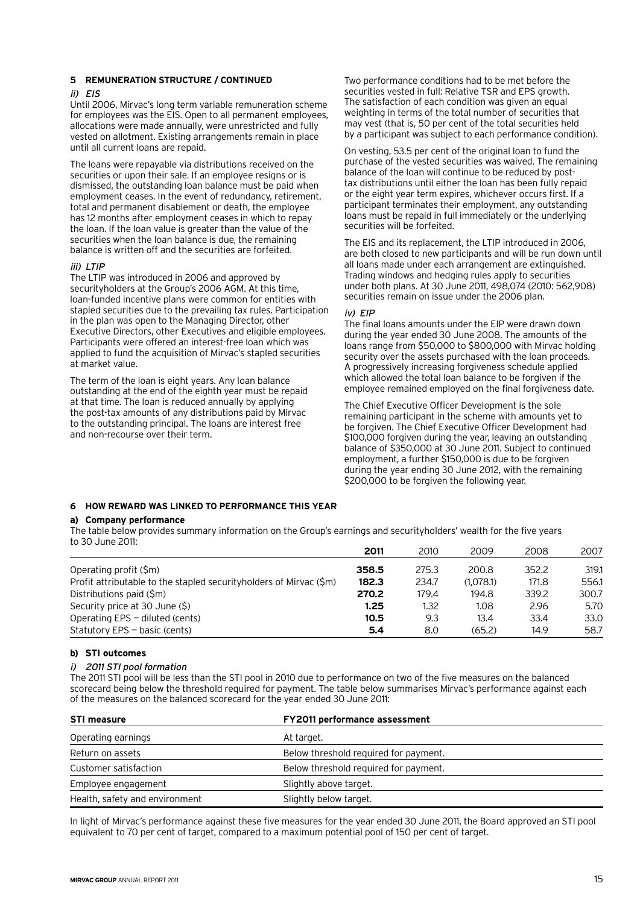# $ii)$   $FIS$

Until 2006, Mirvac's long term variable remuneration scheme for employees was the EIS. Open to all permanent employees, allocations were made annually, were unrestricted and fully vested on allotment. Existing arrangements remain in place until all current loans are repaid.

The loans were repayable via distributions received on the securities or upon their sale. If an employee resigns or is dismissed, the outstanding loan balance must be paid when employment ceases. In the event of redundancy, retirement, total and permanent disablement or death, the employee has 12 months after employment ceases in which to repay the loan. If the loan value is greater than the value of the securities when the loan balance is due, the remaining balance is written off and the securities are forfeited.

# iii) LTIP

The LTIP was introduced in 2006 and approved by securityholders at the Group's 2006 AGM. At this time, loan-funded incentive plans were common for entities with stapled securities due to the prevailing tax rules. Participation in the plan was open to the Managing Director, other Executive Directors, other Executives and eligible employees. Participants were offered an interest-free loan which was applied to fund the acquisition of Mirvac's stapled securities at market value.

The term of the loan is eight years. Any loan balance outstanding at the end of the eighth year must be repaid at that time. The loan is reduced annually by applying the post-tax amounts of any distributions paid by Mirvac to the outstanding principal. The loans are interest free and non-recourse over their term.

Two performance conditions had to be met before the securities vested in full: Relative TSR and EPS growth. The satisfaction of each condition was given an equal weighting in terms of the total number of securities that may vest (that is, 50 per cent of the total securities held by a participant was subject to each performance condition).

On vesting, 53.5 per cent of the original loan to fund the purchase of the vested securities was waived. The remaining balance of the loan will continue to be reduced by posttax distributions until either the loan has been fully repaid or the eight year term expires, whichever occurs first. If a participant terminates their employment, any outstanding loans must be repaid in full immediately or the underlying securities will be forfeited.

The EIS and its replacement, the LTIP introduced in 2006, are both closed to new participants and will be run down until all loans made under each arrangement are extinguished. Trading windows and hedging rules apply to securities under both plans. At 30 June 2011, 498,074 (2010: 562,908) securities remain on issue under the 2006 plan.

#### iv) EIP

The final loans amounts under the EIP were drawn down during the year ended 30 June 2008. The amounts of the loans range from \$50,000 to \$800,000 with Mirvac holding security over the assets purchased with the loan proceeds. A progressively increasing forgiveness schedule applied which allowed the total loan balance to be forgiven if the employee remained employed on the final forgiveness date.

The Chief Executive Officer Development is the sole remaining participant in the scheme with amounts yet to be forgiven. The Chief Executive Officer Development had \$100,000 forgiven during the year, leaving an outstanding balance of \$350,000 at 30 June 2011. Subject to continued employment, a further \$150,000 is due to be forgiven during the year ending 30 June 2012, with the remaining \$200,000 to be forgiven the following year.

# **6 How reward was linked to performance this year**

#### **a) Company performance**

The table below provides summary information on the Group's earnings and securityholders' wealth for the five years to 30 June 2011:

|                                                                     | 2011  | 2010  | 2009      | 2008  | 2007  |
|---------------------------------------------------------------------|-------|-------|-----------|-------|-------|
| Operating profit (\$m)                                              | 358.5 | 275.3 | 200.8     | 352.2 | 319.1 |
| Profit attributable to the stapled security holders of Mirvac (\$m) | 182.3 | 234.7 | (1.078.1) | 171.8 | 556.1 |
| Distributions paid (\$m)                                            | 270.2 | 179.4 | 194.8     | 339.2 | 300.7 |
| Security price at 30 June (\$)                                      | 1.25  | 1.32  | 1.08      | 2.96  | 5.70  |
| Operating EPS – diluted (cents)                                     | 10.5  | 9.3   | 13.4      | 33.4  | 33.0  |
| Statutory EPS $-$ basic (cents)                                     | 5.4   | 8.0   | (65.2)    | 14.9  | 58.7  |

# **b) STI outcomes**

# i) 2011 STI pool formation

The 2011 STI pool will be less than the STI pool in 2010 due to performance on two of the five measures on the balanced scorecard being below the threshold required for payment. The table below summarises Mirvac's performance against each of the measures on the balanced scorecard for the year ended 30 June 2011:

| <b>STI measure</b>             | <b>FY2011 performance assessment</b>  |  |  |
|--------------------------------|---------------------------------------|--|--|
| Operating earnings             | At target.                            |  |  |
| Return on assets               | Below threshold required for payment. |  |  |
| Customer satisfaction          | Below threshold required for payment. |  |  |
| Employee engagement            | Slightly above target.                |  |  |
| Health, safety and environment | Slightly below target.                |  |  |

In light of Mirvac's performance against these five measures for the year ended 30 June 2011, the Board approved an STI pool equivalent to 70 per cent of target, compared to a maximum potential pool of 150 per cent of target.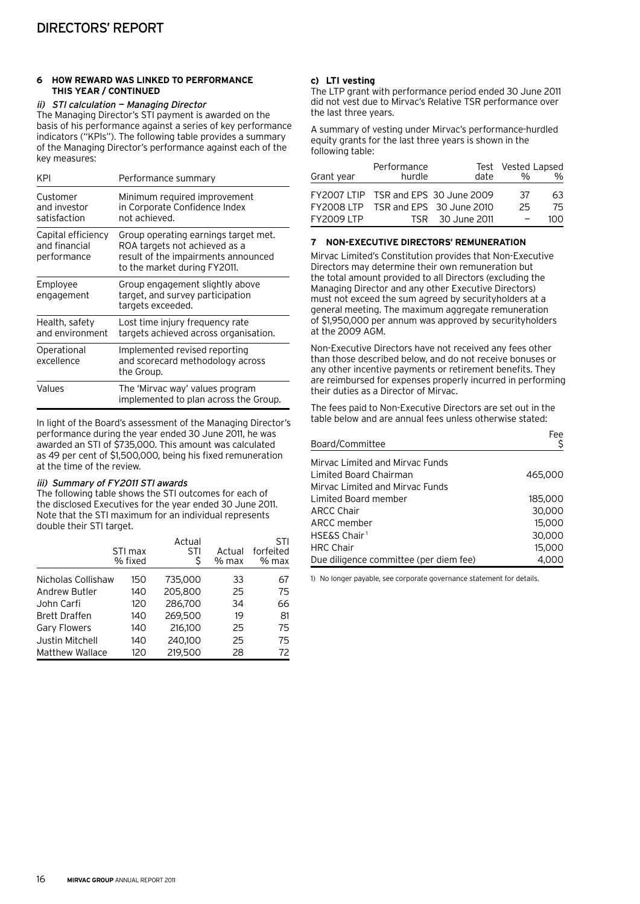#### **6 How reward was linked to performance this year / continued**

#### ii) STI calculation — Managing Director

The Managing Director's STI payment is awarded on the basis of his performance against a series of key performance indicators ("KPIs"). The following table provides a summary of the Managing Director's performance against each of the key measures:

| KPI                                                | Performance summary                                                                                                                          |
|----------------------------------------------------|----------------------------------------------------------------------------------------------------------------------------------------------|
| Customer<br>and investor<br>satisfaction           | Minimum required improvement<br>in Corporate Confidence Index<br>not achieved.                                                               |
| Capital efficiency<br>and financial<br>performance | Group operating earnings target met.<br>ROA targets not achieved as a<br>result of the impairments announced<br>to the market during FY2011. |
| Employee<br>engagement                             | Group engagement slightly above<br>target, and survey participation<br>targets exceeded.                                                     |
| Health, safety<br>and environment                  | Lost time injury frequency rate<br>targets achieved across organisation.                                                                     |
| Operational<br>excellence                          | Implemented revised reporting<br>and scorecard methodology across<br>the Group.                                                              |
| Values                                             | The 'Mirvac way' values program<br>implemented to plan across the Group.                                                                     |

In light of the Board's assessment of the Managing Director's performance during the year ended 30 June 2011, he was awarded an STI of \$735,000. This amount was calculated as 49 per cent of \$1,500,000, being his fixed remuneration at the time of the review.

# iii) Summary of FY2011 STI awards

The following table shows the STI outcomes for each of the disclosed Executives for the year ended 30 June 2011. Note that the STI maximum for an individual represents double their STI target.

|                        | STI max<br>% fixed | Actual<br>STI | Actual<br>% max | STI<br>forfeited<br>% max |
|------------------------|--------------------|---------------|-----------------|---------------------------|
| Nicholas Collishaw     | 150                | 735,000       | 33              | 67                        |
| Andrew Butler          | 140                | 205,800       | 25              | 75                        |
| John Carfi             | 120                | 286,700       | 34              | 66                        |
| <b>Brett Draffen</b>   | 140                | 269,500       | 19              | 81                        |
| <b>Gary Flowers</b>    | 140                | 216.100       | 25              | 75                        |
| Justin Mitchell        | 140                | 240,100       | 25              | 75                        |
| <b>Matthew Wallace</b> | 120                | 219,500       | 28              | 72                        |

# **c) LTI vesting**

The LTP grant with performance period ended 30 June 2011 did not vest due to Mirvac's Relative TSR performance over the last three years.

A summary of vesting under Mirvac's performance-hurdled equity grants for the last three years is shown in the following table:

|            | Performance |                                      | Test Vested Lapsed |               |
|------------|-------------|--------------------------------------|--------------------|---------------|
| Grant year | hurdle      | date                                 | 0/2                | $\frac{0}{0}$ |
|            |             | FY2007 LTIP TSR and EPS 30 June 2009 | -37                | 63            |
|            |             | FY2008 LTP TSR and EPS 30 June 2010  | 25                 | 75            |
| FY2009 LTP |             | TSR 30 June 2011                     |                    | 1NN           |

# **7 Non-Executive Directors' remuneration**

Mirvac Limited's Constitution provides that Non-Executive Directors may determine their own remuneration but the total amount provided to all Directors (excluding the Managing Director and any other Executive Directors) must not exceed the sum agreed by securityholders at a general meeting. The maximum aggregate remuneration of \$1,950,000 per annum was approved by securityholders at the 2009 AGM.

Non-Executive Directors have not received any fees other than those described below, and do not receive bonuses or any other incentive payments or retirement benefits. They are reimbursed for expenses properly incurred in performing their duties as a Director of Mirvac.

The fees paid to Non-Executive Directors are set out in the table below and are annual fees unless otherwise stated:

| Board/Committee                        | Fee     |
|----------------------------------------|---------|
|                                        |         |
| Mirvac Limited and Mirvac Funds        |         |
| Limited Board Chairman                 | 465,000 |
| Mirvac Limited and Mirvac Funds        |         |
| Limited Board member                   | 185,000 |
| <b>ARCC Chair</b>                      | 30,000  |
| ARCC member                            | 15,000  |
| <b>HSE&amp;S Chair</b> <sup>1</sup>    | 30,000  |
| <b>HRC Chair</b>                       | 15,000  |
| Due diligence committee (per diem fee) | 4.000   |

1) No longer payable, see corporate governance statement for details.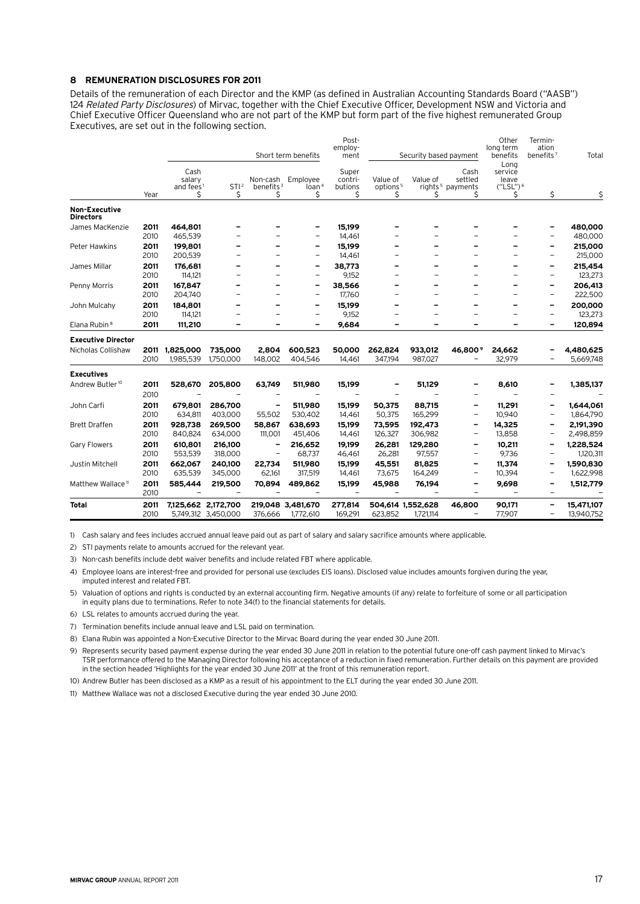#### **8 Remuneration disclosures for 2011**

Details of the remuneration of each Director and the KMP (as defined in Australian Accounting Standards Board ("AASB") 124 Related Party Disclosures) of Mirvac, together with the Chief Executive Officer, Development NSW and Victoria and Chief Executive Officer Queensland who are not part of the KMP but form part of the five highest remunerated Group Executives, are set out in the following section.

|                                          |              |                             |                        |                              |                          | Post-                       |                           |                        |                                                          | Other                      | Termin-                        |            |
|------------------------------------------|--------------|-----------------------------|------------------------|------------------------------|--------------------------|-----------------------------|---------------------------|------------------------|----------------------------------------------------------|----------------------------|--------------------------------|------------|
|                                          |              |                             |                        |                              | Short term benefits      | employ-<br>ment             |                           | Security based payment |                                                          | long term<br>benefits      | ation<br>benefits <sup>7</sup> | Total      |
|                                          |              |                             |                        |                              |                          |                             |                           |                        |                                                          | Long                       |                                |            |
|                                          |              | Cash                        |                        |                              |                          | Super                       |                           |                        | Cash                                                     | service                    |                                |            |
|                                          |              | salary                      |                        | Non-cash                     | Employee                 | contri-                     | Value of                  | Value of               | settled                                                  | leave                      |                                |            |
|                                          | Year         | and fees <sup>1</sup><br>\$ | STI <sup>2</sup><br>\$ | benefits <sup>3</sup><br>\$  | $\frac{1}{2}$<br>Ś       | butions<br>\$               | options <sup>5</sup><br>S | \$                     | rights <sup>5</sup> payments<br>\$                       | $("LSL")^6$<br>Ş           | \$                             | \$         |
| <b>Non-Executive</b><br><b>Directors</b> |              |                             |                        |                              |                          |                             |                           |                        |                                                          |                            |                                |            |
| James MacKenzie                          | 2011         | 464,801                     |                        |                              | $\overline{\phantom{a}}$ | 15,199                      |                           |                        |                                                          |                            | -                              | 480,000    |
|                                          | 2010         | 465,539                     |                        |                              | $\overline{\phantom{a}}$ | 14,461                      |                           |                        |                                                          |                            | $\overline{a}$                 | 480,000    |
| Peter Hawkins                            | 2011         | 199.801                     |                        |                              | $\overline{\phantom{a}}$ | 15.199                      |                           |                        |                                                          |                            | -                              | 215,000    |
|                                          | 2010         | 200,539                     |                        | $\overline{\phantom{0}}$     | $\overline{\phantom{0}}$ | 14,461                      |                           |                        | -                                                        |                            | $\overline{\phantom{0}}$       | 215,000    |
| James Millar                             | 2011         | 176,681                     |                        |                              |                          | 38,773                      |                           |                        |                                                          |                            | -                              | 215,454    |
|                                          | 2010         | 114,121                     |                        | $\overline{\phantom{0}}$     |                          | 9,152                       |                           |                        |                                                          |                            | $\overline{\phantom{0}}$       | 123,273    |
| Penny Morris                             | 2011         | 167,847                     |                        | -                            | $\overline{\phantom{a}}$ | 38,566                      |                           |                        |                                                          |                            | -                              | 206,413    |
|                                          | 2010         | 204,740                     |                        | $\overline{a}$               | $\overline{\phantom{0}}$ | 17,760                      |                           |                        | $\equiv$                                                 |                            | $\overline{\phantom{0}}$       | 222,500    |
| John Mulcahy                             | 2011         | 184,801                     |                        | -                            | $\overline{\phantom{a}}$ | 15,199                      |                           |                        |                                                          |                            | -                              | 200,000    |
|                                          | 2010         | 114,121                     |                        | $\overline{a}$               | $\overline{\phantom{m}}$ | 9,152                       |                           |                        |                                                          |                            | -                              | 123,273    |
| Elana Rubin <sup>8</sup>                 | 2011         | 111,210                     | -                      | -                            | $\overline{\phantom{0}}$ | 9,684                       | -                         | -                      | $\overline{\phantom{0}}$                                 | -                          | -                              | 120,894    |
| <b>Executive Director</b>                |              |                             |                        |                              |                          |                             |                           |                        |                                                          |                            |                                |            |
| Nicholas Collishaw                       | 2011         | 1,825,000                   | 735,000                | 2.804                        | 600.523                  | 50,000                      | 262,824                   | 933,012                | 46.800 <sup>9</sup>                                      | 24,662                     | -                              | 4,480,625  |
|                                          | 2010         | 1,985,539                   | 1,750,000              | 148,002                      | 404,546                  | 14,461                      | 347,194                   | 987,027                |                                                          | 32,979                     |                                | 5,669,748  |
| <b>Executives</b>                        |              |                             |                        |                              |                          |                             |                           |                        |                                                          |                            |                                |            |
| Andrew Butler <sup>10</sup>              | 2011         | 528,670                     | 205,800                | 63,749                       | 511,980                  | 15,199                      |                           | 51,129                 |                                                          | 8,610                      |                                | 1,385,137  |
|                                          | 2010         |                             |                        |                              |                          |                             |                           |                        |                                                          |                            |                                |            |
| John Carfi                               | 2011         | 679,801                     | 286,700                |                              | 511,980                  | 15,199                      | 50,375                    | 88,715                 | $\qquad \qquad \blacksquare$                             | 11,291                     | -                              | 1,644,061  |
|                                          | 2010         | 634,811                     | 403,000                | 55,502                       | 530,402                  | 14,461                      | 50,375                    | 165,299                | $\overline{\phantom{m}}$                                 | 10,940                     | $\overline{\phantom{0}}$       | 1,864,790  |
| <b>Brett Draffen</b>                     | 2011         | 928,738                     | 269,500                | 58,867                       | 638,693                  | 15,199                      | 73,595                    | 192,473                | $\qquad \qquad \blacksquare$                             | 14,325                     | -                              | 2,191,390  |
|                                          | 2010         | 840,824                     | 634,000                | 111,001                      | 451,406                  | 14,461                      | 126,327                   | 306,982                | $\overline{\phantom{a}}$                                 | 13,858                     | $\overline{a}$                 | 2,498,859  |
| <b>Gary Flowers</b>                      | 2011         | 610.801                     | 216,100                | $\qquad \qquad \blacksquare$ | 216,652                  | 19,199                      | 26,281                    | 129,280                |                                                          | 10,211                     | -                              | 1,228,524  |
|                                          | 2010         | 553,539                     | 318,000                | $\overline{\phantom{a}}$     | 68,737                   | 46,461                      | 26,281                    | 97,557                 | $\overline{\phantom{m}}$                                 | 9,736                      | $\overline{\phantom{0}}$       | 1,120,311  |
| Justin Mitchell                          | 2011         | 662,067                     | 240,100                | 22,734                       | 511,980                  | 15,199                      | 45,551                    | 81,825                 | -                                                        | 11,374                     | -                              | 1,590,830  |
|                                          | 2010         | 635,539                     | 345,000                | 62,161                       | 317,519                  | 14,461                      | 73,675                    | 164,249                | $\overline{\phantom{a}}$                                 | 10,394                     | -                              | 1,622,998  |
| Matthew Wallace <sup>11</sup>            | 2011<br>2010 | 585,444<br>$\overline{a}$   | 219,500                | 70,894                       | 489,862                  | 15,199<br>$\qquad \qquad -$ | 45,988                    | 76,194                 | $\qquad \qquad \blacksquare$<br>$\overline{\phantom{m}}$ | 9,698<br>$\qquad \qquad -$ | -<br>$\overline{\phantom{0}}$  | 1,512,779  |
| <b>Total</b>                             | 2011         |                             | 7,125,662 2,172,700    |                              | 219,048 3,481,670        | 277,814                     |                           | 504,614 1,552,628      | 46,800                                                   | 90,171                     | -                              | 15,471,107 |
|                                          | 2010         |                             | 5,749,312 3,450,000    | 376.666                      | 1,772,610                | 169,291                     | 623,852                   | 1,721,114              | $\qquad \qquad -$                                        | 77,907                     | -                              | 13,940,752 |

1) Cash salary and fees includes accrued annual leave paid out as part of salary and salary sacrifice amounts where applicable.

2) STI payments relate to amounts accrued for the relevant year.

3) Non-cash benefits include debt waiver benefits and include related FBT where applicable.

4) Employee loans are interest-free and provided for personal use (excludes EIS loans). Disclosed value includes amounts forgiven during the year, imputed interest and related FBT.

5) Valuation of options and rights is conducted by an external accounting firm. Negative amounts (if any) relate to forfeiture of some or all participation in equity plans due to terminations. Refer to note 34(f) to the financial statements for details.

6) LSL relates to amounts accrued during the year.

7) Termination benefits include annual leave and LSL paid on termination.

8) Elana Rubin was appointed a Non-Executive Director to the Mirvac Board during the year ended 30 June 2011.

9) Represents security based payment expense during the year ended 30 June 2011 in relation to the potential future one-off cash payment linked to Mirvac's TSR performance offered to the Managing Director following his acceptance of a reduction in fixed remuneration. Further details on this payment are provided in the section headed 'Highlights for the year ended 30 June 2011' at the front of this remuneration report.

10) Andrew Butler has been disclosed as a KMP as a result of his appointment to the ELT during the year ended 30 June 2011.

11) Matthew Wallace was not a disclosed Executive during the year ended 30 June 2010.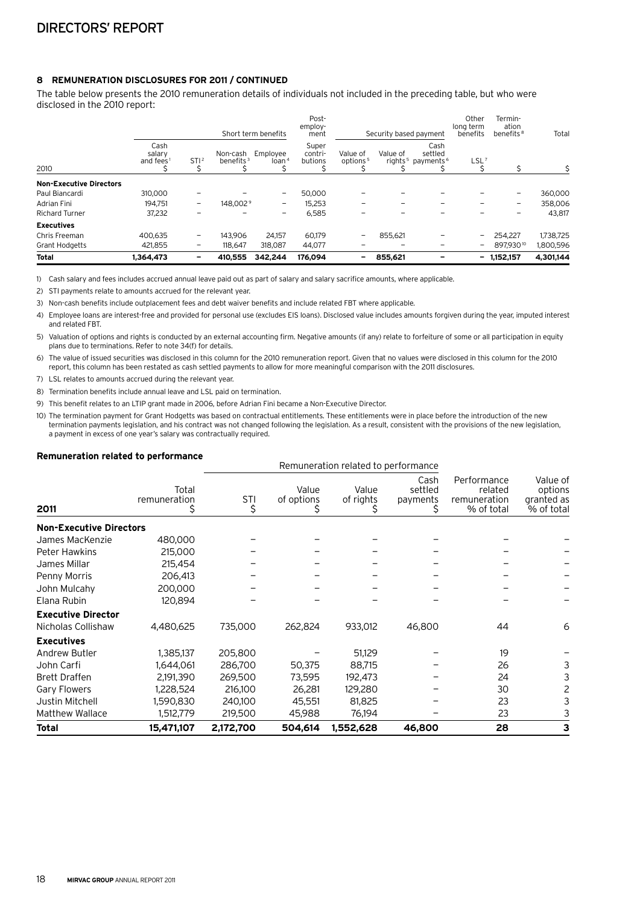# **8 Remuneration disclosures for 2011 / continued**

The table below presents the 2010 remuneration details of individuals not included in the preceding table, but who were disclosed in the 2010 report:

|                                |                                         |                          |                          | Short term benefits           | Post-<br>employ-<br>ment    |                                  | Security based payment |                                                              | Other<br>long term<br>benefits | Termin-<br>ation<br>benefits <sup>8</sup> | Total     |
|--------------------------------|-----------------------------------------|--------------------------|--------------------------|-------------------------------|-----------------------------|----------------------------------|------------------------|--------------------------------------------------------------|--------------------------------|-------------------------------------------|-----------|
| 2010                           | Cash<br>salary<br>and fees <sup>1</sup> | STI <sup>2</sup>         | Non-cash<br>benefits $3$ | Employee<br>loan <sup>4</sup> | Super<br>contri-<br>butions | Value of<br>options <sup>5</sup> | Value of               | Cash<br>settled<br>rights <sup>5</sup> payments <sup>6</sup> | $LSL^7$                        |                                           |           |
| <b>Non-Executive Directors</b> |                                         |                          |                          |                               |                             |                                  |                        |                                                              |                                |                                           |           |
| Paul Biancardi                 | 310,000                                 | -                        |                          | $\qquad \qquad -$             | 50,000                      |                                  |                        |                                                              |                                | -                                         | 360,000   |
| Adrian Fini                    | 194.751                                 | $\overline{\phantom{a}}$ | 148.002 <sup>9</sup>     | -                             | 15,253                      |                                  | -                      |                                                              |                                | $\overline{\phantom{0}}$                  | 358,006   |
| <b>Richard Turner</b>          | 37,232                                  | ۰                        |                          | $\overline{\phantom{m}}$      | 6,585                       |                                  |                        |                                                              |                                | -                                         | 43,817    |
| <b>Executives</b>              |                                         |                          |                          |                               |                             |                                  |                        |                                                              |                                |                                           |           |
| Chris Freeman                  | 400,635                                 | -                        | 143.906                  | 24,157                        | 60,179                      | ۰                                | 855,621                |                                                              |                                | 254.227                                   | 1,738,725 |
| <b>Grant Hodgetts</b>          | 421,855                                 | $\qquad \qquad -$        | 118.647                  | 318,087                       | 44,077                      |                                  |                        |                                                              | $\overline{\phantom{0}}$       | 897,93010                                 | 1,800,596 |
| <b>Total</b>                   | 1.364.473                               | -                        | 410,555                  | 342.244                       | 176.094                     | -                                | 855.621                |                                                              | -                              | 1.152.157                                 | 4.301.144 |

1) Cash salary and fees includes accrued annual leave paid out as part of salary and salary sacrifice amounts, where applicable.

2) STI payments relate to amounts accrued for the relevant year.

3) Non-cash benefits include outplacement fees and debt waiver benefits and include related FBT where applicable.

4) Employee loans are interest-free and provided for personal use (excludes EIS loans). Disclosed value includes amounts forgiven during the year, imputed interest and related FBT.

5) Valuation of options and rights is conducted by an external accounting firm. Negative amounts (if any) relate to forfeiture of some or all participation in equity plans due to terminations. Refer to note 34(f) for details.

6) The value of issued securities was disclosed in this column for the 2010 remuneration report. Given that no values were disclosed in this column for the 2010 report, this column has been restated as cash settled payments to allow for more meaningful comparison with the 2011 disclosures.

7) LSL relates to amounts accrued during the relevant year.

8) Termination benefits include annual leave and LSL paid on termination.

9) This benefit relates to an LTIP grant made in 2006, before Adrian Fini became a Non-Executive Director.

10) The termination payment for Grant Hodgetts was based on contractual entitlements. These entitlements were in place before the introduction of the new termination payments legislation, and his contract was not changed following the legislation. As a result, consistent with the provisions of the new legislation, a payment in excess of one year's salary was contractually required.

#### **Remuneration related to performance**

| Remaneration related to performance |                       |           |                     | Remuneration related to performance |                             |                                                      |                                                 |
|-------------------------------------|-----------------------|-----------|---------------------|-------------------------------------|-----------------------------|------------------------------------------------------|-------------------------------------------------|
| 2011                                | Total<br>remuneration | STI<br>\$ | Value<br>of options | Value<br>of rights                  | Cash<br>settled<br>payments | Performance<br>related<br>remuneration<br>% of total | Value of<br>options<br>granted as<br>% of total |
| <b>Non-Executive Directors</b>      |                       |           |                     |                                     |                             |                                                      |                                                 |
| James MacKenzie                     | 480,000               |           |                     |                                     |                             |                                                      |                                                 |
| <b>Peter Hawkins</b>                | 215,000               |           |                     |                                     |                             |                                                      |                                                 |
| James Millar                        | 215,454               |           |                     |                                     |                             |                                                      |                                                 |
| Penny Morris                        | 206,413               |           |                     |                                     |                             |                                                      |                                                 |
| John Mulcahy                        | 200,000               |           |                     |                                     |                             |                                                      |                                                 |
| Elana Rubin                         | 120,894               |           |                     |                                     |                             |                                                      |                                                 |
| <b>Executive Director</b>           |                       |           |                     |                                     |                             |                                                      |                                                 |
| Nicholas Collishaw                  | 4,480,625             | 735,000   | 262,824             | 933,012                             | 46,800                      | 44                                                   | 6                                               |
| <b>Executives</b>                   |                       |           |                     |                                     |                             |                                                      |                                                 |
| Andrew Butler                       | 1,385,137             | 205,800   |                     | 51,129                              |                             | 19                                                   |                                                 |
| John Carfi                          | 1,644,061             | 286,700   | 50,375              | 88,715                              |                             | 26                                                   | 3                                               |
| <b>Brett Draffen</b>                | 2,191,390             | 269,500   | 73,595              | 192,473                             |                             | 24                                                   | 3                                               |
| <b>Gary Flowers</b>                 | 1,228,524             | 216,100   | 26,281              | 129,280                             |                             | 30                                                   | 2                                               |
| Justin Mitchell                     | 1,590,830             | 240,100   | 45,551              | 81,825                              |                             | 23                                                   | 3                                               |
| Matthew Wallace                     | 1,512,779             | 219,500   | 45,988              | 76,194                              |                             | 23                                                   | 3                                               |
| <b>Total</b>                        | 15,471,107            | 2,172,700 | 504,614             | 1,552,628                           | 46,800                      | 28                                                   | 3                                               |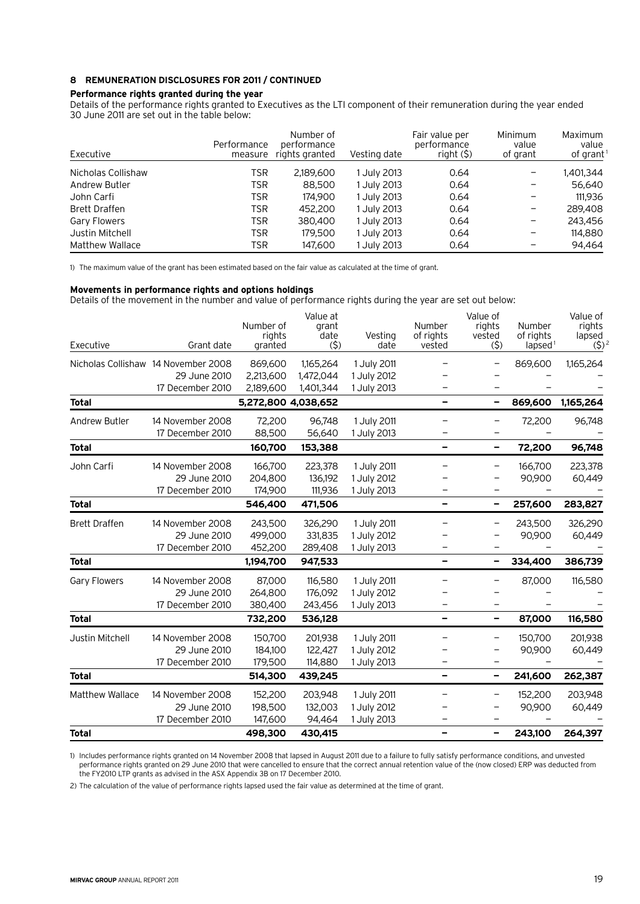# **8 Remuneration disclosures for 2011 / continued**

# **Performance rights granted during the year**

Details of the performance rights granted to Executives as the LTI component of their remuneration during the year ended 30 June 2011 are set out in the table below:

| Executive              | Performance<br>measure | Number of<br>performance<br>rights granted | Vesting date | Fair value per<br>performance<br>$right($ $\sf S)$ | <b>Minimum</b><br>value<br>of grant | Maximum<br>value<br>of grant |
|------------------------|------------------------|--------------------------------------------|--------------|----------------------------------------------------|-------------------------------------|------------------------------|
| Nicholas Collishaw     | TSR                    | 2,189,600                                  | 1 July 2013  | 0.64                                               |                                     | 1,401,344                    |
| Andrew Butler          | TSR                    | 88,500                                     | 1 July 2013  | 0.64                                               |                                     | 56.640                       |
| John Carfi             | TSR                    | 174,900                                    | 1 July 2013  | 0.64                                               |                                     | 111,936                      |
| <b>Brett Draffen</b>   | TSR                    | 452,200                                    | July 2013    | 0.64                                               |                                     | 289,408                      |
| <b>Gary Flowers</b>    | TSR                    | 380,400                                    | July 2013    | 0.64                                               |                                     | 243.456                      |
| Justin Mitchell        | <b>TSR</b>             | 179.500                                    | l July 2013  | 0.64                                               |                                     | 114,880                      |
| <b>Matthew Wallace</b> | TSR                    | 147.600                                    | July 2013    | 0.64                                               |                                     | 94.464                       |

1) The maximum value of the grant has been estimated based on the fair value as calculated at the time of grant.

#### **Movements in performance rights and options holdings**

Details of the movement in the number and value of performance rights during the year are set out below:

| Executive              | Grant date                           | Number of<br>rights<br>granted | Value at<br>grant<br>date<br>(5) | Vesting<br>date            | Number<br>of rights<br>vested | Value of<br>rights<br>vested<br>(5) | Number<br>of rights<br>$l$ apsed <sup>1</sup> | Value of<br>rights<br>lapsed<br>$(5)^{2}$ |
|------------------------|--------------------------------------|--------------------------------|----------------------------------|----------------------------|-------------------------------|-------------------------------------|-----------------------------------------------|-------------------------------------------|
|                        | Nicholas Collishaw 14 November 2008  | 869,600                        | 1,165,264                        | 1 July 2011                |                               |                                     | 869,600                                       | 1,165,264                                 |
|                        | 29 June 2010                         | 2,213,600                      | 1,472,044                        | 1 July 2012                |                               |                                     |                                               |                                           |
|                        | 17 December 2010                     | 2,189,600                      | 1,401,344                        | 1 July 2013                |                               |                                     |                                               |                                           |
| <b>Total</b>           |                                      | 5,272,800 4,038,652            |                                  |                            | -                             | $\overline{\phantom{0}}$            | 869,600                                       | 1,165,264                                 |
| <b>Andrew Butler</b>   | 14 November 2008<br>17 December 2010 | 72,200<br>88,500               | 96,748<br>56,640                 | 1 July 2011<br>1 July 2013 |                               |                                     | 72,200                                        | 96,748                                    |
| <b>Total</b>           |                                      | 160,700                        | 153,388                          |                            | -                             | $\qquad \qquad$                     | 72,200                                        | 96,748                                    |
| John Carfi             | 14 November 2008                     | 166,700                        | 223,378                          | 1 July 2011                |                               | $\qquad \qquad -$                   | 166,700                                       | 223,378                                   |
|                        | 29 June 2010                         | 204,800                        | 136,192                          | 1 July 2012                |                               |                                     | 90,900                                        | 60,449                                    |
|                        | 17 December 2010                     | 174,900                        | 111,936                          | 1 July 2013                |                               |                                     |                                               |                                           |
| <b>Total</b>           |                                      | 546,400                        | 471,506                          |                            | -                             | -                                   | 257,600                                       | 283,827                                   |
| <b>Brett Draffen</b>   | 14 November 2008                     | 243,500                        | 326,290                          | 1 July 2011                | —                             | $\overline{\phantom{m}}$            | 243,500                                       | 326,290                                   |
|                        | 29 June 2010                         | 499,000                        | 331,835                          | 1 July 2012                |                               |                                     | 90,900                                        | 60,449                                    |
|                        | 17 December 2010                     | 452,200                        | 289,408                          | 1 July 2013                |                               |                                     |                                               |                                           |
| <b>Total</b>           |                                      | 1,194,700                      | 947,533                          |                            | -                             | -                                   | 334,400                                       | 386,739                                   |
| Gary Flowers           | 14 November 2008                     | 87,000                         | 116,580                          | 1 July 2011                |                               | $\qquad \qquad -$                   | 87,000                                        | 116,580                                   |
|                        | 29 June 2010                         | 264,800                        | 176,092                          | 1 July 2012                |                               |                                     |                                               |                                           |
|                        | 17 December 2010                     | 380,400                        | 243,456                          | 1 July 2013                |                               |                                     |                                               |                                           |
| <b>Total</b>           |                                      | 732,200                        | 536,128                          |                            | -                             | -                                   | 87,000                                        | 116,580                                   |
| Justin Mitchell        | 14 November 2008                     | 150,700                        | 201,938                          | 1 July 2011                |                               | $\overline{\phantom{m}}$            | 150,700                                       | 201,938                                   |
|                        | 29 June 2010                         | 184,100                        | 122,427                          | 1 July 2012                |                               | $\qquad \qquad -$                   | 90,900                                        | 60,449                                    |
|                        | 17 December 2010                     | 179,500                        | 114,880                          | 1 July 2013                |                               | $\overline{\phantom{0}}$            |                                               |                                           |
| <b>Total</b>           |                                      | 514,300                        | 439,245                          |                            | Ξ.                            | -                                   | 241,600                                       | 262,387                                   |
| <b>Matthew Wallace</b> | 14 November 2008                     | 152,200                        | 203,948                          | 1 July 2011                |                               | -                                   | 152,200                                       | 203,948                                   |
|                        | 29 June 2010                         | 198,500                        | 132,003                          | 1 July 2012                |                               |                                     | 90,900                                        | 60,449                                    |
|                        | 17 December 2010                     | 147,600                        | 94,464                           | 1 July 2013                |                               |                                     |                                               |                                           |
| <b>Total</b>           |                                      | 498,300                        | 430,415                          |                            |                               |                                     | 243,100                                       | 264,397                                   |

1) Includes performance rights granted on 14 November 2008 that lapsed in August 2011 due to a failure to fully satisfy performance conditions, and unvested performance rights granted on 29 June 2010 that were cancelled to ensure that the correct annual retention value of the (now closed) ERP was deducted from the FY2010 LTP grants as advised in the ASX Appendix 3B on 17 December 2010.

2) The calculation of the value of performance rights lapsed used the fair value as determined at the time of grant.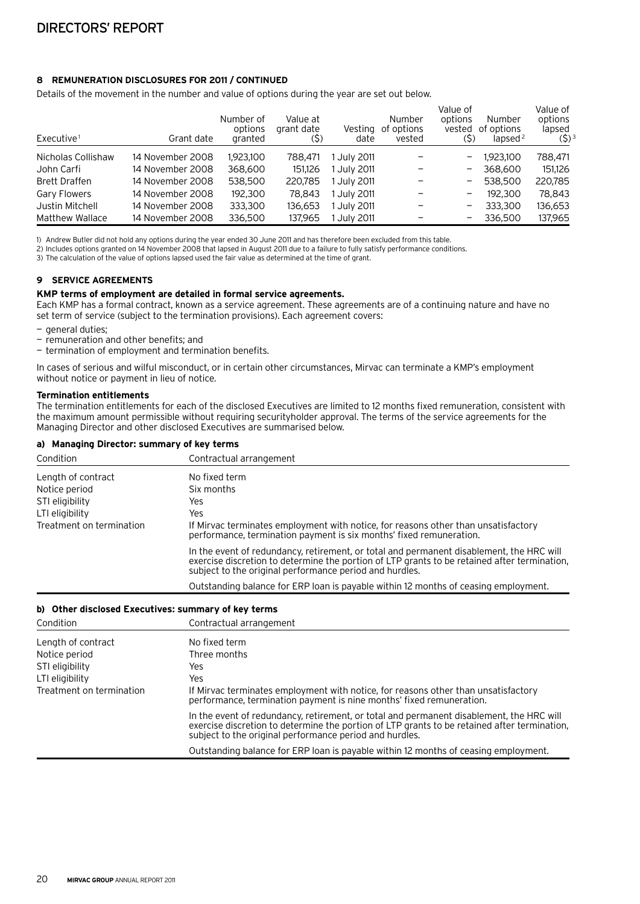# **8 Remuneration disclosures for 2011 / continued**

Details of the movement in the number and value of options during the year are set out below.

| Executive <sup>1</sup> | Grant date       | Number of<br>options<br>granted | Value at<br>grant date<br>(5) | Vesting<br>date  | <b>Number</b><br>of options<br>vested | Value of<br>options<br>vested<br>(5) | Number<br>of options<br>lapsed $2$ | Value of<br>options<br>lapsed<br>$(5)^3$ |
|------------------------|------------------|---------------------------------|-------------------------------|------------------|---------------------------------------|--------------------------------------|------------------------------------|------------------------------------------|
| Nicholas Collishaw     | 14 November 2008 | 1,923,100                       | 788,471                       | 1 July 2011      |                                       |                                      | 1,923,100                          | 788,471                                  |
| John Carfi             | 14 November 2008 | 368,600                         | 151.126                       | July 2011        |                                       |                                      | 368,600                            | 151.126                                  |
| <b>Brett Draffen</b>   | 14 November 2008 | 538,500                         | 220,785                       | l Julv 2011      |                                       |                                      | 538,500                            | 220,785                                  |
| <b>Gary Flowers</b>    | 14 November 2008 | 192,300                         | 78,843                        | l July 2011      |                                       | -                                    | 192,300                            | 78,843                                   |
| Justin Mitchell        | 14 November 2008 | 333,300                         | 136.653                       | l July 2011      |                                       |                                      | 333,300                            | 136,653                                  |
| <b>Matthew Wallace</b> | 14 November 2008 | 336,500                         | 137,965                       | <b>July 2011</b> |                                       |                                      | 336,500                            | 137,965                                  |

1) Andrew Butler did not hold any options during the year ended 30 June 2011 and has therefore been excluded from this table.

2) Includes options granted on 14 November 2008 that lapsed in August 2011 due to a failure to fully satisfy performance conditions.

3) The calculation of the value of options lapsed used the fair value as determined at the time of grant.

# **9 Service agreements**

#### **KMP terms of employment are detailed in formal service agreements.**

Each KMP has a formal contract, known as a service agreement. These agreements are of a continuing nature and have no set term of service (subject to the termination provisions). Each agreement covers:

- general duties:
- remuneration and other benefits; and
- termination of employment and termination benefits.

In cases of serious and wilful misconduct, or in certain other circumstances, Mirvac can terminate a KMP's employment without notice or payment in lieu of notice.

#### **Termination entitlements**

The termination entitlements for each of the disclosed Executives are limited to 12 months fixed remuneration, consistent with the maximum amount permissible without requiring securityholder approval. The terms of the service agreements for the Managing Director and other disclosed Executives are summarised below.

#### **a) Managing Director: summary of key terms**

| Condition                | Contractual arrangement                                                                                                                                                                                                                             |
|--------------------------|-----------------------------------------------------------------------------------------------------------------------------------------------------------------------------------------------------------------------------------------------------|
| Length of contract       | No fixed term                                                                                                                                                                                                                                       |
| Notice period            | Six months                                                                                                                                                                                                                                          |
| STI eligibility          | Yes                                                                                                                                                                                                                                                 |
| LTI eligibility          | Yes                                                                                                                                                                                                                                                 |
| Treatment on termination | If Mirvac terminates employment with notice, for reasons other than unsatisfactory<br>performance, termination payment is six months' fixed remuneration.                                                                                           |
|                          | In the event of redundancy, retirement, or total and permanent disablement, the HRC will<br>exercise discretion to determine the portion of LTP grants to be retained after termination,<br>subject to the original performance period and hurdles. |
|                          | Outstanding balance for ERP loan is payable within 12 months of ceasing employment.                                                                                                                                                                 |

#### **b) Other disclosed Executives: summary of key terms**

| Condition                | Contractual arrangement                                                                                                                                                                                                                             |
|--------------------------|-----------------------------------------------------------------------------------------------------------------------------------------------------------------------------------------------------------------------------------------------------|
| Length of contract       | No fixed term                                                                                                                                                                                                                                       |
| Notice period            | Three months                                                                                                                                                                                                                                        |
| STI eligibility          | Yes                                                                                                                                                                                                                                                 |
| LTI eligibility          | Yes                                                                                                                                                                                                                                                 |
| Treatment on termination | If Mirvac terminates employment with notice, for reasons other than unsatisfactory<br>performance, termination payment is nine months' fixed remuneration.                                                                                          |
|                          | In the event of redundancy, retirement, or total and permanent disablement, the HRC will<br>exercise discretion to determine the portion of LTP grants to be retained after termination,<br>subject to the original performance period and hurdles. |
|                          | Outstanding balance for ERP loan is payable within 12 months of ceasing employment.                                                                                                                                                                 |
|                          |                                                                                                                                                                                                                                                     |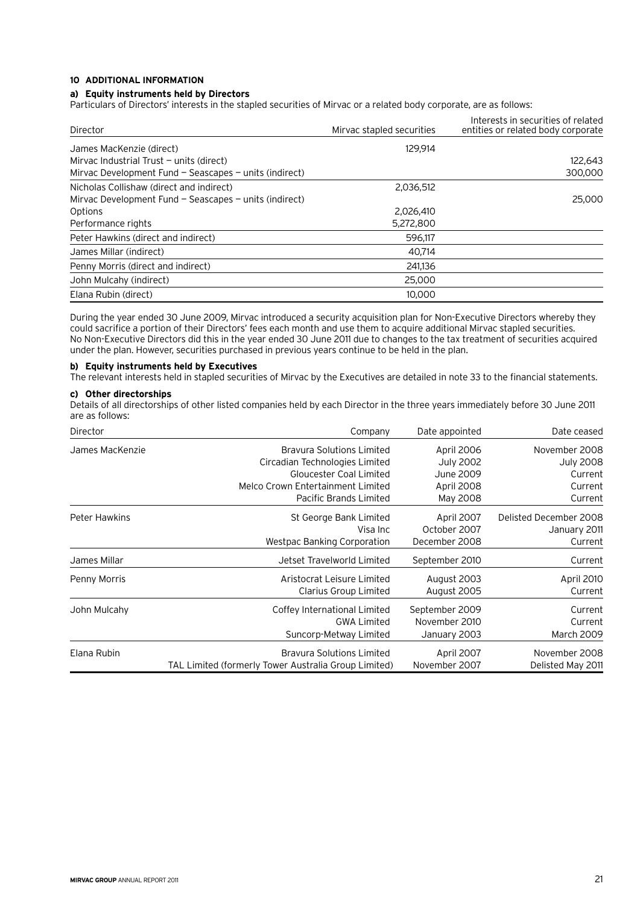# **10 Additional information**

# **a) Equity instruments held by Directors**

Particulars of Directors' interests in the stapled securities of Mirvac or a related body corporate, are as follows:

| Director                                                   | Mirvac stapled securities | Interests in securities of related<br>entities or related body corporate |
|------------------------------------------------------------|---------------------------|--------------------------------------------------------------------------|
| James MacKenzie (direct)                                   | 129.914                   |                                                                          |
| Mirvac Industrial Trust $-$ units (direct)                 |                           | 122,643                                                                  |
| Mirvac Development Fund $-$ Seascapes $-$ units (indirect) |                           | 300,000                                                                  |
| Nicholas Collishaw (direct and indirect)                   | 2,036,512                 |                                                                          |
| Mirvac Development Fund $-$ Seascapes $-$ units (indirect) |                           | 25,000                                                                   |
| Options                                                    | 2,026,410                 |                                                                          |
| Performance rights                                         | 5,272,800                 |                                                                          |
| Peter Hawkins (direct and indirect)                        | 596.117                   |                                                                          |
| James Millar (indirect)                                    | 40.714                    |                                                                          |
| Penny Morris (direct and indirect)                         | 241,136                   |                                                                          |
| John Mulcahy (indirect)                                    | 25,000                    |                                                                          |
| Elana Rubin (direct)                                       | 10,000                    |                                                                          |

During the year ended 30 June 2009, Mirvac introduced a security acquisition plan for Non-Executive Directors whereby they could sacrifice a portion of their Directors' fees each month and use them to acquire additional Mirvac stapled securities. No Non-Executive Directors did this in the year ended 30 June 2011 due to changes to the tax treatment of securities acquired under the plan. However, securities purchased in previous years continue to be held in the plan.

# **b) Equity instruments held by Executives**

The relevant interests held in stapled securities of Mirvac by the Executives are detailed in note 33 to the financial statements.

# **c) Other directorships**

Details of all directorships of other listed companies held by each Director in the three years immediately before 30 June 2011 are as follows:

| Director        | Company                                              | Date appointed   | Date ceased            |
|-----------------|------------------------------------------------------|------------------|------------------------|
| James MacKenzie | <b>Bravura Solutions Limited</b>                     | April 2006       | November 2008          |
|                 | Circadian Technologies Limited                       | <b>July 2002</b> | <b>July 2008</b>       |
|                 | <b>Gloucester Coal Limited</b>                       | June 2009        | Current                |
|                 | Melco Crown Entertainment Limited                    | April 2008       | Current                |
|                 | Pacific Brands Limited                               | May 2008         | Current                |
| Peter Hawkins   | St George Bank Limited                               | April 2007       | Delisted December 2008 |
|                 | Visa Inc                                             | October 2007     | January 2011           |
|                 | <b>Westpac Banking Corporation</b>                   | December 2008    | Current                |
| James Millar    | Jetset Travelworld Limited                           | September 2010   | Current                |
| Penny Morris    | Aristocrat Leisure Limited                           | August 2003      | April 2010             |
|                 | Clarius Group Limited                                | August 2005      | Current                |
| John Mulcahy    | Coffey International Limited                         | September 2009   | Current                |
|                 | <b>GWA Limited</b>                                   | November 2010    | Current                |
|                 | Suncorp-Metway Limited                               | January 2003     | March 2009             |
| Elana Rubin     | <b>Bravura Solutions Limited</b>                     | April 2007       | November 2008          |
|                 | TAL Limited (formerly Tower Australia Group Limited) | November 2007    | Delisted May 2011      |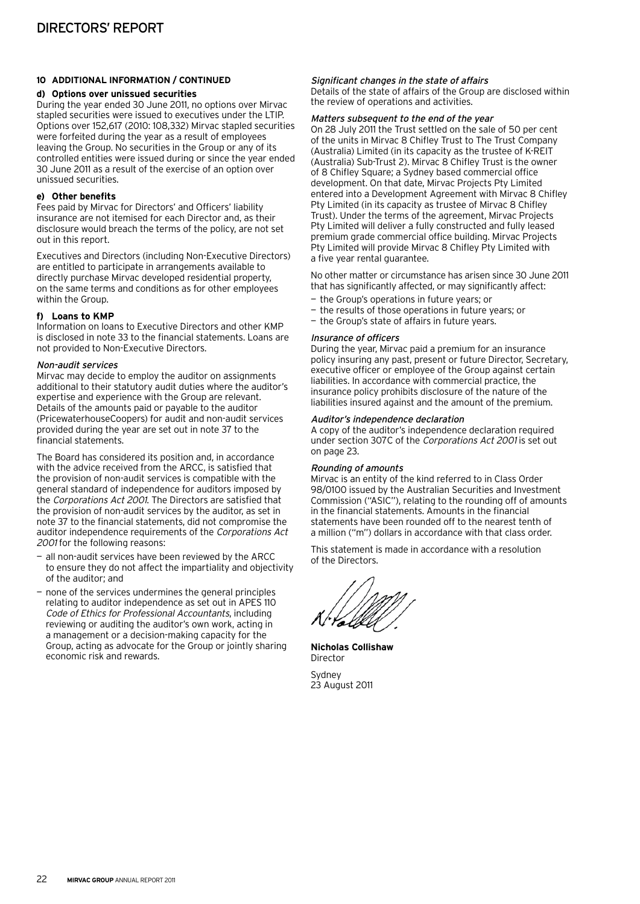# **10 Additional information / continued**

# **d) Options over unissued securities**

During the year ended 30 June 2011, no options over Mirvac stapled securities were issued to executives under the LTIP. Options over 152,617 (2010: 108,332) Mirvac stapled securities were forfeited during the year as a result of employees leaving the Group. No securities in the Group or any of its controlled entities were issued during or since the year ended 30 June 2011 as a result of the exercise of an option over unissued securities.

# **e) Other benefits**

Fees paid by Mirvac for Directors' and Officers' liability insurance are not itemised for each Director and, as their disclosure would breach the terms of the policy, are not set out in this report.

Executives and Directors (including Non-Executive Directors) are entitled to participate in arrangements available to directly purchase Mirvac developed residential property, on the same terms and conditions as for other employees within the Group.

# **f) Loans to KMP**

Information on loans to Executive Directors and other KMP is disclosed in note 33 to the financial statements. Loans are not provided to Non-Executive Directors.

# Non-audit services

Mirvac may decide to employ the auditor on assignments additional to their statutory audit duties where the auditor's expertise and experience with the Group are relevant. Details of the amounts paid or payable to the auditor (PricewaterhouseCoopers) for audit and non-audit services provided during the year are set out in note 37 to the financial statements.

The Board has considered its position and, in accordance with the advice received from the ARCC, is satisfied that the provision of non-audit services is compatible with the general standard of independence for auditors imposed by the Corporations Act 2001. The Directors are satisfied that the provision of non-audit services by the auditor, as set in note 37 to the financial statements, did not compromise the auditor independence requirements of the Corporations Act 2001 for the following reasons:

- all non-audit services have been reviewed by the ARCC to ensure they do not affect the impartiality and objectivity of the auditor; and
- none of the services undermines the general principles relating to auditor independence as set out in APES 110 Code of Ethics for Professional Accountants, including reviewing or auditing the auditor's own work, acting in a management or a decision-making capacity for the Group, acting as advocate for the Group or jointly sharing economic risk and rewards.

# Significant changes in the state of affairs

Details of the state of affairs of the Group are disclosed within the review of operations and activities.

# Matters subsequent to the end of the year

On 28 July 2011 the Trust settled on the sale of 50 per cent of the units in Mirvac 8 Chifley Trust to The Trust Company (Australia) Limited (in its capacity as the trustee of K-REIT (Australia) Sub-Trust 2). Mirvac 8 Chifley Trust is the owner of 8 Chifley Square; a Sydney based commercial office development. On that date, Mirvac Projects Pty Limited entered into a Development Agreement with Mirvac 8 Chifley Pty Limited (in its capacity as trustee of Mirvac 8 Chifley Trust). Under the terms of the agreement, Mirvac Projects Pty Limited will deliver a fully constructed and fully leased premium grade commercial office building. Mirvac Projects Pty Limited will provide Mirvac 8 Chifley Pty Limited with a five year rental guarantee.

No other matter or circumstance has arisen since 30 June 2011 that has significantly affected, or may significantly affect:

- the Group's operations in future years; or
- the results of those operations in future years; or
- the Group's state of affairs in future years.

# Insurance of officers

During the year, Mirvac paid a premium for an insurance policy insuring any past, present or future Director, Secretary, executive officer or employee of the Group against certain liabilities. In accordance with commercial practice, the insurance policy prohibits disclosure of the nature of the liabilities insured against and the amount of the premium.

# Auditor's independence declaration

A copy of the auditor's independence declaration required under section 307C of the Corporations Act 2001 is set out on page 23.

# Rounding of amounts

Mirvac is an entity of the kind referred to in Class Order 98/0100 issued by the Australian Securities and Investment Commission ("ASIC"), relating to the rounding off of amounts in the financial statements. Amounts in the financial statements have been rounded off to the nearest tenth of a million ("m") dollars in accordance with that class order.

This statement is made in accordance with a resolution of the Directors.

**Nicholas Collishaw** Director Sydney

23 August 2011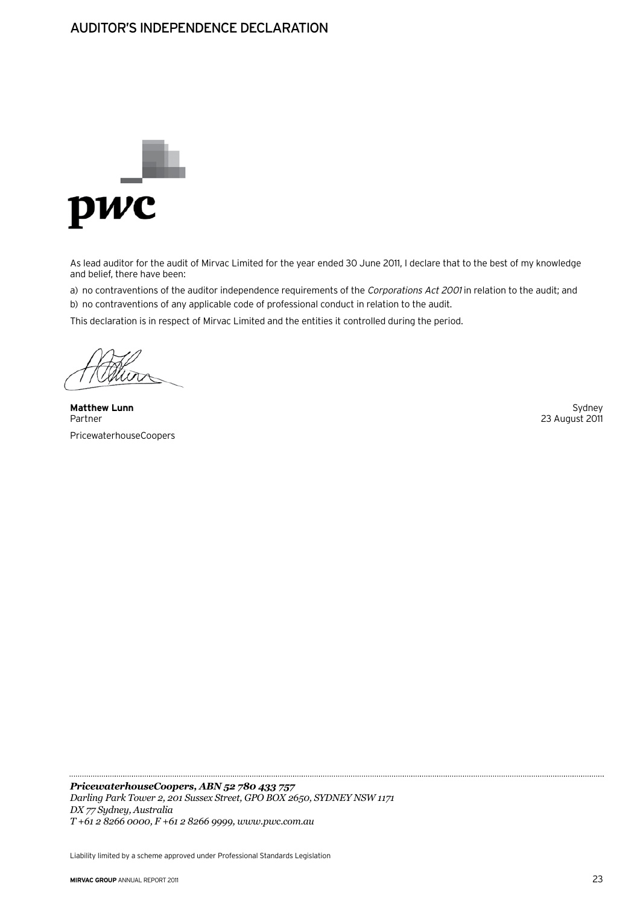# Auditor's Independence Declaration



As lead auditor for the audit of Mirvac Limited for the year ended 30 June 2011, I declare that to the best of my knowledge and belief, there have been:

a) no contraventions of the auditor independence requirements of the Corporations Act 2001 in relation to the audit; and b) no contraventions of any applicable code of professional conduct in relation to the audit.

This declaration is in respect of Mirvac Limited and the entities it controlled during the period.

**Matthew Lunn** Sydney Sydney (1999) and the set of the set of the set of the set of the set of the set of the set of the set of the set of the set of the set of the set of the set of the set of the set of the set of the se Partner 23 August 2011 PricewaterhouseCoopers

*PricewaterhouseCoopers, ABN 52 780 433 757 Darling Park Tower 2, 201 Sussex Street, GPO BOX 2650, SYDNEY NSW 1171 DX 77 Sydney, Australia T +61 2 8266 0000, F +61 2 8266 9999, www.pwc.com.au*

Liability limited by a scheme approved under Professional Standards Legislation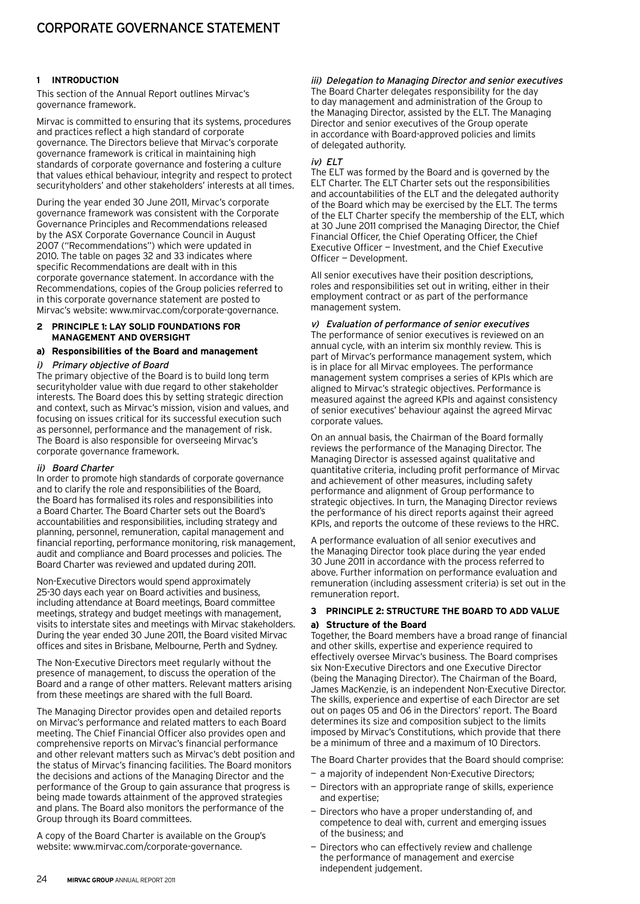# **1 introduction**

This section of the Annual Report outlines Mirvac's governance framework.

Mirvac is committed to ensuring that its systems, procedures and practices reflect a high standard of corporate governance. The Directors believe that Mirvac's corporate governance framework is critical in maintaining high standards of corporate governance and fostering a culture that values ethical behaviour, integrity and respect to protect securityholders' and other stakeholders' interests at all times.

During the year ended 30 June 2011, Mirvac's corporate governance framework was consistent with the Corporate Governance Principles and Recommendations released by the ASX Corporate Governance Council in August 2007 ("Recommendations") which were updated in 2010. The table on pages 32 and 33 indicates where specific Recommendations are dealt with in this corporate governance statement. In accordance with the Recommendations, copies of the Group policies referred to in this corporate governance statement are posted to Mirvac's website: www.mirvac.com/corporate-governance.

#### **2 Principle 1: Lay solid foundations for management and oversight**

# **a) Responsibilities of the Board and management**

#### i) Primary objective of Board

The primary objective of the Board is to build long term securityholder value with due regard to other stakeholder interests. The Board does this by setting strategic direction and context, such as Mirvac's mission, vision and values, and focusing on issues critical for its successful execution such as personnel, performance and the management of risk. The Board is also responsible for overseeing Mirvac's corporate governance framework.

# ii) Board Charter

In order to promote high standards of corporate governance and to clarify the role and responsibilities of the Board, the Board has formalised its roles and responsibilities into a Board Charter. The Board Charter sets out the Board's accountabilities and responsibilities, including strategy and planning, personnel, remuneration, capital management and financial reporting, performance monitoring, risk management, audit and compliance and Board processes and policies. The Board Charter was reviewed and updated during 2011.

Non-Executive Directors would spend approximately 25-30 days each year on Board activities and business, including attendance at Board meetings, Board committee meetings, strategy and budget meetings with management, visits to interstate sites and meetings with Mirvac stakeholders. During the year ended 30 June 2011, the Board visited Mirvac offices and sites in Brisbane, Melbourne, Perth and Sydney.

The Non-Executive Directors meet regularly without the presence of management, to discuss the operation of the Board and a range of other matters. Relevant matters arising from these meetings are shared with the full Board.

The Managing Director provides open and detailed reports on Mirvac's performance and related matters to each Board meeting. The Chief Financial Officer also provides open and comprehensive reports on Mirvac's financial performance and other relevant matters such as Mirvac's debt position and the status of Mirvac's financing facilities. The Board monitors the decisions and actions of the Managing Director and the performance of the Group to gain assurance that progress is being made towards attainment of the approved strategies and plans. The Board also monitors the performance of the Group through its Board committees.

A copy of the Board Charter is available on the Group's website: www.mirvac.com/corporate-governance.

# iii) Delegation to Managing Director and senior executives

The Board Charter delegates responsibility for the day to day management and administration of the Group to the Managing Director, assisted by the ELT. The Managing Director and senior executives of the Group operate in accordance with Board-approved policies and limits of delegated authority.

#### $iv)$  FIT

The ELT was formed by the Board and is governed by the ELT Charter. The ELT Charter sets out the responsibilities and accountabilities of the ELT and the delegated authority of the Board which may be exercised by the ELT. The terms of the ELT Charter specify the membership of the ELT, which at 30 June 2011 comprised the Managing Director, the Chief Financial Officer, the Chief Operating Officer, the Chief Executive Officer — Investment, and the Chief Executive Officer — Development.

All senior executives have their position descriptions, roles and responsibilities set out in writing, either in their employment contract or as part of the performance management system.

#### v) Evaluation of performance of senior executives The performance of senior executives is reviewed on an annual cycle, with an interim six monthly review. This is part of Mirvac's performance management system, which is in place for all Mirvac employees. The performance

management system comprises a series of KPIs which are aligned to Mirvac's strategic objectives. Performance is measured against the agreed KPIs and against consistency of senior executives' behaviour against the agreed Mirvac corporate values.

On an annual basis, the Chairman of the Board formally reviews the performance of the Managing Director. The Managing Director is assessed against qualitative and quantitative criteria, including profit performance of Mirvac and achievement of other measures, including safety performance and alignment of Group performance to strategic objectives. In turn, the Managing Director reviews the performance of his direct reports against their agreed KPIs, and reports the outcome of these reviews to the HRC.

A performance evaluation of all senior executives and the Managing Director took place during the year ended 30 June 2011 in accordance with the process referred to above. Further information on performance evaluation and remuneration (including assessment criteria) is set out in the remuneration report.

# **3 Principle 2: Structure the board to add value a) Structure of the Board**

Together, the Board members have a broad range of financial and other skills, expertise and experience required to effectively oversee Mirvac's business. The Board comprises six Non-Executive Directors and one Executive Director (being the Managing Director). The Chairman of the Board, James MacKenzie, is an independent Non-Executive Director. The skills, experience and expertise of each Director are set out on pages 05 and 06 in the Directors' report. The Board determines its size and composition subject to the limits imposed by Mirvac's Constitutions, which provide that there be a minimum of three and a maximum of 10 Directors.

The Board Charter provides that the Board should comprise:

- a majority of independent Non-Executive Directors;
- Directors with an appropriate range of skills, experience and expertise;
- Directors who have a proper understanding of, and competence to deal with, current and emerging issues of the business; and
- Directors who can effectively review and challenge the performance of management and exercise independent judgement.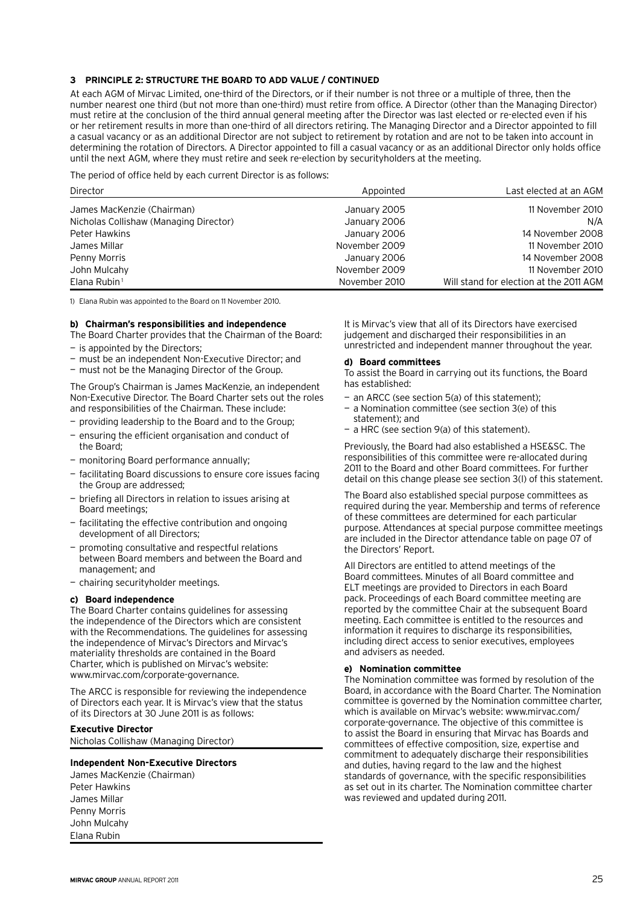# **3 Principle 2: Structure the board to add value / continued**

At each AGM of Mirvac Limited, one-third of the Directors, or if their number is not three or a multiple of three, then the number nearest one third (but not more than one-third) must retire from office. A Director (other than the Managing Director) must retire at the conclusion of the third annual general meeting after the Director was last elected or re-elected even if his or her retirement results in more than one-third of all directors retiring. The Managing Director and a Director appointed to fill a casual vacancy or as an additional Director are not subject to retirement by rotation and are not to be taken into account in determining the rotation of Directors. A Director appointed to fill a casual vacancy or as an additional Director only holds office until the next AGM, where they must retire and seek re-election by securityholders at the meeting.

The period of office held by each current Director is as follows:

| Director                               | Appointed     | Last elected at an AGM                  |
|----------------------------------------|---------------|-----------------------------------------|
| James MacKenzie (Chairman)             | January 2005  | 11 November 2010                        |
| Nicholas Collishaw (Managing Director) | January 2006  | N/A                                     |
| Peter Hawkins                          | January 2006  | 14 November 2008                        |
| James Millar                           | November 2009 | 11 November 2010                        |
| Penny Morris                           | January 2006  | 14 November 2008                        |
| John Mulcahy                           | November 2009 | 11 November 2010                        |
| Elana Rubin <sup>1</sup>               | November 2010 | Will stand for election at the 2011 AGM |

1) Elana Rubin was appointed to the Board on 11 November 2010.

#### **b) Chairman's responsibilities and independence**

- The Board Charter provides that the Chairman of the Board:
- is appointed by the Directors;
- must be an independent Non-Executive Director; and
- must not be the Managing Director of the Group.

The Group's Chairman is James MacKenzie, an independent Non-Executive Director. The Board Charter sets out the roles and responsibilities of the Chairman. These include:

- providing leadership to the Board and to the Group;
- ensuring the efficient organisation and conduct of the Board;
- monitoring Board performance annually;
- facilitating Board discussions to ensure core issues facing the Group are addressed;
- briefing all Directors in relation to issues arising at Board meetings;
- facilitating the effective contribution and ongoing development of all Directors;
- promoting consultative and respectful relations between Board members and between the Board and management; and
- chairing securityholder meetings.

# **c) Board independence**

The Board Charter contains guidelines for assessing the independence of the Directors which are consistent with the Recommendations. The guidelines for assessing the independence of Mirvac's Directors and Mirvac's materiality thresholds are contained in the Board Charter, which is published on Mirvac's website: www.mirvac.com/corporate-governance.

The ARCC is responsible for reviewing the independence of Directors each year. It is Mirvac's view that the status of its Directors at 30 June 2011 is as follows:

# **Executive Director**

Nicholas Collishaw (Managing Director)

# **Independent Non-Executive Directors**

James MacKenzie (Chairman) Peter Hawkins James Millar Penny Morris John Mulcahy Elana Rubin

It is Mirvac's view that all of its Directors have exercised judgement and discharged their responsibilities in an unrestricted and independent manner throughout the year.

#### **d) Board committees**

To assist the Board in carrying out its functions, the Board has established:

- an ARCC (see section 5(a) of this statement);
- a Nomination committee (see section 3(e) of this statement); and
- a HRC (see section 9(a) of this statement).

Previously, the Board had also established a HSE&SC. The responsibilities of this committee were re-allocated during 2011 to the Board and other Board committees. For further detail on this change please see section 3(l) of this statement.

The Board also established special purpose committees as required during the year. Membership and terms of reference of these committees are determined for each particular purpose. Attendances at special purpose committee meetings are included in the Director attendance table on page 07 of the Directors' Report.

All Directors are entitled to attend meetings of the Board committees. Minutes of all Board committee and ELT meetings are provided to Directors in each Board pack. Proceedings of each Board committee meeting are reported by the committee Chair at the subsequent Board meeting. Each committee is entitled to the resources and information it requires to discharge its responsibilities, including direct access to senior executives, employees and advisers as needed.

# **e) Nomination committee**

The Nomination committee was formed by resolution of the Board, in accordance with the Board Charter. The Nomination committee is governed by the Nomination committee charter, which is available on Mirvac's website: www.mirvac.com/ corporate-governance. The objective of this committee is to assist the Board in ensuring that Mirvac has Boards and committees of effective composition, size, expertise and commitment to adequately discharge their responsibilities and duties, having regard to the law and the highest standards of governance, with the specific responsibilities as set out in its charter. The Nomination committee charter was reviewed and updated during 2011.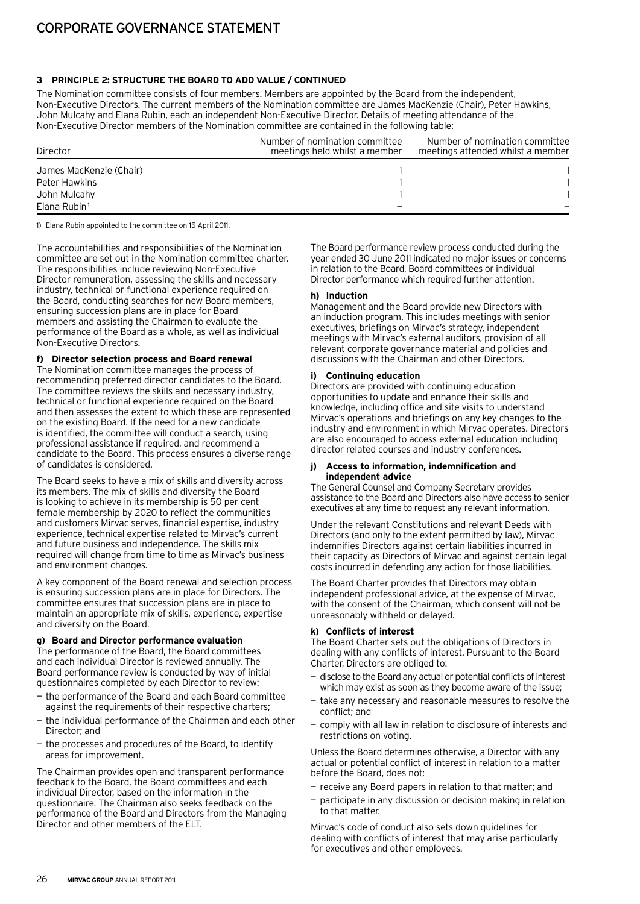# **3 Principle 2: Structure the board to add value / continued**

The Nomination committee consists of four members. Members are appointed by the Board from the independent, Non-Executive Directors. The current members of the Nomination committee are James MacKenzie (Chair), Peter Hawkins, John Mulcahy and Elana Rubin, each an independent Non-Executive Director. Details of meeting attendance of the Non‑Executive Director members of the Nomination committee are contained in the following table:

| Director                | Number of nomination committee<br>meetings held whilst a member | Number of nomination committee<br>meetings attended whilst a member |  |
|-------------------------|-----------------------------------------------------------------|---------------------------------------------------------------------|--|
| James MacKenzie (Chair) |                                                                 |                                                                     |  |
| Peter Hawkins           |                                                                 |                                                                     |  |
| John Mulcahy            |                                                                 |                                                                     |  |
| Elana Rubin $1$         |                                                                 |                                                                     |  |

1) Elana Rubin appointed to the committee on 15 April 2011.

The accountabilities and responsibilities of the Nomination committee are set out in the Nomination committee charter. The responsibilities include reviewing Non‑Executive Director remuneration, assessing the skills and necessary industry, technical or functional experience required on the Board, conducting searches for new Board members, ensuring succession plans are in place for Board members and assisting the Chairman to evaluate the performance of the Board as a whole, as well as individual Non‑Executive Directors.

# **f) Director selection process and Board renewal**

The Nomination committee manages the process of recommending preferred director candidates to the Board. The committee reviews the skills and necessary industry, technical or functional experience required on the Board and then assesses the extent to which these are represented on the existing Board. If the need for a new candidate is identified, the committee will conduct a search, using professional assistance if required, and recommend a candidate to the Board. This process ensures a diverse range of candidates is considered.

The Board seeks to have a mix of skills and diversity across its members. The mix of skills and diversity the Board is looking to achieve in its membership is 50 per cent female membership by 2020 to reflect the communities and customers Mirvac serves, financial expertise, industry experience, technical expertise related to Mirvac's current and future business and independence. The skills mix required will change from time to time as Mirvac's business and environment changes.

A key component of the Board renewal and selection process is ensuring succession plans are in place for Directors. The committee ensures that succession plans are in place to maintain an appropriate mix of skills, experience, expertise and diversity on the Board.

#### **g) Board and Director performance evaluation**

The performance of the Board, the Board committees and each individual Director is reviewed annually. The Board performance review is conducted by way of initial questionnaires completed by each Director to review:

- the performance of the Board and each Board committee against the requirements of their respective charters;
- the individual performance of the Chairman and each other Director; and
- the processes and procedures of the Board, to identify areas for improvement.

The Chairman provides open and transparent performance feedback to the Board, the Board committees and each individual Director, based on the information in the questionnaire. The Chairman also seeks feedback on the performance of the Board and Directors from the Managing Director and other members of the ELT.

The Board performance review process conducted during the year ended 30 June 2011 indicated no major issues or concerns in relation to the Board, Board committees or individual Director performance which required further attention.

#### **h) Induction**

Management and the Board provide new Directors with an induction program. This includes meetings with senior executives, briefings on Mirvac's strategy, independent meetings with Mirvac's external auditors, provision of all relevant corporate governance material and policies and discussions with the Chairman and other Directors.

#### **i) Continuing education**

Directors are provided with continuing education opportunities to update and enhance their skills and knowledge, including office and site visits to understand Mirvac's operations and briefings on any key changes to the industry and environment in which Mirvac operates. Directors are also encouraged to access external education including director related courses and industry conferences.

#### **j) Access to information, indemnification and independent advice**

The General Counsel and Company Secretary provides assistance to the Board and Directors also have access to senior executives at any time to request any relevant information.

Under the relevant Constitutions and relevant Deeds with Directors (and only to the extent permitted by law), Mirvac indemnifies Directors against certain liabilities incurred in their capacity as Directors of Mirvac and against certain legal costs incurred in defending any action for those liabilities.

The Board Charter provides that Directors may obtain independent professional advice, at the expense of Mirvac, with the consent of the Chairman, which consent will not be unreasonably withheld or delayed.

#### **k) Conflicts of interest**

The Board Charter sets out the obligations of Directors in dealing with any conflicts of interest. Pursuant to the Board Charter, Directors are obliged to:

- disclose to the Board any actual or potential conflicts of interest which may exist as soon as they become aware of the issue;
- take any necessary and reasonable measures to resolve the conflict; and
- comply with all law in relation to disclosure of interests and restrictions on voting.

Unless the Board determines otherwise, a Director with any actual or potential conflict of interest in relation to a matter before the Board, does not:

- receive any Board papers in relation to that matter; and
- participate in any discussion or decision making in relation to that matter.

Mirvac's code of conduct also sets down guidelines for dealing with conflicts of interest that may arise particularly for executives and other employees.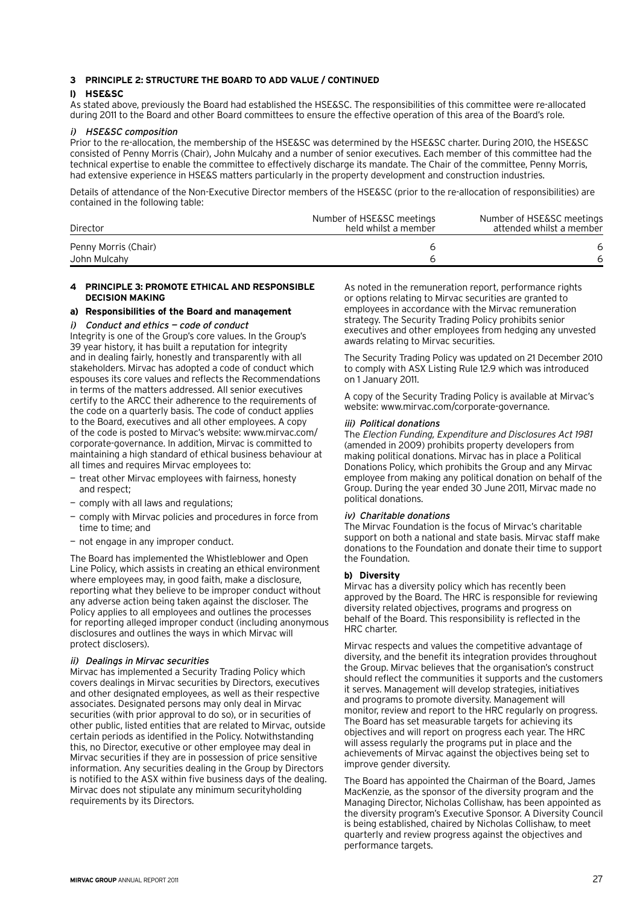#### **3 Principle 2: Structure the board to add value / continued**

# **l) HSE&SC**

As stated above, previously the Board had established the HSE&SC. The responsibilities of this committee were re-allocated during 2011 to the Board and other Board committees to ensure the effective operation of this area of the Board's role.

#### i) HSE&SC composition

Prior to the re-allocation, the membership of the HSE&SC was determined by the HSE&SC charter. During 2010, the HSE&SC consisted of Penny Morris (Chair), John Mulcahy and a number of senior executives. Each member of this committee had the technical expertise to enable the committee to effectively discharge its mandate. The Chair of the committee, Penny Morris, had extensive experience in HSE&S matters particularly in the property development and construction industries.

Details of attendance of the Non-Executive Director members of the HSE&SC (prior to the re-allocation of responsibilities) are contained in the following table:

| Director             | Number of HSE&SC meetings<br>held whilst a member | Number of HSE&SC meetings<br>attended whilst a member |
|----------------------|---------------------------------------------------|-------------------------------------------------------|
| Penny Morris (Chair) |                                                   | 6                                                     |
| John Mulcahy         |                                                   |                                                       |

#### **4 Principle 3: Promote ethical and responsible decision making**

#### **a) Responsibilities of the Board and management**

#### i) Conduct and ethics — code of conduct

Integrity is one of the Group's core values. In the Group's 39 year history, it has built a reputation for integrity and in dealing fairly, honestly and transparently with all stakeholders. Mirvac has adopted a code of conduct which espouses its core values and reflects the Recommendations in terms of the matters addressed. All senior executives certify to the ARCC their adherence to the requirements of the code on a quarterly basis. The code of conduct applies to the Board, executives and all other employees. A copy of the code is posted to Mirvac's website: www.mirvac.com/ corporate-governance. In addition, Mirvac is committed to maintaining a high standard of ethical business behaviour at all times and requires Mirvac employees to:

- treat other Mirvac employees with fairness, honesty and respect;
- comply with all laws and regulations;
- comply with Mirvac policies and procedures in force from time to time; and
- not engage in any improper conduct.

The Board has implemented the Whistleblower and Open Line Policy, which assists in creating an ethical environment where employees may, in good faith, make a disclosure, reporting what they believe to be improper conduct without any adverse action being taken against the discloser. The Policy applies to all employees and outlines the processes for reporting alleged improper conduct (including anonymous disclosures and outlines the ways in which Mirvac will protect disclosers).

#### ii) Dealings in Mirvac securities

Mirvac has implemented a Security Trading Policy which covers dealings in Mirvac securities by Directors, executives and other designated employees, as well as their respective associates. Designated persons may only deal in Mirvac securities (with prior approval to do so), or in securities of other public, listed entities that are related to Mirvac, outside certain periods as identified in the Policy. Notwithstanding this, no Director, executive or other employee may deal in Mirvac securities if they are in possession of price sensitive information. Any securities dealing in the Group by Directors is notified to the ASX within five business days of the dealing. Mirvac does not stipulate any minimum securityholding requirements by its Directors.

As noted in the remuneration report, performance rights or options relating to Mirvac securities are granted to employees in accordance with the Mirvac remuneration strategy. The Security Trading Policy prohibits senior executives and other employees from hedging any unvested awards relating to Mirvac securities.

The Security Trading Policy was updated on 21 December 2010 to comply with ASX Listing Rule 12.9 which was introduced on 1 January 2011.

A copy of the Security Trading Policy is available at Mirvac's website: www.mirvac.com/corporate-governance.

#### iii) Political donations

The Election Funding, Expenditure and Disclosures Act 1981 (amended in 2009) prohibits property developers from making political donations. Mirvac has in place a Political Donations Policy, which prohibits the Group and any Mirvac employee from making any political donation on behalf of the Group. During the year ended 30 June 2011, Mirvac made no political donations.

# iv) Charitable donations

The Mirvac Foundation is the focus of Mirvac's charitable support on both a national and state basis. Mirvac staff make donations to the Foundation and donate their time to support the Foundation.

#### **b) Diversity**

Mirvac has a diversity policy which has recently been approved by the Board. The HRC is responsible for reviewing diversity related objectives, programs and progress on behalf of the Board. This responsibility is reflected in the HRC charter.

Mirvac respects and values the competitive advantage of diversity, and the benefit its integration provides throughout the Group. Mirvac believes that the organisation's construct should reflect the communities it supports and the customers it serves. Management will develop strategies, initiatives and programs to promote diversity. Management will monitor, review and report to the HRC regularly on progress. The Board has set measurable targets for achieving its objectives and will report on progress each year. The HRC will assess regularly the programs put in place and the achievements of Mirvac against the objectives being set to improve gender diversity.

The Board has appointed the Chairman of the Board, James MacKenzie, as the sponsor of the diversity program and the Managing Director, Nicholas Collishaw, has been appointed as the diversity program's Executive Sponsor. A Diversity Council is being established, chaired by Nicholas Collishaw, to meet quarterly and review progress against the objectives and performance targets.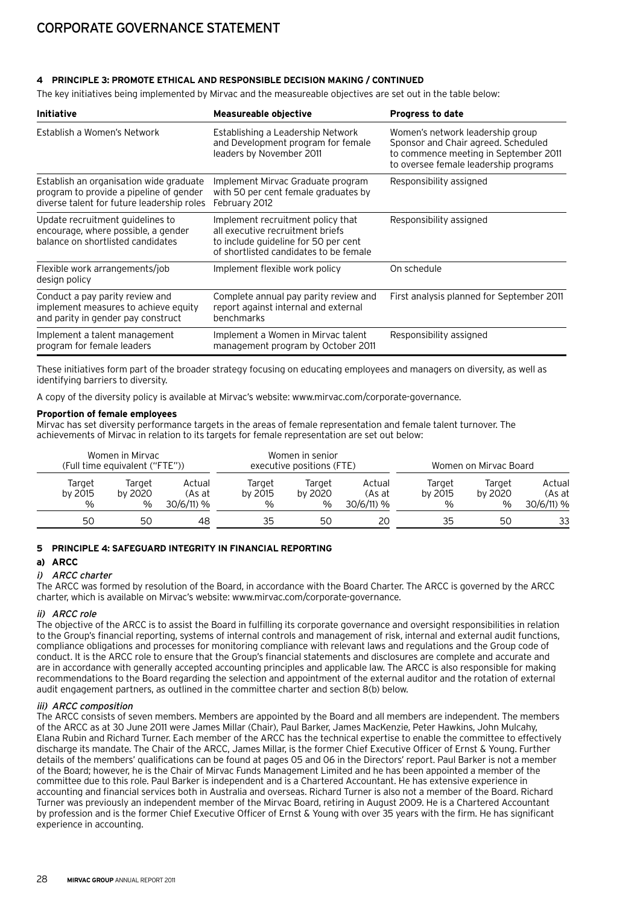# **4 Principle 3: Promote ethical and responsible decision making / continued**

The key initiatives being implemented by Mirvac and the measureable objectives are set out in the table below:

| <b>Initiative</b>                                                                                                                | <b>Measureable objective</b>                                                                                                                            | <b>Progress to date</b>                                                                                                                                   |
|----------------------------------------------------------------------------------------------------------------------------------|---------------------------------------------------------------------------------------------------------------------------------------------------------|-----------------------------------------------------------------------------------------------------------------------------------------------------------|
| Establish a Women's Network                                                                                                      | Establishing a Leadership Network<br>and Development program for female<br>leaders by November 2011                                                     | Women's network leadership group<br>Sponsor and Chair agreed. Scheduled<br>to commence meeting in September 2011<br>to oversee female leadership programs |
| Establish an organisation wide graduate<br>program to provide a pipeline of gender<br>diverse talent for future leadership roles | Implement Mirvac Graduate program<br>with 50 per cent female graduates by<br>February 2012                                                              | Responsibility assigned                                                                                                                                   |
| Update recruitment guidelines to<br>encourage, where possible, a gender<br>balance on shortlisted candidates                     | Implement recruitment policy that<br>all executive recruitment briefs<br>to include quideline for 50 per cent<br>of shortlisted candidates to be female | Responsibility assigned                                                                                                                                   |
| Flexible work arrangements/job<br>design policy                                                                                  | Implement flexible work policy                                                                                                                          | On schedule                                                                                                                                               |
| Conduct a pay parity review and<br>implement measures to achieve equity<br>and parity in gender pay construct                    | Complete annual pay parity review and<br>report against internal and external<br>benchmarks                                                             | First analysis planned for September 2011                                                                                                                 |
| Implement a talent management<br>program for female leaders                                                                      | Implement a Women in Mirvac talent<br>management program by October 2011                                                                                | Responsibility assigned                                                                                                                                   |

These initiatives form part of the broader strategy focusing on educating employees and managers on diversity, as well as identifying barriers to diversity.

A copy of the diversity policy is available at Mirvac's website: www.mirvac.com/corporate-governance.

#### **Proportion of female employees**

Mirvac has set diversity performance targets in the areas of female representation and female talent turnover. The achievements of Mirvac in relation to its targets for female representation are set out below:

| Women in Mirvac<br>(Full time equivalent ("FTE")) |                           |                                |                           | Women in senior<br>executive positions (FTE) |                                   | Women on Mirvac Board     |                           |                                   |
|---------------------------------------------------|---------------------------|--------------------------------|---------------------------|----------------------------------------------|-----------------------------------|---------------------------|---------------------------|-----------------------------------|
| Target<br>by 2015<br>$\%$                         | Target<br>by 2020<br>$\%$ | Actual<br>(As at<br>30/6/11) % | Target<br>by 2015<br>$\%$ | Target<br>by 2020<br>$\%$                    | Actual<br>(As at<br>$30/6/11$ ) % | Target<br>by 2015<br>$\%$ | Target<br>by 2020<br>$\%$ | Actual<br>(As at<br>$30/6/11$ ) % |
| 50                                                | 50                        | 48                             | 35                        | 50                                           | 20                                | 35                        | 50                        | 33                                |

# **5 Principle 4: Safeguard integrity in financial reporting**

# **a) ARCC**

#### i) ARCC charter

The ARCC was formed by resolution of the Board, in accordance with the Board Charter. The ARCC is governed by the ARCC charter, which is available on Mirvac's website: www.mirvac.com/corporate-governance.

# ii) ARCC role

The objective of the ARCC is to assist the Board in fulfilling its corporate governance and oversight responsibilities in relation to the Group's financial reporting, systems of internal controls and management of risk, internal and external audit functions, compliance obligations and processes for monitoring compliance with relevant laws and regulations and the Group code of conduct. It is the ARCC role to ensure that the Group's financial statements and disclosures are complete and accurate and are in accordance with generally accepted accounting principles and applicable law. The ARCC is also responsible for making recommendations to the Board regarding the selection and appointment of the external auditor and the rotation of external audit engagement partners, as outlined in the committee charter and section 8(b) below.

# iii) ARCC composition

The ARCC consists of seven members. Members are appointed by the Board and all members are independent. The members of the ARCC as at 30 June 2011 were James Millar (Chair), Paul Barker, James MacKenzie, Peter Hawkins, John Mulcahy, Elana Rubin and Richard Turner. Each member of the ARCC has the technical expertise to enable the committee to effectively discharge its mandate. The Chair of the ARCC, James Millar, is the former Chief Executive Officer of Ernst & Young. Further details of the members' qualifications can be found at pages 05 and 06 in the Directors' report. Paul Barker is not a member of the Board; however, he is the Chair of Mirvac Funds Management Limited and he has been appointed a member of the committee due to this role. Paul Barker is independent and is a Chartered Accountant. He has extensive experience in accounting and financial services both in Australia and overseas. Richard Turner is also not a member of the Board. Richard Turner was previously an independent member of the Mirvac Board, retiring in August 2009. He is a Chartered Accountant by profession and is the former Chief Executive Officer of Ernst & Young with over 35 years with the firm. He has significant experience in accounting.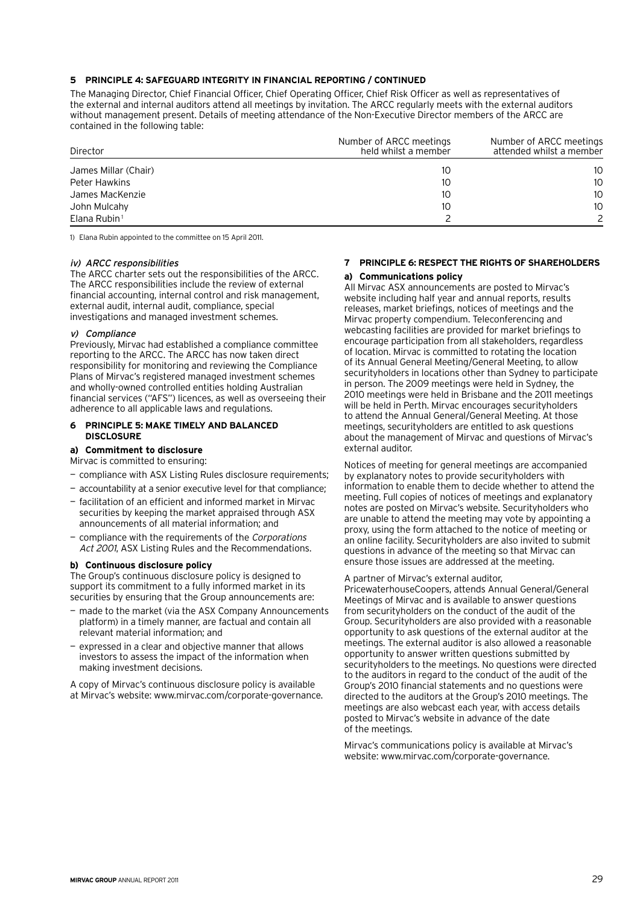# **5 Principle 4: Safeguard integrity in financial reporting / continued**

The Managing Director, Chief Financial Officer, Chief Operating Officer, Chief Risk Officer as well as representatives of the external and internal auditors attend all meetings by invitation. The ARCC regularly meets with the external auditors without management present. Details of meeting attendance of the Non-Executive Director members of the ARCC are contained in the following table:

| Director             | Number of ARCC meetings<br>held whilst a member | Number of ARCC meetings<br>attended whilst a member |
|----------------------|-------------------------------------------------|-----------------------------------------------------|
| James Millar (Chair) | 10                                              | 10                                                  |
| Peter Hawkins        | 10                                              | 10                                                  |
| James MacKenzie      | 10                                              | 10                                                  |
| John Mulcahy         | 10                                              | 10                                                  |
| Elana Rubin $1$      |                                                 |                                                     |

1) Elana Rubin appointed to the committee on 15 April 2011.

# iv) ARCC responsibilities

The ARCC charter sets out the responsibilities of the ARCC. The ARCC responsibilities include the review of external financial accounting, internal control and risk management, external audit, internal audit, compliance, special investigations and managed investment schemes.

# v) Compliance

Previously, Mirvac had established a compliance committee reporting to the ARCC. The ARCC has now taken direct responsibility for monitoring and reviewing the Compliance Plans of Mirvac's registered managed investment schemes and wholly-owned controlled entities holding Australian financial services ("AFS") licences, as well as overseeing their adherence to all applicable laws and regulations.

#### **6 Principle 5: Make timely and balanced disclosure**

# **a) Commitment to disclosure**

Mirvac is committed to ensuring:

- compliance with ASX Listing Rules disclosure requirements;
- accountability at a senior executive level for that compliance;
- facilitation of an efficient and informed market in Mirvac securities by keeping the market appraised through ASX announcements of all material information; and
- compliance with the requirements of the Corporations Act 2001, ASX Listing Rules and the Recommendations.

# **b) Continuous disclosure policy**

The Group's continuous disclosure policy is designed to support its commitment to a fully informed market in its securities by ensuring that the Group announcements are:

- made to the market (via the ASX Company Announcements platform) in a timely manner, are factual and contain all relevant material information; and
- expressed in a clear and objective manner that allows investors to assess the impact of the information when making investment decisions.

A copy of Mirvac's continuous disclosure policy is available at Mirvac's website: www.mirvac.com/corporate-governance.

# **7 Principle 6: Respect the rights of shareholders**

#### **a) Communications policy**

All Mirvac ASX announcements are posted to Mirvac's website including half year and annual reports, results releases, market briefings, notices of meetings and the Mirvac property compendium. Teleconferencing and webcasting facilities are provided for market briefings to encourage participation from all stakeholders, regardless of location. Mirvac is committed to rotating the location of its Annual General Meeting/General Meeting, to allow securityholders in locations other than Sydney to participate in person. The 2009 meetings were held in Sydney, the 2010 meetings were held in Brisbane and the 2011 meetings will be held in Perth. Mirvac encourages securityholders to attend the Annual General/General Meeting. At those meetings, securityholders are entitled to ask questions about the management of Mirvac and questions of Mirvac's external auditor.

Notices of meeting for general meetings are accompanied by explanatory notes to provide securityholders with information to enable them to decide whether to attend the meeting. Full copies of notices of meetings and explanatory notes are posted on Mirvac's website. Securityholders who are unable to attend the meeting may vote by appointing a proxy, using the form attached to the notice of meeting or an online facility. Securityholders are also invited to submit questions in advance of the meeting so that Mirvac can ensure those issues are addressed at the meeting.

#### A partner of Mirvac's external auditor,

PricewaterhouseCoopers, attends Annual General/General Meetings of Mirvac and is available to answer questions from securityholders on the conduct of the audit of the Group. Securityholders are also provided with a reasonable opportunity to ask questions of the external auditor at the meetings. The external auditor is also allowed a reasonable opportunity to answer written questions submitted by securityholders to the meetings. No questions were directed to the auditors in regard to the conduct of the audit of the Group's 2010 financial statements and no questions were directed to the auditors at the Group's 2010 meetings. The meetings are also webcast each year, with access details posted to Mirvac's website in advance of the date of the meetings.

Mirvac's communications policy is available at Mirvac's website: www.mirvac.com/corporate-governance.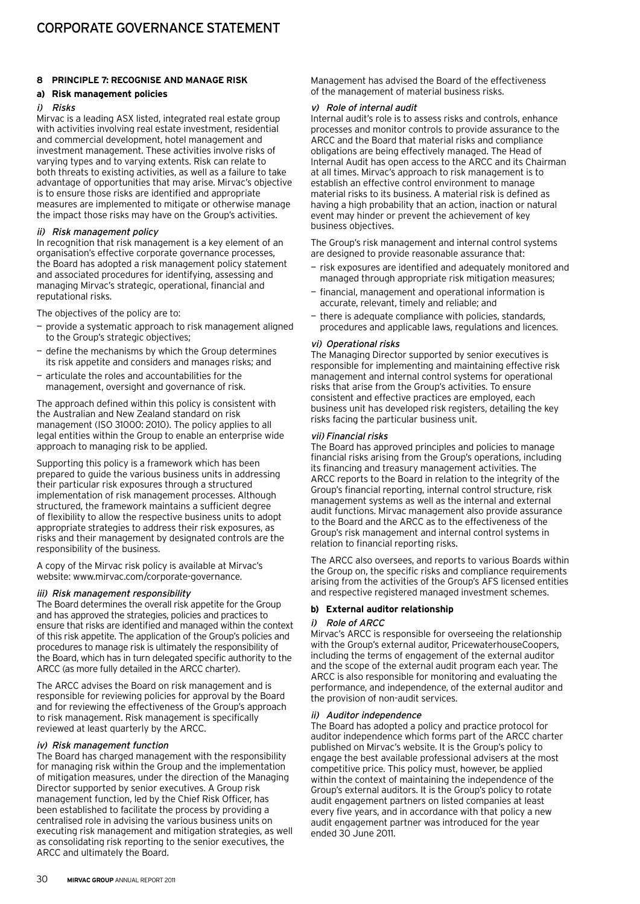# **8 Principle 7: Recognise and manage risk**

# **a) Risk management policies**

#### i) Risks

Mirvac is a leading ASX listed, integrated real estate group with activities involving real estate investment, residential and commercial development, hotel management and investment management. These activities involve risks of varying types and to varying extents. Risk can relate to both threats to existing activities, as well as a failure to take advantage of opportunities that may arise. Mirvac's objective is to ensure those risks are identified and appropriate measures are implemented to mitigate or otherwise manage the impact those risks may have on the Group's activities.

#### ii) Risk management policy

In recognition that risk management is a key element of an organisation's effective corporate governance processes, the Board has adopted a risk management policy statement and associated procedures for identifying, assessing and managing Mirvac's strategic, operational, financial and reputational risks.

The objectives of the policy are to:

- provide a systematic approach to risk management aligned to the Group's strategic objectives;
- define the mechanisms by which the Group determines its risk appetite and considers and manages risks; and
- articulate the roles and accountabilities for the management, oversight and governance of risk.

The approach defined within this policy is consistent with the Australian and New Zealand standard on risk management (ISO 31000: 2010). The policy applies to all legal entities within the Group to enable an enterprise wide approach to managing risk to be applied.

Supporting this policy is a framework which has been prepared to guide the various business units in addressing their particular risk exposures through a structured implementation of risk management processes. Although structured, the framework maintains a sufficient degree of flexibility to allow the respective business units to adopt appropriate strategies to address their risk exposures, as risks and their management by designated controls are the responsibility of the business.

A copy of the Mirvac risk policy is available at Mirvac's website: www.mirvac.com/corporate-governance.

#### iii) Risk management responsibility

The Board determines the overall risk appetite for the Group and has approved the strategies, policies and practices to ensure that risks are identified and managed within the context of this risk appetite. The application of the Group's policies and procedures to manage risk is ultimately the responsibility of the Board, which has in turn delegated specific authority to the ARCC (as more fully detailed in the ARCC charter).

The ARCC advises the Board on risk management and is responsible for reviewing policies for approval by the Board and for reviewing the effectiveness of the Group's approach to risk management. Risk management is specifically reviewed at least quarterly by the ARCC.

#### iv) Risk management function

The Board has charged management with the responsibility for managing risk within the Group and the implementation of mitigation measures, under the direction of the Managing Director supported by senior executives. A Group risk management function, led by the Chief Risk Officer, has been established to facilitate the process by providing a centralised role in advising the various business units on executing risk management and mitigation strategies, as well as consolidating risk reporting to the senior executives, the ARCC and ultimately the Board.

Management has advised the Board of the effectiveness of the management of material business risks.

#### v) Role of internal audit

Internal audit's role is to assess risks and controls, enhance processes and monitor controls to provide assurance to the ARCC and the Board that material risks and compliance obligations are being effectively managed. The Head of Internal Audit has open access to the ARCC and its Chairman at all times. Mirvac's approach to risk management is to establish an effective control environment to manage material risks to its business. A material risk is defined as having a high probability that an action, inaction or natural event may hinder or prevent the achievement of key business objectives.

The Group's risk management and internal control systems are designed to provide reasonable assurance that:

- risk exposures are identified and adequately monitored and managed through appropriate risk mitigation measures;
- financial, management and operational information is accurate, relevant, timely and reliable; and
- there is adequate compliance with policies, standards, procedures and applicable laws, regulations and licences.

#### vi) Operational risks

The Managing Director supported by senior executives is responsible for implementing and maintaining effective risk management and internal control systems for operational risks that arise from the Group's activities. To ensure consistent and effective practices are employed, each business unit has developed risk registers, detailing the key risks facing the particular business unit.

#### vii) Financial risks

The Board has approved principles and policies to manage financial risks arising from the Group's operations, including its financing and treasury management activities. The ARCC reports to the Board in relation to the integrity of the Group's financial reporting, internal control structure, risk management systems as well as the internal and external audit functions. Mirvac management also provide assurance to the Board and the ARCC as to the effectiveness of the Group's risk management and internal control systems in relation to financial reporting risks.

The ARCC also oversees, and reports to various Boards within the Group on, the specific risks and compliance requirements arising from the activities of the Group's AFS licensed entities and respective registered managed investment schemes.

#### **b) External auditor relationship**

#### i) Role of ARCC

Mirvac's ARCC is responsible for overseeing the relationship with the Group's external auditor, PricewaterhouseCoopers, including the terms of engagement of the external auditor and the scope of the external audit program each year. The ARCC is also responsible for monitoring and evaluating the performance, and independence, of the external auditor and the provision of non-audit services.

#### ii) Auditor independence

The Board has adopted a policy and practice protocol for auditor independence which forms part of the ARCC charter published on Mirvac's website. It is the Group's policy to engage the best available professional advisers at the most competitive price. This policy must, however, be applied within the context of maintaining the independence of the Group's external auditors. It is the Group's policy to rotate audit engagement partners on listed companies at least every five years, and in accordance with that policy a new audit engagement partner was introduced for the year ended 30 June 2011.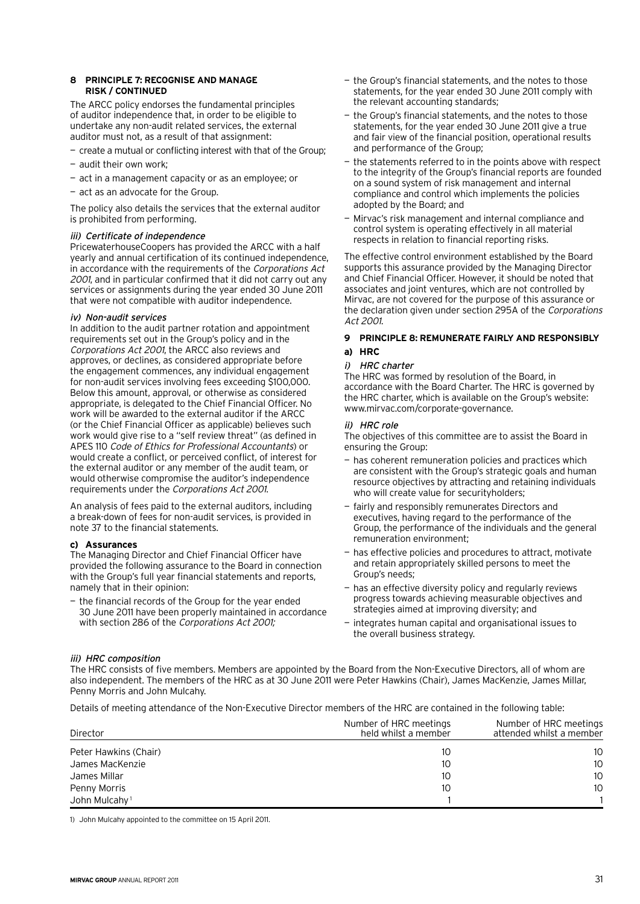#### **8 Principle 7: Recognise and manage risk / continued**

The ARCC policy endorses the fundamental principles of auditor independence that, in order to be eligible to undertake any non-audit related services, the external auditor must not, as a result of that assignment:

- create a mutual or conflicting interest with that of the Group;
- audit their own work;
- act in a management capacity or as an employee; or
- act as an advocate for the Group.

The policy also details the services that the external auditor is prohibited from performing.

# iii) Certificate of independence

PricewaterhouseCoopers has provided the ARCC with a half yearly and annual certification of its continued independence, in accordance with the requirements of the Corporations Act 2001, and in particular confirmed that it did not carry out any services or assignments during the year ended 30 June 2011 that were not compatible with auditor independence.

# iv) Non-audit services

In addition to the audit partner rotation and appointment requirements set out in the Group's policy and in the Corporations Act 2001, the ARCC also reviews and approves, or declines, as considered appropriate before the engagement commences, any individual engagement for non-audit services involving fees exceeding \$100,000. Below this amount, approval, or otherwise as considered appropriate, is delegated to the Chief Financial Officer. No work will be awarded to the external auditor if the ARCC (or the Chief Financial Officer as applicable) believes such work would give rise to a "self review threat" (as defined in APES 110 Code of Ethics for Professional Accountants) or would create a conflict, or perceived conflict, of interest for the external auditor or any member of the audit team, or would otherwise compromise the auditor's independence requirements under the Corporations Act 2001.

An analysis of fees paid to the external auditors, including a break-down of fees for non-audit services, is provided in note 37 to the financial statements.

# **c) Assurances**

The Managing Director and Chief Financial Officer have provided the following assurance to the Board in connection with the Group's full year financial statements and reports, namely that in their opinion:

the financial records of the Group for the year ended 30 June 2011 have been properly maintained in accordance with section 286 of the Corporations Act 2001;

- the Group's financial statements, and the notes to those statements, for the year ended 30 June 2011 comply with the relevant accounting standards;
- the Group's financial statements, and the notes to those statements, for the year ended 30 June 2011 give a true and fair view of the financial position, operational results and performance of the Group;
- the statements referred to in the points above with respect to the integrity of the Group's financial reports are founded on a sound system of risk management and internal compliance and control which implements the policies adopted by the Board; and
- Mirvac's risk management and internal compliance and control system is operating effectively in all material respects in relation to financial reporting risks.

The effective control environment established by the Board supports this assurance provided by the Managing Director and Chief Financial Officer. However, it should be noted that associates and joint ventures, which are not controlled by Mirvac, are not covered for the purpose of this assurance or the declaration given under section 295A of the Corporations Act 2001.

# **9 Principle 8: Remunerate fairly and responsibly a) HRC**

# i) HRC charter

The HRC was formed by resolution of the Board, in accordance with the Board Charter. The HRC is governed by the HRC charter, which is available on the Group's website: www.mirvac.com/corporate-governance.

# ii) HRC role

The objectives of this committee are to assist the Board in ensuring the Group:

- has coherent remuneration policies and practices which are consistent with the Group's strategic goals and human resource objectives by attracting and retaining individuals who will create value for securityholders;
- fairly and responsibly remunerates Directors and executives, having regard to the performance of the Group, the performance of the individuals and the general remuneration environment;
- has effective policies and procedures to attract, motivate and retain appropriately skilled persons to meet the Group's needs;
- has an effective diversity policy and regularly reviews progress towards achieving measurable objectives and strategies aimed at improving diversity; and
- integrates human capital and organisational issues to the overall business strategy.

# iii) HRC composition

The HRC consists of five members. Members are appointed by the Board from the Non-Executive Directors, all of whom are also independent. The members of the HRC as at 30 June 2011 were Peter Hawkins (Chair), James MacKenzie, James Millar, Penny Morris and John Mulcahy.

Details of meeting attendance of the Non-Executive Director members of the HRC are contained in the following table:

| Director                  | Number of HRC meetings<br>held whilst a member | Number of HRC meetings<br>attended whilst a member |
|---------------------------|------------------------------------------------|----------------------------------------------------|
| Peter Hawkins (Chair)     | 10                                             | 10                                                 |
| James MacKenzie           | 10                                             | 10                                                 |
| James Millar              | 10                                             | 10                                                 |
| Penny Morris              | 10                                             | 10                                                 |
| John Mulcahy <sup>1</sup> |                                                |                                                    |

1) John Mulcahy appointed to the committee on 15 April 2011.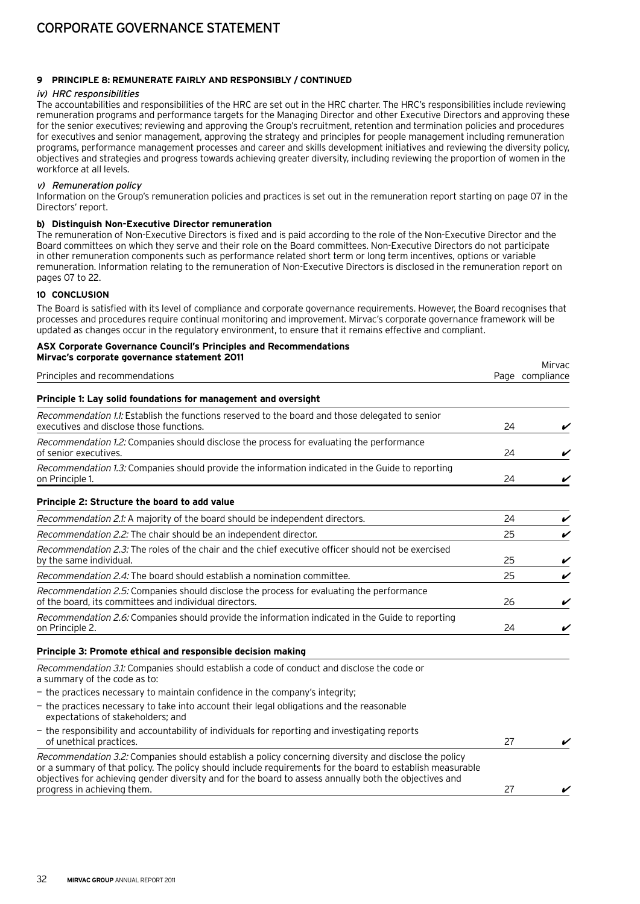# **9 Principle 8: Remunerate fairly and responsibly / continued**

# iv) HRC responsibilities

The accountabilities and responsibilities of the HRC are set out in the HRC charter. The HRC's responsibilities include reviewing remuneration programs and performance targets for the Managing Director and other Executive Directors and approving these for the senior executives; reviewing and approving the Group's recruitment, retention and termination policies and procedures for executives and senior management, approving the strategy and principles for people management including remuneration programs, performance management processes and career and skills development initiatives and reviewing the diversity policy, objectives and strategies and progress towards achieving greater diversity, including reviewing the proportion of women in the workforce at all levels.

#### v) Remuneration policy

Information on the Group's remuneration policies and practices is set out in the remuneration report starting on page 07 in the Directors' report.

#### **b) Distinguish Non-Executive Director remuneration**

The remuneration of Non-Executive Directors is fixed and is paid according to the role of the Non-Executive Director and the Board committees on which they serve and their role on the Board committees. Non-Executive Directors do not participate in other remuneration components such as performance related short term or long term incentives, options or variable remuneration. Information relating to the remuneration of Non-Executive Directors is disclosed in the remuneration report on pages 07 to 22.

# **10 Conclusion**

The Board is satisfied with its level of compliance and corporate governance requirements. However, the Board recognises that processes and procedures require continual monitoring and improvement. Mirvac's corporate governance framework will be updated as changes occur in the regulatory environment, to ensure that it remains effective and compliant.

# **ASX Corporate Governance Council's Principles and Recommendations Mirvac's corporate governance statement 2011** Principles and recommendations Mirvac Page compliance **Principle 1: Lay solid foundations for management and oversight** Recommendation 1.1: Establish the functions reserved to the board and those delegated to senior executives and disclose those functions.  $\sim$  24  $\sim$   $\sim$ Recommendation 1.2: Companies should disclose the process for evaluating the performance of senior executives.  $\sim$  24  $\sim$ Recommendation 1.3: Companies should provide the information indicated in the Guide to reporting on Principle 1.  $\sim$  24  $\sim$  25  $\sim$  25  $\sim$  25  $\sim$  25  $\sim$  25  $\sim$  25  $\sim$  25  $\sim$  25  $\sim$  25  $\sim$  25  $\sim$  25  $\sim$  25  $\sim$  25  $\sim$  25  $\sim$  25  $\sim$  25  $\sim$  25  $\sim$  25  $\sim$  25  $\sim$  25  $\sim$  25  $\sim$  25  $\sim$  25  $\sim$  25  $\sim$  **Principle 2: Structure the board to add value** Recommendation 2.1: A majority of the board should be independent directors.  $24$  24 Recommendation 2.2: The chair should be an independent director.  $25$  25  $\blacktriangleright$ Recommendation 2.3: The roles of the chair and the chief executive officer should not be exercised by the same individual.  $\sim$  25  $\sim$  400  $\sim$  25  $\sim$  400  $\sim$  25  $\sim$  400  $\sim$  25  $\sim$  400  $\sim$  25  $\sim$  400  $\sim$  25  $\sim$  400  $\sim$  25  $\sim$  400  $\sim$  25  $\sim$  400  $\sim$  25  $\sim$  400  $\sim$  25  $\sim$  400  $\sim$  25  $\sim$  400  $\sim$  25  $\$ Recommendation 2.4: The board should establish a nomination committee.  $\sim$  25  $\sim$ Recommendation 2.5: Companies should disclose the process for evaluating the performance of the board, its committees and individual directors.  $\overline{\phantom{a}}$  26  $\overline{\phantom{a}}$  26  $\overline{\phantom{a}}$ Recommendation 2.6: Companies should provide the information indicated in the Guide to reporting on Principle 2.  $\sim$  24  $\sim$ **Principle 3: Promote ethical and responsible decision making** Recommendation 3.1: Companies should establish a code of conduct and disclose the code or a summary of the code as to: — the practices necessary to maintain confidence in the company's integrity; — the practices necessary to take into account their legal obligations and the reasonable expectations of stakeholders; and — the responsibility and accountability of individuals for reporting and investigating reports of unethical practices.  $\boldsymbol{z}$  27  $\boldsymbol{z}$  27  $\boldsymbol{z}$  27  $\boldsymbol{z}$  27  $\boldsymbol{z}$  27  $\boldsymbol{z}$  27  $\boldsymbol{z}$  27  $\boldsymbol{z}$  27  $\boldsymbol{z}$  27  $\boldsymbol{z}$  27  $\boldsymbol{z}$  27  $\boldsymbol{z}$  27  $\boldsymbol{z}$  27  $\boldsymbol{z}$  27  $\boldsymbol{z}$  27  $\boldsymbol{z}$  27  $\boldsymbol{$ Recommendation 3.2: Companies should establish a policy concerning diversity and disclose the policy or a summary of that policy. The policy should include requirements for the board to establish measurable objectives for achieving gender diversity and for the board to assess annually both the objectives and progress in achieving them.  $\sim$  27  $\sim$   $\sim$  27  $\sim$  27  $\sim$  27  $\sim$  27  $\sim$  27  $\sim$  27  $\sim$  27  $\sim$  27  $\sim$  27  $\sim$  27  $\sim$  27  $\sim$  27  $\sim$  27  $\sim$  27  $\sim$  27  $\sim$  27  $\sim$  27  $\sim$  27  $\sim$  27  $\sim$  27  $\sim$  27  $\sim$  27  $\sim$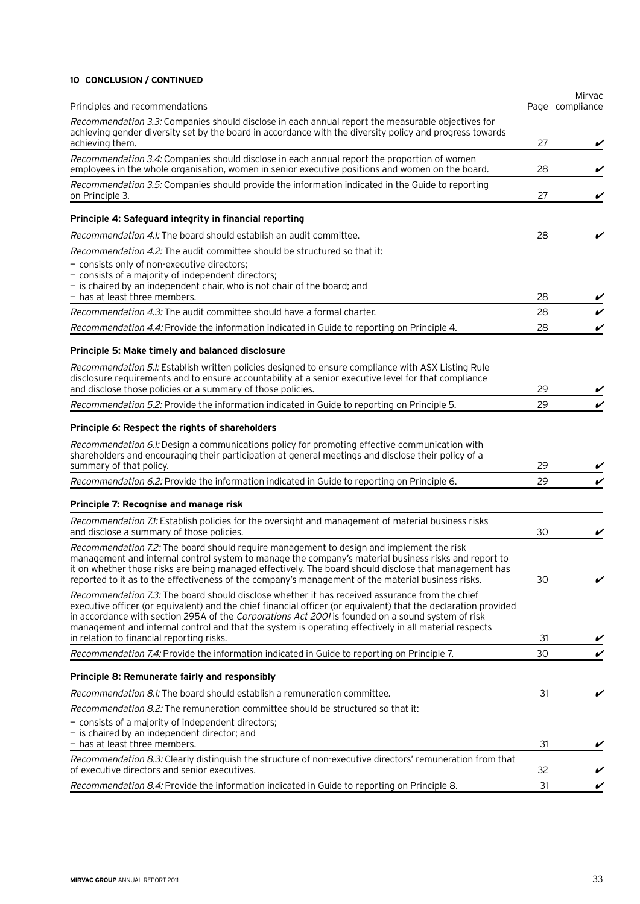# **10 Conclusion / continued**

| Principles and recommendations                                                                                                                                                                                                                                                                                                                                                                                                  |    | Mirvac<br>Page compliance |
|---------------------------------------------------------------------------------------------------------------------------------------------------------------------------------------------------------------------------------------------------------------------------------------------------------------------------------------------------------------------------------------------------------------------------------|----|---------------------------|
| Recommendation 3.3: Companies should disclose in each annual report the measurable objectives for<br>achieving gender diversity set by the board in accordance with the diversity policy and progress towards                                                                                                                                                                                                                   |    |                           |
| achieving them.                                                                                                                                                                                                                                                                                                                                                                                                                 | 27 | V                         |
| Recommendation 3.4: Companies should disclose in each annual report the proportion of women<br>employees in the whole organisation, women in senior executive positions and women on the board.                                                                                                                                                                                                                                 | 28 | V                         |
| Recommendation 3.5: Companies should provide the information indicated in the Guide to reporting<br>on Principle 3.                                                                                                                                                                                                                                                                                                             | 27 |                           |
| Principle 4: Safeguard integrity in financial reporting                                                                                                                                                                                                                                                                                                                                                                         |    |                           |
| <i>Recommendation 4.1:</i> The board should establish an audit committee.                                                                                                                                                                                                                                                                                                                                                       | 28 | V                         |
| Recommendation 4.2: The audit committee should be structured so that it:                                                                                                                                                                                                                                                                                                                                                        |    |                           |
| - consists only of non-executive directors;<br>- consists of a majority of independent directors;<br>- is chaired by an independent chair, who is not chair of the board; and<br>- has at least three members.                                                                                                                                                                                                                  | 28 |                           |
| Recommendation 4.3: The audit committee should have a formal charter.                                                                                                                                                                                                                                                                                                                                                           | 28 | V                         |
| Recommendation 4.4: Provide the information indicated in Guide to reporting on Principle 4.                                                                                                                                                                                                                                                                                                                                     | 28 | V                         |
| Principle 5: Make timely and balanced disclosure                                                                                                                                                                                                                                                                                                                                                                                |    |                           |
| Recommendation 5.1: Establish written policies designed to ensure compliance with ASX Listing Rule<br>disclosure requirements and to ensure accountability at a senior executive level for that compliance<br>and disclose those policies or a summary of those policies.                                                                                                                                                       | 29 |                           |
| Recommendation 5.2: Provide the information indicated in Guide to reporting on Principle 5.                                                                                                                                                                                                                                                                                                                                     | 29 | V                         |
| Principle 6: Respect the rights of shareholders                                                                                                                                                                                                                                                                                                                                                                                 |    |                           |
|                                                                                                                                                                                                                                                                                                                                                                                                                                 |    |                           |
| Recommendation 6.1: Design a communications policy for promoting effective communication with<br>shareholders and encouraging their participation at general meetings and disclose their policy of a<br>summary of that policy.                                                                                                                                                                                                 | 29 |                           |
| Recommendation 6.2: Provide the information indicated in Guide to reporting on Principle 6.                                                                                                                                                                                                                                                                                                                                     | 29 | V                         |
| Principle 7: Recognise and manage risk                                                                                                                                                                                                                                                                                                                                                                                          |    |                           |
| Recommendation 7.1: Establish policies for the oversight and management of material business risks<br>and disclose a summary of those policies.                                                                                                                                                                                                                                                                                 | 30 | V                         |
| Recommendation 7.2: The board should require management to design and implement the risk<br>management and internal control system to manage the company's material business risks and report to<br>it on whether those risks are being managed effectively. The board should disclose that management has<br>reported to it as to the effectiveness of the company's management of the material business risks.                | 30 | $\checkmark$              |
| Recommendation 7.3: The board should disclose whether it has received assurance from the chief<br>executive officer (or equivalent) and the chief financial officer (or equivalent) that the declaration provided<br>in accordance with section 295A of the Corporations Act 2001 is founded on a sound system of risk<br>management and internal control and that the system is operating effectively in all material respects |    |                           |
| in relation to financial reporting risks.                                                                                                                                                                                                                                                                                                                                                                                       | 31 | V                         |
| Recommendation 7.4: Provide the information indicated in Guide to reporting on Principle 7.                                                                                                                                                                                                                                                                                                                                     | 30 | V                         |
| Principle 8: Remunerate fairly and responsibly                                                                                                                                                                                                                                                                                                                                                                                  |    |                           |
| <i>Recommendation 8.1:</i> The board should establish a remuneration committee.                                                                                                                                                                                                                                                                                                                                                 | 31 | V                         |
| <i>Recommendation 8.2:</i> The remuneration committee should be structured so that it:<br>- consists of a majority of independent directors;<br>- is chaired by an independent director; and                                                                                                                                                                                                                                    |    |                           |
| - has at least three members.                                                                                                                                                                                                                                                                                                                                                                                                   | 31 | V                         |
| Recommendation 8.3: Clearly distinguish the structure of non-executive directors' remuneration from that<br>of executive directors and senior executives.                                                                                                                                                                                                                                                                       | 32 |                           |
| Recommendation 8.4: Provide the information indicated in Guide to reporting on Principle 8.                                                                                                                                                                                                                                                                                                                                     | 31 | V                         |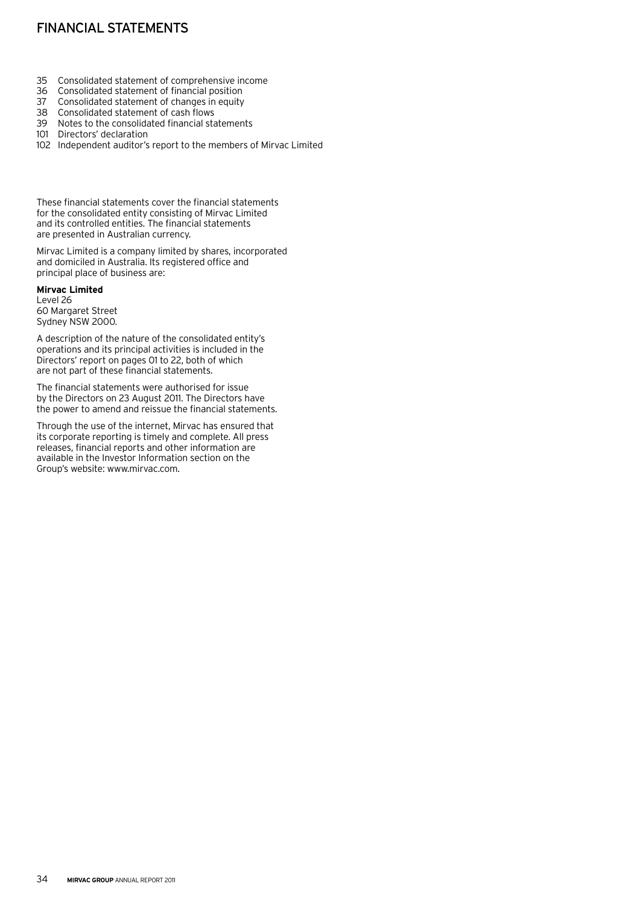# Financial statements

- 35 Consolidated statement of comprehensive income
- Consolidated statement of financial position
- 37 Consolidated statement of changes in equity
- 38 Consolidated statement of cash flows
- 39 Notes to the consolidated financial statements
- 101 Directors' declaration
- 102 Independent auditor's report to the members of Mirvac Limited

These financial statements cover the financial statements for the consolidated entity consisting of Mirvac Limited and its controlled entities. The financial statements are presented in Australian currency.

Mirvac Limited is a company limited by shares, incorporated and domiciled in Australia. Its registered office and principal place of business are:

# **Mirvac Limited**

Level 26 60 Margaret Street Sydney NSW 2000.

A description of the nature of the consolidated entity's operations and its principal activities is included in the Directors' report on pages 01 to 22, both of which are not part of these financial statements.

The financial statements were authorised for issue by the Directors on 23 August 2011. The Directors have the power to amend and reissue the financial statements.

Through the use of the internet, Mirvac has ensured that its corporate reporting is timely and complete. All press releases, financial reports and other information are available in the Investor Information section on the Group's website: www.mirvac.com.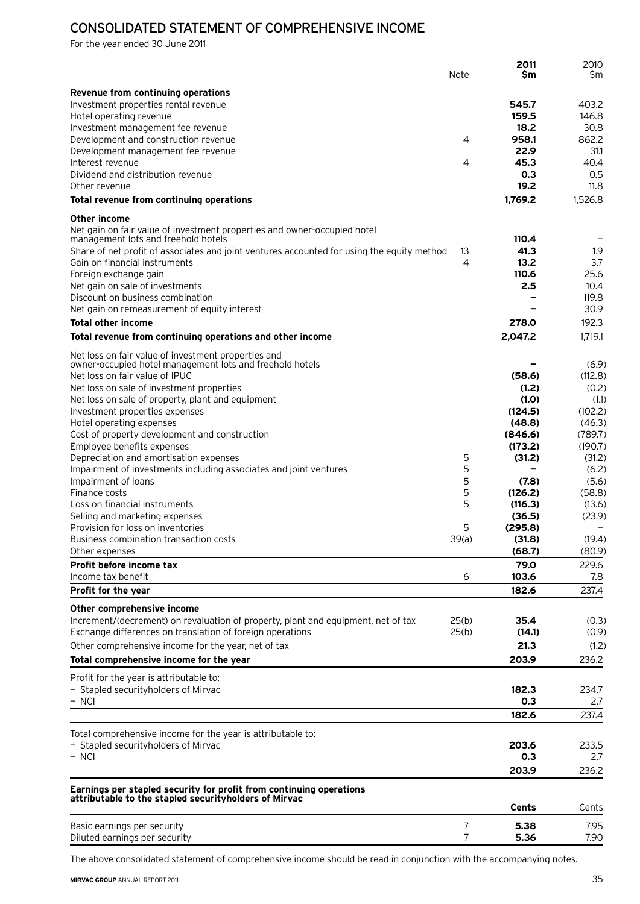## Consolidated statement of comprehensive income

For the year ended 30 June 2011

|                                                                                                                              | Note           | 2011<br>Sm        | 2010<br>\$m      |
|------------------------------------------------------------------------------------------------------------------------------|----------------|-------------------|------------------|
| Revenue from continuing operations                                                                                           |                |                   |                  |
| Investment properties rental revenue                                                                                         |                | 545.7             | 403.2            |
| Hotel operating revenue                                                                                                      |                | 159.5             | 146.8            |
| Investment management fee revenue                                                                                            |                | 18.2              | 30.8             |
| Development and construction revenue                                                                                         | 4              | 958.1             | 862.2            |
| Development management fee revenue                                                                                           |                | 22.9              | 31.1             |
| Interest revenue                                                                                                             | 4              | 45.3              | 40.4             |
| Dividend and distribution revenue                                                                                            |                | 0.3               | 0.5              |
| Other revenue<br>Total revenue from continuing operations                                                                    |                | 19.2<br>1,769.2   | 11.8<br>1,526.8  |
| <b>Other income</b>                                                                                                          |                |                   |                  |
| Net gain on fair value of investment properties and owner-occupied hotel                                                     |                |                   |                  |
| management lots and freehold hotels                                                                                          |                | 110.4             |                  |
| Share of net profit of associates and joint ventures accounted for using the equity method                                   | 13             | 41.3              | 1.9              |
| Gain on financial instruments                                                                                                | 4              | 13.2              | 3.7              |
| Foreign exchange gain                                                                                                        |                | 110.6             | 25.6             |
| Net gain on sale of investments                                                                                              |                | 2.5               | 10.4             |
| Discount on business combination<br>Net gain on remeasurement of equity interest                                             |                |                   | 119.8<br>30.9    |
|                                                                                                                              |                | 278.0             | 192.3            |
| <b>Total other income</b><br>Total revenue from continuing operations and other income                                       |                | 2,047.2           | 1,719.1          |
| Net loss on fair value of investment properties and                                                                          |                |                   |                  |
| owner-occupied hotel management lots and freehold hotels                                                                     |                |                   | (6.9)            |
| Net loss on fair value of IPUC                                                                                               |                | (58.6)            | (112.8)          |
| Net loss on sale of investment properties                                                                                    |                | (1.2)             | (0.2)            |
| Net loss on sale of property, plant and equipment                                                                            |                | (1.0)             | (1.1)            |
| Investment properties expenses                                                                                               |                | (124.5)           | (102.2)          |
| Hotel operating expenses                                                                                                     |                | (48.8)            | (46.3)           |
| Cost of property development and construction                                                                                |                | (846.6)           | (789.7)          |
| Employee benefits expenses                                                                                                   |                | (173.2)           | (190.7)          |
| Depreciation and amortisation expenses                                                                                       | 5              | (31.2)            | (31.2)           |
| Impairment of investments including associates and joint ventures                                                            | 5              |                   | (6.2)            |
| Impairment of loans                                                                                                          | 5              | (7.8)             | (5.6)            |
| Finance costs<br>Loss on financial instruments                                                                               | 5<br>5         | (126.2)           | (58.8)           |
| Selling and marketing expenses                                                                                               |                | (116.3)<br>(36.5) | (13.6)<br>(23.9) |
| Provision for loss on inventories                                                                                            | 5              | (295.8)           |                  |
| Business combination transaction costs                                                                                       | 39(a)          | (31.8)            | (19.4)           |
| Other expenses                                                                                                               |                | (68.7)            | (80.9)           |
| Profit before income tax                                                                                                     |                | 79.0              | 229.6            |
| Income tax benefit                                                                                                           | 6              | 103.6             | 7.8              |
| Profit for the year                                                                                                          |                | 182.6             | 237.4            |
| Other comprehensive income                                                                                                   |                |                   |                  |
| Increment/(decrement) on revaluation of property, plant and equipment, net of tax                                            | 25(b)          | 35.4              | (0.3)            |
| Exchange differences on translation of foreign operations                                                                    | 25(b)          | (14.1)            | (0.9)            |
| Other comprehensive income for the year, net of tax                                                                          |                | 21.3              | (1.2)            |
| Total comprehensive income for the year                                                                                      |                | 203.9             | 236.2            |
| Profit for the year is attributable to:                                                                                      |                |                   |                  |
| - Stapled securityholders of Mirvac<br>$-$ NCI                                                                               |                | 182.3<br>0.3      | 234.7            |
|                                                                                                                              |                | 182.6             | 2.7<br>237.4     |
| Total comprehensive income for the year is attributable to:                                                                  |                |                   |                  |
| - Stapled securityholders of Mirvac                                                                                          |                | 203.6             | 233.5            |
| $-$ NCI                                                                                                                      |                | 0.3               | 2.7              |
|                                                                                                                              |                | 203.9             | 236.2            |
|                                                                                                                              |                |                   |                  |
| Earnings per stapled security for profit from continuing operations<br>attributable to the stapled securityholders of Mirvac |                |                   |                  |
|                                                                                                                              |                | Cents             | Cents            |
| Basic earnings per security                                                                                                  | $\overline{7}$ | 5.38              | 7.95             |
| Diluted earnings per security                                                                                                | $\overline{7}$ | 5.36              | 7.90             |

The above consolidated statement of comprehensive income should be read in conjunction with the accompanying notes.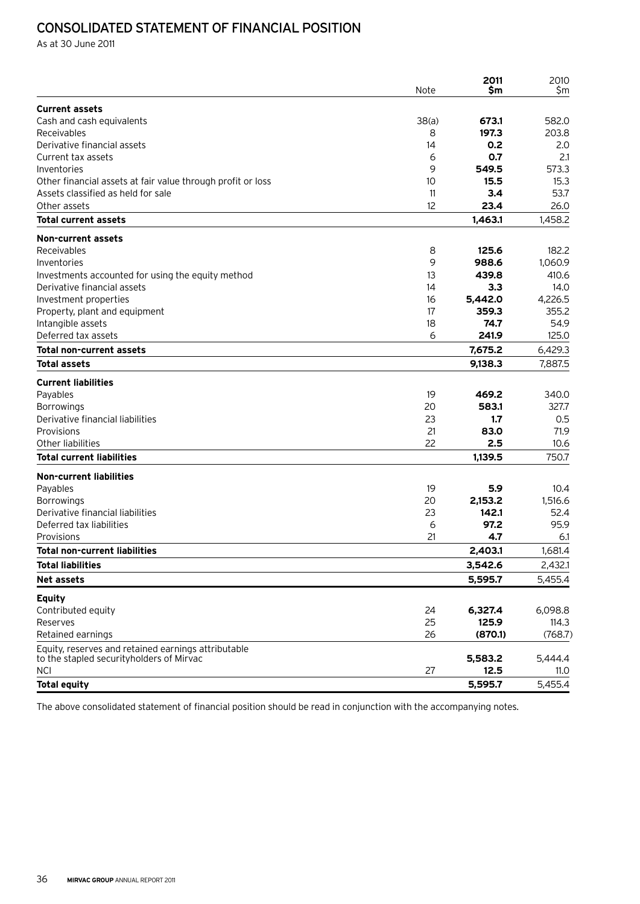## Consolidated statement of financial position

As at 30 June 2011

|                                                                                                  | Note  | 2011<br>Sm | 2010<br>\$m |
|--------------------------------------------------------------------------------------------------|-------|------------|-------------|
| <b>Current assets</b>                                                                            |       |            |             |
| Cash and cash equivalents                                                                        | 38(a) | 673.1      | 582.0       |
| Receivables                                                                                      | 8     | 197.3      | 203.8       |
| Derivative financial assets                                                                      | 14    | 0.2        | 2.0         |
| Current tax assets                                                                               | 6     | 0.7        | 2.1         |
| Inventories                                                                                      | 9     | 549.5      | 573.3       |
| Other financial assets at fair value through profit or loss                                      | 10    | 15.5       | 15.3        |
| Assets classified as held for sale                                                               | 11    | 3.4        | 53.7        |
| Other assets                                                                                     | 12    | 23.4       | 26.0        |
| <b>Total current assets</b>                                                                      |       | 1,463.1    | 1,458.2     |
| <b>Non-current assets</b>                                                                        |       |            |             |
| Receivables                                                                                      | 8     | 125.6      | 182.2       |
| Inventories                                                                                      | 9     | 988.6      | 1,060.9     |
| Investments accounted for using the equity method                                                | 13    | 439.8      | 410.6       |
| Derivative financial assets                                                                      | 14    | 3.3        | 14.0        |
| Investment properties                                                                            | 16    | 5,442.0    | 4,226.5     |
| Property, plant and equipment                                                                    | 17    | 359.3      | 355.2       |
| Intangible assets                                                                                | 18    | 74.7       | 54.9        |
| Deferred tax assets                                                                              | 6     | 241.9      | 125.0       |
| Total non-current assets                                                                         |       | 7,675.2    | 6,429.3     |
| <b>Total assets</b>                                                                              |       | 9,138.3    | 7,887.5     |
| <b>Current liabilities</b>                                                                       |       |            |             |
| Payables                                                                                         | 19    | 469.2      | 340.0       |
| <b>Borrowings</b>                                                                                | 20    | 583.1      | 327.7       |
| Derivative financial liabilities                                                                 | 23    | 1.7        | 0.5         |
| Provisions                                                                                       | 21    | 83.0       | 71.9        |
| Other liabilities                                                                                | 22    | 2.5        | 10.6        |
| <b>Total current liabilities</b>                                                                 |       | 1,139.5    | 750.7       |
| <b>Non-current liabilities</b>                                                                   |       |            |             |
| Payables                                                                                         | 19    | 5.9        | 10.4        |
| <b>Borrowings</b>                                                                                | 20    | 2,153.2    | 1,516.6     |
| Derivative financial liabilities                                                                 | 23    | 142.1      | 52.4        |
| Deferred tax liabilities                                                                         | 6     | 97.2       | 95.9        |
| Provisions                                                                                       | 21    | 4.7        | 6.1         |
| <b>Total non-current liabilities</b>                                                             |       | 2,403.1    | 1,681.4     |
| <b>Total liabilities</b>                                                                         |       | 3,542.6    | 2,432.1     |
| <b>Net assets</b>                                                                                |       | 5,595.7    | 5,455.4     |
| <b>Equity</b>                                                                                    |       |            |             |
| Contributed equity                                                                               | 24    | 6,327.4    | 6,098.8     |
| Reserves                                                                                         | 25    | 125.9      | 114.3       |
| Retained earnings                                                                                | 26    | (870.1)    | (768.7)     |
| Equity, reserves and retained earnings attributable<br>to the stapled security holders of Mirvac |       | 5,583.2    | 5,444.4     |
| <b>NCI</b>                                                                                       | 27    | 12.5       | 11.0        |
| <b>Total equity</b>                                                                              |       | 5,595.7    | 5,455.4     |
|                                                                                                  |       |            |             |

The above consolidated statement of financial position should be read in conjunction with the accompanying notes.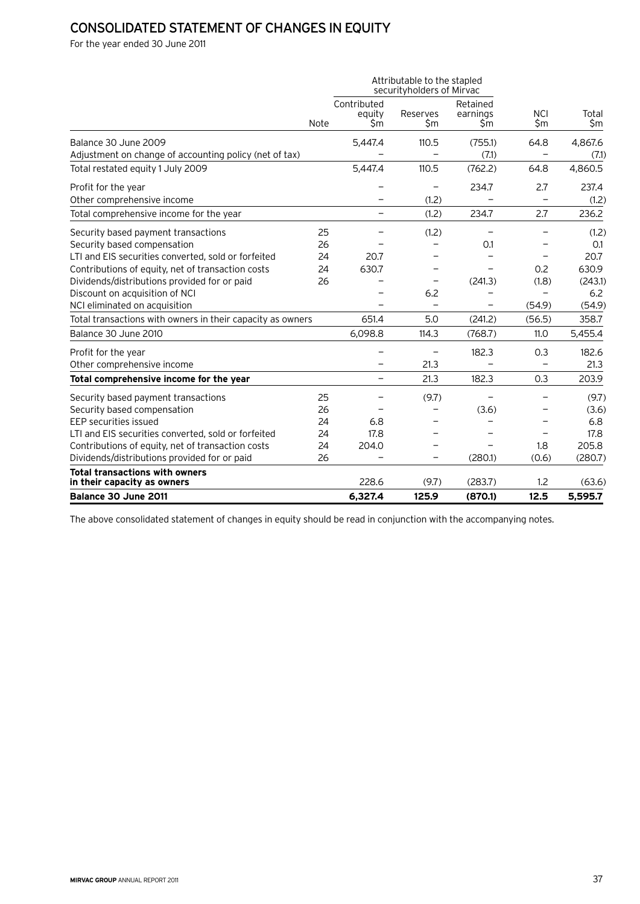## Consolidated statement of changes in equity

For the year ended 30 June 2011

|                                                                      |      |                              | Attributable to the stapled<br>securityholders of Mirvac |                             |                          |              |
|----------------------------------------------------------------------|------|------------------------------|----------------------------------------------------------|-----------------------------|--------------------------|--------------|
|                                                                      | Note | Contributed<br>equity<br>\$m | Reserves<br>\$m                                          | Retained<br>earnings<br>\$m | <b>NCI</b><br>\$m        | Total<br>\$m |
| Balance 30 June 2009                                                 |      | 5,447.4                      | 110.5                                                    | (755.1)                     | 64.8                     | 4,867.6      |
| Adjustment on change of accounting policy (net of tax)               |      |                              |                                                          | (7.1)                       |                          | (7.1)        |
| Total restated equity 1 July 2009                                    |      | 5,447.4                      | 110.5                                                    | (762.2)                     | 64.8                     | 4.860.5      |
| Profit for the year                                                  |      |                              |                                                          | 234.7                       | 2.7                      | 237.4        |
| Other comprehensive income                                           |      |                              | (1.2)                                                    |                             |                          | (1.2)        |
| Total comprehensive income for the year                              |      | $\overline{\phantom{0}}$     | (1.2)                                                    | 234.7                       | 2.7                      | 236.2        |
| Security based payment transactions                                  | 25   |                              | (1.2)                                                    |                             |                          | (1.2)        |
| Security based compensation                                          | 26   |                              | -                                                        | 0.1                         |                          | 0.1          |
| LTI and EIS securities converted, sold or forfeited                  | 24   | 20.7                         | $\overline{\phantom{0}}$                                 |                             | $\overline{\phantom{0}}$ | 20.7         |
| Contributions of equity, net of transaction costs                    | 24   | 630.7                        | -                                                        |                             | 0.2                      | 630.9        |
| Dividends/distributions provided for or paid                         | 26   |                              | $\qquad \qquad -$                                        | (241.3)                     | (1.8)                    | (243.1)      |
| Discount on acquisition of NCI                                       |      |                              | 6.2                                                      | $\qquad \qquad$             | $\qquad \qquad -$        | 6.2          |
| NCI eliminated on acquisition                                        |      | $\equiv$                     | $\overline{\phantom{0}}$                                 | -                           | (54.9)                   | (54.9)       |
| Total transactions with owners in their capacity as owners           |      | 651.4                        | 5.0                                                      | (241.2)                     | (56.5)                   | 358.7        |
| Balance 30 June 2010                                                 |      | 6,098.8                      | 114.3                                                    | (768.7)                     | 11.0                     | 5,455.4      |
| Profit for the year                                                  |      |                              |                                                          | 182.3                       | 0.3                      | 182.6        |
| Other comprehensive income                                           |      |                              | 21.3                                                     |                             |                          | 21.3         |
| Total comprehensive income for the year                              |      | $\overline{\phantom{0}}$     | 21.3                                                     | 182.3                       | 0.3                      | 203.9        |
| Security based payment transactions                                  | 25   |                              | (9.7)                                                    |                             |                          | (9.7)        |
| Security based compensation                                          | 26   |                              |                                                          | (3.6)                       |                          | (3.6)        |
| EEP securities issued                                                | 24   | 6.8                          |                                                          |                             |                          | 6.8          |
| LTI and EIS securities converted, sold or forfeited                  | 24   | 17.8                         |                                                          |                             |                          | 17.8         |
| Contributions of equity, net of transaction costs                    | 24   | 204.0                        |                                                          |                             | 1.8                      | 205.8        |
| Dividends/distributions provided for or paid                         | 26   |                              |                                                          | (280.1)                     | (0.6)                    | (280.7)      |
| <b>Total transactions with owners</b><br>in their capacity as owners |      | 228.6                        | (9.7)                                                    | (283.7)                     | 1.2                      | (63.6)       |
| Balance 30 June 2011                                                 |      | 6,327.4                      | 125.9                                                    | (870.1)                     | 12.5                     | 5,595.7      |

The above consolidated statement of changes in equity should be read in conjunction with the accompanying notes.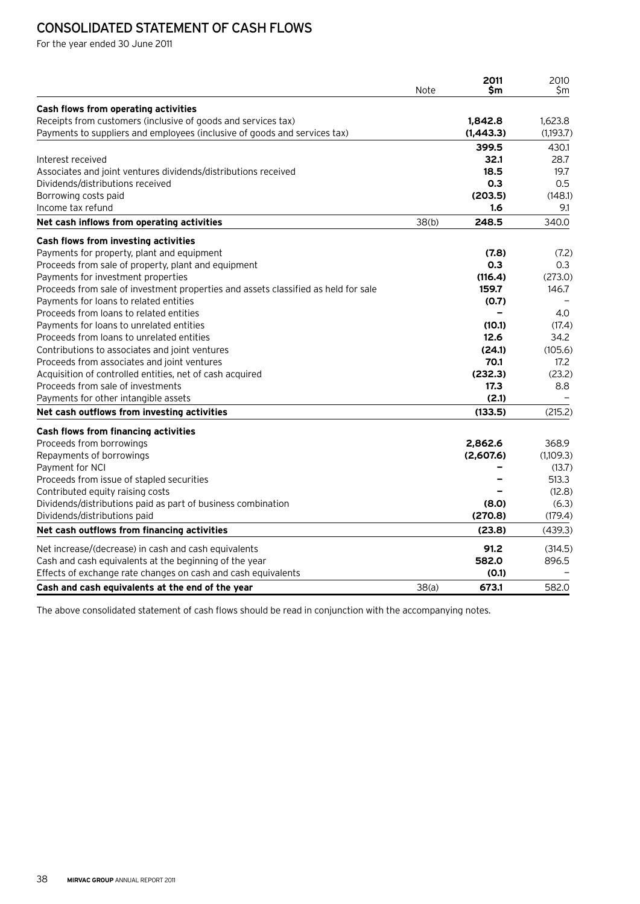# Consolidated statement of cash flows

For the year ended 30 June 2011

|                                                                                    | Note  | 2011<br>\$m              | 2010<br>\$m |
|------------------------------------------------------------------------------------|-------|--------------------------|-------------|
| Cash flows from operating activities                                               |       |                          |             |
| Receipts from customers (inclusive of goods and services tax)                      |       | 1,842.8                  | 1,623.8     |
| Payments to suppliers and employees (inclusive of goods and services tax)          |       | (1,443.3)                | (1,193.7)   |
|                                                                                    |       | 399.5                    | 430.1       |
| Interest received                                                                  |       | 32.1                     | 28.7        |
| Associates and joint ventures dividends/distributions received                     |       | 18.5                     | 19.7        |
| Dividends/distributions received                                                   |       | 0.3                      | 0.5         |
| Borrowing costs paid                                                               |       | (203.5)                  | (148.1)     |
| Income tax refund                                                                  |       | 1.6                      | 9.1         |
| Net cash inflows from operating activities                                         | 38(b) | 248.5                    | 340.0       |
| Cash flows from investing activities                                               |       |                          |             |
| Payments for property, plant and equipment                                         |       | (7.8)                    | (7.2)       |
| Proceeds from sale of property, plant and equipment                                |       | 0.3                      | 0.3         |
| Payments for investment properties                                                 |       | (116.4)                  | (273.0)     |
| Proceeds from sale of investment properties and assets classified as held for sale |       | 159.7                    | 146.7       |
| Payments for loans to related entities                                             |       | (0.7)                    |             |
| Proceeds from loans to related entities                                            |       | $\overline{\phantom{0}}$ | 4.0         |
| Payments for loans to unrelated entities                                           |       | (10.1)                   | (17.4)      |
| Proceeds from loans to unrelated entities                                          |       | 12.6                     | 34.2        |
| Contributions to associates and joint ventures                                     |       | (24.1)                   | (105.6)     |
| Proceeds from associates and joint ventures                                        |       | 70.1                     | 17.2        |
| Acquisition of controlled entities, net of cash acquired                           |       | (232.3)                  | (23.2)      |
| Proceeds from sale of investments                                                  |       | 17.3                     | 8.8         |
| Payments for other intangible assets                                               |       | (2.1)                    |             |
| Net cash outflows from investing activities                                        |       | (133.5)                  | (215.2)     |
| <b>Cash flows from financing activities</b>                                        |       |                          |             |
| Proceeds from borrowings                                                           |       | 2,862.6                  | 368.9       |
| Repayments of borrowings                                                           |       | (2,607.6)                | (1,109.3)   |
| Payment for NCI                                                                    |       |                          | (13.7)      |
| Proceeds from issue of stapled securities                                          |       |                          | 513.3       |
| Contributed equity raising costs                                                   |       |                          | (12.8)      |
| Dividends/distributions paid as part of business combination                       |       | (8.0)                    | (6.3)       |
| Dividends/distributions paid                                                       |       | (270.8)                  | (179.4)     |
| Net cash outflows from financing activities                                        |       | (23.8)                   | (439.3)     |
| Net increase/(decrease) in cash and cash equivalents                               |       | 91.2                     | (314.5)     |
| Cash and cash equivalents at the beginning of the year                             |       | 582.0                    | 896.5       |
| Effects of exchange rate changes on cash and cash equivalents                      |       | (0.1)                    |             |
| Cash and cash equivalents at the end of the year                                   | 38(a) | 673.1                    | 582.0       |

The above consolidated statement of cash flows should be read in conjunction with the accompanying notes.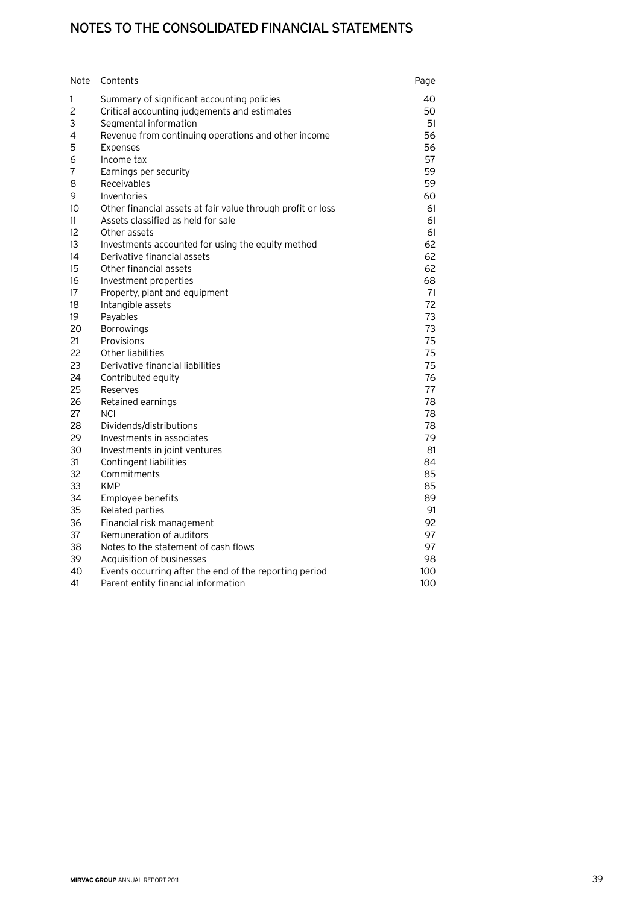## Notes to the consolidated financial statements

| Note | Contents                                                    | Page |
|------|-------------------------------------------------------------|------|
| 1    | Summary of significant accounting policies                  | 40   |
| 2    | Critical accounting judgements and estimates                | 50   |
| 3    | Segmental information                                       | 51   |
| 4    | Revenue from continuing operations and other income         | 56   |
| 5    | Expenses                                                    | 56   |
| 6    | Income tax                                                  | 57   |
| 7    | Earnings per security                                       | 59   |
| 8    | Receivables                                                 | 59   |
| 9    | Inventories                                                 | 60   |
| 10   | Other financial assets at fair value through profit or loss | 61   |
| 11   | Assets classified as held for sale                          | 61   |
| 12   | Other assets                                                | 61   |
| 13   | Investments accounted for using the equity method           | 62   |
| 14   | Derivative financial assets                                 | 62   |
| 15   | Other financial assets                                      | 62   |
| 16   | Investment properties                                       | 68   |
| 17   | Property, plant and equipment                               | 71   |
| 18   | Intangible assets                                           | 72   |
| 19   | Payables                                                    | 73   |
| 20   | <b>Borrowings</b>                                           | 73   |
| 21   | Provisions                                                  | 75   |
| 22   | Other liabilities                                           | 75   |
| 23   | Derivative financial liabilities                            | 75   |
| 24   | Contributed equity                                          | 76   |
| 25   | Reserves                                                    | 77   |
| 26   | Retained earnings                                           | 78   |
| 27   | NCI                                                         | 78   |
| 28   | Dividends/distributions                                     | 78   |
| 29   | Investments in associates                                   | 79   |
| 30   | Investments in joint ventures                               | 81   |
| 31   | Contingent liabilities                                      | 84   |
| 32   | Commitments                                                 | 85   |
| 33   | <b>KMP</b>                                                  | 85   |
| 34   | Employee benefits                                           | 89   |
| 35   | Related parties                                             | 91   |
| 36   | Financial risk management                                   | 92   |
| 37   | Remuneration of auditors                                    | 97   |
| 38   | Notes to the statement of cash flows                        | 97   |
| 39   | Acquisition of businesses                                   | 98   |
| 40   | Events occurring after the end of the reporting period      | 100  |
| 41   | Parent entity financial information                         | 100  |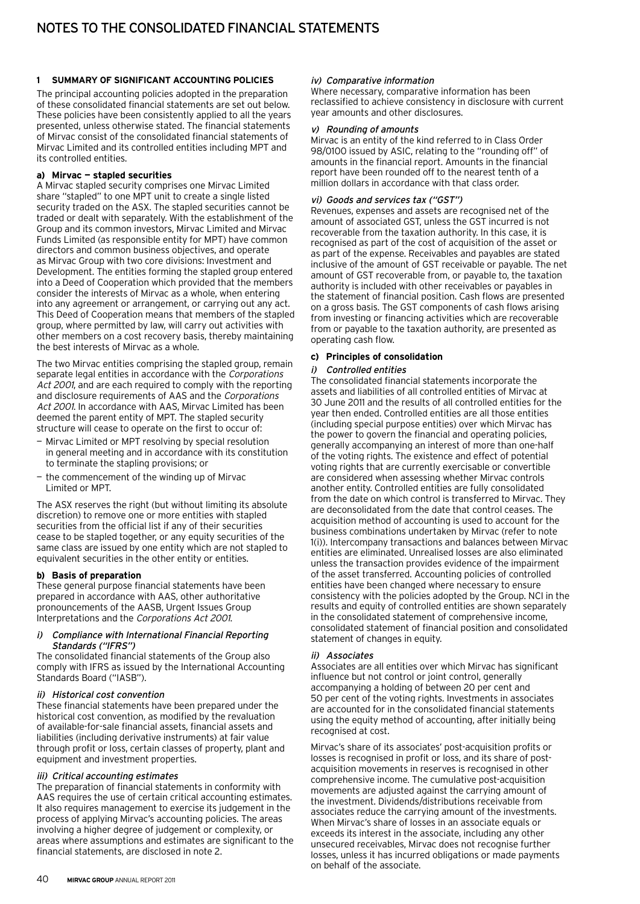#### **1 Summary of significant accounting policies**

The principal accounting policies adopted in the preparation of these consolidated financial statements are set out below. These policies have been consistently applied to all the years presented, unless otherwise stated. The financial statements of Mirvac consist of the consolidated financial statements of Mirvac Limited and its controlled entities including MPT and its controlled entities.

#### **a) Mirvac — stapled securities**

A Mirvac stapled security comprises one Mirvac Limited share "stapled" to one MPT unit to create a single listed security traded on the ASX. The stapled securities cannot be traded or dealt with separately. With the establishment of the Group and its common investors, Mirvac Limited and Mirvac Funds Limited (as responsible entity for MPT) have common directors and common business objectives, and operate as Mirvac Group with two core divisions: Investment and Development. The entities forming the stapled group entered into a Deed of Cooperation which provided that the members consider the interests of Mirvac as a whole, when entering into any agreement or arrangement, or carrying out any act. This Deed of Cooperation means that members of the stapled group, where permitted by law, will carry out activities with other members on a cost recovery basis, thereby maintaining the best interests of Mirvac as a whole.

The two Mirvac entities comprising the stapled group, remain separate legal entities in accordance with the Corporations Act 2001, and are each required to comply with the reporting and disclosure requirements of AAS and the Corporations Act 2001. In accordance with AAS, Mirvac Limited has been deemed the parent entity of MPT. The stapled security structure will cease to operate on the first to occur of:

- Mirvac Limited or MPT resolving by special resolution in general meeting and in accordance with its constitution to terminate the stapling provisions; or
- the commencement of the winding up of Mirvac Limited or MPT.

The ASX reserves the right (but without limiting its absolute discretion) to remove one or more entities with stapled securities from the official list if any of their securities cease to be stapled together, or any equity securities of the same class are issued by one entity which are not stapled to equivalent securities in the other entity or entities.

#### **b) Basis of preparation**

These general purpose financial statements have been prepared in accordance with AAS, other authoritative pronouncements of the AASB, Urgent Issues Group Interpretations and the Corporations Act 2001.

#### Compliance with International Financial Reporting Standards ("IFRS")

The consolidated financial statements of the Group also comply with IFRS as issued by the International Accounting Standards Board ("IASB").

#### ii) Historical cost convention

These financial statements have been prepared under the historical cost convention, as modified by the revaluation of available-for-sale financial assets, financial assets and liabilities (including derivative instruments) at fair value through profit or loss, certain classes of property, plant and equipment and investment properties.

#### iii) Critical accounting estimates

The preparation of financial statements in conformity with AAS requires the use of certain critical accounting estimates. It also requires management to exercise its judgement in the process of applying Mirvac's accounting policies. The areas involving a higher degree of judgement or complexity, or areas where assumptions and estimates are significant to the financial statements, are disclosed in note 2.

#### iv) Comparative information

Where necessary, comparative information has been reclassified to achieve consistency in disclosure with current year amounts and other disclosures.

#### v) Rounding of amounts

Mirvac is an entity of the kind referred to in Class Order 98/0100 issued by ASIC, relating to the "rounding off" of amounts in the financial report. Amounts in the financial report have been rounded off to the nearest tenth of a million dollars in accordance with that class order.

#### vi) Goods and services tax ("GST")

Revenues, expenses and assets are recognised net of the amount of associated GST, unless the GST incurred is not recoverable from the taxation authority. In this case, it is recognised as part of the cost of acquisition of the asset or as part of the expense. Receivables and payables are stated inclusive of the amount of GST receivable or payable. The net amount of GST recoverable from, or payable to, the taxation authority is included with other receivables or payables in the statement of financial position. Cash flows are presented on a gross basis. The GST components of cash flows arising from investing or financing activities which are recoverable from or payable to the taxation authority, are presented as operating cash flow.

#### **c) Principles of consolidation**

#### i) Controlled entities

The consolidated financial statements incorporate the assets and liabilities of all controlled entities of Mirvac at 30 June 2011 and the results of all controlled entities for the year then ended. Controlled entities are all those entities (including special purpose entities) over which Mirvac has the power to govern the financial and operating policies, generally accompanying an interest of more than one-half of the voting rights. The existence and effect of potential voting rights that are currently exercisable or convertible are considered when assessing whether Mirvac controls another entity. Controlled entities are fully consolidated from the date on which control is transferred to Mirvac. They are deconsolidated from the date that control ceases. The acquisition method of accounting is used to account for the business combinations undertaken by Mirvac (refer to note 1(i)). Intercompany transactions and balances between Mirvac entities are eliminated. Unrealised losses are also eliminated unless the transaction provides evidence of the impairment of the asset transferred. Accounting policies of controlled entities have been changed where necessary to ensure consistency with the policies adopted by the Group. NCI in the results and equity of controlled entities are shown separately in the consolidated statement of comprehensive income, consolidated statement of financial position and consolidated statement of changes in equity.

#### ii) Associates

Associates are all entities over which Mirvac has significant influence but not control or joint control, generally accompanying a holding of between 20 per cent and 50 per cent of the voting rights. Investments in associates are accounted for in the consolidated financial statements using the equity method of accounting, after initially being recognised at cost.

Mirvac's share of its associates' post-acquisition profits or losses is recognised in profit or loss, and its share of postacquisition movements in reserves is recognised in other comprehensive income. The cumulative post-acquisition movements are adjusted against the carrying amount of the investment. Dividends/distributions receivable from associates reduce the carrying amount of the investments. When Mirvac's share of losses in an associate equals or exceeds its interest in the associate, including any other unsecured receivables, Mirvac does not recognise further losses, unless it has incurred obligations or made payments on behalf of the associate.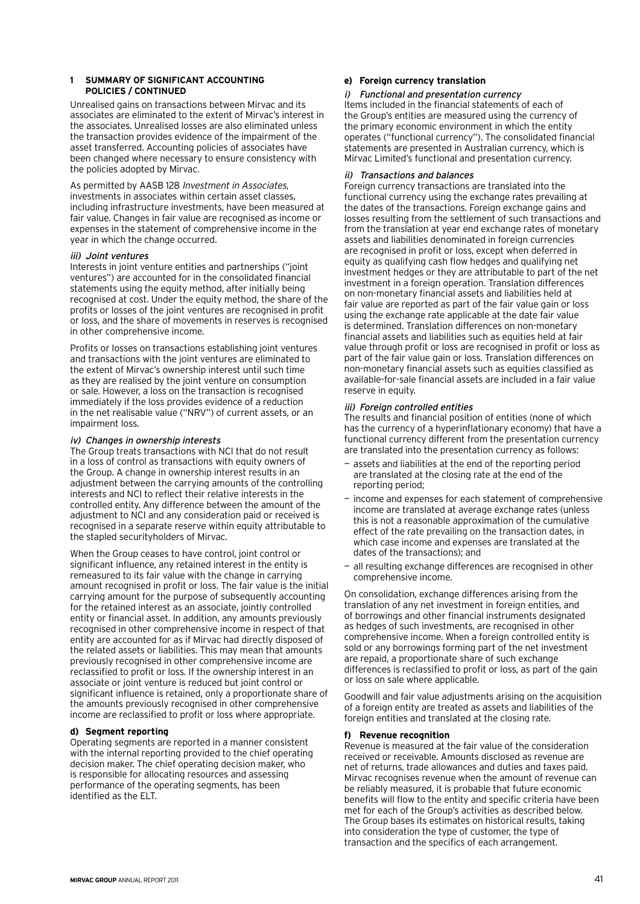Unrealised gains on transactions between Mirvac and its associates are eliminated to the extent of Mirvac's interest in the associates. Unrealised losses are also eliminated unless the transaction provides evidence of the impairment of the asset transferred. Accounting policies of associates have been changed where necessary to ensure consistency with the policies adopted by Mirvac.

As permitted by AASB 128 Investment in Associates, investments in associates within certain asset classes, including infrastructure investments, have been measured at fair value. Changes in fair value are recognised as income or expenses in the statement of comprehensive income in the year in which the change occurred.

#### iii) Joint ventures

Interests in joint venture entities and partnerships ("joint ventures") are accounted for in the consolidated financial statements using the equity method, after initially being recognised at cost. Under the equity method, the share of the profits or losses of the joint ventures are recognised in profit or loss, and the share of movements in reserves is recognised in other comprehensive income.

Profits or losses on transactions establishing joint ventures and transactions with the joint ventures are eliminated to the extent of Mirvac's ownership interest until such time as they are realised by the joint venture on consumption or sale. However, a loss on the transaction is recognised immediately if the loss provides evidence of a reduction in the net realisable value ("NRV") of current assets, or an impairment loss.

#### iv) Changes in ownership interests

The Group treats transactions with NCI that do not result in a loss of control as transactions with equity owners of the Group. A change in ownership interest results in an adjustment between the carrying amounts of the controlling interests and NCI to reflect their relative interests in the controlled entity. Any difference between the amount of the adjustment to NCI and any consideration paid or received is recognised in a separate reserve within equity attributable to the stapled securityholders of Mirvac.

When the Group ceases to have control, joint control or significant influence, any retained interest in the entity is remeasured to its fair value with the change in carrying amount recognised in profit or loss. The fair value is the initial carrying amount for the purpose of subsequently accounting for the retained interest as an associate, jointly controlled entity or financial asset. In addition, any amounts previously recognised in other comprehensive income in respect of that entity are accounted for as if Mirvac had directly disposed of the related assets or liabilities. This may mean that amounts previously recognised in other comprehensive income are reclassified to profit or loss. If the ownership interest in an associate or joint venture is reduced but joint control or significant influence is retained, only a proportionate share of the amounts previously recognised in other comprehensive income are reclassified to profit or loss where appropriate.

#### **d) Segment reporting**

Operating segments are reported in a manner consistent with the internal reporting provided to the chief operating decision maker. The chief operating decision maker, who is responsible for allocating resources and assessing performance of the operating segments, has been identified as the ELT.

#### **e) Foreign currency translation**

#### i) Functional and presentation currency

Items included in the financial statements of each of the Group's entities are measured using the currency of the primary economic environment in which the entity operates ("functional currency"). The consolidated financial statements are presented in Australian currency, which is Mirvac Limited's functional and presentation currency.

#### ii) Transactions and balances

Foreign currency transactions are translated into the functional currency using the exchange rates prevailing at the dates of the transactions. Foreign exchange gains and losses resulting from the settlement of such transactions and from the translation at year end exchange rates of monetary assets and liabilities denominated in foreign currencies are recognised in profit or loss, except when deferred in equity as qualifying cash flow hedges and qualifying net investment hedges or they are attributable to part of the net investment in a foreign operation. Translation differences on non-monetary financial assets and liabilities held at fair value are reported as part of the fair value gain or loss using the exchange rate applicable at the date fair value is determined. Translation differences on non-monetary financial assets and liabilities such as equities held at fair value through profit or loss are recognised in profit or loss as part of the fair value gain or loss. Translation differences on non-monetary financial assets such as equities classified as available-for-sale financial assets are included in a fair value reserve in equity.

#### iii) Foreign controlled entities

The results and financial position of entities (none of which has the currency of a hyperinflationary economy) that have a functional currency different from the presentation currency are translated into the presentation currency as follows:

- assets and liabilities at the end of the reporting period are translated at the closing rate at the end of the reporting period;
- income and expenses for each statement of comprehensive income are translated at average exchange rates (unless this is not a reasonable approximation of the cumulative effect of the rate prevailing on the transaction dates, in which case income and expenses are translated at the dates of the transactions); and
- all resulting exchange differences are recognised in other comprehensive income.

On consolidation, exchange differences arising from the translation of any net investment in foreign entities, and of borrowings and other financial instruments designated as hedges of such investments, are recognised in other comprehensive income. When a foreign controlled entity is sold or any borrowings forming part of the net investment are repaid, a proportionate share of such exchange differences is reclassified to profit or loss, as part of the gain or loss on sale where applicable.

Goodwill and fair value adjustments arising on the acquisition of a foreign entity are treated as assets and liabilities of the foreign entities and translated at the closing rate.

#### **f) Revenue recognition**

Revenue is measured at the fair value of the consideration received or receivable. Amounts disclosed as revenue are net of returns, trade allowances and duties and taxes paid. Mirvac recognises revenue when the amount of revenue can be reliably measured, it is probable that future economic benefits will flow to the entity and specific criteria have been met for each of the Group's activities as described below. The Group bases its estimates on historical results, taking into consideration the type of customer, the type of transaction and the specifics of each arrangement.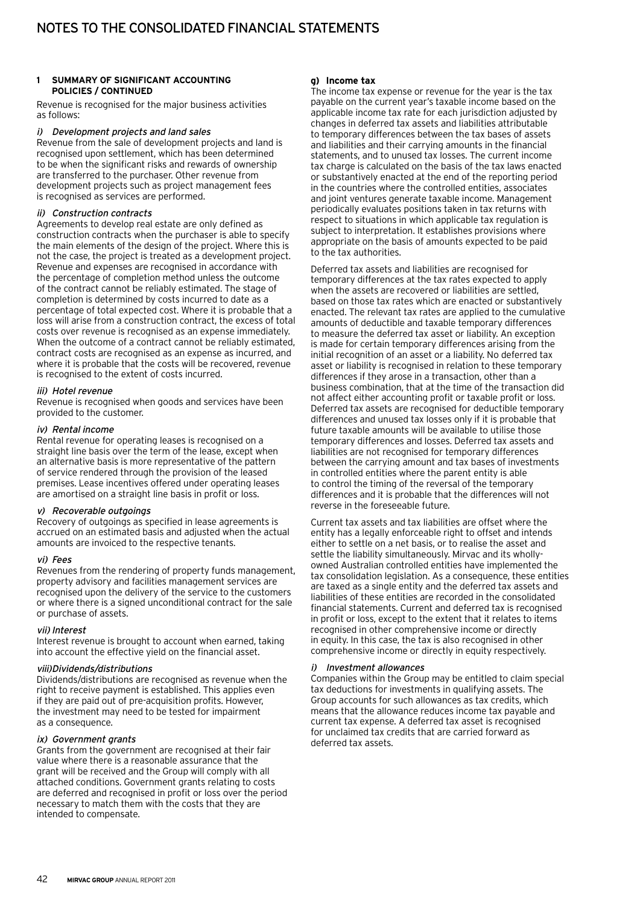Revenue is recognised for the major business activities as follows:

#### i) Development projects and land sales

Revenue from the sale of development projects and land is recognised upon settlement, which has been determined to be when the significant risks and rewards of ownership are transferred to the purchaser. Other revenue from development projects such as project management fees is recognised as services are performed.

#### ii) Construction contracts

Agreements to develop real estate are only defined as construction contracts when the purchaser is able to specify the main elements of the design of the project. Where this is not the case, the project is treated as a development project. Revenue and expenses are recognised in accordance with the percentage of completion method unless the outcome of the contract cannot be reliably estimated. The stage of completion is determined by costs incurred to date as a percentage of total expected cost. Where it is probable that a loss will arise from a construction contract, the excess of total costs over revenue is recognised as an expense immediately. When the outcome of a contract cannot be reliably estimated, contract costs are recognised as an expense as incurred, and where it is probable that the costs will be recovered, revenue is recognised to the extent of costs incurred.

#### iii) Hotel revenue

Revenue is recognised when goods and services have been provided to the customer.

#### iv) Rental income

Rental revenue for operating leases is recognised on a straight line basis over the term of the lease, except when an alternative basis is more representative of the pattern of service rendered through the provision of the leased premises. Lease incentives offered under operating leases are amortised on a straight line basis in profit or loss.

#### v) Recoverable outgoings

Recovery of outgoings as specified in lease agreements is accrued on an estimated basis and adjusted when the actual amounts are invoiced to the respective tenants.

#### vi) Fees

Revenues from the rendering of property funds management, property advisory and facilities management services are recognised upon the delivery of the service to the customers or where there is a signed unconditional contract for the sale or purchase of assets.

#### vii) Interest

Interest revenue is brought to account when earned, taking into account the effective yield on the financial asset.

#### viii)Dividends/distributions

Dividends/distributions are recognised as revenue when the right to receive payment is established. This applies even if they are paid out of pre-acquisition profits. However, the investment may need to be tested for impairment as a consequence.

#### ix) Government grants

Grants from the government are recognised at their fair value where there is a reasonable assurance that the grant will be received and the Group will comply with all attached conditions. Government grants relating to costs are deferred and recognised in profit or loss over the period necessary to match them with the costs that they are intended to compensate.

#### **g) Income tax**

The income tax expense or revenue for the year is the tax payable on the current year's taxable income based on the applicable income tax rate for each jurisdiction adjusted by changes in deferred tax assets and liabilities attributable to temporary differences between the tax bases of assets and liabilities and their carrying amounts in the financial statements, and to unused tax losses. The current income tax charge is calculated on the basis of the tax laws enacted or substantively enacted at the end of the reporting period in the countries where the controlled entities, associates and joint ventures generate taxable income. Management periodically evaluates positions taken in tax returns with respect to situations in which applicable tax regulation is subject to interpretation. It establishes provisions where appropriate on the basis of amounts expected to be paid to the tax authorities.

Deferred tax assets and liabilities are recognised for temporary differences at the tax rates expected to apply when the assets are recovered or liabilities are settled, based on those tax rates which are enacted or substantively enacted. The relevant tax rates are applied to the cumulative amounts of deductible and taxable temporary differences to measure the deferred tax asset or liability. An exception is made for certain temporary differences arising from the initial recognition of an asset or a liability. No deferred tax asset or liability is recognised in relation to these temporary differences if they arose in a transaction, other than a business combination, that at the time of the transaction did not affect either accounting profit or taxable profit or loss. Deferred tax assets are recognised for deductible temporary differences and unused tax losses only if it is probable that future taxable amounts will be available to utilise those temporary differences and losses. Deferred tax assets and liabilities are not recognised for temporary differences between the carrying amount and tax bases of investments in controlled entities where the parent entity is able to control the timing of the reversal of the temporary differences and it is probable that the differences will not reverse in the foreseeable future.

Current tax assets and tax liabilities are offset where the entity has a legally enforceable right to offset and intends either to settle on a net basis, or to realise the asset and settle the liability simultaneously. Mirvac and its whollyowned Australian controlled entities have implemented the tax consolidation legislation. As a consequence, these entities are taxed as a single entity and the deferred tax assets and liabilities of these entities are recorded in the consolidated financial statements. Current and deferred tax is recognised in profit or loss, except to the extent that it relates to items recognised in other comprehensive income or directly in equity. In this case, the tax is also recognised in other comprehensive income or directly in equity respectively.

#### i) Investment allowances

Companies within the Group may be entitled to claim special tax deductions for investments in qualifying assets. The Group accounts for such allowances as tax credits, which means that the allowance reduces income tax payable and current tax expense. A deferred tax asset is recognised for unclaimed tax credits that are carried forward as deferred tax assets.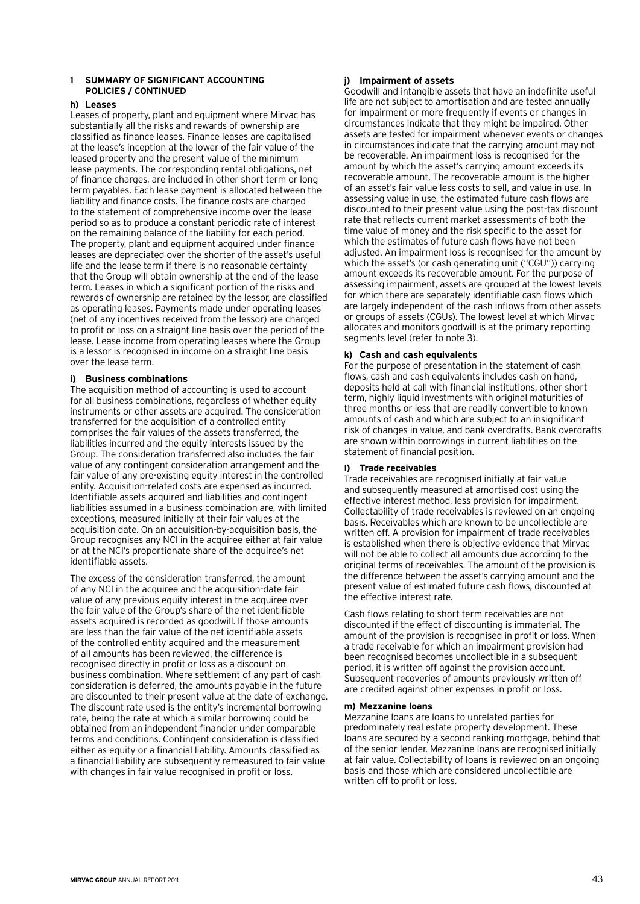#### **h) Leases**

Leases of property, plant and equipment where Mirvac has substantially all the risks and rewards of ownership are classified as finance leases. Finance leases are capitalised at the lease's inception at the lower of the fair value of the leased property and the present value of the minimum lease payments. The corresponding rental obligations, net of finance charges, are included in other short term or long term payables. Each lease payment is allocated between the liability and finance costs. The finance costs are charged to the statement of comprehensive income over the lease period so as to produce a constant periodic rate of interest on the remaining balance of the liability for each period. The property, plant and equipment acquired under finance leases are depreciated over the shorter of the asset's useful life and the lease term if there is no reasonable certainty that the Group will obtain ownership at the end of the lease term. Leases in which a significant portion of the risks and rewards of ownership are retained by the lessor, are classified as operating leases. Payments made under operating leases (net of any incentives received from the lessor) are charged to profit or loss on a straight line basis over the period of the lease. Lease income from operating leases where the Group is a lessor is recognised in income on a straight line basis over the lease term.

#### **i) Business combinations**

The acquisition method of accounting is used to account for all business combinations, regardless of whether equity instruments or other assets are acquired. The consideration transferred for the acquisition of a controlled entity comprises the fair values of the assets transferred, the liabilities incurred and the equity interests issued by the Group. The consideration transferred also includes the fair value of any contingent consideration arrangement and the fair value of any pre-existing equity interest in the controlled entity. Acquisition-related costs are expensed as incurred. Identifiable assets acquired and liabilities and contingent liabilities assumed in a business combination are, with limited exceptions, measured initially at their fair values at the acquisition date. On an acquisition-by-acquisition basis, the Group recognises any NCI in the acquiree either at fair value or at the NCI's proportionate share of the acquiree's net identifiable assets.

The excess of the consideration transferred, the amount of any NCI in the acquiree and the acquisition-date fair value of any previous equity interest in the acquiree over the fair value of the Group's share of the net identifiable assets acquired is recorded as goodwill. If those amounts are less than the fair value of the net identifiable assets of the controlled entity acquired and the measurement of all amounts has been reviewed, the difference is recognised directly in profit or loss as a discount on business combination. Where settlement of any part of cash consideration is deferred, the amounts payable in the future are discounted to their present value at the date of exchange. The discount rate used is the entity's incremental borrowing rate, being the rate at which a similar borrowing could be obtained from an independent financier under comparable terms and conditions. Contingent consideration is classified either as equity or a financial liability. Amounts classified as a financial liability are subsequently remeasured to fair value with changes in fair value recognised in profit or loss.

### **j) Impairment of assets**

Goodwill and intangible assets that have an indefinite useful life are not subject to amortisation and are tested annually for impairment or more frequently if events or changes in circumstances indicate that they might be impaired. Other assets are tested for impairment whenever events or changes in circumstances indicate that the carrying amount may not be recoverable. An impairment loss is recognised for the amount by which the asset's carrying amount exceeds its recoverable amount. The recoverable amount is the higher of an asset's fair value less costs to sell, and value in use. In assessing value in use, the estimated future cash flows are discounted to their present value using the post-tax discount rate that reflects current market assessments of both the time value of money and the risk specific to the asset for which the estimates of future cash flows have not been adjusted. An impairment loss is recognised for the amount by which the asset's (or cash generating unit ("CGU")) carrying amount exceeds its recoverable amount. For the purpose of assessing impairment, assets are grouped at the lowest levels for which there are separately identifiable cash flows which are largely independent of the cash inflows from other assets or groups of assets (CGUs). The lowest level at which Mirvac allocates and monitors goodwill is at the primary reporting segments level (refer to note 3).

#### **k) Cash and cash equivalents**

For the purpose of presentation in the statement of cash flows, cash and cash equivalents includes cash on hand, deposits held at call with financial institutions, other short term, highly liquid investments with original maturities of three months or less that are readily convertible to known amounts of cash and which are subject to an insignificant risk of changes in value, and bank overdrafts. Bank overdrafts are shown within borrowings in current liabilities on the statement of financial position.

#### **l) Trade receivables**

Trade receivables are recognised initially at fair value and subsequently measured at amortised cost using the effective interest method, less provision for impairment. Collectability of trade receivables is reviewed on an ongoing basis. Receivables which are known to be uncollectible are written off. A provision for impairment of trade receivables is established when there is objective evidence that Mirvac will not be able to collect all amounts due according to the original terms of receivables. The amount of the provision is the difference between the asset's carrying amount and the present value of estimated future cash flows, discounted at the effective interest rate.

Cash flows relating to short term receivables are not discounted if the effect of discounting is immaterial. The amount of the provision is recognised in profit or loss. When a trade receivable for which an impairment provision had been recognised becomes uncollectible in a subsequent period, it is written off against the provision account. Subsequent recoveries of amounts previously written off are credited against other expenses in profit or loss.

#### **m) Mezzanine loans**

Mezzanine loans are loans to unrelated parties for predominately real estate property development. These loans are secured by a second ranking mortgage, behind that of the senior lender. Mezzanine loans are recognised initially at fair value. Collectability of loans is reviewed on an ongoing basis and those which are considered uncollectible are written off to profit or loss.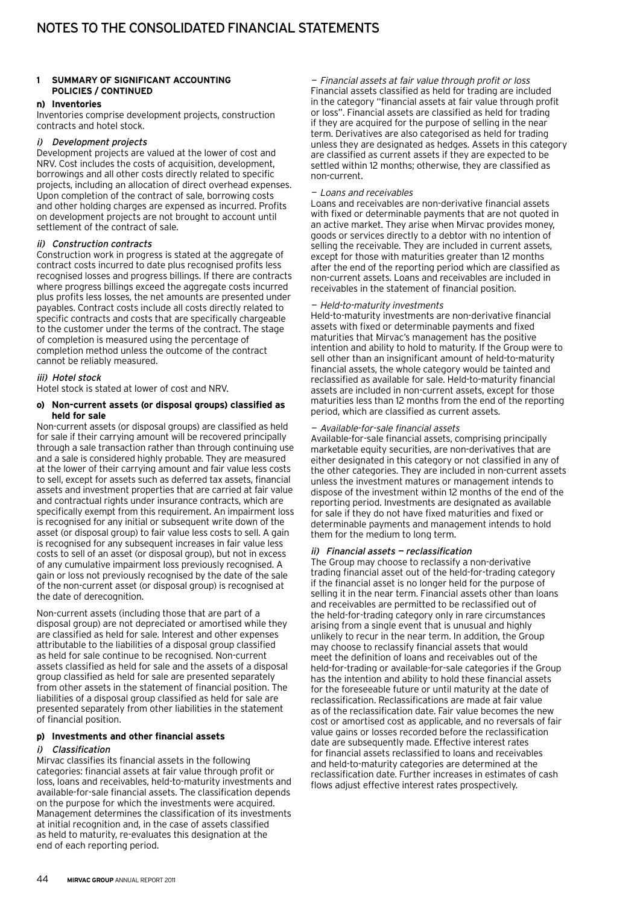#### **n) Inventories**

Inventories comprise development projects, construction contracts and hotel stock.

#### i) Development projects

Development projects are valued at the lower of cost and NRV. Cost includes the costs of acquisition, development, borrowings and all other costs directly related to specific projects, including an allocation of direct overhead expenses. Upon completion of the contract of sale, borrowing costs and other holding charges are expensed as incurred. Profits on development projects are not brought to account until settlement of the contract of sale.

#### ii) Construction contracts

Construction work in progress is stated at the aggregate of contract costs incurred to date plus recognised profits less recognised losses and progress billings. If there are contracts where progress billings exceed the aggregate costs incurred plus profits less losses, the net amounts are presented under payables. Contract costs include all costs directly related to specific contracts and costs that are specifically chargeable to the customer under the terms of the contract. The stage of completion is measured using the percentage of completion method unless the outcome of the contract cannot be reliably measured.

#### iii) Hotel stock

Hotel stock is stated at lower of cost and NRV.

#### **o) Non-current assets (or disposal groups) classified as held for sale**

Non-current assets (or disposal groups) are classified as held for sale if their carrying amount will be recovered principally through a sale transaction rather than through continuing use and a sale is considered highly probable. They are measured at the lower of their carrying amount and fair value less costs to sell, except for assets such as deferred tax assets, financial assets and investment properties that are carried at fair value and contractual rights under insurance contracts, which are specifically exempt from this requirement. An impairment loss is recognised for any initial or subsequent write down of the asset (or disposal group) to fair value less costs to sell. A gain is recognised for any subsequent increases in fair value less costs to sell of an asset (or disposal group), but not in excess of any cumulative impairment loss previously recognised. A gain or loss not previously recognised by the date of the sale of the non-current asset (or disposal group) is recognised at the date of derecognition.

Non-current assets (including those that are part of a disposal group) are not depreciated or amortised while they are classified as held for sale. Interest and other expenses attributable to the liabilities of a disposal group classified as held for sale continue to be recognised. Non-current assets classified as held for sale and the assets of a disposal group classified as held for sale are presented separately from other assets in the statement of financial position. The liabilities of a disposal group classified as held for sale are presented separately from other liabilities in the statement of financial position.

### **p) Investments and other financial assets**

#### i) Classification

Mirvac classifies its financial assets in the following categories: financial assets at fair value through profit or loss, loans and receivables, held-to-maturity investments and available-for-sale financial assets. The classification depends on the purpose for which the investments were acquired. Management determines the classification of its investments at initial recognition and, in the case of assets classified as held to maturity, re-evaluates this designation at the end of each reporting period.

— Financial assets at fair value through profit or loss Financial assets classified as held for trading are included in the category "financial assets at fair value through profit or loss". Financial assets are classified as held for trading if they are acquired for the purpose of selling in the near term. Derivatives are also categorised as held for trading unless they are designated as hedges. Assets in this category are classified as current assets if they are expected to be settled within 12 months; otherwise, they are classified as non-current.

#### — Loans and receivables

Loans and receivables are non-derivative financial assets with fixed or determinable payments that are not quoted in an active market. They arise when Mirvac provides money, goods or services directly to a debtor with no intention of selling the receivable. They are included in current assets, except for those with maturities greater than 12 months after the end of the reporting period which are classified as non-current assets. Loans and receivables are included in receivables in the statement of financial position.

#### — Held-to-maturity investments

Held-to-maturity investments are non-derivative financial assets with fixed or determinable payments and fixed maturities that Mirvac's management has the positive intention and ability to hold to maturity. If the Group were to sell other than an insignificant amount of held-to-maturity financial assets, the whole category would be tainted and reclassified as available for sale. Held-to-maturity financial assets are included in non-current assets, except for those maturities less than 12 months from the end of the reporting period, which are classified as current assets.

#### — Available-for-sale financial assets

Available-for-sale financial assets, comprising principally marketable equity securities, are non-derivatives that are either designated in this category or not classified in any of the other categories. They are included in non-current assets unless the investment matures or management intends to dispose of the investment within 12 months of the end of the reporting period. Investments are designated as available for sale if they do not have fixed maturities and fixed or determinable payments and management intends to hold them for the medium to long term.

#### ii) Financial assets — reclassification

The Group may choose to reclassify a non-derivative trading financial asset out of the held-for-trading category if the financial asset is no longer held for the purpose of selling it in the near term. Financial assets other than loans and receivables are permitted to be reclassified out of the held-for-trading category only in rare circumstances arising from a single event that is unusual and highly unlikely to recur in the near term. In addition, the Group may choose to reclassify financial assets that would meet the definition of loans and receivables out of the held-for-trading or available-for-sale categories if the Group has the intention and ability to hold these financial assets for the foreseeable future or until maturity at the date of reclassification. Reclassifications are made at fair value as of the reclassification date. Fair value becomes the new cost or amortised cost as applicable, and no reversals of fair value gains or losses recorded before the reclassification date are subsequently made. Effective interest rates for financial assets reclassified to loans and receivables and held-to-maturity categories are determined at the reclassification date. Further increases in estimates of cash flows adjust effective interest rates prospectively.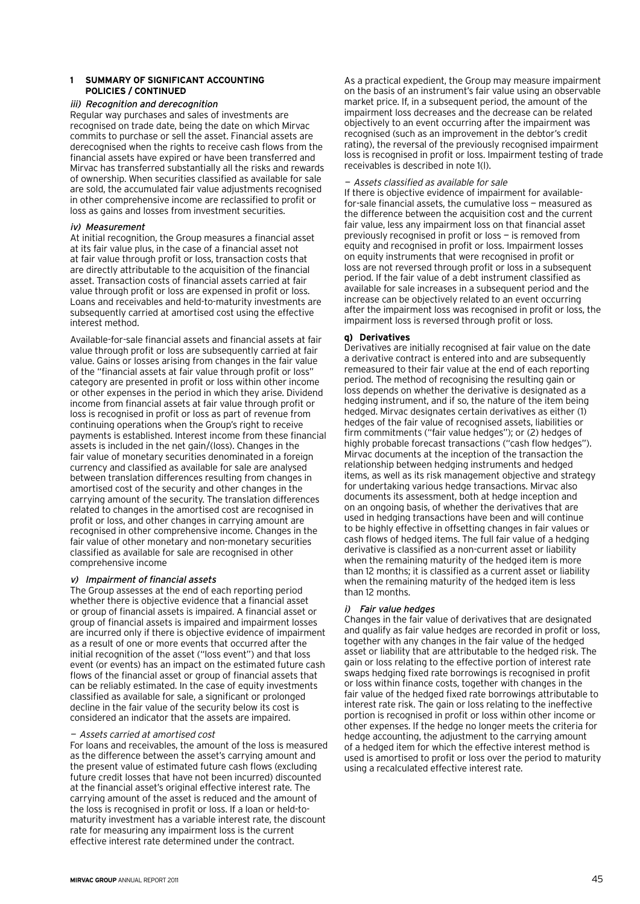#### iii) Recognition and derecognition

Regular way purchases and sales of investments are recognised on trade date, being the date on which Mirvac commits to purchase or sell the asset. Financial assets are derecognised when the rights to receive cash flows from the financial assets have expired or have been transferred and Mirvac has transferred substantially all the risks and rewards of ownership. When securities classified as available for sale are sold, the accumulated fair value adjustments recognised in other comprehensive income are reclassified to profit or loss as gains and losses from investment securities.

#### iv) Measurement

At initial recognition, the Group measures a financial asset at its fair value plus, in the case of a financial asset not at fair value through profit or loss, transaction costs that are directly attributable to the acquisition of the financial asset. Transaction costs of financial assets carried at fair value through profit or loss are expensed in profit or loss. Loans and receivables and held-to-maturity investments are subsequently carried at amortised cost using the effective interest method.

Available-for-sale financial assets and financial assets at fair value through profit or loss are subsequently carried at fair value. Gains or losses arising from changes in the fair value of the "financial assets at fair value through profit or loss" category are presented in profit or loss within other income or other expenses in the period in which they arise. Dividend income from financial assets at fair value through profit or loss is recognised in profit or loss as part of revenue from continuing operations when the Group's right to receive payments is established. Interest income from these financial assets is included in the net gain/(loss). Changes in the fair value of monetary securities denominated in a foreign currency and classified as available for sale are analysed between translation differences resulting from changes in amortised cost of the security and other changes in the carrying amount of the security. The translation differences related to changes in the amortised cost are recognised in profit or loss, and other changes in carrying amount are recognised in other comprehensive income. Changes in the fair value of other monetary and non-monetary securities classified as available for sale are recognised in other comprehensive income

## v) Impairment of financial assets

The Group assesses at the end of each reporting period whether there is objective evidence that a financial asset or group of financial assets is impaired. A financial asset or group of financial assets is impaired and impairment losses are incurred only if there is objective evidence of impairment as a result of one or more events that occurred after the initial recognition of the asset ("loss event") and that loss event (or events) has an impact on the estimated future cash flows of the financial asset or group of financial assets that can be reliably estimated. In the case of equity investments classified as available for sale, a significant or prolonged decline in the fair value of the security below its cost is considered an indicator that the assets are impaired.

#### —Assets carried at amortised cost

For loans and receivables, the amount of the loss is measured as the difference between the asset's carrying amount and the present value of estimated future cash flows (excluding future credit losses that have not been incurred) discounted at the financial asset's original effective interest rate. The carrying amount of the asset is reduced and the amount of the loss is recognised in profit or loss. If a loan or held-tomaturity investment has a variable interest rate, the discount rate for measuring any impairment loss is the current effective interest rate determined under the contract.

As a practical expedient, the Group may measure impairment on the basis of an instrument's fair value using an observable market price. If, in a subsequent period, the amount of the impairment loss decreases and the decrease can be related objectively to an event occurring after the impairment was recognised (such as an improvement in the debtor's credit rating), the reversal of the previously recognised impairment loss is recognised in profit or loss. Impairment testing of trade receivables is described in note 1(l).

#### — Assets classified as available for sale

If there is objective evidence of impairment for availablefor-sale financial assets, the cumulative loss — measured as the difference between the acquisition cost and the current fair value, less any impairment loss on that financial asset previously recognised in profit or loss — is removed from equity and recognised in profit or loss. Impairment losses on equity instruments that were recognised in profit or loss are not reversed through profit or loss in a subsequent period. If the fair value of a debt instrument classified as available for sale increases in a subsequent period and the increase can be objectively related to an event occurring after the impairment loss was recognised in profit or loss, the impairment loss is reversed through profit or loss.

#### **q) Derivatives**

Derivatives are initially recognised at fair value on the date a derivative contract is entered into and are subsequently remeasured to their fair value at the end of each reporting period. The method of recognising the resulting gain or loss depends on whether the derivative is designated as a hedging instrument, and if so, the nature of the item being hedged. Mirvac designates certain derivatives as either (1) hedges of the fair value of recognised assets, liabilities or firm commitments ("fair value hedges"); or (2) hedges of highly probable forecast transactions ("cash flow hedges"). Mirvac documents at the inception of the transaction the relationship between hedging instruments and hedged items, as well as its risk management objective and strategy for undertaking various hedge transactions. Mirvac also documents its assessment, both at hedge inception and on an ongoing basis, of whether the derivatives that are used in hedging transactions have been and will continue to be highly effective in offsetting changes in fair values or cash flows of hedged items. The full fair value of a hedging derivative is classified as a non-current asset or liability when the remaining maturity of the hedged item is more than 12 months; it is classified as a current asset or liability when the remaining maturity of the hedged item is less than 12 months.

#### i) Fair value hedges

Changes in the fair value of derivatives that are designated and qualify as fair value hedges are recorded in profit or loss, together with any changes in the fair value of the hedged asset or liability that are attributable to the hedged risk. The gain or loss relating to the effective portion of interest rate swaps hedging fixed rate borrowings is recognised in profit or loss within finance costs, together with changes in the fair value of the hedged fixed rate borrowings attributable to interest rate risk. The gain or loss relating to the ineffective portion is recognised in profit or loss within other income or other expenses. If the hedge no longer meets the criteria for hedge accounting, the adjustment to the carrying amount of a hedged item for which the effective interest method is used is amortised to profit or loss over the period to maturity using a recalculated effective interest rate.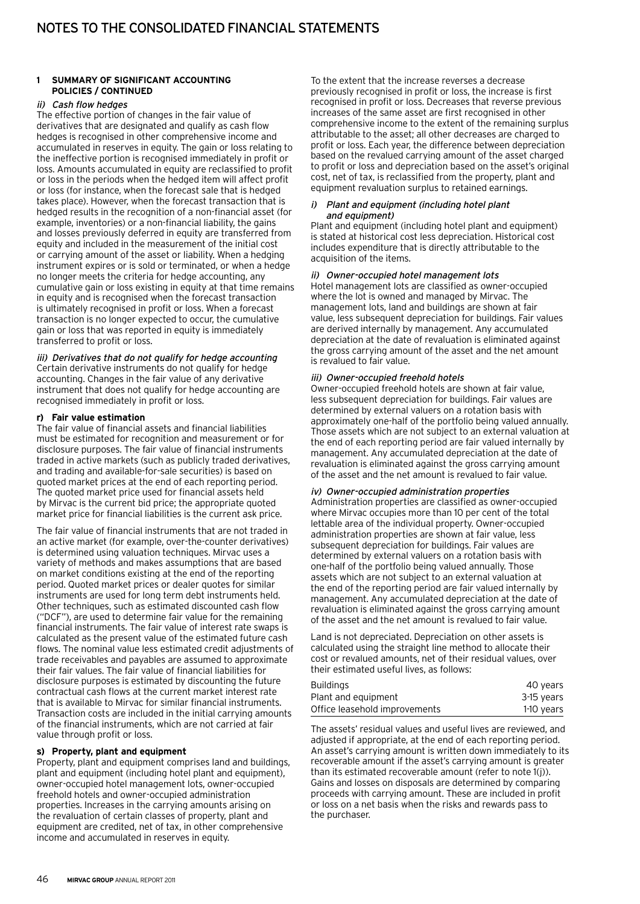#### ii) Cash flow hedges

The effective portion of changes in the fair value of derivatives that are designated and qualify as cash flow hedges is recognised in other comprehensive income and accumulated in reserves in equity. The gain or loss relating to the ineffective portion is recognised immediately in profit or loss. Amounts accumulated in equity are reclassified to profit or loss in the periods when the hedged item will affect profit or loss (for instance, when the forecast sale that is hedged takes place). However, when the forecast transaction that is hedged results in the recognition of a non-financial asset (for example, inventories) or a non-financial liability, the gains and losses previously deferred in equity are transferred from equity and included in the measurement of the initial cost or carrying amount of the asset or liability. When a hedging instrument expires or is sold or terminated, or when a hedge no longer meets the criteria for hedge accounting, any cumulative gain or loss existing in equity at that time remains in equity and is recognised when the forecast transaction is ultimately recognised in profit or loss. When a forecast transaction is no longer expected to occur, the cumulative gain or loss that was reported in equity is immediately transferred to profit or loss.

iii) Derivatives that do not qualify for hedge accounting Certain derivative instruments do not qualify for hedge accounting. Changes in the fair value of any derivative instrument that does not qualify for hedge accounting are recognised immediately in profit or loss.

#### **r) Fair value estimation**

The fair value of financial assets and financial liabilities must be estimated for recognition and measurement or for disclosure purposes. The fair value of financial instruments traded in active markets (such as publicly traded derivatives, and trading and available-for-sale securities) is based on quoted market prices at the end of each reporting period. The quoted market price used for financial assets held by Mirvac is the current bid price; the appropriate quoted market price for financial liabilities is the current ask price.

The fair value of financial instruments that are not traded in an active market (for example, over-the-counter derivatives) is determined using valuation techniques. Mirvac uses a variety of methods and makes assumptions that are based on market conditions existing at the end of the reporting period. Quoted market prices or dealer quotes for similar instruments are used for long term debt instruments held. Other techniques, such as estimated discounted cash flow ("DCF"), are used to determine fair value for the remaining financial instruments. The fair value of interest rate swaps is calculated as the present value of the estimated future cash flows. The nominal value less estimated credit adjustments of trade receivables and payables are assumed to approximate their fair values. The fair value of financial liabilities for disclosure purposes is estimated by discounting the future contractual cash flows at the current market interest rate that is available to Mirvac for similar financial instruments. Transaction costs are included in the initial carrying amounts of the financial instruments, which are not carried at fair value through profit or loss.

#### **s) Property, plant and equipment**

Property, plant and equipment comprises land and buildings, plant and equipment (including hotel plant and equipment), owner-occupied hotel management lots, owner-occupied freehold hotels and owner-occupied administration properties. Increases in the carrying amounts arising on the revaluation of certain classes of property, plant and equipment are credited, net of tax, in other comprehensive income and accumulated in reserves in equity.

To the extent that the increase reverses a decrease previously recognised in profit or loss, the increase is first recognised in profit or loss. Decreases that reverse previous increases of the same asset are first recognised in other comprehensive income to the extent of the remaining surplus attributable to the asset; all other decreases are charged to profit or loss. Each year, the difference between depreciation based on the revalued carrying amount of the asset charged to profit or loss and depreciation based on the asset's original cost, net of tax, is reclassified from the property, plant and equipment revaluation surplus to retained earnings.

#### i) Plant and equipment (including hotel plant and equipment)

Plant and equipment (including hotel plant and equipment) is stated at historical cost less depreciation. Historical cost includes expenditure that is directly attributable to the acquisition of the items.

#### ii) Owner-occupied hotel management lots

Hotel management lots are classified as owner-occupied where the lot is owned and managed by Mirvac. The management lots, land and buildings are shown at fair value, less subsequent depreciation for buildings. Fair values are derived internally by management. Any accumulated depreciation at the date of revaluation is eliminated against the gross carrying amount of the asset and the net amount is revalued to fair value.

#### iii) Owner-occupied freehold hotels

Owner-occupied freehold hotels are shown at fair value, less subsequent depreciation for buildings. Fair values are determined by external valuers on a rotation basis with approximately one-half of the portfolio being valued annually. Those assets which are not subject to an external valuation at the end of each reporting period are fair valued internally by management. Any accumulated depreciation at the date of revaluation is eliminated against the gross carrying amount of the asset and the net amount is revalued to fair value.

#### iv) Owner-occupied administration properties

Administration properties are classified as owner-occupied where Mirvac occupies more than 10 per cent of the total lettable area of the individual property. Owner-occupied administration properties are shown at fair value, less subsequent depreciation for buildings. Fair values are determined by external valuers on a rotation basis with one-half of the portfolio being valued annually. Those assets which are not subject to an external valuation at the end of the reporting period are fair valued internally by management. Any accumulated depreciation at the date of revaluation is eliminated against the gross carrying amount of the asset and the net amount is revalued to fair value.

Land is not depreciated. Depreciation on other assets is calculated using the straight line method to allocate their cost or revalued amounts, net of their residual values, over their estimated useful lives, as follows:

| <b>Buildings</b>              | 40 years   |
|-------------------------------|------------|
| Plant and equipment           | 3-15 years |
| Office leasehold improvements | 1-10 years |

The assets' residual values and useful lives are reviewed, and adjusted if appropriate, at the end of each reporting period. An asset's carrying amount is written down immediately to its recoverable amount if the asset's carrying amount is greater than its estimated recoverable amount (refer to note 1(j)). Gains and losses on disposals are determined by comparing proceeds with carrying amount. These are included in profit or loss on a net basis when the risks and rewards pass to the purchaser.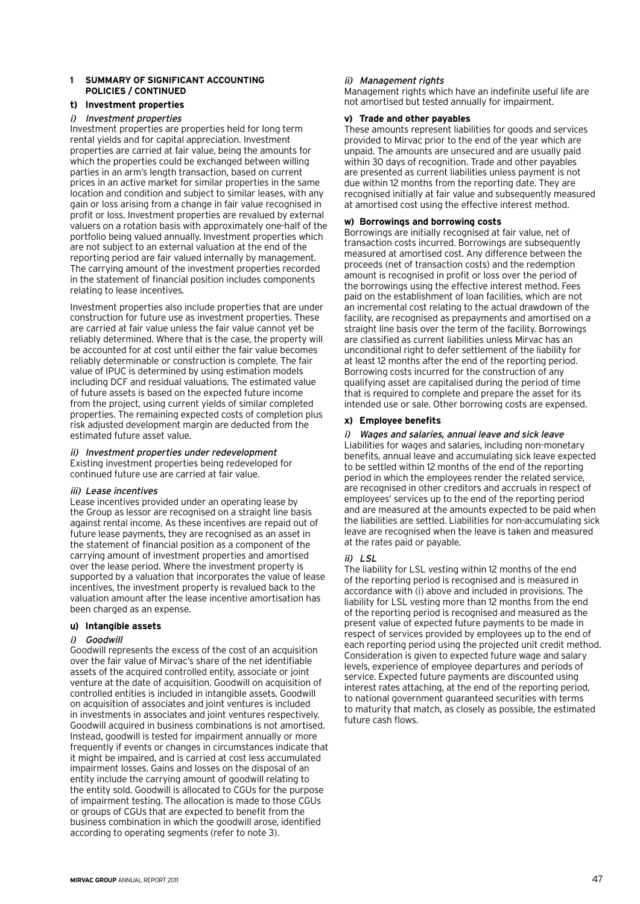#### **t) Investment properties**

#### i) Investment properties

Investment properties are properties held for long term rental yields and for capital appreciation. Investment properties are carried at fair value, being the amounts for which the properties could be exchanged between willing parties in an arm's length transaction, based on current prices in an active market for similar properties in the same location and condition and subject to similar leases, with any gain or loss arising from a change in fair value recognised in profit or loss. Investment properties are revalued by external valuers on a rotation basis with approximately one-half of the portfolio being valued annually. Investment properties which are not subject to an external valuation at the end of the reporting period are fair valued internally by management. The carrying amount of the investment properties recorded in the statement of financial position includes components relating to lease incentives.

Investment properties also include properties that are under construction for future use as investment properties. These are carried at fair value unless the fair value cannot yet be reliably determined. Where that is the case, the property will be accounted for at cost until either the fair value becomes reliably determinable or construction is complete. The fair value of IPUC is determined by using estimation models including DCF and residual valuations. The estimated value of future assets is based on the expected future income from the project, using current yields of similar completed properties. The remaining expected costs of completion plus risk adjusted development margin are deducted from the estimated future asset value.

## ii) Investment properties under redevelopment

Existing investment properties being redeveloped for continued future use are carried at fair value.

#### iii) Lease incentives

Lease incentives provided under an operating lease by the Group as lessor are recognised on a straight line basis against rental income. As these incentives are repaid out of future lease payments, they are recognised as an asset in the statement of financial position as a component of the carrying amount of investment properties and amortised over the lease period. Where the investment property is supported by a valuation that incorporates the value of lease incentives, the investment property is revalued back to the valuation amount after the lease incentive amortisation has been charged as an expense.

#### **u) Intangible assets**

#### i) Goodwill

Goodwill represents the excess of the cost of an acquisition over the fair value of Mirvac's share of the net identifiable assets of the acquired controlled entity, associate or joint venture at the date of acquisition. Goodwill on acquisition of controlled entities is included in intangible assets. Goodwill on acquisition of associates and joint ventures is included in investments in associates and joint ventures respectively. Goodwill acquired in business combinations is not amortised. Instead, goodwill is tested for impairment annually or more frequently if events or changes in circumstances indicate that it might be impaired, and is carried at cost less accumulated impairment losses. Gains and losses on the disposal of an entity include the carrying amount of goodwill relating to the entity sold. Goodwill is allocated to CGUs for the purpose of impairment testing. The allocation is made to those CGUs or groups of CGUs that are expected to benefit from the business combination in which the goodwill arose, identified according to operating segments (refer to note 3).

### ii) Management rights

Management rights which have an indefinite useful life are not amortised but tested annually for impairment.

#### **v) Trade and other payables**

These amounts represent liabilities for goods and services provided to Mirvac prior to the end of the year which are unpaid. The amounts are unsecured and are usually paid within 30 days of recognition. Trade and other payables are presented as current liabilities unless payment is not due within 12 months from the reporting date. They are recognised initially at fair value and subsequently measured at amortised cost using the effective interest method.

### **w) Borrowings and borrowing costs**

Borrowings are initially recognised at fair value, net of transaction costs incurred. Borrowings are subsequently measured at amortised cost. Any difference between the proceeds (net of transaction costs) and the redemption amount is recognised in profit or loss over the period of the borrowings using the effective interest method. Fees paid on the establishment of loan facilities, which are not an incremental cost relating to the actual drawdown of the facility, are recognised as prepayments and amortised on a straight line basis over the term of the facility. Borrowings are classified as current liabilities unless Mirvac has an unconditional right to defer settlement of the liability for at least 12 months after the end of the reporting period. Borrowing costs incurred for the construction of any qualifying asset are capitalised during the period of time that is required to complete and prepare the asset for its intended use or sale. Other borrowing costs are expensed.

#### **x) Employee benefits**

#### i) Wages and salaries, annual leave and sick leave

Liabilities for wages and salaries, including non-monetary benefits, annual leave and accumulating sick leave expected to be settled within 12 months of the end of the reporting period in which the employees render the related service, are recognised in other creditors and accruals in respect of employees' services up to the end of the reporting period and are measured at the amounts expected to be paid when the liabilities are settled. Liabilities for non-accumulating sick leave are recognised when the leave is taken and measured at the rates paid or payable.

#### $ii)$  LSL

The liability for LSL vesting within 12 months of the end of the reporting period is recognised and is measured in accordance with (i) above and included in provisions. The liability for LSL vesting more than 12 months from the end of the reporting period is recognised and measured as the present value of expected future payments to be made in respect of services provided by employees up to the end of each reporting period using the projected unit credit method. Consideration is given to expected future wage and salary levels, experience of employee departures and periods of service. Expected future payments are discounted using interest rates attaching, at the end of the reporting period, to national government guaranteed securities with terms to maturity that match, as closely as possible, the estimated future cash flows.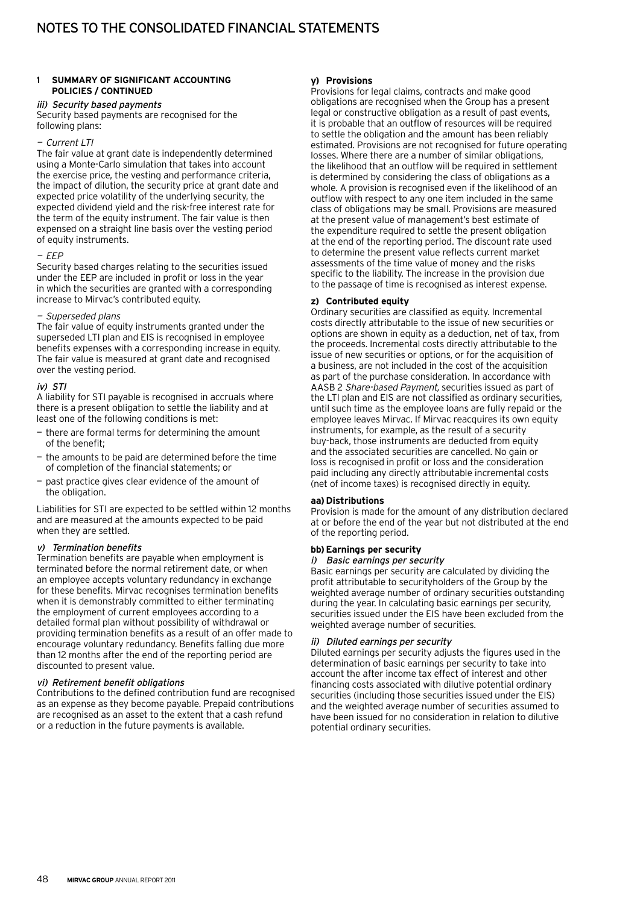#### iii) Security based payments

Security based payments are recognised for the following plans:

#### — Current LTI

The fair value at grant date is independently determined using a Monte-Carlo simulation that takes into account the exercise price, the vesting and performance criteria, the impact of dilution, the security price at grant date and expected price volatility of the underlying security, the expected dividend yield and the risk-free interest rate for the term of the equity instrument. The fair value is then expensed on a straight line basis over the vesting period of equity instruments.

#### $-FFP$

Security based charges relating to the securities issued under the EEP are included in profit or loss in the year in which the securities are granted with a corresponding increase to Mirvac's contributed equity.

#### — Superseded plans

The fair value of equity instruments granted under the superseded LTI plan and EIS is recognised in employee benefits expenses with a corresponding increase in equity. The fair value is measured at grant date and recognised over the vesting period.

#### iv) STI

A liability for STI payable is recognised in accruals where there is a present obligation to settle the liability and at least one of the following conditions is met:

- there are formal terms for determining the amount of the benefit;
- the amounts to be paid are determined before the time of completion of the financial statements; or
- past practice gives clear evidence of the amount of the obligation.

Liabilities for STI are expected to be settled within 12 months and are measured at the amounts expected to be paid when they are settled.

#### v) Termination benefits

Termination benefits are payable when employment is terminated before the normal retirement date, or when an employee accepts voluntary redundancy in exchange for these benefits. Mirvac recognises termination benefits when it is demonstrably committed to either terminating the employment of current employees according to a detailed formal plan without possibility of withdrawal or providing termination benefits as a result of an offer made to encourage voluntary redundancy. Benefits falling due more than 12 months after the end of the reporting period are discounted to present value.

#### vi) Retirement benefit obligations

Contributions to the defined contribution fund are recognised as an expense as they become payable. Prepaid contributions are recognised as an asset to the extent that a cash refund or a reduction in the future payments is available.

#### **y) Provisions**

Provisions for legal claims, contracts and make good obligations are recognised when the Group has a present legal or constructive obligation as a result of past events, it is probable that an outflow of resources will be required to settle the obligation and the amount has been reliably estimated. Provisions are not recognised for future operating losses. Where there are a number of similar obligations, the likelihood that an outflow will be required in settlement is determined by considering the class of obligations as a whole. A provision is recognised even if the likelihood of an outflow with respect to any one item included in the same class of obligations may be small. Provisions are measured at the present value of management's best estimate of the expenditure required to settle the present obligation at the end of the reporting period. The discount rate used to determine the present value reflects current market assessments of the time value of money and the risks specific to the liability. The increase in the provision due to the passage of time is recognised as interest expense.

#### **z) Contributed equity**

Ordinary securities are classified as equity. Incremental costs directly attributable to the issue of new securities or options are shown in equity as a deduction, net of tax, from the proceeds. Incremental costs directly attributable to the issue of new securities or options, or for the acquisition of a business, are not included in the cost of the acquisition as part of the purchase consideration. In accordance with AASB 2 Share-based Payment, securities issued as part of the LTI plan and EIS are not classified as ordinary securities, until such time as the employee loans are fully repaid or the employee leaves Mirvac. If Mirvac reacquires its own equity instruments, for example, as the result of a security buy-back, those instruments are deducted from equity and the associated securities are cancelled. No gain or loss is recognised in profit or loss and the consideration paid including any directly attributable incremental costs (net of income taxes) is recognised directly in equity.

#### **aa) Distributions**

Provision is made for the amount of any distribution declared at or before the end of the year but not distributed at the end of the reporting period.

#### **bb) Earnings per security**

#### i) Basic earnings per security

Basic earnings per security are calculated by dividing the profit attributable to securityholders of the Group by the weighted average number of ordinary securities outstanding during the year. In calculating basic earnings per security, securities issued under the EIS have been excluded from the weighted average number of securities.

#### ii) Diluted earnings per security

Diluted earnings per security adjusts the figures used in the determination of basic earnings per security to take into account the after income tax effect of interest and other financing costs associated with dilutive potential ordinary securities (including those securities issued under the EIS) and the weighted average number of securities assumed to have been issued for no consideration in relation to dilutive potential ordinary securities.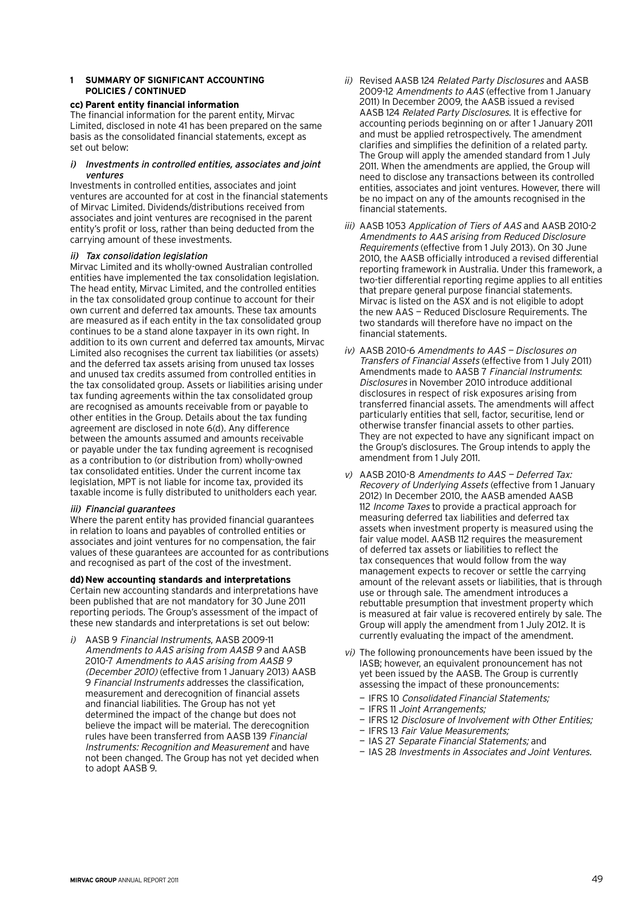#### **cc) Parent entity financial information**

The financial information for the parent entity, Mirvac Limited, disclosed in note 41 has been prepared on the same basis as the consolidated financial statements, except as set out below:

#### i) Investments in controlled entities, associates and joint ventures

Investments in controlled entities, associates and joint ventures are accounted for at cost in the financial statements of Mirvac Limited. Dividends/distributions received from associates and joint ventures are recognised in the parent entity's profit or loss, rather than being deducted from the carrying amount of these investments.

#### ii) Tax consolidation legislation

Mirvac Limited and its wholly-owned Australian controlled entities have implemented the tax consolidation legislation. The head entity, Mirvac Limited, and the controlled entities in the tax consolidated group continue to account for their own current and deferred tax amounts. These tax amounts are measured as if each entity in the tax consolidated group continues to be a stand alone taxpayer in its own right. In addition to its own current and deferred tax amounts, Mirvac Limited also recognises the current tax liabilities (or assets) and the deferred tax assets arising from unused tax losses and unused tax credits assumed from controlled entities in the tax consolidated group. Assets or liabilities arising under tax funding agreements within the tax consolidated group are recognised as amounts receivable from or payable to other entities in the Group. Details about the tax funding agreement are disclosed in note 6(d). Any difference between the amounts assumed and amounts receivable or payable under the tax funding agreement is recognised as a contribution to (or distribution from) wholly-owned tax consolidated entities. Under the current income tax legislation, MPT is not liable for income tax, provided its taxable income is fully distributed to unitholders each year.

#### iii) Financial guarantees

Where the parent entity has provided financial guarantees in relation to loans and payables of controlled entities or associates and joint ventures for no compensation, the fair values of these guarantees are accounted for as contributions and recognised as part of the cost of the investment.

#### **dd) New accounting standards and interpretations**

Certain new accounting standards and interpretations have been published that are not mandatory for 30 June 2011 reporting periods. The Group's assessment of the impact of these new standards and interpretations is set out below:

i) AASB 9 Financial Instruments, AASB 2009-11 Amendments to AAS arising from AASB 9 and AASB 2010-7 Amendments to AAS arising from AASB 9 (December 2010) (effective from 1 January 2013) AASB 9 Financial Instruments addresses the classification, measurement and derecognition of financial assets and financial liabilities. The Group has not yet determined the impact of the change but does not believe the impact will be material. The derecognition rules have been transferred from AASB 139 Financial Instruments: Recognition and Measurement and have not been changed. The Group has not yet decided when to adopt AASB 9.

- ii) Revised AASB 124 Related Party Disclosures and AASB 2009-12 Amendments to AAS (effective from 1 January 2011) In December 2009, the AASB issued a revised AASB 124 Related Party Disclosures. It is effective for accounting periods beginning on or after 1 January 2011 and must be applied retrospectively. The amendment clarifies and simplifies the definition of a related party. The Group will apply the amended standard from 1 July 2011. When the amendments are applied, the Group will need to disclose any transactions between its controlled entities, associates and joint ventures. However, there will be no impact on any of the amounts recognised in the financial statements.
- iii) AASB 1053 Application of Tiers of AAS and AASB 2010-2 Amendments to AAS arising from Reduced Disclosure Requirements (effective from 1 July 2013). On 30 June 2010, the AASB officially introduced a revised differential reporting framework in Australia. Under this framework, a two-tier differential reporting regime applies to all entities that prepare general purpose financial statements. Mirvac is listed on the ASX and is not eligible to adopt the new AAS — Reduced Disclosure Requirements. The two standards will therefore have no impact on the financial statements.
- iv) AASB 2010-6 Amendments to AAS Disclosures on Transfers of Financial Assets (effective from 1 July 2011) Amendments made to AASB 7 Financial Instruments: Disclosures in November 2010 introduce additional disclosures in respect of risk exposures arising from transferred financial assets. The amendments will affect particularly entities that sell, factor, securitise, lend or otherwise transfer financial assets to other parties. They are not expected to have any significant impact on the Group's disclosures. The Group intends to apply the amendment from 1 July 2011.
- v) AASB 2010-8 Amendments to AAS Deferred Tax: Recovery of Underlying Assets (effective from 1 January 2012) In December 2010, the AASB amended AASB 112 *Income Taxes* to provide a practical approach for measuring deferred tax liabilities and deferred tax assets when investment property is measured using the fair value model. AASB 112 requires the measurement of deferred tax assets or liabilities to reflect the tax consequences that would follow from the way management expects to recover or settle the carrying amount of the relevant assets or liabilities, that is through use or through sale. The amendment introduces a rebuttable presumption that investment property which is measured at fair value is recovered entirely by sale. The Group will apply the amendment from 1 July 2012. It is currently evaluating the impact of the amendment.
- vi) The following pronouncements have been issued by the IASB; however, an equivalent pronouncement has not yet been issued by the AASB. The Group is currently assessing the impact of these pronouncements:
	- IFRS 10 Consolidated Financial Statements;
	- IFRS 11 Joint Arrangements;
	- IFRS 12 Disclosure of Involvement with Other Entities;
	- IFRS 13 Fair Value Measurements;
	- IAS 27 Separate Financial Statements; and
	- IAS 28 Investments in Associates and Joint Ventures.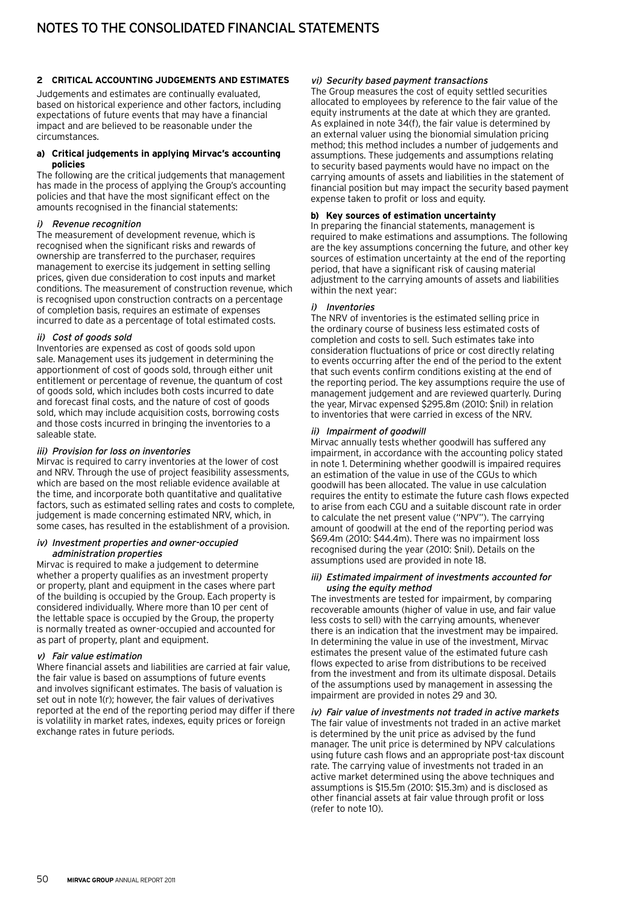#### **2 Critical accounting judgements and estimates**

Judgements and estimates are continually evaluated, based on historical experience and other factors, including expectations of future events that may have a financial impact and are believed to be reasonable under the circumstances.

#### **a) Critical judgements in applying Mirvac's accounting policies**

The following are the critical judgements that management has made in the process of applying the Group's accounting policies and that have the most significant effect on the amounts recognised in the financial statements:

#### i) Revenue recognition

The measurement of development revenue, which is recognised when the significant risks and rewards of ownership are transferred to the purchaser, requires management to exercise its judgement in setting selling prices, given due consideration to cost inputs and market conditions. The measurement of construction revenue, which is recognised upon construction contracts on a percentage of completion basis, requires an estimate of expenses incurred to date as a percentage of total estimated costs.

#### ii) Cost of goods sold

Inventories are expensed as cost of goods sold upon sale. Management uses its judgement in determining the apportionment of cost of goods sold, through either unit entitlement or percentage of revenue, the quantum of cost of goods sold, which includes both costs incurred to date and forecast final costs, and the nature of cost of goods sold, which may include acquisition costs, borrowing costs and those costs incurred in bringing the inventories to a saleable state.

#### iii) Provision for loss on inventories

Mirvac is required to carry inventories at the lower of cost and NRV. Through the use of project feasibility assessments, which are based on the most reliable evidence available at the time, and incorporate both quantitative and qualitative factors, such as estimated selling rates and costs to complete, judgement is made concerning estimated NRV, which, in some cases, has resulted in the establishment of a provision.

#### iv) Investment properties and owner-occupied administration properties

Mirvac is required to make a judgement to determine whether a property qualifies as an investment property or property, plant and equipment in the cases where part of the building is occupied by the Group. Each property is considered individually. Where more than 10 per cent of the lettable space is occupied by the Group, the property is normally treated as owner-occupied and accounted for as part of property, plant and equipment.

#### v) Fair value estimation

Where financial assets and liabilities are carried at fair value, the fair value is based on assumptions of future events and involves significant estimates. The basis of valuation is set out in note 1(r); however, the fair values of derivatives reported at the end of the reporting period may differ if there is volatility in market rates, indexes, equity prices or foreign exchange rates in future periods.

#### vi) Security based payment transactions

The Group measures the cost of equity settled securities allocated to employees by reference to the fair value of the equity instruments at the date at which they are granted. As explained in note 34(f), the fair value is determined by an external valuer using the bionomial simulation pricing method; this method includes a number of judgements and assumptions. These judgements and assumptions relating to security based payments would have no impact on the carrying amounts of assets and liabilities in the statement of financial position but may impact the security based payment expense taken to profit or loss and equity.

#### **b) Key sources of estimation uncertainty**

In preparing the financial statements, management is required to make estimations and assumptions. The following are the key assumptions concerning the future, and other key sources of estimation uncertainty at the end of the reporting period, that have a significant risk of causing material adjustment to the carrying amounts of assets and liabilities within the next year:

#### i) Inventories

The NRV of inventories is the estimated selling price in the ordinary course of business less estimated costs of completion and costs to sell. Such estimates take into consideration fluctuations of price or cost directly relating to events occurring after the end of the period to the extent that such events confirm conditions existing at the end of the reporting period. The key assumptions require the use of management judgement and are reviewed quarterly. During the year, Mirvac expensed \$295.8m (2010: \$nil) in relation to inventories that were carried in excess of the NRV.

#### ii) Impairment of goodwill

Mirvac annually tests whether goodwill has suffered any impairment, in accordance with the accounting policy stated in note 1. Determining whether goodwill is impaired requires an estimation of the value in use of the CGUs to which goodwill has been allocated. The value in use calculation requires the entity to estimate the future cash flows expected to arise from each CGU and a suitable discount rate in order to calculate the net present value ("NPV"). The carrying amount of goodwill at the end of the reporting period was \$69.4m (2010: \$44.4m). There was no impairment loss recognised during the year (2010: \$nil). Details on the assumptions used are provided in note 18.

#### iii) Estimated impairment of investments accounted for using the equity method

The investments are tested for impairment, by comparing recoverable amounts (higher of value in use, and fair value less costs to sell) with the carrying amounts, whenever there is an indication that the investment may be impaired. In determining the value in use of the investment, Mirvac estimates the present value of the estimated future cash flows expected to arise from distributions to be received from the investment and from its ultimate disposal. Details of the assumptions used by management in assessing the impairment are provided in notes 29 and 30.

#### iv) Fair value of investments not traded in active markets The fair value of investments not traded in an active market is determined by the unit price as advised by the fund manager. The unit price is determined by NPV calculations using future cash flows and an appropriate post-tax discount rate. The carrying value of investments not traded in an active market determined using the above techniques and assumptions is \$15.5m (2010: \$15.3m) and is disclosed as other financial assets at fair value through profit or loss (refer to note 10).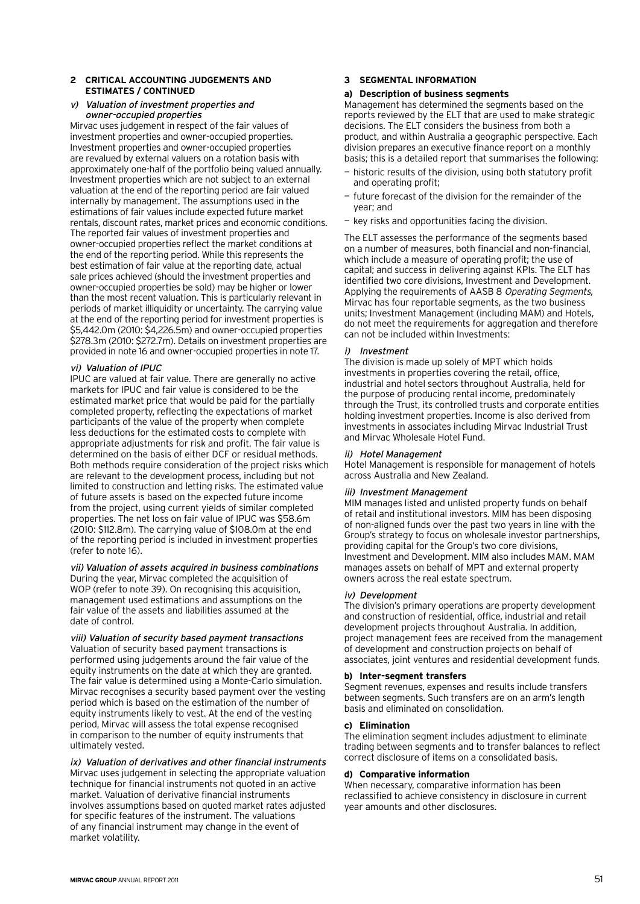#### **2 Critical accounting judgements and estimates / continued**

#### v) Valuation of investment properties and owner-occupied properties

Mirvac uses judgement in respect of the fair values of investment properties and owner-occupied properties. Investment properties and owner-occupied properties are revalued by external valuers on a rotation basis with approximately one-half of the portfolio being valued annually. Investment properties which are not subject to an external valuation at the end of the reporting period are fair valued internally by management. The assumptions used in the estimations of fair values include expected future market rentals, discount rates, market prices and economic conditions. The reported fair values of investment properties and owner-occupied properties reflect the market conditions at the end of the reporting period. While this represents the best estimation of fair value at the reporting date, actual sale prices achieved (should the investment properties and owner-occupied properties be sold) may be higher or lower than the most recent valuation. This is particularly relevant in periods of market illiquidity or uncertainty. The carrying value at the end of the reporting period for investment properties is \$5,442.0m (2010: \$4,226.5m) and owner-occupied properties \$278.3m (2010: \$272.7m). Details on investment properties are provided in note 16 and owner-occupied properties in note 17.

#### vi) Valuation of IPUC

IPUC are valued at fair value. There are generally no active markets for IPUC and fair value is considered to be the estimated market price that would be paid for the partially completed property, reflecting the expectations of market participants of the value of the property when complete less deductions for the estimated costs to complete with appropriate adjustments for risk and profit. The fair value is determined on the basis of either DCF or residual methods. Both methods require consideration of the project risks which are relevant to the development process, including but not limited to construction and letting risks. The estimated value of future assets is based on the expected future income from the project, using current yields of similar completed properties. The net loss on fair value of IPUC was \$58.6m (2010: \$112.8m). The carrying value of \$108.0m at the end of the reporting period is included in investment properties (refer to note 16).

#### vii) Valuation of assets acquired in business combinations

During the year, Mirvac completed the acquisition of WOP (refer to note 39). On recognising this acquisition, management used estimations and assumptions on the fair value of the assets and liabilities assumed at the date of control.

#### viii) Valuation of security based payment transactions Valuation of security based payment transactions is performed using judgements around the fair value of the equity instruments on the date at which they are granted. The fair value is determined using a Monte-Carlo simulation. Mirvac recognises a security based payment over the vesting period which is based on the estimation of the number of equity instruments likely to vest. At the end of the vesting period, Mirvac will assess the total expense recognised in comparison to the number of equity instruments that ultimately vested.

## ix) Valuation of derivatives and other financial instruments

Mirvac uses judgement in selecting the appropriate valuation technique for financial instruments not quoted in an active market. Valuation of derivative financial instruments involves assumptions based on quoted market rates adjusted for specific features of the instrument. The valuations of any financial instrument may change in the event of market volatility.

### **3 Segmental information**

#### **a) Description of business segments**

Management has determined the segments based on the reports reviewed by the ELT that are used to make strategic decisions. The ELT considers the business from both a product, and within Australia a geographic perspective. Each division prepares an executive finance report on a monthly basis; this is a detailed report that summarises the following:

- historic results of the division, using both statutory profit and operating profit;
- future forecast of the division for the remainder of the year; and
- key risks and opportunities facing the division.

The ELT assesses the performance of the segments based on a number of measures, both financial and non-financial, which include a measure of operating profit; the use of capital; and success in delivering against KPIs. The ELT has identified two core divisions, Investment and Development. Applying the requirements of AASB 8 Operating Segments, Mirvac has four reportable segments, as the two business units; Investment Management (including MAM) and Hotels, do not meet the requirements for aggregation and therefore can not be included within Investments:

#### i) Investment

The division is made up solely of MPT which holds investments in properties covering the retail, office, industrial and hotel sectors throughout Australia, held for the purpose of producing rental income, predominately through the Trust, its controlled trusts and corporate entities holding investment properties. Income is also derived from investments in associates including Mirvac Industrial Trust and Mirvac Wholesale Hotel Fund.

#### ii) Hotel Management

Hotel Management is responsible for management of hotels across Australia and New Zealand.

### iii) Investment Management

MIM manages listed and unlisted property funds on behalf of retail and institutional investors. MIM has been disposing of non-aligned funds over the past two years in line with the Group's strategy to focus on wholesale investor partnerships, providing capital for the Group's two core divisions, Investment and Development. MIM also includes MAM. MAM manages assets on behalf of MPT and external property owners across the real estate spectrum.

#### iv) Development

The division's primary operations are property development and construction of residential, office, industrial and retail development projects throughout Australia. In addition, project management fees are received from the management of development and construction projects on behalf of associates, joint ventures and residential development funds.

#### **b) Inter-segment transfers**

Segment revenues, expenses and results include transfers between segments. Such transfers are on an arm's length basis and eliminated on consolidation.

#### **c) Elimination**

The elimination segment includes adjustment to eliminate trading between segments and to transfer balances to reflect correct disclosure of items on a consolidated basis.

#### **d) Comparative information**

When necessary, comparative information has been reclassified to achieve consistency in disclosure in current year amounts and other disclosures.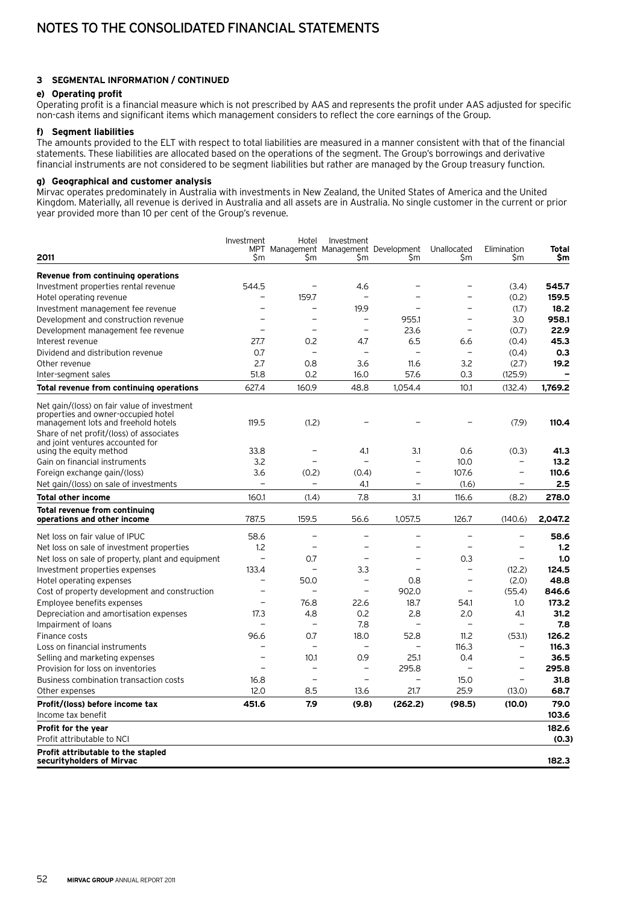#### **3 Segmental information / continued**

#### **e) Operating profit**

Operating profit is a financial measure which is not prescribed by AAS and represents the profit under AAS adjusted for specific non-cash items and significant items which management considers to reflect the core earnings of the Group.

#### **f) Segment liabilities**

The amounts provided to the ELT with respect to total liabilities are measured in a manner consistent with that of the financial statements. These liabilities are allocated based on the operations of the segment. The Group's borrowings and derivative financial instruments are not considered to be segment liabilities but rather are managed by the Group treasury function.

### **g) Geographical and customer analysis**

Mirvac operates predominately in Australia with investments in New Zealand, the United States of America and the United Kingdom. Materially, all revenue is derived in Australia and all assets are in Australia. No single customer in the current or prior year provided more than 10 per cent of the Group's revenue.

|                                                                                    | Investment               | Hotel                    | Investment               |                                             |                          |                          |               |
|------------------------------------------------------------------------------------|--------------------------|--------------------------|--------------------------|---------------------------------------------|--------------------------|--------------------------|---------------|
| 2011                                                                               | Sm                       | \$m                      | Şm                       | MPT Management Management Development<br>Şm | Unallocated<br>Sm        | Elimination<br>Sm        | Total<br>\$m  |
|                                                                                    |                          |                          |                          |                                             |                          |                          |               |
| Revenue from continuing operations                                                 |                          |                          |                          |                                             |                          |                          |               |
| Investment properties rental revenue                                               | 544.5                    |                          | 4.6                      |                                             |                          | (3.4)                    | 545.7         |
| Hotel operating revenue                                                            |                          | 159.7                    | L.                       |                                             | ÷,                       | (0.2)                    | 159.5         |
| Investment management fee revenue                                                  |                          | -                        | 19.9                     | $\equiv$                                    | L.                       | (1.7)                    | 18.2          |
| Development and construction revenue                                               |                          | $\overline{\phantom{0}}$ | $\overline{\phantom{0}}$ | 955.1                                       | L,                       | 3.0                      | 958.1         |
| Development management fee revenue                                                 |                          |                          | $\overline{a}$           | 23.6                                        | $\overline{\phantom{0}}$ | (0.7)                    | 22.9          |
| Interest revenue                                                                   | 27.7                     | 0.2                      | 4.7                      | 6.5                                         | 6.6                      | (0.4)                    | 45.3          |
| Dividend and distribution revenue                                                  | 0.7                      | $\overline{a}$           | $\overline{\phantom{0}}$ | $\overline{a}$                              | $\overline{\phantom{0}}$ | (0.4)                    | 0.3           |
| Other revenue                                                                      | 2.7                      | 0.8                      | 3.6                      | 11.6                                        | 3.2                      | (2.7)                    | 19.2          |
| Inter-segment sales                                                                | 51.8                     | 0.2                      | 16.0                     | 57.6                                        | 0.3                      | (125.9)                  |               |
| Total revenue from continuing operations                                           | 627.4                    | 160.9                    | 48.8                     | 1.054.4                                     | 10.1                     | (132.4)                  | 1,769.2       |
| Net gain/(loss) on fair value of investment<br>properties and owner-occupied hotel |                          |                          |                          |                                             |                          |                          |               |
| management lots and freehold hotels<br>Share of net profit/(loss) of associates    | 119.5                    | (1.2)                    |                          |                                             |                          | (7.9)                    | 110.4         |
| and joint ventures accounted for                                                   |                          |                          |                          |                                             |                          |                          |               |
| using the equity method                                                            | 33.8                     |                          | 4.1                      | 3.1                                         | 0.6                      | (0.3)                    | 41.3          |
| Gain on financial instruments                                                      | 3.2                      |                          | L.                       | $\overline{a}$                              | 10.0                     |                          | 13.2          |
| Foreign exchange gain/(loss)                                                       | 3.6                      | (0.2)                    | (0.4)                    | $\overline{\phantom{0}}$                    | 107.6                    | $\overline{\phantom{0}}$ | 110.6         |
| Net gain/(loss) on sale of investments                                             |                          |                          | 4.1                      | $\overline{\phantom{0}}$                    | (1.6)                    |                          | 2.5           |
| <b>Total other income</b>                                                          | 160.1                    | (1.4)                    | 7.8                      | 3.1                                         | 116.6                    | (8.2)                    | 278.0         |
| <b>Total revenue from continuing</b><br>operations and other income                | 787.5                    | 159.5                    | 56.6                     | 1,057.5                                     | 126.7                    | (140.6)                  | 2,047.2       |
| Net loss on fair value of IPUC                                                     | 58.6                     | $\overline{\phantom{0}}$ | $\overline{\phantom{0}}$ | $\overline{\phantom{0}}$                    | $\overline{\phantom{0}}$ |                          | 58.6          |
| Net loss on sale of investment properties                                          | 1.2                      |                          |                          |                                             |                          |                          | 1.2           |
| Net loss on sale of property, plant and equipment                                  | $\overline{\phantom{0}}$ | 0.7                      | $\overline{\phantom{0}}$ | $\overline{\phantom{0}}$                    | 0.3                      | $\overline{\phantom{0}}$ | 1.0           |
| Investment properties expenses                                                     | 133.4                    | ۳                        | 3.3                      | $\overline{\phantom{0}}$                    | $\overline{\phantom{0}}$ | (12.2)                   | 124.5         |
| Hotel operating expenses                                                           | $\overline{\phantom{0}}$ | 50.0                     | $\overline{\phantom{0}}$ | 0.8                                         | $\qquad \qquad -$        | (2.0)                    | 48.8          |
| Cost of property development and construction                                      |                          |                          | $\overline{a}$           | 902.0                                       | $\overline{a}$           | (55.4)                   | 846.6         |
| Employee benefits expenses                                                         | L.                       | 76.8                     | 22.6                     | 18.7                                        | 54.1                     | 1.0                      | 173.2         |
| Depreciation and amortisation expenses                                             | 17.3                     | 4.8                      | 0.2                      | 2.8                                         | 2.0                      | 4.1                      | 31.2          |
| Impairment of loans                                                                |                          |                          | 7.8                      |                                             |                          |                          | 7.8           |
| Finance costs                                                                      | 96.6                     | 0.7                      | 18.0                     | 52.8                                        | 11.2                     | (53.1)                   | 126.2         |
| Loss on financial instruments                                                      |                          | $\overline{\phantom{0}}$ | $\overline{\phantom{0}}$ | $\overline{\phantom{0}}$                    | 116.3                    | $\overline{\phantom{0}}$ | 116.3         |
| Selling and marketing expenses                                                     | ۰                        | 10.1                     | 0.9                      | 25.1                                        | 0.4                      | $\equiv$                 | 36.5          |
| Provision for loss on inventories                                                  |                          | $\overline{\phantom{0}}$ | $\overline{\phantom{0}}$ | 295.8                                       | $\overline{\phantom{0}}$ | $\overline{\phantom{0}}$ | 295.8         |
| Business combination transaction costs                                             | 16.8                     | $\overline{a}$           | $\overline{\phantom{a}}$ | $\overline{a}$                              | 15.0                     | $\overline{\phantom{a}}$ | 31.8          |
| Other expenses                                                                     | 12.0                     | 8.5                      | 13.6                     | 21.7                                        | 25.9                     | (13.0)                   | 68.7          |
| Profit/(loss) before income tax<br>Income tax benefit                              | 451.6                    | 7.9                      | (9.8)                    | (262.2)                                     | (98.5)                   | (10.0)                   | 79.0<br>103.6 |
| Profit for the year                                                                |                          |                          |                          |                                             |                          |                          | 182.6         |
| Profit attributable to NCI                                                         |                          |                          |                          |                                             |                          |                          | (0.3)         |
| Profit attributable to the stapled<br>securityholders of Mirvac                    |                          |                          |                          |                                             |                          |                          | 182.3         |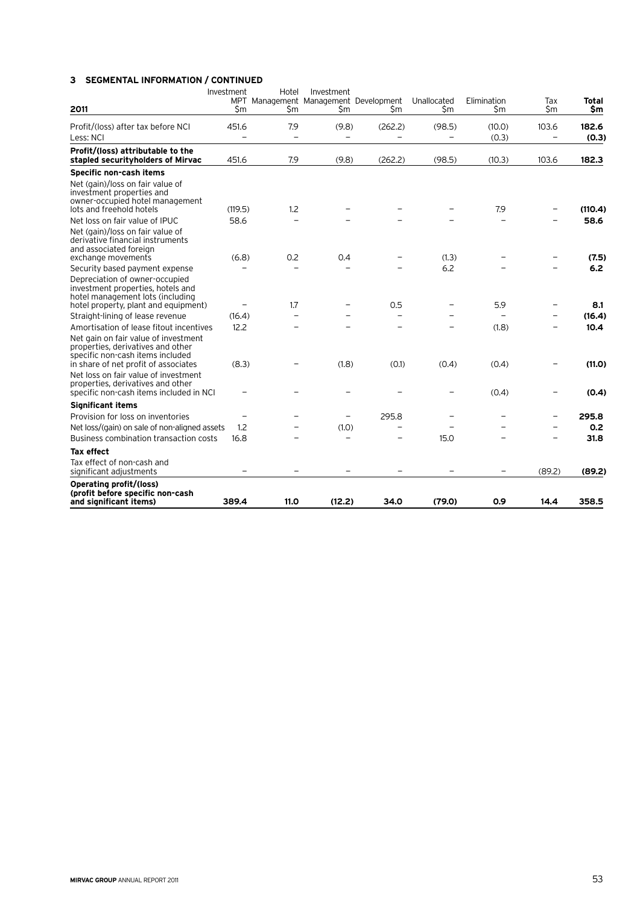## **3 Segmental information / continued**

| 2011                                                                                                                                                                                          | Investment<br>MPT<br>\$m | Hotel<br>\$m | Investment<br>Management Management Development<br>Sm | Sm      | Unallocated<br>\$m | Elimination<br>\$m | Tax<br>\$m | Total<br>\$m   |
|-----------------------------------------------------------------------------------------------------------------------------------------------------------------------------------------------|--------------------------|--------------|-------------------------------------------------------|---------|--------------------|--------------------|------------|----------------|
| Profit/(loss) after tax before NCI<br>Less: NCI                                                                                                                                               | 451.6                    | 7.9          | (9.8)                                                 | (262.2) | (98.5)             | (10.0)<br>(0.3)    | 103.6      | 182.6<br>(0.3) |
| Profit/(loss) attributable to the<br>stapled securityholders of Mirvac                                                                                                                        | 451.6                    | 7.9          | (9.8)                                                 | (262.2) | (98.5)             | (10.3)             | 103.6      | 182.3          |
| Specific non-cash items                                                                                                                                                                       |                          |              |                                                       |         |                    |                    |            |                |
| Net (gain)/loss on fair value of<br>investment properties and<br>owner-occupied hotel management<br>lots and freehold hotels                                                                  | (119.5)                  | 1.2          |                                                       |         |                    | 7.9                |            | (110.4)        |
| Net loss on fair value of IPUC                                                                                                                                                                | 58.6                     |              |                                                       |         |                    |                    |            | 58.6           |
| Net (gain)/loss on fair value of<br>derivative financial instruments<br>and associated foreign<br>exchange movements                                                                          | (6.8)                    | 0.2          | 0.4                                                   |         | (1.3)              |                    |            | (7.5)          |
| Security based payment expense                                                                                                                                                                |                          |              |                                                       |         | 6.2                |                    |            | 6.2            |
| Depreciation of owner-occupied<br>investment properties, hotels and<br>hotel management lots (including<br>hotel property, plant and equipment)                                               |                          | 1.7          | -                                                     | 0.5     |                    | 5.9                |            | 8.1            |
| Straight-lining of lease revenue                                                                                                                                                              | (16.4)                   |              |                                                       |         |                    |                    |            | (16.4)         |
| Amortisation of lease fitout incentives                                                                                                                                                       | 12.2                     |              |                                                       |         |                    | (1.8)              |            | 10.4           |
| Net gain on fair value of investment<br>properties, derivatives and other<br>specific non-cash items included<br>in share of net profit of associates<br>Net loss on fair value of investment | (8.3)                    |              | (1.8)                                                 | (0.1)   | (0.4)              | (0.4)              |            | (11.0)         |
| properties, derivatives and other<br>specific non-cash items included in NCI                                                                                                                  |                          |              |                                                       |         |                    | (0.4)              |            | (0.4)          |
| <b>Significant items</b>                                                                                                                                                                      |                          |              |                                                       |         |                    |                    |            |                |
| Provision for loss on inventories                                                                                                                                                             |                          |              |                                                       | 295.8   |                    |                    | ÷,         | 295.8          |
| Net loss/(gain) on sale of non-aligned assets                                                                                                                                                 | 1.2                      |              | (1.0)                                                 | L.      |                    |                    |            | 0.2            |
| Business combination transaction costs                                                                                                                                                        | 16.8                     |              |                                                       |         | 15.0               |                    |            | 31.8           |
| <b>Tax effect</b>                                                                                                                                                                             |                          |              |                                                       |         |                    |                    |            |                |
| Tax effect of non-cash and<br>significant adjustments                                                                                                                                         |                          |              |                                                       |         |                    |                    | (89.2)     | (89.2)         |
| Operating profit/(loss)<br>(profit before specific non-cash<br>and significant items)                                                                                                         | 389.4                    | 11.0         | (12.2)                                                | 34.0    | (79.0)             | 0.9                | 14.4       | 358.5          |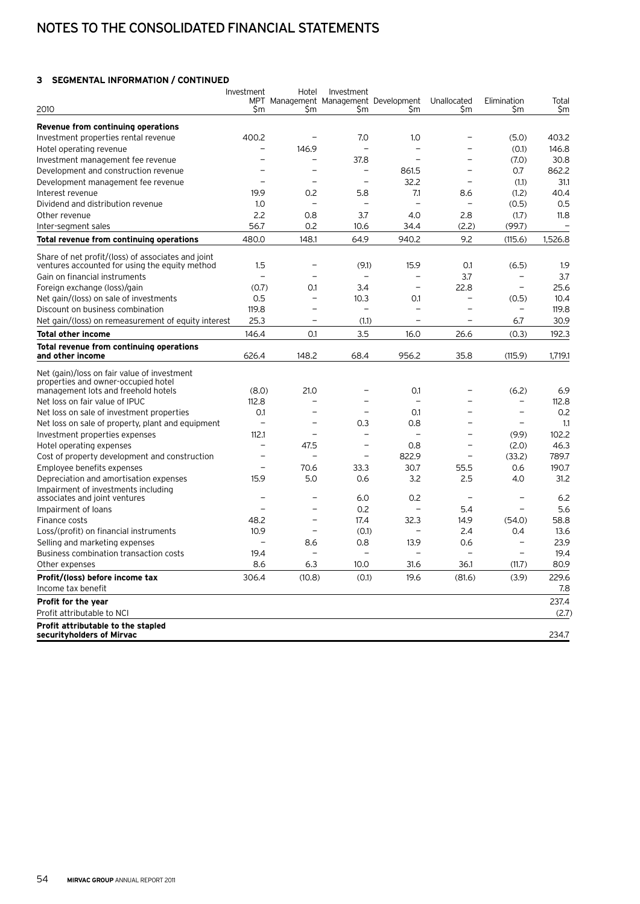## Notes to the consolidated financial statements

### **3 Segmental information / continued**

| 2010                                                                                                 | Investment<br>Śm | Hotel<br>Sm              | Investment<br>Sm         | MPT Management Management Development<br>Sm | Unallocated<br>Sm        | Elimination<br>Sm        | Total<br>\$m |
|------------------------------------------------------------------------------------------------------|------------------|--------------------------|--------------------------|---------------------------------------------|--------------------------|--------------------------|--------------|
|                                                                                                      |                  |                          |                          |                                             |                          |                          |              |
| Revenue from continuing operations                                                                   |                  |                          |                          |                                             |                          |                          |              |
| Investment properties rental revenue                                                                 | 400.2            |                          | 7.0                      | 1.0                                         |                          | (5.0)                    | 403.2        |
| Hotel operating revenue                                                                              | $\overline{a}$   | 146.9                    | L.                       |                                             |                          | (0.1)                    | 146.8        |
| Investment management fee revenue                                                                    |                  |                          | 37.8                     |                                             |                          | (7.0)                    | 30.8         |
| Development and construction revenue                                                                 |                  |                          | $\overline{\phantom{0}}$ | 861.5                                       |                          | 0.7                      | 862.2        |
| Development management fee revenue                                                                   |                  | $\overline{\phantom{0}}$ |                          | 32.2                                        | $\overline{\phantom{a}}$ | (1.1)                    | 31.1         |
| Interest revenue                                                                                     | 19.9             | 0.2                      | 5.8                      | 7.1                                         | 8.6                      | (1.2)                    | 40.4         |
| Dividend and distribution revenue                                                                    | 1.0              | $\overline{\phantom{0}}$ | L.                       | $\overline{a}$                              | $\overline{\phantom{a}}$ | (0.5)                    | 0.5          |
| Other revenue                                                                                        | 2.2              | 0.8                      | 3.7                      | 4.0                                         | 2.8                      | (1.7)                    | 11.8         |
| Inter-segment sales                                                                                  | 56.7             | 0.2                      | 10.6                     | 34.4                                        | (2.2)                    | (99.7)                   |              |
| Total revenue from continuing operations                                                             | 480.0            | 148.1                    | 64.9                     | 940.2                                       | 9.2                      | (115.6)                  | 1.526.8      |
| Share of net profit/(loss) of associates and joint<br>ventures accounted for using the equity method | 1.5              |                          | (9.1)                    | 15.9                                        | 0.1                      | (6.5)                    | 1.9          |
| Gain on financial instruments                                                                        |                  |                          |                          | $\overline{\phantom{0}}$                    | 3.7                      | $\overline{\phantom{0}}$ | 3.7          |
| Foreign exchange (loss)/gain                                                                         | (0.7)            | 0.1                      | 3.4                      | $\overline{\phantom{0}}$                    | 22.8                     |                          | 25.6         |
| Net gain/(loss) on sale of investments                                                               | 0.5              | $\overline{\phantom{0}}$ | 10.3                     | 0.1                                         | $\overline{\phantom{0}}$ | (0.5)                    | 10.4         |
| Discount on business combination                                                                     | 119.8            |                          |                          |                                             |                          |                          | 119.8        |
| Net gain/(loss) on remeasurement of equity interest                                                  | 25.3             | $\overline{\phantom{0}}$ | (1.1)                    | $\overline{\phantom{0}}$                    | $\overline{\phantom{0}}$ | 6.7                      | 30.9         |
| <b>Total other income</b>                                                                            | 146.4            | 0.1                      | 3.5                      | 16.0                                        | 26.6                     | (0.3)                    | 192.3        |
| Total revenue from continuing operations                                                             |                  |                          |                          |                                             |                          |                          |              |
| and other income                                                                                     | 626.4            | 148.2                    | 68.4                     | 956.2                                       | 35.8                     | (115.9)                  | 1,719.1      |
| Net (gain)/loss on fair value of investment<br>properties and owner-occupied hotel                   |                  |                          |                          |                                             |                          |                          |              |
| management lots and freehold hotels                                                                  | (8.0)            | 21.0                     |                          | 0.1                                         |                          | (6.2)                    | 6.9          |
| Net loss on fair value of IPUC                                                                       | 112.8            |                          |                          | $\overline{\phantom{a}}$                    |                          |                          | 112.8        |
| Net loss on sale of investment properties                                                            | 0.1              |                          | ÷                        | 0.1                                         |                          |                          | 0.2          |
| Net loss on sale of property, plant and equipment                                                    | $\overline{a}$   |                          | 0.3                      | 0.8                                         |                          | $\overline{\phantom{0}}$ | 1.1          |
| Investment properties expenses                                                                       | 112.1            | ۳                        | L.                       | $\overline{\phantom{0}}$                    |                          | (9.9)                    | 102.2        |
| Hotel operating expenses                                                                             | ۳                | 47.5                     | $\overline{\phantom{a}}$ | 0.8                                         | L.                       | (2.0)                    | 46.3         |
| Cost of property development and construction                                                        |                  |                          | $\overline{\phantom{a}}$ | 822.9                                       | $\overline{\phantom{0}}$ | (33.2)                   | 789.7        |
| Employee benefits expenses                                                                           | ۳                | 70.6                     | 33.3                     | 30.7                                        | 55.5                     | 0.6                      | 190.7        |
| Depreciation and amortisation expenses                                                               | 15.9             | 5.0                      | 0.6                      | 3.2                                         | 2.5                      | 4.0                      | 31.2         |
| Impairment of investments including<br>associates and joint ventures                                 |                  |                          | 6.0                      | 0.2                                         |                          |                          | 6.2          |
| Impairment of loans                                                                                  |                  |                          | 0.2                      | $\overline{a}$                              | 5.4                      |                          | 5.6          |
| Finance costs                                                                                        | 48.2             | ÷                        | 17.4                     | 32.3                                        | 14.9                     | (54.0)                   | 58.8         |
| Loss/(profit) on financial instruments                                                               | 10.9             | ÷                        | (0.1)                    |                                             | 2.4                      | 0.4                      | 13.6         |
| Selling and marketing expenses                                                                       |                  | 8.6                      | 0.8                      | 13.9                                        | 0.6                      | $\overline{\phantom{a}}$ | 23.9         |
| Business combination transaction costs                                                               | 19.4             |                          | ÷                        | $\overline{\phantom{a}}$                    | L.                       |                          | 19.4         |
| Other expenses                                                                                       | 8.6              | 6.3                      | 10.0                     | 31.6                                        | 36.1                     | (11.7)                   | 80.9         |
| Profit/(loss) before income tax<br>Income tax benefit                                                | 306.4            | (10.8)                   | (0.1)                    | 19.6                                        | (81.6)                   | (3.9)                    | 229.6<br>7.8 |
| Profit for the year                                                                                  |                  |                          |                          |                                             |                          |                          | 237.4        |
| Profit attributable to NCI                                                                           |                  |                          |                          |                                             |                          |                          | (2.7)        |
| Profit attributable to the stapled                                                                   |                  |                          |                          |                                             |                          |                          |              |
| securityholders of Mirvac                                                                            |                  |                          |                          |                                             |                          |                          | 234.7        |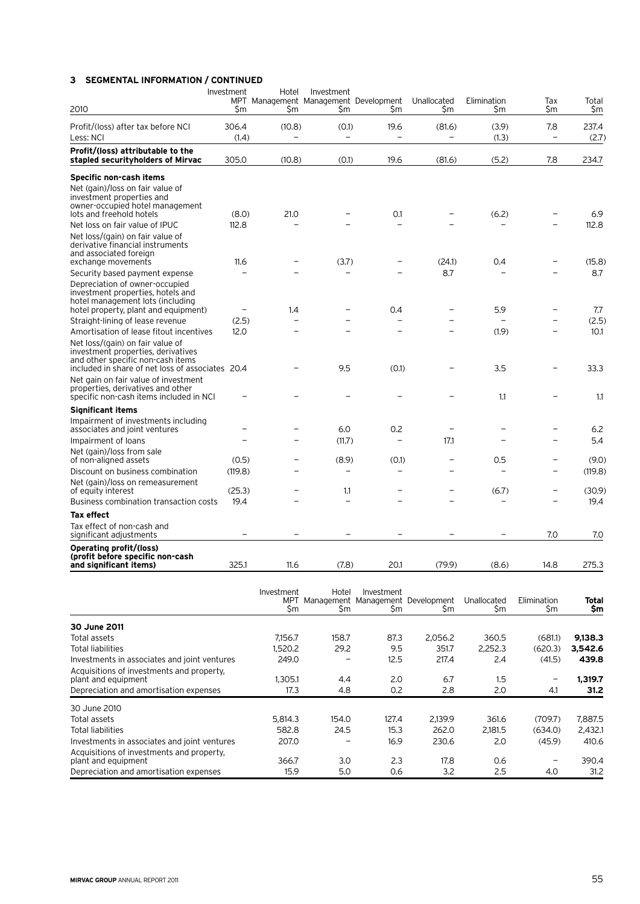## **3 Segmental information / continued**

| 2010                                                                                                                                                            | Investment<br>\$m | Hotel<br>\$m       | Investment<br>MPT Management Management Development<br>\$m | Şm                                                         | Unallocated<br>Şm | Elimination<br>\$m | Tax<br>\$m               | Total<br>\$m        |
|-----------------------------------------------------------------------------------------------------------------------------------------------------------------|-------------------|--------------------|------------------------------------------------------------|------------------------------------------------------------|-------------------|--------------------|--------------------------|---------------------|
| Profit/(loss) after tax before NCI<br>Less: NCI                                                                                                                 | 306.4<br>(1.4)    | (10.8)             | (0.1)<br>$\overline{\phantom{0}}$                          | 19.6                                                       | (81.6)            | (3.9)<br>(1.3)     | 7.8<br>$\qquad \qquad -$ | 237.4<br>(2.7)      |
| Profit/(loss) attributable to the<br>stapled securityholders of Mirvac                                                                                          | 305.0             | (10.8)             | (0.1)                                                      | 19.6                                                       | (81.6)            | (5.2)              | 7.8                      | 234.7               |
| Specific non-cash items                                                                                                                                         |                   |                    |                                                            |                                                            |                   |                    |                          |                     |
| Net (gain)/loss on fair value of<br>investment properties and<br>owner-occupied hotel management<br>lots and freehold hotels<br>Net loss on fair value of IPUC  | (8.0)<br>112.8    | 21.0               |                                                            | 0.1                                                        |                   | (6.2)              |                          | 6.9<br>112.8        |
| Net loss/(gain) on fair value of<br>derivative financial instruments<br>and associated foreign<br>exchange movements                                            | 11.6              |                    | (3.7)                                                      |                                                            | (24.1)            | 0.4                |                          | (15.8)              |
| Security based payment expense                                                                                                                                  |                   |                    |                                                            |                                                            | 8.7               |                    |                          | 8.7                 |
| Depreciation of owner-occupied<br>investment properties, hotels and<br>hotel management lots (including<br>hotel property, plant and equipment)                 |                   | 1.4                |                                                            | 0.4                                                        |                   | 5.9                |                          | 7.7                 |
| Straight-lining of lease revenue                                                                                                                                | (2.5)             |                    |                                                            |                                                            |                   |                    |                          | (2.5)               |
| Amortisation of lease fitout incentives                                                                                                                         | 12.0              |                    |                                                            |                                                            |                   | (1.9)              |                          | 10.1                |
| Net loss/(gain) on fair value of<br>investment properties, derivatives<br>and other specific non-cash items<br>included in share of net loss of associates 20.4 |                   |                    | 9.5                                                        | (0.1)                                                      |                   | 3.5                |                          | 33.3                |
| Net gain on fair value of investment<br>properties, derivatives and other<br>specific non-cash items included in NCI                                            |                   |                    |                                                            |                                                            |                   | 1.1                |                          | 1.1                 |
| <b>Significant items</b>                                                                                                                                        |                   |                    |                                                            |                                                            |                   |                    |                          |                     |
| Impairment of investments including<br>associates and joint ventures                                                                                            |                   |                    | 6.0                                                        | 0.2                                                        |                   |                    |                          | 6.2                 |
| Impairment of loans                                                                                                                                             |                   |                    | (11.7)                                                     |                                                            | 17.1              |                    |                          | 5.4                 |
| Net (gain)/loss from sale<br>of non-aligned assets                                                                                                              | (0.5)             |                    | (8.9)                                                      | (0.1)                                                      |                   | 0.5                |                          | (9.0)               |
| Discount on business combination                                                                                                                                | (119.8)           |                    |                                                            | -                                                          |                   |                    | $\overline{\phantom{0}}$ | (119.8)             |
| Net (gain)/loss on remeasurement<br>of equity interest                                                                                                          | (25.3)            |                    | 1.1                                                        |                                                            |                   | (6.7)              | $\overline{\phantom{0}}$ | (30.9)              |
| Business combination transaction costs                                                                                                                          | 19.4              |                    |                                                            |                                                            |                   |                    |                          | 19.4                |
| <b>Tax effect</b>                                                                                                                                               |                   |                    |                                                            |                                                            |                   |                    |                          |                     |
| Tax effect of non-cash and<br>significant adjustments                                                                                                           |                   |                    |                                                            |                                                            |                   |                    | 7.0                      | 7.0                 |
| Operating profit/(loss)<br>(profit before specific non-cash<br>and significant items)                                                                           | 325.1             | 11.6               | (7.8)                                                      | 20.1                                                       | (79.9)            | (8.6)              | 14.8                     | 275.3               |
|                                                                                                                                                                 |                   | Investment<br>\$m  | Hotel<br>\$m                                               | Investment<br>MPT Management Management Development<br>\$m | \$m               | Unallocated<br>Şm  | Elimination<br>\$m       | <b>Total</b><br>\$m |
| 30 June 2011                                                                                                                                                    |                   |                    |                                                            |                                                            |                   |                    |                          |                     |
| Total assets<br><b>Total liabilities</b>                                                                                                                        |                   | 7,156.7<br>1,520.2 | 158.7<br>29.2                                              | 87.3<br>9.5                                                | 2,056.2<br>351.7  | 360.5<br>2,252.3   | (681.1)<br>(620.3)       | 9,138.3<br>3,542.6  |
| Investments in associates and joint ventures                                                                                                                    |                   | 249.0              |                                                            | 12.5                                                       | 217.4             | 2.4                | (41.5)                   | 439.8               |

| Investments in associates and joint ventures                     | 249.0   |       | 12.5  | 217.4   | 2.4     | (41.5)  | 439.8   |
|------------------------------------------------------------------|---------|-------|-------|---------|---------|---------|---------|
| Acquisitions of investments and property,<br>plant and equipment | 1.305.1 | 4.4   | 2.0   | 6.7     | 1.5     |         | 1,319.7 |
| Depreciation and amortisation expenses                           | 17.3    | 4.8   | 0.2   | 2.8     | 2.0     | 4.1     | 31.2    |
| 30 June 2010                                                     |         |       |       |         |         |         |         |
| Total assets                                                     | 5.814.3 | 154.0 | 127.4 | 2.139.9 | 361.6   | (709.7) | 7,887.5 |
| Total liabilities                                                | 582.8   | 24.5  | 15.3  | 262.0   | 2.181.5 | (634.0) | 2,432.1 |
| Investments in associates and joint ventures                     | 207.0   |       | 16.9  | 230.6   | 2.0     | (45.9)  | 410.6   |
| Acquisitions of investments and property,<br>plant and equipment | 366.7   | 3.0   | 2.3   | 17.8    | 0.6     | -       | 390.4   |
| Depreciation and amortisation expenses                           | 15.9    | 5.0   | 0.6   | 3.2     | 2.5     | 4.0     | 31.2    |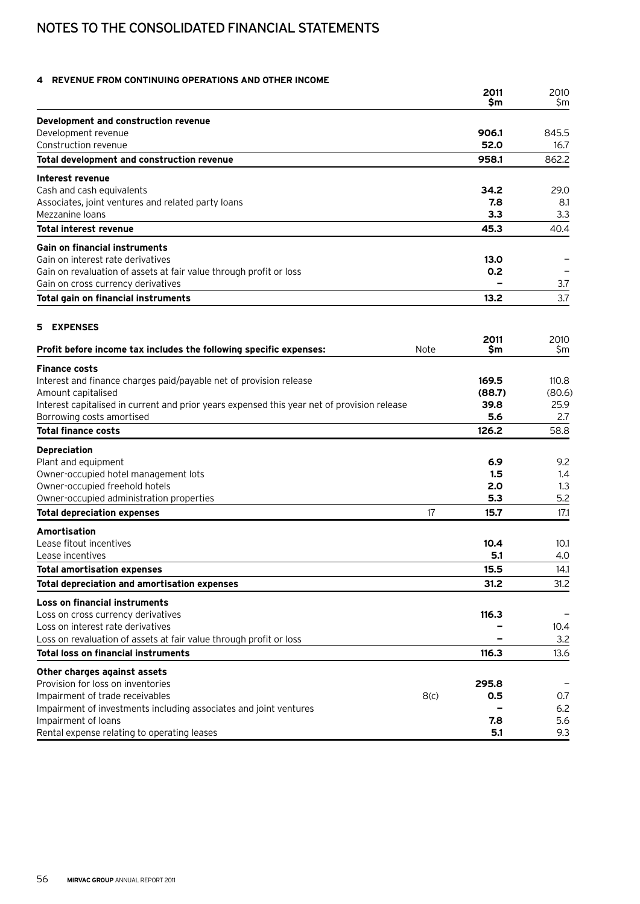## Notes to the consolidated financial statements

### **4 Revenue from continuing operations and other income**

|                                                                                             |             | 2011<br>Sm  | 2010<br>Sm   |
|---------------------------------------------------------------------------------------------|-------------|-------------|--------------|
| Development and construction revenue                                                        |             |             |              |
| Development revenue                                                                         |             | 906.1       | 845.5        |
| Construction revenue                                                                        |             | 52.0        | 16.7         |
| Total development and construction revenue                                                  |             | 958.1       | 862.2        |
| Interest revenue                                                                            |             |             |              |
| Cash and cash equivalents                                                                   |             | 34.2        | 29.0         |
| Associates, joint ventures and related party loans                                          |             | 7.8         | 8.1          |
| Mezzanine loans<br><b>Total interest revenue</b>                                            |             | 3.3<br>45.3 | 3.3<br>40.4  |
|                                                                                             |             |             |              |
| <b>Gain on financial instruments</b><br>Gain on interest rate derivatives                   |             |             |              |
| Gain on revaluation of assets at fair value through profit or loss                          |             | 13.0<br>0.2 |              |
| Gain on cross currency derivatives                                                          |             |             | 3.7          |
| Total gain on financial instruments                                                         |             | 13.2        | 3.7          |
|                                                                                             |             |             |              |
| <b>EXPENSES</b><br>5.                                                                       |             |             |              |
| Profit before income tax includes the following specific expenses:                          | <b>Note</b> | 2011<br>Sm  | 2010<br>Sm   |
|                                                                                             |             |             |              |
| <b>Finance costs</b><br>Interest and finance charges paid/payable net of provision release  |             | 169.5       | 110.8        |
| Amount capitalised                                                                          |             | (88.7)      | (80.6)       |
| Interest capitalised in current and prior years expensed this year net of provision release |             | 39.8        | 25.9         |
| Borrowing costs amortised                                                                   |             | 5.6         | 2.7          |
| <b>Total finance costs</b>                                                                  |             | 126.2       | 58.8         |
| <b>Depreciation</b>                                                                         |             |             |              |
| Plant and equipment                                                                         |             | 6.9         | 9.2          |
| Owner-occupied hotel management lots                                                        |             | 1.5         | 1.4          |
| Owner-occupied freehold hotels                                                              |             | 2.0         | 1.3          |
| Owner-occupied administration properties                                                    |             | 5.3         | 5.2          |
| <b>Total depreciation expenses</b>                                                          | 17          | 15.7        | 17.1         |
| Amortisation                                                                                |             |             |              |
| Lease fitout incentives<br>Lease incentives                                                 |             | 10.4<br>5.1 | 10.1         |
|                                                                                             |             | 15.5        | 4.0          |
| <b>Total amortisation expenses</b><br>Total depreciation and amortisation expenses          |             | 31.2        | 14.1<br>31.2 |
| <b>Loss on financial instruments</b>                                                        |             |             |              |
| Loss on cross currency derivatives                                                          |             | 116.3       |              |
| Loss on interest rate derivatives                                                           |             |             | 10.4         |
| Loss on revaluation of assets at fair value through profit or loss                          |             |             | 3.2          |
| <b>Total loss on financial instruments</b>                                                  |             | 116.3       | 13.6         |
| Other charges against assets                                                                |             |             |              |
| Provision for loss on inventories                                                           |             | 295.8       |              |
| Impairment of trade receivables                                                             | 8(c)        | 0.5         | 0.7          |
| Impairment of investments including associates and joint ventures                           |             |             | 6.2          |
| Impairment of loans                                                                         |             | 7.8         | 5.6          |
| Rental expense relating to operating leases                                                 |             | 5.1         | 9.3          |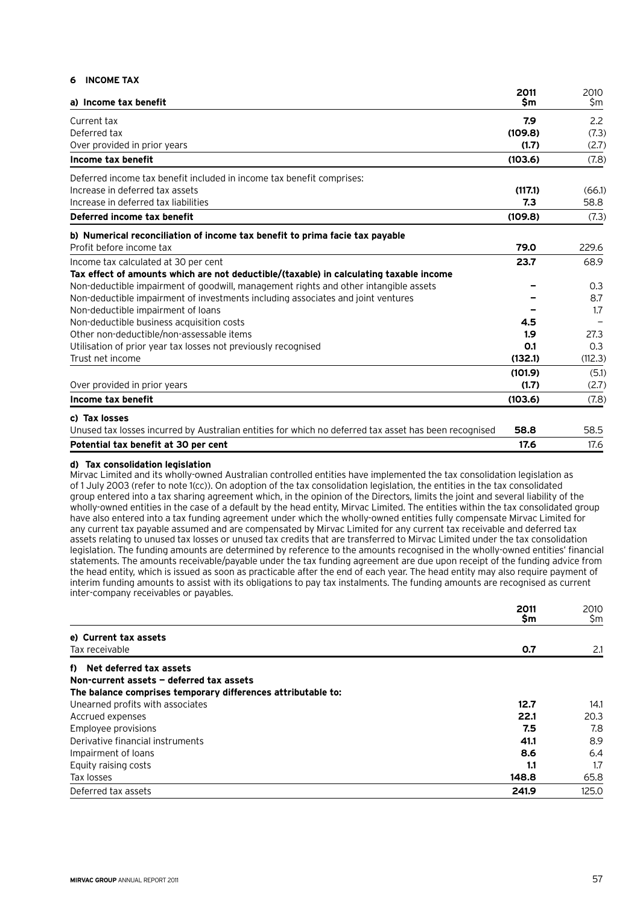#### **6 Income tax**

|                                                                                                       | 2011    | 2010    |
|-------------------------------------------------------------------------------------------------------|---------|---------|
| a) Income tax benefit                                                                                 | \$m     | \$m     |
| Current tax                                                                                           | 7.9     | 2.2     |
| Deferred tax                                                                                          | (109.8) | (7.3)   |
| Over provided in prior years                                                                          | (1.7)   | (2.7)   |
| Income tax benefit                                                                                    | (103.6) | (7.8)   |
| Deferred income tax benefit included in income tax benefit comprises:                                 |         |         |
| Increase in deferred tax assets                                                                       | (117.1) | (66.1)  |
| Increase in deferred tax liabilities                                                                  | 7.3     | 58.8    |
| Deferred income tax benefit                                                                           | (109.8) | (7.3)   |
| b) Numerical reconciliation of income tax benefit to prima facie tax payable                          |         |         |
| Profit before income tax                                                                              | 79.0    | 229.6   |
| Income tax calculated at 30 per cent                                                                  | 23.7    | 68.9    |
| Tax effect of amounts which are not deductible/(taxable) in calculating taxable income                |         |         |
| Non-deductible impairment of goodwill, management rights and other intangible assets                  |         | 0.3     |
| Non-deductible impairment of investments including associates and joint ventures                      |         | 8.7     |
| Non-deductible impairment of loans                                                                    |         | 1.7     |
| Non-deductible business acquisition costs                                                             | 4.5     |         |
| Other non-deductible/non-assessable items                                                             | 1.9     | 27.3    |
| Utilisation of prior year tax losses not previously recognised                                        | O.1     | 0.3     |
| Trust net income                                                                                      | (132.1) | (112.3) |
|                                                                                                       | (101.9) | (5.1)   |
| Over provided in prior years                                                                          | (1.7)   | (2.7)   |
| Income tax benefit                                                                                    | (103.6) | (7.8)   |
| c) Tax losses                                                                                         |         |         |
| Unused tax losses incurred by Australian entities for which no deferred tax asset has been recognised | 58.8    | 58.5    |
| Potential tax benefit at 30 per cent                                                                  | 17.6    | 17.6    |

#### **d) Tax consolidation legislation**

Mirvac Limited and its wholly-owned Australian controlled entities have implemented the tax consolidation legislation as of 1 July 2003 (refer to note 1(cc)). On adoption of the tax consolidation legislation, the entities in the tax consolidated group entered into a tax sharing agreement which, in the opinion of the Directors, limits the joint and several liability of the wholly-owned entities in the case of a default by the head entity, Mirvac Limited. The entities within the tax consolidated group have also entered into a tax funding agreement under which the wholly-owned entities fully compensate Mirvac Limited for any current tax payable assumed and are compensated by Mirvac Limited for any current tax receivable and deferred tax assets relating to unused tax losses or unused tax credits that are transferred to Mirvac Limited under the tax consolidation legislation. The funding amounts are determined by reference to the amounts recognised in the wholly-owned entities' financial statements. The amounts receivable/payable under the tax funding agreement are due upon receipt of the funding advice from the head entity, which is issued as soon as practicable after the end of each year. The head entity may also require payment of interim funding amounts to assist with its obligations to pay tax instalments. The funding amounts are recognised as current inter-company receivables or payables.

|                                                              | 2011<br>\$m | 2010<br>\$m |
|--------------------------------------------------------------|-------------|-------------|
| e) Current tax assets                                        |             |             |
| Tax receivable                                               | 0.7         | 2.1         |
| f) Net deferred tax assets                                   |             |             |
| Non-current assets - deferred tax assets                     |             |             |
| The balance comprises temporary differences attributable to: |             |             |
| Unearned profits with associates                             | 12.7        | 14.1        |
| Accrued expenses                                             | 22.1        | 20.3        |
| Employee provisions                                          | 7.5         | 7.8         |
| Derivative financial instruments                             | 41.1        | 8.9         |
| Impairment of loans                                          | 8.6         | 6.4         |
| Equity raising costs                                         | 1.1         | 1.7         |
| Tax losses                                                   | 148.8       | 65.8        |
| Deferred tax assets                                          | 241.9       | 125.0       |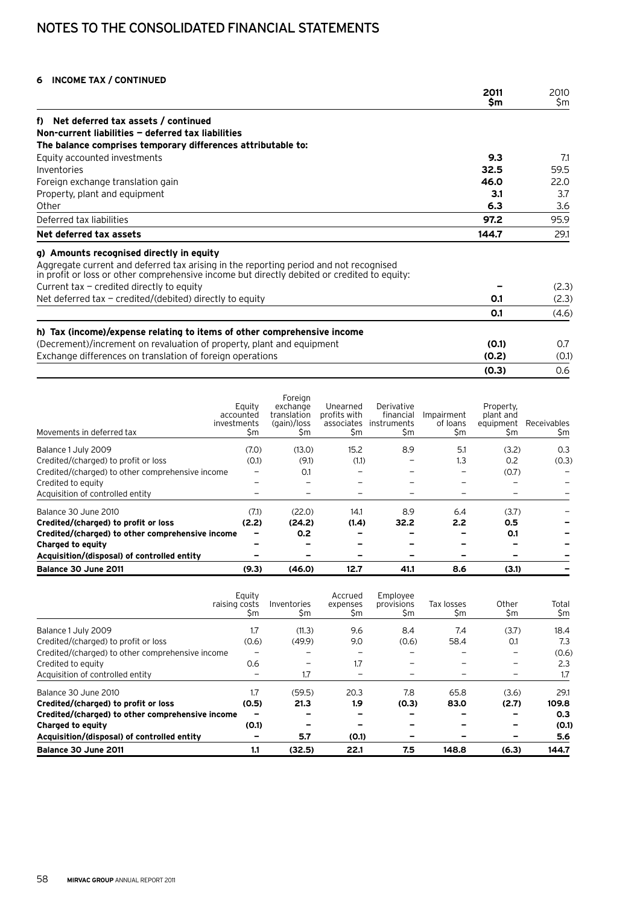## Notes to the consolidated financial statements

## **6 Income tax / continued**

|                                                                                                                                                                                      | 2011<br><b>Sm</b> | 2010<br>\$m |
|--------------------------------------------------------------------------------------------------------------------------------------------------------------------------------------|-------------------|-------------|
|                                                                                                                                                                                      |                   |             |
| Net deferred tax assets / continued<br>f)<br>Non-current liabilities - deferred tax liabilities                                                                                      |                   |             |
| The balance comprises temporary differences attributable to:                                                                                                                         |                   |             |
| Equity accounted investments                                                                                                                                                         | 9.3               | 7.1         |
| Inventories                                                                                                                                                                          | 32.5              | 59.5        |
| Foreign exchange translation gain                                                                                                                                                    | 46.0              | 22.0        |
| Property, plant and equipment                                                                                                                                                        | 3.1               | 3.7         |
| Other                                                                                                                                                                                | 6.3               | 3.6         |
|                                                                                                                                                                                      |                   |             |
| Deferred tax liabilities                                                                                                                                                             | 97.2              | 95.9        |
| Net deferred tax assets                                                                                                                                                              | 144.7             | 29.1        |
| g) Amounts recognised directly in equity                                                                                                                                             |                   |             |
| Aggregate current and deferred tax arising in the reporting period and not recognised<br>in profit or loss or other comprehensive income but directly debited or credited to equity: |                   |             |
| Current $\text{tax}$ – credited directly to equity                                                                                                                                   |                   | (2.3)       |
| Net deferred $\tan - \text{credicted}/(\text{debited})$ directly to equity                                                                                                           | 0.1               | (2.3)       |
|                                                                                                                                                                                      | 0.1               | (4.6)       |
| h) Tax (income)/expense relating to items of other comprehensive income                                                                                                              |                   |             |
| (Decrement)/increment on revaluation of property, plant and equipment                                                                                                                | (0.1)             | 0.7         |
| Exchange differences on translation of foreign operations                                                                                                                            | (0.2)             | (0.1)       |
|                                                                                                                                                                                      | (0.3)             | 0.6         |

|                                                  | Equity<br>accounted<br>investments | Foreign<br>exchange<br>translation<br>(gain)/loss | Unearned<br>profits with<br>associates | Derivative<br>financial<br>instruments | Impairment<br>of loans | Property,<br>plant and<br>equipment | Receivables |
|--------------------------------------------------|------------------------------------|---------------------------------------------------|----------------------------------------|----------------------------------------|------------------------|-------------------------------------|-------------|
| Movements in deferred tax                        | \$m                                | \$m                                               | \$m                                    | \$m                                    | \$m                    | \$m                                 | <b>Sm</b>   |
| Balance 1 July 2009                              | (7.0)                              | (13.0)                                            | 15.2                                   | 8.9                                    | 5.1                    | (3.2)                               | 0.3         |
| Credited/(charged) to profit or loss             | (0.1)                              | (9.1)                                             | (1.1)                                  |                                        | 1.3                    | 0.2                                 | (0.3)       |
| Credited/(charged) to other comprehensive income |                                    | 0.1                                               |                                        |                                        |                        | (0.7)                               |             |
| Credited to equity                               |                                    |                                                   |                                        |                                        |                        |                                     |             |
| Acquisition of controlled entity                 |                                    |                                                   |                                        |                                        |                        |                                     |             |
| Balance 30 June 2010                             | (7.1)                              | (22.0)                                            | 14.1                                   | 8.9                                    | 6.4                    | (3.7)                               |             |
| Credited/(charged) to profit or loss             | (2.2)                              | (24.2)                                            | (1.4)                                  | 32.2                                   | 2.2                    | 0.5                                 |             |
| Credited/(charged) to other comprehensive income |                                    | 0.2                                               |                                        |                                        |                        | 0.1                                 |             |
| Charged to equity                                |                                    |                                                   |                                        |                                        |                        |                                     |             |
| Acquisition/(disposal) of controlled entity      |                                    |                                                   |                                        |                                        |                        |                                     |             |
| Balance 30 June 2011                             | (9.3)                              | (46.0)                                            | 12.7                                   | 41.1                                   | 8.6                    | (3.1)                               |             |

|                                                  | Equity<br>raising costs<br>\$m | Inventories<br>\$m | Accrued<br>expenses<br>\$m | Employee<br>provisions<br>\$m | Tax losses<br>\$m | Other<br>\$m | Total<br>\$m |
|--------------------------------------------------|--------------------------------|--------------------|----------------------------|-------------------------------|-------------------|--------------|--------------|
| Balance 1 July 2009                              | 1.7                            | (11.3)             | 9.6                        | 8.4                           | 7.4               | (3.7)        | 18.4         |
| Credited/(charged) to profit or loss             | (0.6)                          | (49.9)             | 9.0                        | (0.6)                         | 58.4              | 0.1          | 7.3          |
| Credited/(charged) to other comprehensive income |                                |                    |                            |                               |                   |              | (0.6)        |
| Credited to equity                               | 0.6                            |                    | 1.7                        | -                             |                   |              | 2.3          |
| Acquisition of controlled entity                 |                                | 1.7                |                            |                               |                   |              | 1.7          |
| Balance 30 June 2010                             | 1.7                            | (59.5)             | 20.3                       | 7.8                           | 65.8              | (3.6)        | 29.1         |
| Credited/(charged) to profit or loss             | (0.5)                          | 21.3               | 1.9                        | (0.3)                         | 83.0              | (2.7)        | 109.8        |
| Credited/(charged) to other comprehensive income | -                              |                    |                            |                               |                   |              | 0.3          |
| Charged to equity                                | (0.1)                          |                    |                            |                               |                   |              | (0.1)        |
| Acquisition/(disposal) of controlled entity      |                                | 5.7                | (0.1)                      |                               |                   |              | 5.6          |
| Balance 30 June 2011                             | 1.1                            | (32.5)             | 22.1                       | 7.5                           | 148.8             | (6.3)        | 144.7        |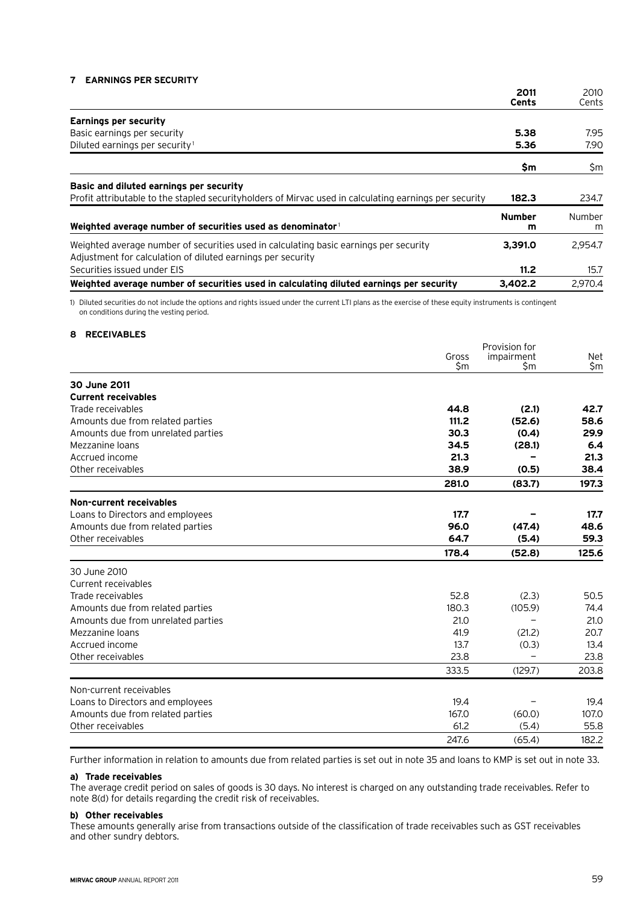#### **7 Earnings per security**

|                                                                                                                                                      | 2011               | 2010        |
|------------------------------------------------------------------------------------------------------------------------------------------------------|--------------------|-------------|
|                                                                                                                                                      | Cents              | Cents       |
| <b>Earnings per security</b>                                                                                                                         |                    |             |
| Basic earnings per security                                                                                                                          | 5.38               | 7.95        |
| Diluted earnings per security <sup>1</sup>                                                                                                           | 5.36               | 7.90        |
|                                                                                                                                                      | \$m                | \$m         |
| Basic and diluted earnings per security                                                                                                              |                    |             |
| Profit attributable to the stapled securityholders of Mirvac used in calculating earnings per security                                               | 182.3              | 234.7       |
| Weighted average number of securities used as denominator                                                                                            | <b>Number</b><br>m | Number<br>m |
| Weighted average number of securities used in calculating basic earnings per security<br>Adjustment for calculation of diluted earnings per security | 3.391.0            | 2,954.7     |
| Securities issued under EIS                                                                                                                          | 11.2               | 15.7        |
| Weighted average number of securities used in calculating diluted earnings per security                                                              | 3.402.2            | 2.970.4     |

1) Diluted securities do not include the options and rights issued under the current LTI plans as the exercise of these equity instruments is contingent on conditions during the vesting period.

#### **8 Receivables**

|                                                       | Gross<br>\$m | Provision for<br>impairment<br>\$m | Net<br>\$m |
|-------------------------------------------------------|--------------|------------------------------------|------------|
|                                                       |              |                                    |            |
| 30 June 2011                                          |              |                                    |            |
| <b>Current receivables</b>                            |              |                                    |            |
| Trade receivables                                     | 44.8         | (2.1)                              | 42.7       |
| Amounts due from related parties                      | 111.2        | (52.6)                             | 58.6       |
| Amounts due from unrelated parties                    | 30.3         | (0.4)                              | 29.9       |
| Mezzanine loans                                       | 34.5         | (28.1)                             | 6.4        |
| Accrued income                                        | 21.3         |                                    | 21.3       |
| Other receivables                                     | 38.9         | (0.5)                              | 38.4       |
|                                                       | 281.0        | (83.7)                             | 197.3      |
| Non-current receivables                               |              |                                    |            |
| Loans to Directors and employees                      | 17.7         |                                    | 17.7       |
| Amounts due from related parties                      | 96.0         | (47.4)                             | 48.6       |
| Other receivables                                     | 64.7         | (5.4)                              | 59.3       |
|                                                       | 178.4        | (52.8)                             | 125.6      |
| 30 June 2010                                          |              |                                    |            |
| Current receivables                                   |              |                                    |            |
| Trade receivables                                     | 52.8         | (2.3)                              | 50.5       |
| Amounts due from related parties                      | 180.3        | (105.9)                            | 74.4       |
| Amounts due from unrelated parties                    | 21.0         |                                    | 21.0       |
| Mezzanine loans                                       | 41.9         | (21.2)                             | 20.7       |
| Accrued income                                        | 13.7         | (0.3)                              | 13.4       |
| Other receivables                                     | 23.8         |                                    | 23.8       |
|                                                       | 333.5        | (129.7)                            | 203.8      |
| Non-current receivables                               |              |                                    |            |
| Loans to Directors and employees                      | 19.4         |                                    | 19.4       |
|                                                       | 167.0        | (60.0)                             | 107.0      |
| Amounts due from related parties<br>Other receivables | 61.2         |                                    |            |
|                                                       |              | (5.4)                              | 55.8       |
|                                                       | 247.6        | (65.4)                             | 182.2      |

Further information in relation to amounts due from related parties is set out in note 35 and loans to KMP is set out in note 33.

#### **a) Trade receivables**

The average credit period on sales of goods is 30 days. No interest is charged on any outstanding trade receivables. Refer to note 8(d) for details regarding the credit risk of receivables.

#### **b) Other receivables**

These amounts generally arise from transactions outside of the classification of trade receivables such as GST receivables and other sundry debtors.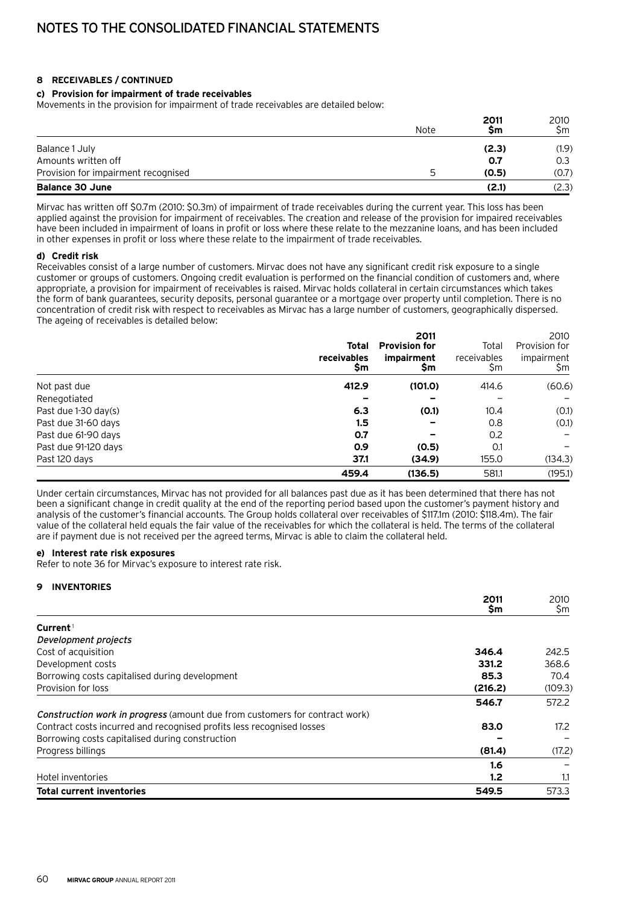#### **8 Receivables / continued**

#### **c) Provision for impairment of trade receivables**

Movements in the provision for impairment of trade receivables are detailed below:

|                                     | Note | 2011<br>Şm | 2010<br>Sm |
|-------------------------------------|------|------------|------------|
| Balance 1 July                      |      | (2.3)      | (1.9)      |
| Amounts written off                 |      | 0.7        | 0.3        |
| Provision for impairment recognised |      | (0.5)      | (0.7)      |
| <b>Balance 30 June</b>              |      | (2.1)      | (2.3)      |

Mirvac has written off \$0.7m (2010: \$0.3m) of impairment of trade receivables during the current year. This loss has been applied against the provision for impairment of receivables. The creation and release of the provision for impaired receivables have been included in impairment of loans in profit or loss where these relate to the mezzanine loans, and has been included in other expenses in profit or loss where these relate to the impairment of trade receivables.

#### **d) Credit risk**

Receivables consist of a large number of customers. Mirvac does not have any significant credit risk exposure to a single customer or groups of customers. Ongoing credit evaluation is performed on the financial condition of customers and, where appropriate, a provision for impairment of receivables is raised. Mirvac holds collateral in certain circumstances which takes the form of bank guarantees, security deposits, personal guarantee or a mortgage over property until completion. There is no concentration of credit risk with respect to receivables as Mirvac has a large number of customers, geographically dispersed. The ageing of receivables is detailed below:

|                      | Total                    | 2011<br><b>Provision for</b> | Total              | 2010<br>Provision for |
|----------------------|--------------------------|------------------------------|--------------------|-----------------------|
|                      | <b>receivables</b><br>Şm | impairment<br>Şm             | receivables<br>\$m | impairment<br>Şm      |
| Not past due         | 412.9                    | (101.0)                      | 414.6              | (60.6)                |
| Renegotiated         |                          |                              |                    |                       |
| Past due 1-30 day(s) | 6.3                      | (0.1)                        | 10.4               | (0.1)                 |
| Past due 31-60 days  | $1.5\,$                  |                              | 0.8                | (0.1)                 |
| Past due 61-90 days  | 0.7                      |                              | 0.2                |                       |
| Past due 91-120 days | 0.9                      | (0.5)                        | 0.1                |                       |
| Past 120 days        | 37.1                     | (34.9)                       | 155.0              | (134.3)               |
|                      | 459.4                    | (136.5)                      | 581.1              | (195.1)               |

Under certain circumstances, Mirvac has not provided for all balances past due as it has been determined that there has not been a significant change in credit quality at the end of the reporting period based upon the customer's payment history and analysis of the customer's financial accounts. The Group holds collateral over receivables of \$117.1m (2010: \$118.4m). The fair value of the collateral held equals the fair value of the receivables for which the collateral is held. The terms of the collateral are if payment due is not received per the agreed terms, Mirvac is able to claim the collateral held.

#### **e) Interest rate risk exposures**

Refer to note 36 for Mirvac's exposure to interest rate risk.

#### **9 Inventories**

|                                                                                    | 2011<br>\$m | 2010<br>\$m |
|------------------------------------------------------------------------------------|-------------|-------------|
| Current <sup>1</sup>                                                               |             |             |
|                                                                                    |             |             |
| Development projects                                                               |             |             |
| Cost of acquisition                                                                | 346.4       | 242.5       |
| Development costs                                                                  | 331.2       | 368.6       |
| Borrowing costs capitalised during development                                     | 85.3        | 70.4        |
| Provision for loss                                                                 | (216.2)     | (109.3)     |
|                                                                                    | 546.7       | 572.2       |
| <b>Construction work in progress</b> (amount due from customers for contract work) |             |             |
| Contract costs incurred and recognised profits less recognised losses              | 83.0        | 17.2        |
| Borrowing costs capitalised during construction                                    |             |             |
| Progress billings                                                                  | (81.4)      | (17.2)      |
|                                                                                    | 1.6         |             |
| Hotel inventories                                                                  | 1.2         | 1.1         |
| <b>Total current inventories</b>                                                   | 549.5       | 573.3       |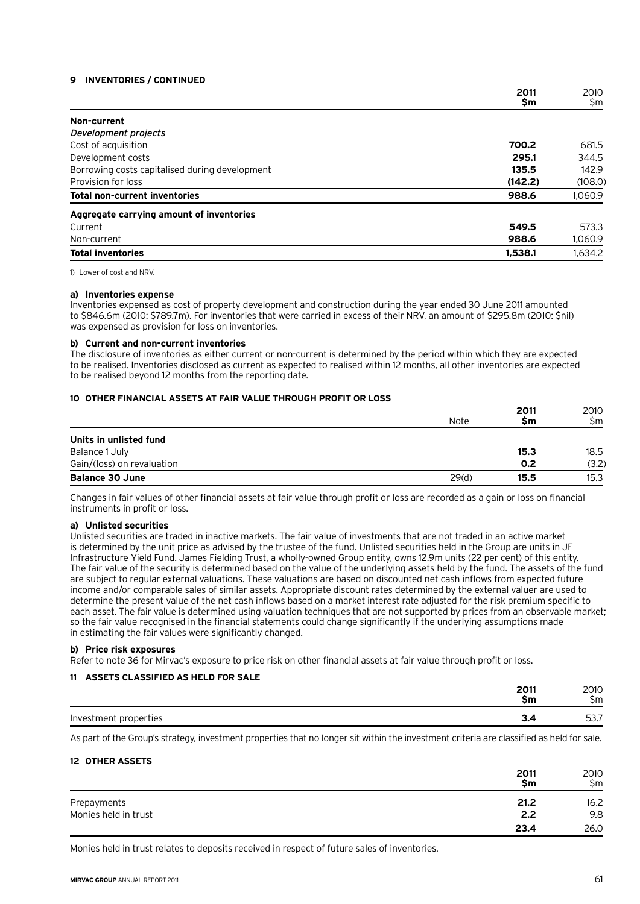#### **9 Inventories / continued**

|                                                | 2011    | 2010    |
|------------------------------------------------|---------|---------|
|                                                | \$m     | \$m     |
| Non-current <sup>1</sup>                       |         |         |
| Development projects                           |         |         |
| Cost of acquisition                            | 700.2   | 681.5   |
| Development costs                              | 295.1   | 344.5   |
| Borrowing costs capitalised during development | 135.5   | 142.9   |
| Provision for loss                             | (142.2) | (108.0) |
| <b>Total non-current inventories</b>           | 988.6   | 1,060.9 |
| Aggregate carrying amount of inventories       |         |         |
| Current                                        | 549.5   | 573.3   |
| Non-current                                    | 988.6   | 1,060.9 |
| <b>Total inventories</b>                       | 1,538.1 | 1.634.2 |

1) Lower of cost and NRV.

#### **a) Inventories expense**

Inventories expensed as cost of property development and construction during the year ended 30 June 2011 amounted to \$846.6m (2010: \$789.7m). For inventories that were carried in excess of their NRV, an amount of \$295.8m (2010: \$nil) was expensed as provision for loss on inventories.

#### **b) Current and non-current inventories**

The disclosure of inventories as either current or non-current is determined by the period within which they are expected to be realised. Inventories disclosed as current as expected to realised within 12 months, all other inventories are expected to be realised beyond 12 months from the reporting date.

#### **10 Other financial assets at fair value through profit or loss**

|                            | Note  | 2011<br>Sm | 2010<br>\$m |
|----------------------------|-------|------------|-------------|
|                            |       |            |             |
| Units in unlisted fund     |       |            |             |
| Balance 1 July             |       | 15.3       | 18.5        |
| Gain/(loss) on revaluation |       | 0.2        | (3.2)       |
| <b>Balance 30 June</b>     | 29(d) | 15.5       | 15.3        |

Changes in fair values of other financial assets at fair value through profit or loss are recorded as a gain or loss on financial instruments in profit or loss.

#### **a) Unlisted securities**

Unlisted securities are traded in inactive markets. The fair value of investments that are not traded in an active market is determined by the unit price as advised by the trustee of the fund. Unlisted securities held in the Group are units in JF Infrastructure Yield Fund. James Fielding Trust, a wholly-owned Group entity, owns 12.9m units (22 per cent) of this entity. The fair value of the security is determined based on the value of the underlying assets held by the fund. The assets of the fund are subject to regular external valuations. These valuations are based on discounted net cash inflows from expected future income and/or comparable sales of similar assets. Appropriate discount rates determined by the external valuer are used to determine the present value of the net cash inflows based on a market interest rate adjusted for the risk premium specific to each asset. The fair value is determined using valuation techniques that are not supported by prices from an observable market; so the fair value recognised in the financial statements could change significantly if the underlying assumptions made in estimating the fair values were significantly changed.

#### **b) Price risk exposures**

Refer to note 36 for Mirvac's exposure to price risk on other financial assets at fair value through profit or loss.

#### **11 Assets classified as held for sale**

|                              | 2011<br>$\leq m$ | 2010<br>.<br>m<br>، ا ا ب |
|------------------------------|------------------|---------------------------|
| properties<br>Inves<br>็ฑenเ | $  -$            | ---<br>$-$<br>            |

As part of the Group's strategy, investment properties that no longer sit within the investment criteria are classified as held for sale.

#### **12 Other assets**

|                      | 2011<br>\$m | 2010<br>Şm |
|----------------------|-------------|------------|
| Prepayments          | 21.2        | 16.2       |
| Monies held in trust | 2.2         | 9.8        |
|                      | 23.4        | 26.0       |

Monies held in trust relates to deposits received in respect of future sales of inventories.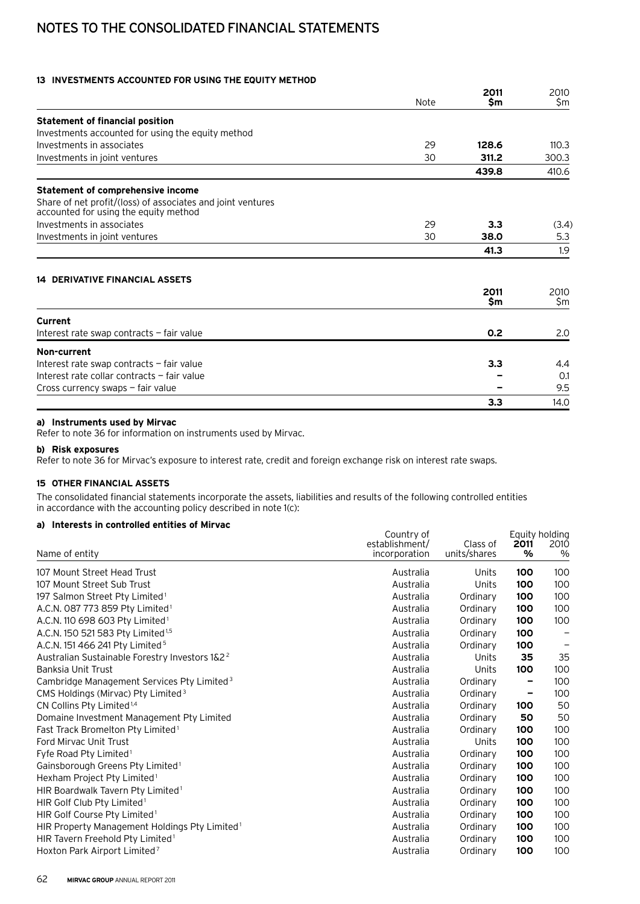## Notes to the consolidated financial statements

### **13 Investments accounted for using the equity method**

|                                                                                                      |      | 2011        | 2010        |
|------------------------------------------------------------------------------------------------------|------|-------------|-------------|
|                                                                                                      | Note | \$m         | \$m         |
| <b>Statement of financial position</b>                                                               |      |             |             |
| Investments accounted for using the equity method                                                    |      |             |             |
| Investments in associates                                                                            | 29   | 128.6       | 110.3       |
| Investments in joint ventures                                                                        | 30   | 311.2       | 300.3       |
|                                                                                                      |      | 439.8       | 410.6       |
| Statement of comprehensive income                                                                    |      |             |             |
| Share of net profit/(loss) of associates and joint ventures<br>accounted for using the equity method |      |             |             |
| Investments in associates                                                                            | 29   | 3.3         | (3.4)       |
| Investments in joint ventures                                                                        | 30   | 38.0        | 5.3         |
|                                                                                                      |      | 41.3        | 1.9         |
| <b>14 DERIVATIVE FINANCIAL ASSETS</b>                                                                |      |             |             |
|                                                                                                      |      | 2011<br>\$m | 2010<br>\$m |
| Current                                                                                              |      |             |             |
| Interest rate swap contracts - fair value                                                            |      | 0.2         | 2.0         |
| Non-current                                                                                          |      |             |             |
| Interest rate swap contracts - fair value                                                            |      | 3.3         | 4.4         |
| Interest rate collar contracts - fair value                                                          |      |             | 0.1         |
| Cross currency swaps – fair value                                                                    |      |             | 9.5         |
|                                                                                                      |      | 3.3         | 14.0        |

#### **a) Instruments used by Mirvac**

Refer to note 36 for information on instruments used by Mirvac.

#### **b) Risk exposures**

Refer to note 36 for Mirvac's exposure to interest rate, credit and foreign exchange risk on interest rate swaps.

### **15 Other financial assets**

The consolidated financial statements incorporate the assets, liabilities and results of the following controlled entities in accordance with the accounting policy described in note 1(c):

### **a) Interests in controlled entities of Mirvac**

|                                                            | Country of                      |                          | Equity holding |              |
|------------------------------------------------------------|---------------------------------|--------------------------|----------------|--------------|
| Name of entity                                             | establishment/<br>incorporation | Class of<br>units/shares | 2011<br>%      | 2010<br>$\%$ |
| 107 Mount Street Head Trust                                | Australia                       | Units                    | 100            | 100          |
| 107 Mount Street Sub Trust                                 | Australia                       | Units                    | 100            | 100          |
| 197 Salmon Street Pty Limited <sup>1</sup>                 | Australia                       | Ordinary                 | 100            | 100          |
| A.C.N. 087 773 859 Pty Limited <sup>1</sup>                | Australia                       | Ordinary                 | 100            | 100          |
| A.C.N. 110 698 603 Pty Limited <sup>1</sup>                | Australia                       | Ordinary                 | 100            | 100          |
| A.C.N. 150 521 583 Pty Limited <sup>1,5</sup>              | Australia                       | Ordinary                 | 100            |              |
| A.C.N. 151 466 241 Pty Limited <sup>5</sup>                | Australia                       | Ordinary                 | 100            |              |
| Australian Sustainable Forestry Investors 1&2 <sup>2</sup> | Australia                       | Units                    | 35             | 35           |
| Banksia Unit Trust                                         | Australia                       | Units                    | 100            | 100          |
| Cambridge Management Services Pty Limited <sup>3</sup>     | Australia                       | Ordinary                 |                | 100          |
| CMS Holdings (Mirvac) Pty Limited <sup>3</sup>             | Australia                       | Ordinary                 |                | 100          |
| CN Collins Pty Limited <sup>1,4</sup>                      | Australia                       | Ordinary                 | 100            | 50           |
| Domaine Investment Management Pty Limited                  | Australia                       | Ordinary                 | 50             | 50           |
| Fast Track Bromelton Pty Limited <sup>1</sup>              | Australia                       | Ordinary                 | 100            | 100          |
| Ford Mirvac Unit Trust                                     | Australia                       | Units                    | 100            | 100          |
| Fyfe Road Pty Limited <sup>1</sup>                         | Australia                       | Ordinary                 | 100            | 100          |
| Gainsborough Greens Pty Limited <sup>1</sup>               | Australia                       | Ordinary                 | 100            | 100          |
| Hexham Project Pty Limited <sup>1</sup>                    | Australia                       | Ordinary                 | 100            | 100          |
| HIR Boardwalk Tavern Pty Limited <sup>1</sup>              | Australia                       | Ordinary                 | 100            | 100          |
| HIR Golf Club Pty Limited <sup>1</sup>                     | Australia                       | Ordinary                 | 100            | 100          |
| HIR Golf Course Pty Limited <sup>1</sup>                   | Australia                       | Ordinary                 | 100            | 100          |
| HIR Property Management Holdings Pty Limited <sup>1</sup>  | Australia                       | Ordinary                 | 100            | 100          |
| HIR Tavern Freehold Pty Limited <sup>1</sup>               | Australia                       | Ordinary                 | 100            | 100          |
| Hoxton Park Airport Limited <sup>7</sup>                   | Australia                       | Ordinary                 | 100            | 100          |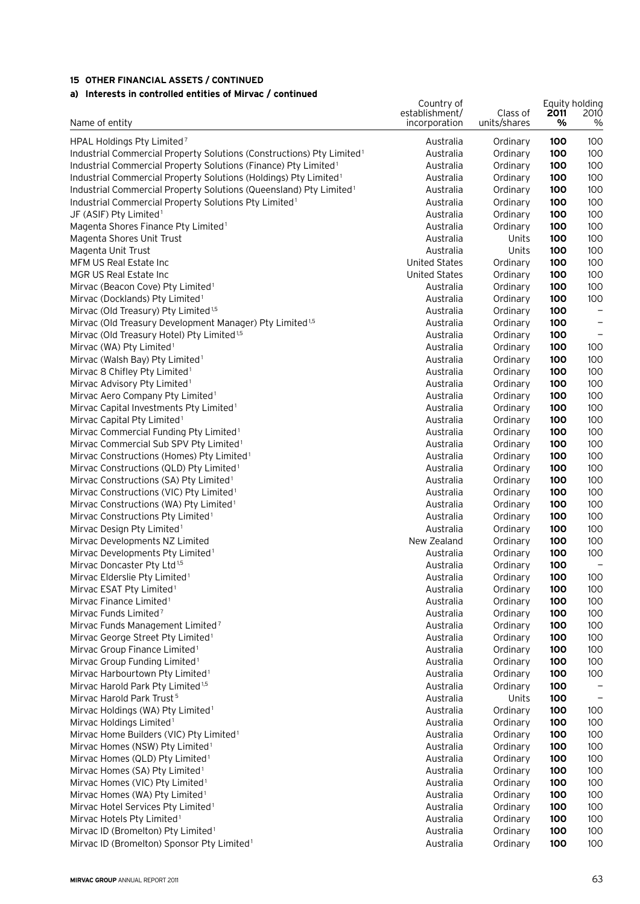## **a) Interests in controlled entities of Mirvac / continued**

| a) interests in controlled entitles of Mirvac / continued                                                                   |                                               |                          |                                         |                   |
|-----------------------------------------------------------------------------------------------------------------------------|-----------------------------------------------|--------------------------|-----------------------------------------|-------------------|
| Name of entity                                                                                                              | Country of<br>establishment/<br>incorporation | Class of<br>units/shares | Equity holding<br>2011<br>$\frac{9}{6}$ | 2010<br>$\%$      |
|                                                                                                                             |                                               |                          |                                         |                   |
| HPAL Holdings Pty Limited <sup>7</sup><br>Industrial Commercial Property Solutions (Constructions) Pty Limited <sup>1</sup> | Australia<br>Australia                        | Ordinary<br>Ordinary     | 100<br>100                              | 100<br>100        |
| Industrial Commercial Property Solutions (Finance) Pty Limited <sup>1</sup>                                                 | Australia                                     | Ordinary                 | 100                                     | 100               |
| Industrial Commercial Property Solutions (Holdings) Pty Limited <sup>1</sup>                                                | Australia                                     | Ordinary                 | 100                                     | 100               |
| Industrial Commercial Property Solutions (Queensland) Pty Limited <sup>1</sup>                                              | Australia                                     | Ordinary                 | 100                                     | 100               |
| Industrial Commercial Property Solutions Pty Limited <sup>1</sup>                                                           | Australia                                     | Ordinary                 | 100                                     | 100               |
| JF (ASIF) Pty Limited <sup>1</sup>                                                                                          | Australia                                     | Ordinary                 | 100                                     | 100               |
| Magenta Shores Finance Pty Limited <sup>1</sup>                                                                             | Australia                                     | Ordinary                 | 100                                     | 100               |
| Magenta Shores Unit Trust                                                                                                   | Australia                                     | Units                    | 100                                     | 100               |
| Magenta Unit Trust                                                                                                          | Australia                                     | Units                    | 100                                     | 100               |
| MFM US Real Estate Inc                                                                                                      | <b>United States</b>                          | Ordinary                 | 100                                     | 100               |
| MGR US Real Estate Inc                                                                                                      | <b>United States</b>                          | Ordinary                 | 100                                     | 100               |
| Mirvac (Beacon Cove) Pty Limited <sup>1</sup>                                                                               | Australia                                     | Ordinary                 | 100                                     | 100               |
| Mirvac (Docklands) Pty Limited <sup>1</sup>                                                                                 | Australia                                     | Ordinary                 | 100                                     | 100               |
| Mirvac (Old Treasury) Pty Limited <sup>1,5</sup>                                                                            | Australia                                     | Ordinary                 | 100                                     | $\qquad \qquad -$ |
| Mirvac (Old Treasury Development Manager) Pty Limited <sup>1,5</sup>                                                        | Australia                                     | Ordinary                 | 100                                     | $\qquad \qquad -$ |
| Mirvac (Old Treasury Hotel) Pty Limited <sup>1,5</sup>                                                                      | Australia                                     | Ordinary                 | 100                                     | $\qquad \qquad -$ |
| Mirvac (WA) Pty Limited <sup>1</sup><br>Mirvac (Walsh Bay) Pty Limited <sup>1</sup>                                         | Australia<br>Australia                        | Ordinary<br>Ordinary     | 100<br>100                              | 100<br>100        |
| Mirvac 8 Chifley Pty Limited <sup>1</sup>                                                                                   | Australia                                     | Ordinary                 | 100                                     | 100               |
| Mirvac Advisory Pty Limited <sup>1</sup>                                                                                    | Australia                                     | Ordinary                 | 100                                     | 100               |
| Mirvac Aero Company Pty Limited <sup>1</sup>                                                                                | Australia                                     | Ordinary                 | 100                                     | 100               |
| Mirvac Capital Investments Pty Limited <sup>1</sup>                                                                         | Australia                                     | Ordinary                 | 100                                     | 100               |
| Mirvac Capital Pty Limited <sup>1</sup>                                                                                     | Australia                                     | Ordinary                 | 100                                     | 100               |
| Mirvac Commercial Funding Pty Limited <sup>1</sup>                                                                          | Australia                                     | Ordinary                 | 100                                     | 100               |
| Mirvac Commercial Sub SPV Pty Limited <sup>1</sup>                                                                          | Australia                                     | Ordinary                 | 100                                     | 100               |
| Mirvac Constructions (Homes) Pty Limited <sup>1</sup>                                                                       | Australia                                     | Ordinary                 | 100                                     | 100               |
| Mirvac Constructions (QLD) Pty Limited <sup>1</sup>                                                                         | Australia                                     | Ordinary                 | 100                                     | 100               |
| Mirvac Constructions (SA) Pty Limited <sup>1</sup>                                                                          | Australia                                     | Ordinary                 | 100                                     | 100               |
| Mirvac Constructions (VIC) Pty Limited <sup>1</sup>                                                                         | Australia                                     | Ordinary                 | 100                                     | 100               |
| Mirvac Constructions (WA) Pty Limited <sup>1</sup>                                                                          | Australia                                     | Ordinary                 | 100                                     | 100               |
| Mirvac Constructions Pty Limited <sup>1</sup>                                                                               | Australia                                     | Ordinary                 | 100                                     | 100               |
| Mirvac Design Pty Limited <sup>1</sup>                                                                                      | Australia                                     | Ordinary                 | 100                                     | 100               |
| Mirvac Developments NZ Limited                                                                                              | New Zealand                                   | Ordinary                 | 100                                     | 100               |
| Mirvac Developments Pty Limited <sup>1</sup><br>Mirvac Doncaster Pty Ltd <sup>1,5</sup>                                     | Australia<br>Australia                        | Ordinary                 | 100<br>100                              | 100               |
| Mirvac Elderslie Pty Limited <sup>1</sup>                                                                                   | Australia                                     | Ordinary<br>Ordinary     | 100                                     | 100               |
| Mirvac ESAT Pty Limited <sup>1</sup>                                                                                        | Australia                                     | Ordinary                 | 100                                     | 100               |
| Mirvac Finance Limited <sup>1</sup>                                                                                         | Australia                                     | Ordinary                 | 100                                     | 100               |
| Mirvac Funds Limited <sup>7</sup>                                                                                           | Australia                                     | Ordinary                 | 100                                     | 100               |
| Mirvac Funds Management Limited <sup>7</sup>                                                                                | Australia                                     | Ordinary                 | 100                                     | 100               |
| Mirvac George Street Pty Limited <sup>1</sup>                                                                               | Australia                                     | Ordinary                 | 100                                     | 100               |
| Mirvac Group Finance Limited <sup>1</sup>                                                                                   | Australia                                     | Ordinary                 | 100                                     | 100               |
| Mirvac Group Funding Limited <sup>1</sup>                                                                                   | Australia                                     | Ordinary                 | 100                                     | 100               |
| Mirvac Harbourtown Pty Limited <sup>1</sup>                                                                                 | Australia                                     | Ordinary                 | 100                                     | 100               |
| Mirvac Harold Park Pty Limited <sup>1,5</sup>                                                                               | Australia                                     | Ordinary                 | 100                                     |                   |
| Mirvac Harold Park Trust <sup>5</sup>                                                                                       | Australia                                     | Units                    | 100                                     |                   |
| Mirvac Holdings (WA) Pty Limited <sup>1</sup>                                                                               | Australia                                     | Ordinary                 | 100                                     | 100               |
| Mirvac Holdings Limited <sup>1</sup>                                                                                        | Australia                                     | Ordinary                 | 100                                     | 100               |
| Mirvac Home Builders (VIC) Pty Limited <sup>1</sup>                                                                         | Australia                                     | Ordinary                 | 100                                     | 100               |
| Mirvac Homes (NSW) Pty Limited <sup>1</sup>                                                                                 | Australia                                     | Ordinary                 | 100                                     | 100               |
| Mirvac Homes (QLD) Pty Limited <sup>1</sup>                                                                                 | Australia<br>Australia                        | Ordinary                 | 100                                     | 100<br>100        |
| Mirvac Homes (SA) Pty Limited <sup>1</sup>                                                                                  | Australia                                     | Ordinary                 | 100<br>100                              | 100               |
| Mirvac Homes (VIC) Pty Limited <sup>1</sup><br>Mirvac Homes (WA) Pty Limited <sup>1</sup>                                   | Australia                                     | Ordinary<br>Ordinary     | 100                                     | 100               |
| Mirvac Hotel Services Pty Limited <sup>1</sup>                                                                              | Australia                                     | Ordinary                 | 100                                     | 100               |
| Mirvac Hotels Pty Limited <sup>1</sup>                                                                                      | Australia                                     | Ordinary                 | 100                                     | 100               |
| Mirvac ID (Bromelton) Pty Limited <sup>1</sup>                                                                              | Australia                                     | Ordinary                 | 100                                     | 100               |
| Mirvac ID (Bromelton) Sponsor Pty Limited <sup>1</sup>                                                                      | Australia                                     | Ordinary                 | 100                                     | 100               |
|                                                                                                                             |                                               |                          |                                         |                   |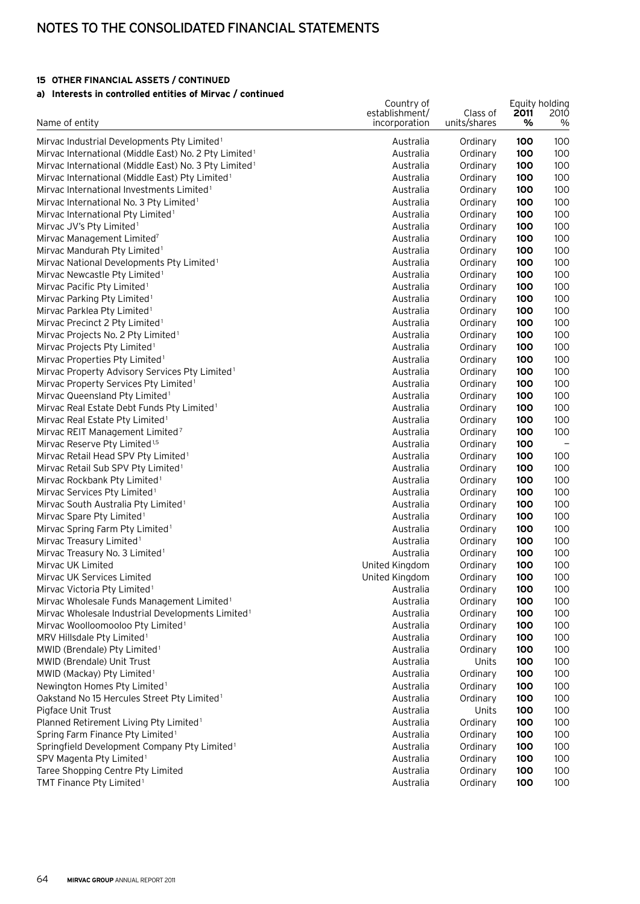## Notes to the consolidated financial statements

## **15 Other financial assets / continued**

### **a) Interests in controlled entities of Mirvac / continued**

| a) interests in controlled entities of mirvac / continued                                  |                                               |                          |            |                             |
|--------------------------------------------------------------------------------------------|-----------------------------------------------|--------------------------|------------|-----------------------------|
| Name of entity                                                                             | Country of<br>establishment/<br>incorporation | Class of<br>units/shares | 2011<br>%  | Equity holding<br>2010<br>% |
|                                                                                            |                                               |                          |            |                             |
| Mirvac Industrial Developments Pty Limited <sup>1</sup>                                    | Australia                                     | Ordinary                 | 100        | 100                         |
| Mirvac International (Middle East) No. 2 Pty Limited <sup>1</sup>                          | Australia                                     | Ordinary                 | 100        | 100                         |
| Mirvac International (Middle East) No. 3 Pty Limited <sup>1</sup>                          | Australia                                     | Ordinary                 | 100        | 100                         |
| Mirvac International (Middle East) Pty Limited <sup>1</sup>                                | Australia                                     | Ordinary                 | 100        | 100                         |
| Mirvac International Investments Limited <sup>1</sup>                                      | Australia                                     | Ordinary                 | 100        | 100                         |
| Mirvac International No. 3 Pty Limited <sup>1</sup>                                        | Australia                                     | Ordinary                 | 100        | 100                         |
| Mirvac International Pty Limited <sup>1</sup>                                              | Australia                                     | Ordinary                 | 100        | 100                         |
| Mirvac JV's Pty Limited <sup>1</sup>                                                       | Australia                                     | Ordinary                 | 100        | 100                         |
| Mirvac Management Limited <sup>7</sup>                                                     | Australia                                     | Ordinary                 | 100        | 100                         |
| Mirvac Mandurah Pty Limited <sup>1</sup>                                                   | Australia                                     | Ordinary                 | 100        | 100                         |
| Mirvac National Developments Pty Limited <sup>1</sup>                                      | Australia                                     | Ordinary                 | 100        | 100                         |
| Mirvac Newcastle Pty Limited <sup>1</sup>                                                  | Australia                                     | Ordinary                 | 100        | 100                         |
| Mirvac Pacific Pty Limited <sup>1</sup>                                                    | Australia                                     | Ordinary                 | 100        | 100                         |
| Mirvac Parking Pty Limited <sup>1</sup>                                                    | Australia                                     | Ordinary                 | 100        | 100                         |
| Mirvac Parklea Pty Limited <sup>1</sup>                                                    | Australia                                     | Ordinary                 | 100        | 100                         |
| Mirvac Precinct 2 Pty Limited <sup>1</sup>                                                 | Australia                                     | Ordinary                 | 100        | 100                         |
| Mirvac Projects No. 2 Pty Limited <sup>1</sup>                                             | Australia                                     | Ordinary                 | 100        | 100                         |
| Mirvac Projects Pty Limited <sup>1</sup>                                                   | Australia                                     | Ordinary                 | 100        | 100                         |
| Mirvac Properties Pty Limited <sup>1</sup>                                                 | Australia                                     | Ordinary                 | 100        | 100                         |
| Mirvac Property Advisory Services Pty Limited <sup>1</sup>                                 | Australia                                     | Ordinary                 | 100        | 100                         |
| Mirvac Property Services Pty Limited <sup>1</sup>                                          | Australia                                     | Ordinary                 | 100        | 100                         |
| Mirvac Queensland Pty Limited <sup>1</sup>                                                 | Australia                                     | Ordinary                 | 100        | 100                         |
| Mirvac Real Estate Debt Funds Pty Limited <sup>1</sup>                                     | Australia                                     | Ordinary                 | 100        | 100                         |
| Mirvac Real Estate Pty Limited <sup>1</sup>                                                | Australia                                     | Ordinary                 | 100        | 100                         |
| Mirvac REIT Management Limited <sup>7</sup>                                                | Australia<br>Australia                        | Ordinary                 | 100        | 100                         |
| Mirvac Reserve Pty Limited <sup>1,5</sup>                                                  | Australia                                     | Ordinary                 | 100<br>100 | 100                         |
| Mirvac Retail Head SPV Pty Limited <sup>1</sup>                                            | Australia                                     | Ordinary                 | 100        | 100                         |
| Mirvac Retail Sub SPV Pty Limited <sup>1</sup><br>Mirvac Rockbank Pty Limited <sup>1</sup> | Australia                                     | Ordinary<br>Ordinary     | 100        | 100                         |
| Mirvac Services Pty Limited <sup>1</sup>                                                   | Australia                                     | Ordinary                 | 100        | 100                         |
| Mirvac South Australia Pty Limited <sup>1</sup>                                            | Australia                                     | Ordinary                 | 100        | 100                         |
| Mirvac Spare Pty Limited <sup>1</sup>                                                      | Australia                                     | Ordinary                 | 100        | 100                         |
| Mirvac Spring Farm Pty Limited <sup>1</sup>                                                | Australia                                     | Ordinary                 | 100        | 100                         |
| Mirvac Treasury Limited <sup>1</sup>                                                       | Australia                                     | Ordinary                 | 100        | 100                         |
| Mirvac Treasury No. 3 Limited <sup>1</sup>                                                 | Australia                                     | Ordinary                 | 100        | 100                         |
| Mirvac UK Limited                                                                          | United Kingdom                                | Ordinary                 | 100        | 100                         |
| Mirvac UK Services Limited                                                                 | United Kingdom                                | Ordinary                 | 100        | 100                         |
| Mirvac Victoria Pty Limited <sup>1</sup>                                                   | Australia                                     | Ordinary                 | 100        | 100                         |
| Mirvac Wholesale Funds Management Limited <sup>1</sup>                                     | Australia                                     | Ordinary                 | 100        | 100                         |
| Mirvac Wholesale Industrial Developments Limited <sup>1</sup>                              | Australia                                     | Ordinary                 | 100        | 100                         |
| Mirvac Woolloomooloo Pty Limited <sup>1</sup>                                              | Australia                                     | Ordinary                 | 100        | 100                         |
| MRV Hillsdale Pty Limited <sup>1</sup>                                                     | Australia                                     | Ordinary                 | 100        | 100                         |
| MWID (Brendale) Pty Limited <sup>1</sup>                                                   | Australia                                     | Ordinary                 | 100        | 100                         |
| MWID (Brendale) Unit Trust                                                                 | Australia                                     | Units                    | 100        | 100                         |
| MWID (Mackay) Pty Limited <sup>1</sup>                                                     | Australia                                     | Ordinary                 | 100        | 100                         |
| Newington Homes Pty Limited <sup>1</sup>                                                   | Australia                                     | Ordinary                 | 100        | 100                         |
| Oakstand No 15 Hercules Street Pty Limited <sup>1</sup>                                    | Australia                                     | Ordinary                 | 100        | 100                         |
| Pigface Unit Trust                                                                         | Australia                                     | Units                    | 100        | 100                         |
| Planned Retirement Living Pty Limited <sup>1</sup>                                         | Australia                                     | Ordinary                 | 100        | 100                         |
| Spring Farm Finance Pty Limited <sup>1</sup>                                               | Australia                                     | Ordinary                 | 100        | 100                         |
| Springfield Development Company Pty Limited <sup>1</sup>                                   | Australia                                     | Ordinary                 | 100        | 100                         |
| SPV Magenta Pty Limited <sup>1</sup>                                                       | Australia                                     | Ordinary                 | 100        | 100                         |
| Taree Shopping Centre Pty Limited                                                          | Australia                                     | Ordinary                 | 100        | 100                         |
| TMT Finance Pty Limited <sup>1</sup>                                                       | Australia                                     | Ordinary                 | 100        | 100                         |
|                                                                                            |                                               |                          |            |                             |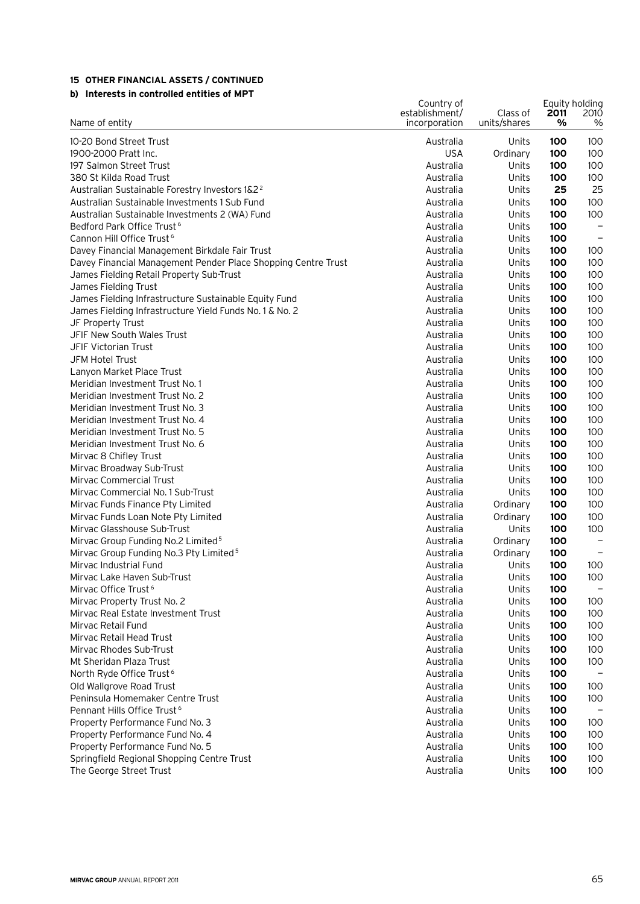### **b) Interests in controlled entities of MPT**

|                                                               | Country of                      |                          | Equity holding |                   |
|---------------------------------------------------------------|---------------------------------|--------------------------|----------------|-------------------|
| Name of entity                                                | establishment/<br>incorporation | Class of<br>units/shares | 2011<br>%      | 2010<br>$\%$      |
| 10-20 Bond Street Trust                                       | Australia                       | Units                    | 100            | 100               |
| 1900-2000 Pratt Inc.                                          | <b>USA</b>                      | Ordinary                 | 100            | 100               |
| 197 Salmon Street Trust                                       | Australia                       | Units                    | 100            | 100               |
| 380 St Kilda Road Trust                                       | Australia                       | Units                    | 100            | 100               |
| Australian Sustainable Forestry Investors 1&2 <sup>2</sup>    | Australia                       | Units                    | 25             | 25                |
| Australian Sustainable Investments 1 Sub Fund                 | Australia                       | Units                    | 100            | 100               |
| Australian Sustainable Investments 2 (WA) Fund                | Australia                       | Units                    | 100            | 100               |
| Bedford Park Office Trust <sup>6</sup>                        | Australia                       | Units                    | 100            | $\qquad \qquad -$ |
| Cannon Hill Office Trust <sup>6</sup>                         | Australia                       | Units                    | 100            | $\qquad \qquad -$ |
| Davey Financial Management Birkdale Fair Trust                | Australia                       | Units                    | 100            | 100               |
| Davey Financial Management Pender Place Shopping Centre Trust | Australia                       | Units                    | 100            | 100               |
| James Fielding Retail Property Sub-Trust                      | Australia                       | Units                    | 100            | 100               |
| James Fielding Trust                                          | Australia                       | Units                    | 100            | 100               |
| James Fielding Infrastructure Sustainable Equity Fund         | Australia                       | Units                    | 100            | 100               |
| James Fielding Infrastructure Yield Funds No. 1 & No. 2       | Australia                       | Units                    | 100            | 100               |
| JF Property Trust                                             | Australia                       | Units                    | 100            | 100               |
| JFIF New South Wales Trust                                    | Australia                       | Units                    | 100            | 100               |
| <b>JFIF Victorian Trust</b>                                   | Australia                       | Units                    | 100            | 100               |
| JFM Hotel Trust                                               | Australia                       | Units                    | 100            | 100               |
| Lanyon Market Place Trust                                     | Australia                       | Units                    | 100            | 100               |
| Meridian Investment Trust No. 1                               | Australia                       | Units                    | 100            | 100               |
| Meridian Investment Trust No. 2                               | Australia                       | Units                    | 100            | 100               |
| Meridian Investment Trust No. 3                               | Australia                       | Units                    | 100            | 100               |
| Meridian Investment Trust No. 4                               | Australia                       | Units                    | 100            | 100               |
| Meridian Investment Trust No. 5                               | Australia                       | Units                    | 100            | 100               |
| Meridian Investment Trust No. 6                               | Australia                       | Units                    | 100            | 100               |
| Mirvac 8 Chifley Trust                                        | Australia                       | Units                    | 100            | 100               |
| Mirvac Broadway Sub-Trust                                     | Australia                       | Units                    | 100            | 100               |
| Mirvac Commercial Trust                                       | Australia                       | Units                    | 100            | 100               |
| Mirvac Commercial No. 1 Sub-Trust                             | Australia                       | Units                    | 100            | 100               |
| Mirvac Funds Finance Pty Limited                              | Australia                       | Ordinary                 | 100            | 100               |
| Mirvac Funds Loan Note Pty Limited                            | Australia                       | Ordinary                 | 100            | 100               |
| Mirvac Glasshouse Sub-Trust                                   | Australia                       | Units                    | 100            | 100               |
| Mirvac Group Funding No.2 Limited <sup>5</sup>                | Australia                       | Ordinary                 | 100            |                   |
| Mirvac Group Funding No.3 Pty Limited <sup>5</sup>            | Australia                       | Ordinary                 | 100            |                   |
| Mirvac Industrial Fund                                        | Australia                       | Units                    | 100            | 100               |
| Mirvac Lake Haven Sub-Trust                                   | Australia                       | Units                    | 100            | 100               |
| Mirvac Office Trust <sup>6</sup>                              | Australia                       | Units                    | 100            | $\qquad \qquad -$ |
| Mirvac Property Trust No. 2                                   | Australia                       | Units                    | 100            | 100               |
| Mirvac Real Estate Investment Trust                           | Australia                       | Units                    | 100            | 100               |
| Mirvac Retail Fund                                            | Australia                       | Units                    | 100            | 100               |
| Mirvac Retail Head Trust                                      | Australia                       | Units                    | 100            | 100               |
| Mirvac Rhodes Sub-Trust                                       | Australia                       | Units                    | 100            | 100               |
| Mt Sheridan Plaza Trust                                       | Australia                       | Units                    | 100            | 100               |
| North Ryde Office Trust <sup>6</sup>                          | Australia                       | Units                    | 100            |                   |
| Old Wallgrove Road Trust                                      | Australia                       | Units                    | 100            | 100               |
| Peninsula Homemaker Centre Trust                              | Australia                       | Units                    | 100            | 100               |
| Pennant Hills Office Trust <sup>6</sup>                       | Australia                       | Units                    | 100            |                   |
| Property Performance Fund No. 3                               | Australia                       | Units                    | 100            | 100               |
| Property Performance Fund No. 4                               | Australia                       | Units                    | 100            | 100               |
| Property Performance Fund No. 5                               | Australia                       | Units                    | 100            | 100               |
| Springfield Regional Shopping Centre Trust                    | Australia                       | Units                    | 100            | 100               |
| The George Street Trust                                       | Australia                       | Units                    | 100            | 100               |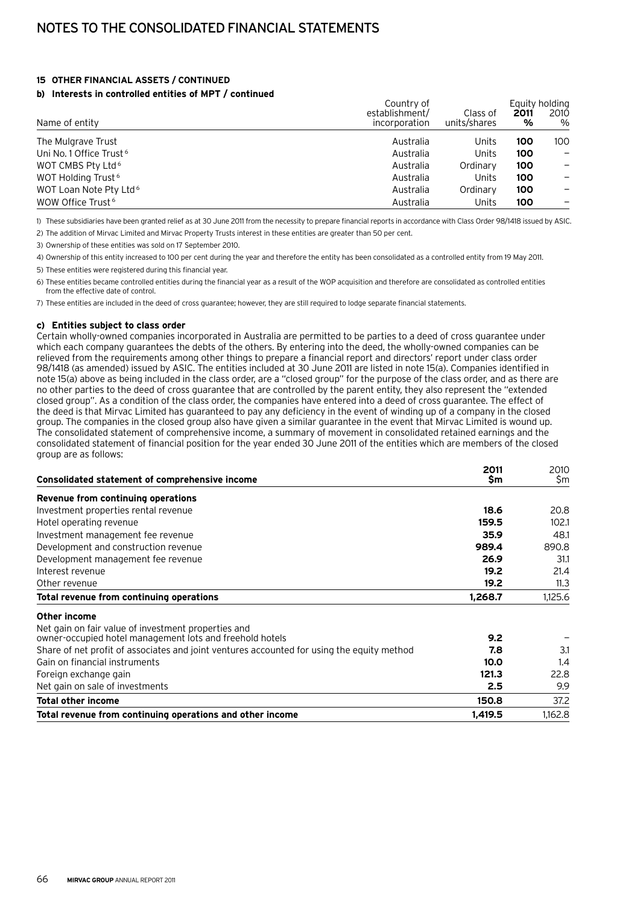#### **b) Interests in controlled entities of MPT / continued**

|                                     | Country of     |              |      | Equity holding               |
|-------------------------------------|----------------|--------------|------|------------------------------|
|                                     | establishment/ | Class of     | 2011 | 2010                         |
| Name of entity                      | incorporation  | units/shares | %    | $\%$                         |
| The Mulgrave Trust                  | Australia      | Units        | 100  | 100                          |
| Uni No. 1 Office Trust <sup>6</sup> | Australia      | Units        | 100  | $\qquad \qquad \blacksquare$ |
| WOT CMBS Pty Ltd <sup>6</sup>       | Australia      | Ordinary     | 100  | -                            |
| WOT Holding Trust <sup>6</sup>      | Australia      | Units        | 100  | $\qquad \qquad \blacksquare$ |
| WOT Loan Note Pty Ltd <sup>6</sup>  | Australia      | Ordinary     | 100  |                              |
| WOW Office Trust <sup>6</sup>       | Australia      | Units        | 100  |                              |

1) These subsidiaries have been granted relief as at 30 June 2011 from the necessity to prepare financial reports in accordance with Class Order 98/1418 issued by ASIC.

2) The addition of Mirvac Limited and Mirvac Property Trusts interest in these entities are greater than 50 per cent.

3) Ownership of these entities was sold on 17 September 2010.

4) Ownership of this entity increased to 100 per cent during the year and therefore the entity has been consolidated as a controlled entity from 19 May 2011.

5) These entities were registered during this financial year.

6) These entities became controlled entities during the financial year as a result of the WOP acquisition and therefore are consolidated as controlled entities from the effective date of control.

7) These entities are included in the deed of cross guarantee; however, they are still required to lodge separate financial statements.

#### **c) Entities subject to class order**

Certain wholly-owned companies incorporated in Australia are permitted to be parties to a deed of cross guarantee under which each company guarantees the debts of the others. By entering into the deed, the wholly-owned companies can be relieved from the requirements among other things to prepare a financial report and directors' report under class order 98/1418 (as amended) issued by ASIC. The entities included at 30 June 2011 are listed in note 15(a). Companies identified in note 15(a) above as being included in the class order, are a "closed group" for the purpose of the class order, and as there are no other parties to the deed of cross guarantee that are controlled by the parent entity, they also represent the "extended closed group". As a condition of the class order, the companies have entered into a deed of cross guarantee. The effect of the deed is that Mirvac Limited has guaranteed to pay any deficiency in the event of winding up of a company in the closed group. The companies in the closed group also have given a similar guarantee in the event that Mirvac Limited is wound up. The consolidated statement of comprehensive income, a summary of movement in consolidated retained earnings and the consolidated statement of financial position for the year ended 30 June 2011 of the entities which are members of the closed group are as follows:

|                                                                                            | 2011    | 2010    |
|--------------------------------------------------------------------------------------------|---------|---------|
| Consolidated statement of comprehensive income                                             | \$m     | \$m     |
| Revenue from continuing operations                                                         |         |         |
| Investment properties rental revenue                                                       | 18.6    | 20.8    |
| Hotel operating revenue                                                                    | 159.5   | 102.1   |
| Investment management fee revenue                                                          | 35.9    | 48.1    |
| Development and construction revenue                                                       | 989.4   | 890.8   |
| Development management fee revenue                                                         | 26.9    | 31.1    |
| Interest revenue                                                                           | 19.2    | 21.4    |
| Other revenue                                                                              | 19.2    | 11.3    |
| Total revenue from continuing operations                                                   | 1,268.7 | 1,125.6 |
| Other income                                                                               |         |         |
| Net gain on fair value of investment properties and                                        |         |         |
| owner-occupied hotel management lots and freehold hotels                                   | 9.2     |         |
| Share of net profit of associates and joint ventures accounted for using the equity method | 7.8     | 3.1     |
| Gain on financial instruments                                                              | 10.0    | 1.4     |
| Foreign exchange gain                                                                      | 121.3   | 22.8    |
| Net gain on sale of investments                                                            | 2.5     | 9.9     |
| <b>Total other income</b>                                                                  | 150.8   | 37.2    |
| Total revenue from continuing operations and other income                                  | 1.419.5 | 1.162.8 |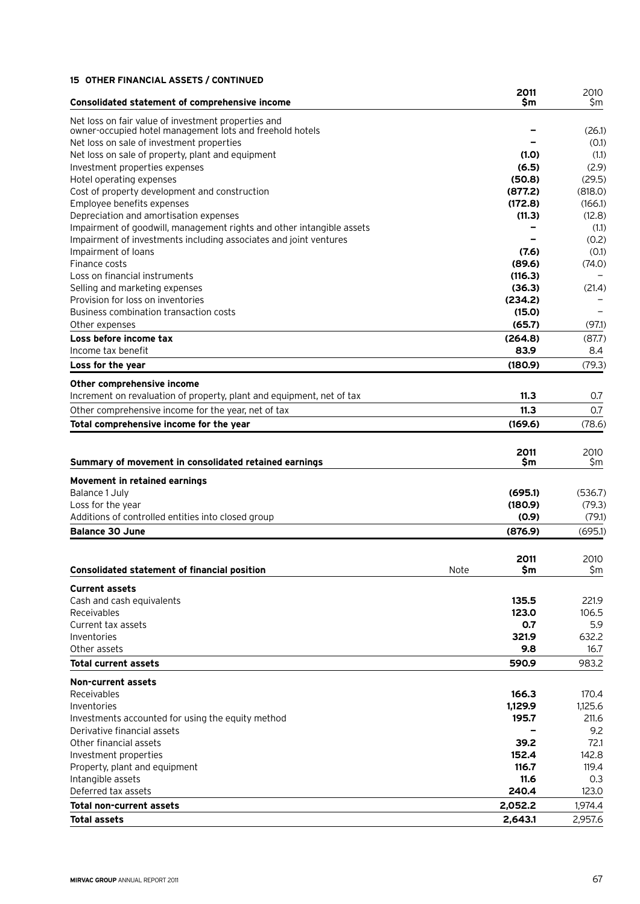|                                                                           | 2011              | 2010              |
|---------------------------------------------------------------------------|-------------------|-------------------|
| Consolidated statement of comprehensive income                            | Sm                | \$m               |
| Net loss on fair value of investment properties and                       |                   |                   |
| owner-occupied hotel management lots and freehold hotels                  |                   | (26.1)            |
| Net loss on sale of investment properties                                 |                   | (0.1)             |
| Net loss on sale of property, plant and equipment                         | (1.0)             | (1.1)             |
| Investment properties expenses                                            | (6.5)             | (2.9)             |
| Hotel operating expenses<br>Cost of property development and construction | (50.8)<br>(877.2) | (29.5)<br>(818.0) |
| Employee benefits expenses                                                | (172.8)           | (166.1)           |
| Depreciation and amortisation expenses                                    | (11.3)            | (12.8)            |
| Impairment of goodwill, management rights and other intangible assets     |                   | (1.1)             |
| Impairment of investments including associates and joint ventures         |                   | (0.2)             |
| Impairment of loans                                                       | (7.6)             | (0.1)             |
| Finance costs                                                             | (89.6)            | (74.0)            |
| Loss on financial instruments                                             | (116.3)           |                   |
| Selling and marketing expenses                                            | (36.3)            | (21.4)            |
| Provision for loss on inventories                                         | (234.2)           |                   |
| Business combination transaction costs                                    | (15.0)            |                   |
| Other expenses                                                            | (65.7)            | (97.1)            |
| Loss before income tax                                                    | (264.8)           | (87.7)            |
| Income tax benefit                                                        | 83.9              | 8.4               |
| Loss for the year                                                         | (180.9)           | (79.3)            |
| Other comprehensive income                                                |                   |                   |
| Increment on revaluation of property, plant and equipment, net of tax     | 11.3              | 0.7               |
| Other comprehensive income for the year, net of tax                       | 11.3              | 0.7               |
| Total comprehensive income for the year                                   | (169.6)           | (78.6)            |
|                                                                           |                   |                   |
|                                                                           | 2011              | 2010              |
| Summary of movement in consolidated retained earnings                     | Sm                | Sm                |
| Movement in retained earnings                                             |                   |                   |
| Balance 1 July                                                            | (695.1)           | (536.7)           |
| Loss for the year                                                         | (180.9)           | (79.3)            |
| Additions of controlled entities into closed group                        | (0.9)             | (79.1)            |
| <b>Balance 30 June</b>                                                    | (876.9)           | (695.1)           |
|                                                                           |                   |                   |
|                                                                           | 2011              | 2010              |
| <b>Consolidated statement of financial position</b>                       | Note<br>\$m       | \$m\$             |
| <b>Current assets</b>                                                     |                   |                   |
| Cash and cash equivalents                                                 | 135.5             | 221.9             |
| Receivables                                                               | 123.0             | 106.5             |
| Current tax assets                                                        | 0.7               | 5.9               |
| Inventories                                                               | 321.9             | 632.2             |
| Other assets                                                              | 9.8               | 16.7              |
| <b>Total current assets</b>                                               | 590.9             | 983.2             |
|                                                                           |                   |                   |
| Non-current assets<br>Receivables                                         |                   |                   |
| Inventories                                                               | 166.3<br>1,129.9  | 170.4<br>1,125.6  |
| Investments accounted for using the equity method                         | 195.7             | 211.6             |
| Derivative financial assets                                               |                   | 9.2               |
| Other financial assets                                                    | 39.2              | 72.1              |
| Investment properties                                                     | 152.4             | 142.8             |
| Property, plant and equipment                                             | 116.7             | 119.4             |
| Intangible assets                                                         | 11.6              | 0.3               |
| Deferred tax assets                                                       | 240.4             | 123.0             |
| <b>Total non-current assets</b>                                           | 2,052.2           | 1,974.4           |
| <b>Total assets</b>                                                       | 2,643.1           | 2,957.6           |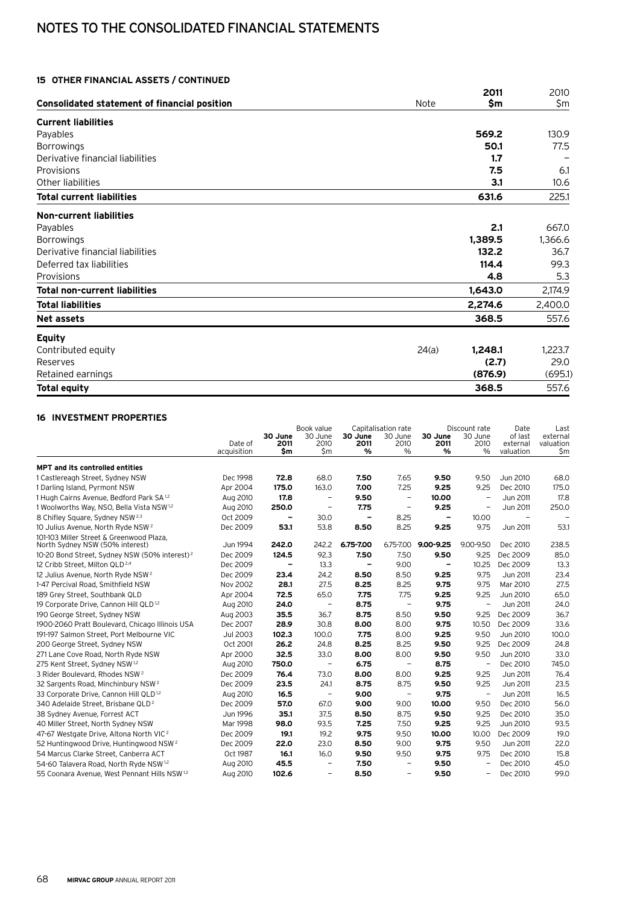## Notes to the consolidated financial statements

### **15 Other financial assets / continued**

|                                                     |             | 2011    | 2010    |
|-----------------------------------------------------|-------------|---------|---------|
| <b>Consolidated statement of financial position</b> | <b>Note</b> | \$m     | \$m     |
| <b>Current liabilities</b>                          |             |         |         |
| Payables                                            |             | 569.2   | 130.9   |
| <b>Borrowings</b>                                   |             | 50.1    | 77.5    |
| Derivative financial liabilities                    |             | 1.7     |         |
| Provisions                                          |             | 7.5     | 6.1     |
| Other liabilities                                   |             | 3.1     | 10.6    |
| <b>Total current liabilities</b>                    |             | 631.6   | 225.1   |
| Non-current liabilities                             |             |         |         |
| Payables                                            |             | 2.1     | 667.0   |
| <b>Borrowings</b>                                   |             | 1,389.5 | 1,366.6 |
| Derivative financial liabilities                    |             | 132.2   | 36.7    |
| Deferred tax liabilities                            |             | 114.4   | 99.3    |
| Provisions                                          |             | 4.8     | 5.3     |
| Total non-current liabilities                       |             | 1,643.0 | 2,174.9 |
| <b>Total liabilities</b>                            |             | 2,274.6 | 2,400.0 |
| <b>Net assets</b>                                   |             | 368.5   | 557.6   |
| <b>Equity</b>                                       |             |         |         |
| Contributed equity                                  | 24(a)       | 1,248.1 | 1,223.7 |
| Reserves                                            |             | (2.7)   | 29.0    |
| Retained earnings                                   |             | (876.9) | (695.1) |
| <b>Total equity</b>                                 |             | 368.5   | 557.6   |

### **16 Investment properties**

|                                                           |             |                          | Book value               |                              | Capitalisation rate      |                          | Discount rate            | Date                     | Last      |
|-----------------------------------------------------------|-------------|--------------------------|--------------------------|------------------------------|--------------------------|--------------------------|--------------------------|--------------------------|-----------|
|                                                           | Date of     | 30 June                  | 30 June                  | 30 June                      | 30 June                  | 30 June                  | 30 June                  | of last                  | external  |
|                                                           |             | 2011                     | 2010                     | 2011<br>%                    | 2010<br>$\%$             | 2011<br>%                | 2010<br>%                | external                 | valuation |
|                                                           | acquisition | \$m                      | \$m                      |                              |                          |                          |                          | valuation                | \$m       |
| <b>MPT and its controlled entities</b>                    |             |                          |                          |                              |                          |                          |                          |                          |           |
| 1 Castlereagh Street, Sydney NSW                          | Dec 1998    | 72.8                     | 68.0                     | 7.50                         | 7.65                     | 9.50                     | 9.50                     | Jun 2010                 | 68.0      |
| 1 Darling Island, Pyrmont NSW                             | Apr 2004    | 175.0                    | 163.0                    | 7.00                         | 7.25                     | 9.25                     | 9.25                     | Dec 2010                 | 175.0     |
| 1 Hugh Cairns Avenue, Bedford Park SA <sup>1,2</sup>      | Aug 2010    | 17.8                     | $\qquad \qquad -$        | 9.50                         | $\overline{\phantom{m}}$ | 10.00                    | $\qquad \qquad -$        | Jun 2011                 | 17.8      |
| 1 Woolworths Way, NSO, Bella Vista NSW <sup>1,2</sup>     | Aug 2010    | 250.0                    | -                        | 7.75                         | $\overline{\phantom{a}}$ | 9.25                     | $\overline{\phantom{0}}$ | Jun 2011                 | 250.0     |
| 8 Chifley Square, Sydney NSW <sup>2,3</sup>               | Oct 2009    | $\overline{\phantom{0}}$ | 30.0                     | $\qquad \qquad \blacksquare$ | 8.25                     | $\overline{\phantom{a}}$ | 10.00                    | $\overline{\phantom{a}}$ |           |
| 10 Julius Avenue, North Ryde NSW <sup>2</sup>             | Dec 2009    | 53.1                     | 53.8                     | 8.50                         | 8.25                     | 9.25                     | 9.75                     | Jun 2011                 | 53.1      |
| 101-103 Miller Street & Greenwood Plaza,                  |             |                          |                          |                              |                          |                          |                          |                          |           |
| North Sydney NSW (50% interest)                           | Jun 1994    | 242.0                    | 242.2                    | 6.75-7.00                    |                          | 6.75-7.00 9.00-9.25      | 9.00-9.50                | Dec 2010                 | 238.5     |
| 10-20 Bond Street, Sydney NSW (50% interest) <sup>2</sup> | Dec 2009    | 124.5                    | 92.3                     | 7.50                         | 7.50                     | 9.50                     | 9.25                     | Dec 2009                 | 85.0      |
| 12 Cribb Street, Milton QLD <sup>2,4</sup>                | Dec 2009    | $\overline{\phantom{0}}$ | 13.3                     | $\qquad \qquad \blacksquare$ | 9.00                     | $\overline{\phantom{a}}$ | 10.25                    | Dec 2009                 | 13.3      |
| 12 Julius Avenue, North Ryde NSW <sup>2</sup>             | Dec 2009    | 23.4                     | 24.2                     | 8.50                         | 8.50                     | 9.25                     | 9.75                     | Jun 2011                 | 23.4      |
| 1-47 Percival Road, Smithfield NSW                        | Nov 2002    | 28.1                     | 27.5                     | 8.25                         | 8.25                     | 9.75                     | 9.75                     | Mar 2010                 | 27.5      |
| 189 Grey Street, Southbank QLD                            | Apr 2004    | 72.5                     | 65.0                     | 7.75                         | 7.75                     | 9.25                     | 9.25                     | Jun 2010                 | 65.0      |
| 19 Corporate Drive, Cannon Hill QLD <sup>1,2</sup>        | Aug 2010    | 24.0                     | $\qquad \qquad -$        | 8.75                         | $\overline{\phantom{m}}$ | 9.75                     | $\qquad \qquad -$        | <b>Jun 2011</b>          | 24.0      |
| 190 George Street, Sydney NSW                             | Aug 2003    | 35.5                     | 36.7                     | 8.75                         | 8.50                     | 9.50                     | 9.25                     | Dec 2009                 | 36.7      |
| 1900-2060 Pratt Boulevard, Chicago Illinois USA           | Dec 2007    | 28.9                     | 30.8                     | 8.00                         | 8.00                     | 9.75                     | 10.50                    | Dec 2009                 | 33.6      |
| 191-197 Salmon Street, Port Melbourne VIC                 | Jul 2003    | 102.3                    | 100.0                    | 7.75                         | 8.00                     | 9.25                     | 9.50                     | Jun 2010                 | 100.0     |
| 200 George Street, Sydney NSW                             | Oct 2001    | 26.2                     | 24.8                     | 8.25                         | 8.25                     | 9.50                     | 9.25                     | Dec 2009                 | 24.8      |
| 271 Lane Cove Road, North Ryde NSW                        | Apr 2000    | 32.5                     | 33.0                     | 8.00                         | 8.00                     | 9.50                     | 9.50                     | Jun 2010                 | 33.0      |
| 275 Kent Street, Sydney NSW 1,2                           | Aug 2010    | 750.0                    | -                        | 6.75                         | $\overline{\phantom{m}}$ | 8.75                     | $\overline{\phantom{a}}$ | Dec 2010                 | 745.0     |
| 3 Rider Boulevard, Rhodes NSW <sup>2</sup>                | Dec 2009    | 76.4                     | 73.0                     | 8.00                         | 8.00                     | 9.25                     | 9.25                     | Jun 2011                 | 76.4      |
| 32 Sargents Road, Minchinbury NSW <sup>2</sup>            | Dec 2009    | 23.5                     | 24.1                     | 8.75                         | 8.75                     | 9.50                     | 9.25                     | Jun 2011                 | 23.5      |
| 33 Corporate Drive, Cannon Hill QLD <sup>1,2</sup>        | Aug 2010    | 16.5                     | -                        | 9.00                         |                          | 9.75                     | $\qquad \qquad -$        | Jun 2011                 | 16.5      |
| 340 Adelaide Street, Brisbane QLD <sup>2</sup>            | Dec 2009    | 57.0                     | 67.0                     | 9.00                         | 9.00                     | 10.00                    | 9.50                     | Dec 2010                 | 56.0      |
| 38 Sydney Avenue, Forrest ACT                             | Jun 1996    | 35.1                     | 37.5                     | 8.50                         | 8.75                     | 9.50                     | 9.25                     | Dec 2010                 | 35.0      |
| 40 Miller Street, North Sydney NSW                        | Mar 1998    | 98.0                     | 93.5                     | 7.25                         | 7.50                     | 9.25                     | 9.25                     | Jun 2010                 | 93.5      |
| 47-67 Westgate Drive, Altona North VIC <sup>2</sup>       | Dec 2009    | 19.1                     | 19.2                     | 9.75                         | 9.50                     | 10.00                    | 10.00                    | Dec 2009                 | 19.0      |
| 52 Huntingwood Drive, Huntingwood NSW <sup>2</sup>        | Dec 2009    | 22.0                     | 23.0                     | 8.50                         | 9.00                     | 9.75                     | 9.50                     | <b>Jun 2011</b>          | 22.0      |
| 54 Marcus Clarke Street, Canberra ACT                     | Oct 1987    | 16.1                     | 16.0                     | 9.50                         | 9.50                     | 9.75                     | 9.75                     | Dec 2010                 | 15.8      |
| 54-60 Talavera Road, North Ryde NSW <sup>1,2</sup>        | Aug 2010    | 45.5                     | $\qquad \qquad -$        | 7.50                         | $\qquad \qquad -$        | 9.50                     |                          | Dec 2010                 | 45.0      |
| 55 Coonara Avenue, West Pennant Hills NSW <sup>1,2</sup>  | Aug 2010    | 102.6                    | $\overline{\phantom{0}}$ | 8.50                         | $\overline{\phantom{0}}$ | 9.50                     | -                        | Dec 2010                 | 99.0      |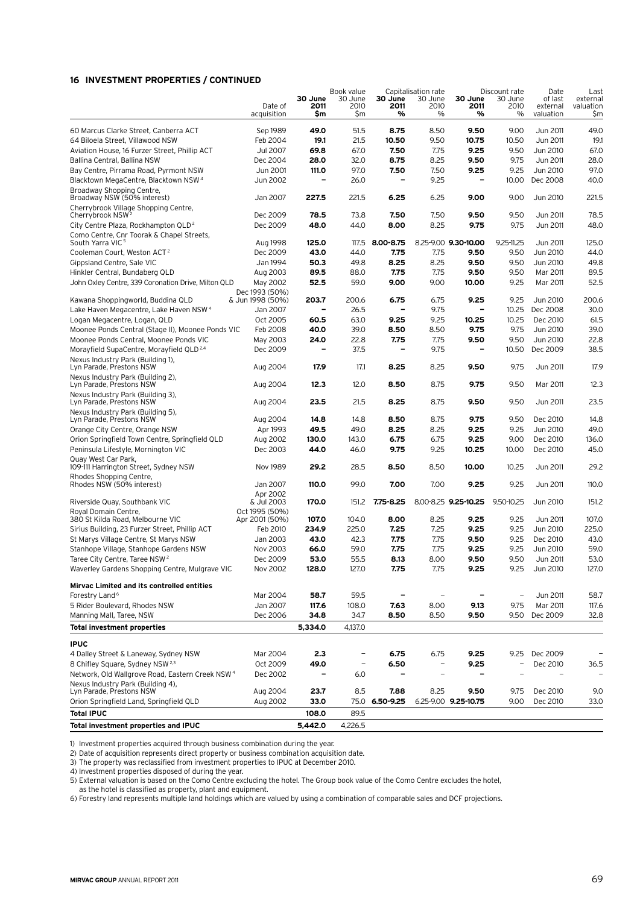### **16 Investment properties / continued**

|                                                                                   |                                    |                          | Book value               | Capitalisation rate |                          | Discount rate        |                   | Date                 | Last                  |
|-----------------------------------------------------------------------------------|------------------------------------|--------------------------|--------------------------|---------------------|--------------------------|----------------------|-------------------|----------------------|-----------------------|
|                                                                                   | Date of                            | 30 June<br>2011          | 30 June<br>2010          | 30 June<br>2011     | 30 June<br>2010          | 30 June<br>2011      | 30 June<br>2010   | of last<br>external  | external<br>valuation |
|                                                                                   | acquisition                        | Sm                       | Şm                       | %                   | %                        | %                    | %                 | valuation            | Şm                    |
|                                                                                   |                                    |                          |                          |                     |                          |                      |                   |                      |                       |
| 60 Marcus Clarke Street, Canberra ACT                                             | Sep 1989                           | 49.0<br>19.1             | 51.5<br>21.5             | 8.75<br>10.50       | 8.50<br>9.50             | 9.50<br>10.75        | 9.00              | Jun 2011             | 49.0<br>19.1          |
| 64 Biloela Street, Villawood NSW<br>Aviation House, 16 Furzer Street, Phillip ACT | Feb 2004<br>Jul 2007               | 69.8                     | 67.0                     | 7.50                | 7.75                     | 9.25                 | 10.50<br>9.50     | Jun 2011<br>Jun 2010 | 67.0                  |
|                                                                                   |                                    | 28.0                     |                          | 8.75                | 8.25                     | 9.50                 | 9.75              |                      | 28.0                  |
| Ballina Central, Ballina NSW                                                      | Dec 2004                           |                          | 32.0                     |                     |                          |                      |                   | Jun 2011             |                       |
| Bay Centre, Pirrama Road, Pyrmont NSW                                             | Jun 2001                           | 111.0                    | 97.0                     | 7.50                | 7.50                     | 9.25                 | 9.25              | Jun 2010             | 97.0                  |
| Blacktown MegaCentre, Blacktown NSW 4                                             | Jun 2002                           |                          | 26.0                     |                     | 9.25                     |                      | 10.00             | Dec 2008             | 40.0                  |
| Broadway Shopping Centre,<br>Broadway NSW (50% interest)                          | Jan 2007                           | 227.5                    | 221.5                    | 6.25                | 6.25                     | 9.00                 | 9.00              | Jun 2010             | 221.5                 |
| Cherrybrook Village Shopping Centre,<br>Cherrybrook NSW <sup>2</sup>              | Dec 2009                           | 78.5                     | 73.8                     | 7.50                | 7.50                     | 9.50                 | 9.50              | Jun 2011             | 78.5                  |
| City Centre Plaza, Rockhampton QLD <sup>2</sup>                                   | Dec 2009                           | 48.0                     | 44.0                     | 8.00                | 8.25                     | 9.75                 | 9.75              | Jun 2011             | 48.0                  |
| Como Centre, Cnr Toorak & Chapel Streets,<br>South Yarra VIC <sup>5</sup>         | Aug 1998                           | 125.0                    | 117.5                    | 8.00-8.75           |                          | 8.25-9.00 9.30-10.00 | $9.25 - 11.25$    | Jun 2011             | 125.0                 |
| Cooleman Court, Weston ACT <sup>2</sup>                                           | Dec 2009                           | 43.0                     | 44.0                     | 7.75                | 7.75                     | 9.50                 | 9.50              | Jun 2010             | 44.0                  |
|                                                                                   | Jan 1994                           | 50.3                     | 49.8                     | 8.25                | 8.25                     | 9.50                 | 9.50              |                      | 49.8                  |
| Gippsland Centre, Sale VIC                                                        |                                    |                          |                          |                     |                          |                      |                   | Jun 2010             |                       |
| Hinkler Central, Bundaberg QLD                                                    | Aug 2003                           | 89.5                     | 88.0                     | 7.75                | 7.75                     | 9.50                 | 9.50              | Mar 2011             | 89.5                  |
| John Oxley Centre, 339 Coronation Drive, Milton QLD                               | May 2002                           | 52.5                     | 59.0                     | 9.00                | 9.00                     | 10.00                | 9.25              | Mar 2011             | 52.5                  |
| Kawana Shoppingworld, Buddina QLD                                                 | Dec 1993 (50%)<br>& Jun 1998 (50%) | 203.7                    | 200.6                    | 6.75                | 6.75                     | 9.25                 | 9.25              | Jun 2010             | 200.6                 |
| Lake Haven Megacentre, Lake Haven NSW <sup>4</sup>                                | Jan 2007                           | $\overline{\phantom{0}}$ | 26.5                     | $\qquad \qquad$     | 9.75                     |                      | 10.25             | Dec 2008             | 30.0                  |
| Logan Megacentre, Logan, QLD                                                      | Oct 2005                           | 60.5                     | 63.0                     | 9.25                | 9.25                     | 10.25                | 10.25             | Dec 2010             | 61.5                  |
| Moonee Ponds Central (Stage II), Moonee Ponds VIC                                 | Feb 2008                           | 40.0                     | 39.0                     | 8.50                | 8.50                     | 9.75                 | 9.75              | Jun 2010             | 39.0                  |
| Moonee Ponds Central, Moonee Ponds VIC                                            | May 2003                           | 24.0                     | 22.8                     | 7.75                | 7.75                     | 9.50                 | 9.50              | Jun 2010             | 22.8                  |
| Morayfield SupaCentre, Morayfield QLD <sup>2,4</sup>                              | Dec 2009                           | $\overline{\phantom{0}}$ | 37.5                     | -                   | 9.75                     |                      | 10.50             | Dec 2009             | 38.5                  |
| Nexus Industry Park (Building 1),<br>Lyn Parade, Prestons NSW                     | Aug 2004                           | 17.9                     | 17.1                     | 8.25                | 8.25                     | 9.50                 | 9.75              | Jun 2011             | 17.9                  |
| Nexus Industry Park (Building 2),                                                 |                                    |                          |                          |                     |                          |                      |                   |                      |                       |
| Lyn Parade, Prestons NSW<br>Nexus Industry Park (Building 3),                     | Aug 2004                           | 12.3                     | 12.0                     | 8.50                | 8.75                     | 9.75                 | 9.50              | Mar 2011             | 12.3                  |
| Lyn Parade, Prestons NSW                                                          | Aug 2004                           | 23.5                     | 21.5                     | 8.25                | 8.75                     | 9.50                 | 9.50              | Jun 2011             | 23.5                  |
| Nexus Industry Park (Building 5),<br>Lyn Parade, Prestons NSW                     | Aug 2004                           | 14.8                     | 14.8                     | 8.50                | 8.75                     | 9.75                 | 9.50              | Dec 2010             | 14.8                  |
| Orange City Centre, Orange NSW                                                    | Apr 1993                           | 49.5                     | 49.0                     | 8.25                | 8.25                     | 9.25                 | 9.25              | Jun 2010             | 49.0                  |
| Orion Springfield Town Centre, Springfield QLD                                    | Aug 2002                           | 130.0                    | 143.0                    | 6.75                | 6.75                     | 9.25                 | 9.00              | Dec 2010             | 136.0                 |
| Peninsula Lifestyle, Mornington VIC                                               | Dec 2003                           | 44.0                     | 46.0                     | 9.75                | 9.25                     | 10.25                | 10.00             | Dec 2010             | 45.0                  |
| Quay West Car Park,<br>109-111 Harrington Street, Sydney NSW                      | Nov 1989                           | 29.2                     | 28.5                     | 8.50                | 8.50                     | 10.00                | 10.25             | Jun 2011             | 29.2                  |
| Rhodes Shopping Centre,<br>Rhodes NSW (50% interest)                              | Jan 2007                           | 110.0                    | 99.0                     | 7.00                | 7.00                     | 9.25                 | 9.25              | Jun 2011             | 110.0                 |
| Riverside Quay, Southbank VIC                                                     | Apr 2002<br>& Jul 2003             | 170.0                    | 151.2                    | 7.75-8.25           |                          | 8.00-8.25 9.25-10.25 | 9.50-10.25        | Jun 2010             | 151.2                 |
| Roval Domain Centre.<br>380 St Kilda Road, Melbourne VIC                          | Oct 1995 (50%)<br>Apr 2001 (50%)   | 107.0                    | 104.0                    | 8.00                | 8.25                     | 9.25                 | 9.25              | Jun 2011             | 107.0                 |
| Sirius Building, 23 Furzer Street, Phillip ACT                                    | Feb 2010                           | 234.9                    | 225.0                    | 7.25                | 7.25                     | 9.25                 | 9.25              | Jun 2010             | 225.0                 |
| St Marys Village Centre, St Marys NSW                                             | Jan 2003                           | 43.0                     | 42.3                     | 7.75                | 7.75                     | 9.50                 | 9.25              | Dec 2010             | 43.0                  |
| Stanhope Village, Stanhope Gardens NSW                                            | Nov 2003                           | 66.0                     | 59.0                     | 7.75                | 7.75                     | 9.25                 | 9.25              | Jun 2010             | 59.0                  |
| Taree City Centre, Taree NSW <sup>2</sup>                                         | Dec 2009                           | 53.0                     | 55.5                     | 8.13                | 8.00                     | 9.50                 | 9.50              | Jun 2011             | 53.0                  |
| Waverley Gardens Shopping Centre, Mulgrave VIC                                    | Nov 2002                           | 128.0                    | 127.0                    | 7.75                | 7.75                     | 9.25                 | 9.25              | Jun 2010             | 127.0                 |
| Mirvac Limited and its controlled entities                                        |                                    |                          |                          |                     |                          |                      |                   |                      |                       |
| Forestry Land <sup>6</sup>                                                        | Mar 2004                           | 58.7                     | 59.5                     |                     |                          |                      | $\qquad \qquad -$ | Jun 2011             | 58.7                  |
| 5 Rider Boulevard, Rhodes NSW                                                     | Jan 2007                           | 117.6                    | 108.0                    | 7.63                | 8.00                     | 9.13                 | 9.75              | Mar 2011             | 117.6                 |
| Manning Mall, Taree, NSW                                                          | Dec 2006                           | 34.8                     | 34.7                     | 8.50                | 8.50                     | 9.50                 | 9.50              | Dec 2009             | 32.8                  |
| <b>Total investment properties</b>                                                |                                    | 5,334.0                  | 4,137.0                  |                     |                          |                      |                   |                      |                       |
|                                                                                   |                                    |                          |                          |                     |                          |                      |                   |                      |                       |
| <b>IPUC</b>                                                                       |                                    |                          |                          |                     |                          |                      |                   |                      |                       |
| 4 Dalley Street & Laneway, Sydney NSW                                             | Mar 2004                           | 2.3                      |                          | 6.75                | 6.75                     | 9.25                 | 9.25              | Dec 2009             | ۳                     |
| 8 Chifley Square, Sydney NSW <sup>2,3</sup>                                       | Oct 2009                           | 49.0                     | $\overline{\phantom{a}}$ | 6.50                | $\overline{\phantom{a}}$ | 9.25                 | -                 | Dec 2010             | 36.5                  |
| Network, Old Wallgrove Road, Eastern Creek NSW <sup>4</sup>                       | Dec 2002                           | -                        | 6.0                      |                     |                          |                      |                   |                      |                       |
| Nexus Industry Park (Building 4).                                                 |                                    |                          |                          |                     |                          |                      |                   |                      |                       |
| Lyn Parade, Prestons NSW                                                          | Aug 2004                           | 23.7                     | 8.5                      | 7.88                | 8.25                     | 9.50                 | 9.75              | Dec 2010             | 9.0                   |
| Orion Springfield Land, Springfield QLD                                           | Aug 2002                           | 33.0                     | 75.0                     | 6.50-9.25           |                          | 6.25-9.00 9.25-10.75 | 9.00              | Dec 2010             | 33.0                  |
| <b>Total IPUC</b>                                                                 |                                    | 108.0                    | 89.5                     |                     |                          |                      |                   |                      |                       |
| Total investment properties and IPUC                                              |                                    | 5,442.0                  | 4,226.5                  |                     |                          |                      |                   |                      |                       |

1) Investment properties acquired through business combination during the year.

2) Date of acquisition represents direct property or business combination acquisition date.

3) The property was reclassified from investment properties to IPUC at December 2010.

4) Investment properties disposed of during the year.

5) External valuation is based on the Como Centre excluding the hotel. The Group book value of the Como Centre excludes the hotel,

as the hotel is classified as property, plant and equipment.

6) Forestry land represents multiple land holdings which are valued by using a combination of comparable sales and DCF projections.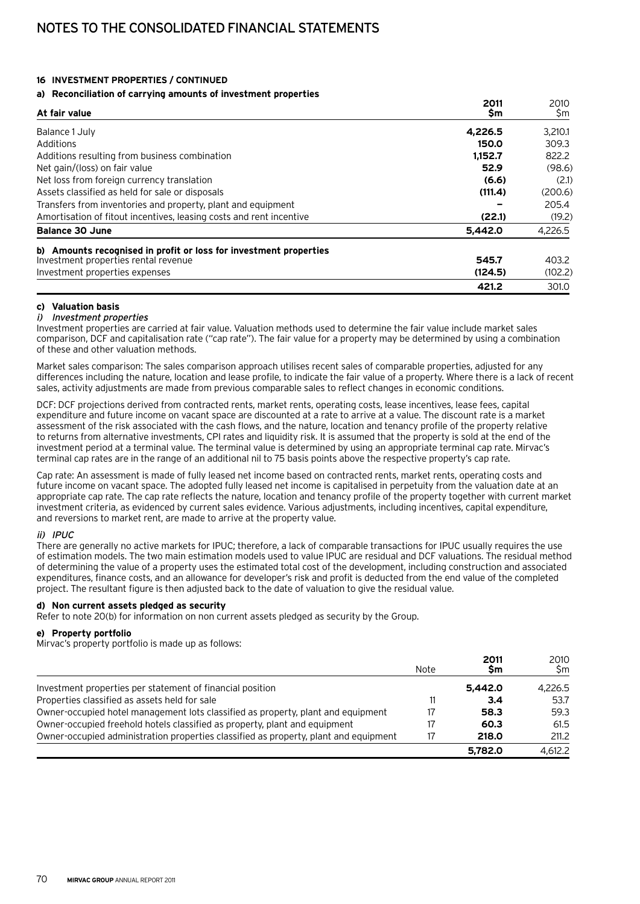#### **16 Investment properties / continued**

#### **a) Reconciliation of carrying amounts of investment properties**

| At fair value                                                       | 2011<br>\$m | 2010<br>\$m |
|---------------------------------------------------------------------|-------------|-------------|
| Balance 1 July                                                      | 4.226.5     | 3.210.1     |
| Additions                                                           | 150.0       | 309.3       |
| Additions resulting from business combination                       | 1,152.7     | 822.2       |
| Net gain/(loss) on fair value                                       | 52.9        | (98.6)      |
| Net loss from foreign currency translation                          | (6.6)       | (2.1)       |
| Assets classified as held for sale or disposals                     | (111.4)     | (200.6)     |
| Transfers from inventories and property, plant and equipment        |             | 205.4       |
| Amortisation of fitout incentives, leasing costs and rent incentive | (22.1)      | (19.2)      |
| <b>Balance 30 June</b>                                              | 5.442.0     | 4,226.5     |
| b) Amounts recognised in profit or loss for investment properties   |             |             |
| Investment properties rental revenue                                | 545.7       | 403.2       |
| Investment properties expenses                                      | (124.5)     | (102.2)     |
|                                                                     | 421.2       | 301.0       |

#### **c) Valuation basis**

#### i) Investment properties

Investment properties are carried at fair value. Valuation methods used to determine the fair value include market sales comparison, DCF and capitalisation rate ("cap rate"). The fair value for a property may be determined by using a combination of these and other valuation methods.

Market sales comparison: The sales comparison approach utilises recent sales of comparable properties, adjusted for any differences including the nature, location and lease profile, to indicate the fair value of a property. Where there is a lack of recent sales, activity adjustments are made from previous comparable sales to reflect changes in economic conditions.

DCF: DCF projections derived from contracted rents, market rents, operating costs, lease incentives, lease fees, capital expenditure and future income on vacant space are discounted at a rate to arrive at a value. The discount rate is a market assessment of the risk associated with the cash flows, and the nature, location and tenancy profile of the property relative to returns from alternative investments, CPI rates and liquidity risk. It is assumed that the property is sold at the end of the investment period at a terminal value. The terminal value is determined by using an appropriate terminal cap rate. Mirvac's terminal cap rates are in the range of an additional nil to 75 basis points above the respective property's cap rate.

Cap rate: An assessment is made of fully leased net income based on contracted rents, market rents, operating costs and future income on vacant space. The adopted fully leased net income is capitalised in perpetuity from the valuation date at an appropriate cap rate. The cap rate reflects the nature, location and tenancy profile of the property together with current market investment criteria, as evidenced by current sales evidence. Various adjustments, including incentives, capital expenditure, and reversions to market rent, are made to arrive at the property value.

#### ii) IPUC

There are generally no active markets for IPUC; therefore, a lack of comparable transactions for IPUC usually requires the use of estimation models. The two main estimation models used to value IPUC are residual and DCF valuations. The residual method of determining the value of a property uses the estimated total cost of the development, including construction and associated expenditures, finance costs, and an allowance for developer's risk and profit is deducted from the end value of the completed project. The resultant figure is then adjusted back to the date of valuation to give the residual value.

#### **d) Non current assets pledged as security**

Refer to note 20(b) for information on non current assets pledged as security by the Group.

## **e) Property portfolio**

Mirvac's property portfolio is made up as follows:

|                                                                                      | Note | 2011<br>Sm | 2010<br>Sm |
|--------------------------------------------------------------------------------------|------|------------|------------|
| Investment properties per statement of financial position                            |      | 5.442.0    | 4.226.5    |
| Properties classified as assets held for sale                                        |      | 3.4        | 53.7       |
| Owner-occupied hotel management lots classified as property, plant and equipment     | 17   | 58.3       | 59.3       |
| Owner-occupied freehold hotels classified as property, plant and equipment           | 17   | 60.3       | 61.5       |
| Owner-occupied administration properties classified as property, plant and equipment |      | 218.0      | 211.2      |
|                                                                                      |      | 5.782.0    | 4.612.2    |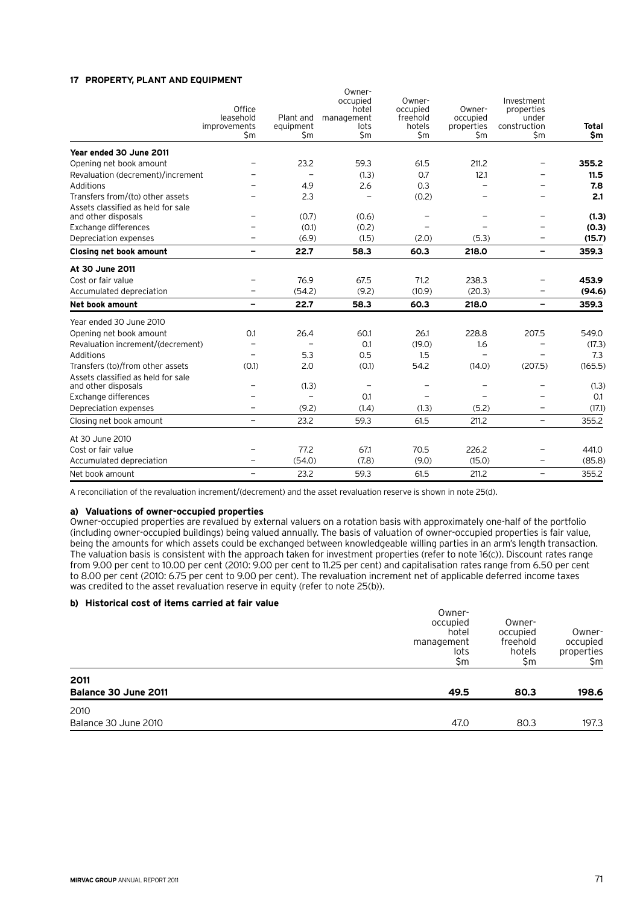#### **17 Property, plant and equipment**

|                                                           | Office<br>leasehold<br>improvements<br>\$m | Plant and<br>equipment<br>\$m | Owner-<br>occupied<br>hotel<br>management<br>lots<br>\$m | Owner-<br>occupied<br>freehold<br>hotels<br>\$m | Owner-<br>occupied<br>properties<br>\$m | Investment<br>properties<br>under<br>construction<br>\$m | Total<br>\$m |
|-----------------------------------------------------------|--------------------------------------------|-------------------------------|----------------------------------------------------------|-------------------------------------------------|-----------------------------------------|----------------------------------------------------------|--------------|
| Year ended 30 June 2011                                   |                                            |                               |                                                          |                                                 |                                         |                                                          |              |
| Opening net book amount                                   |                                            | 23.2                          | 59.3                                                     | 61.5                                            | 211.2                                   |                                                          | 355.2        |
| Revaluation (decrement)/increment                         |                                            |                               | (1.3)                                                    | 0.7                                             | 12.1                                    |                                                          | 11.5         |
| Additions                                                 |                                            | 4.9                           | 2.6                                                      | 0.3                                             |                                         |                                                          | 7.8          |
| Transfers from/(to) other assets                          |                                            | 2.3                           |                                                          | (0.2)                                           |                                         |                                                          | 2.1          |
| Assets classified as held for sale<br>and other disposals |                                            | (0.7)                         | (0.6)                                                    |                                                 |                                         |                                                          | (1.3)        |
| Exchange differences                                      |                                            | (0.1)                         | (0.2)                                                    |                                                 |                                         |                                                          | (0.3)        |
| Depreciation expenses                                     |                                            | (6.9)                         | (1.5)                                                    | (2.0)                                           | (5.3)                                   | $\overline{\phantom{m}}$                                 | (15.7)       |
| <b>Closing net book amount</b>                            | $\qquad \qquad$                            | 22.7                          | 58.3                                                     | 60.3                                            | 218.0                                   | -                                                        | 359.3        |
| At 30 June 2011                                           |                                            |                               |                                                          |                                                 |                                         |                                                          |              |
| Cost or fair value                                        |                                            | 76.9                          | 67.5                                                     | 71.2                                            | 238.3                                   |                                                          | 453.9        |
| Accumulated depreciation                                  |                                            | (54.2)                        | (9.2)                                                    | (10.9)                                          | (20.3)                                  |                                                          | (94.6)       |
| Net book amount                                           | $\overline{\phantom{0}}$                   | 22.7                          | 58.3                                                     | 60.3                                            | 218.0                                   | $\overline{\phantom{0}}$                                 | 359.3        |
| Year ended 30 June 2010                                   |                                            |                               |                                                          |                                                 |                                         |                                                          |              |
| Opening net book amount                                   | 0.1                                        | 26.4                          | 60.1                                                     | 26.1                                            | 228.8                                   | 207.5                                                    | 549.0        |
| Revaluation increment/(decrement)                         |                                            |                               | 0.1                                                      | (19.0)                                          | 1.6                                     |                                                          | (17.3)       |
| Additions                                                 |                                            | 5.3                           | 0.5                                                      | 1.5                                             |                                         |                                                          | 7.3          |
| Transfers (to)/from other assets                          | (0.1)                                      | 2.0                           | (0.1)                                                    | 54.2                                            | (14.0)                                  | (207.5)                                                  | (165.5)      |
| Assets classified as held for sale<br>and other disposals |                                            | (1.3)                         | $\overline{\phantom{m}}$                                 |                                                 |                                         |                                                          | (1.3)        |
| Exchange differences                                      |                                            | $\overline{\phantom{0}}$      | 0.1                                                      |                                                 |                                         |                                                          | 0.1          |
| Depreciation expenses                                     |                                            | (9.2)                         | (1.4)                                                    | (1.3)                                           | (5.2)                                   | $\overline{\phantom{0}}$                                 | (17.1)       |
| Closing net book amount                                   | $\overline{\phantom{0}}$                   | 23.2                          | 59.3                                                     | 61.5                                            | 211.2                                   | $\overline{\phantom{0}}$                                 | 355.2        |
| At 30 June 2010                                           |                                            |                               |                                                          |                                                 |                                         |                                                          |              |
| Cost or fair value                                        |                                            | 77.2                          | 67.1                                                     | 70.5                                            | 226.2                                   |                                                          | 441.0        |
| Accumulated depreciation                                  |                                            | (54.0)                        | (7.8)                                                    | (9.0)                                           | (15.0)                                  |                                                          | (85.8)       |
| Net book amount                                           |                                            | 23.2                          | 59.3                                                     | 61.5                                            | 211.2                                   | $\equiv$                                                 | 355.2        |

A reconciliation of the revaluation increment/(decrement) and the asset revaluation reserve is shown in note 25(d).

## **a) Valuations of owner-occupied properties**

Owner-occupied properties are revalued by external valuers on a rotation basis with approximately one-half of the portfolio (including owner-occupied buildings) being valued annually. The basis of valuation of owner-occupied properties is fair value, being the amounts for which assets could be exchanged between knowledgeable willing parties in an arm's length transaction. The valuation basis is consistent with the approach taken for investment properties (refer to note 16(c)). Discount rates range from 9.00 per cent to 10.00 per cent (2010: 9.00 per cent to 11.25 per cent) and capitalisation rates range from 6.50 per cent to 8.00 per cent (2010: 6.75 per cent to 9.00 per cent). The revaluation increment net of applicable deferred income taxes was credited to the asset revaluation reserve in equity (refer to note 25(b)).

## **b) Historical cost of items carried at fair value**

| 2010<br>Balance 30 June 2010 | 47.0                                                     | 80.3                                            | 197.3                                   |
|------------------------------|----------------------------------------------------------|-------------------------------------------------|-----------------------------------------|
| 2011<br>Balance 30 June 2011 | 49.5                                                     | 80.3                                            | 198.6                                   |
|                              | Owner-<br>occupied<br>hotel<br>management<br>lots<br>\$m | Owner-<br>occupied<br>freehold<br>hotels<br>\$m | Owner-<br>occupied<br>properties<br>\$m |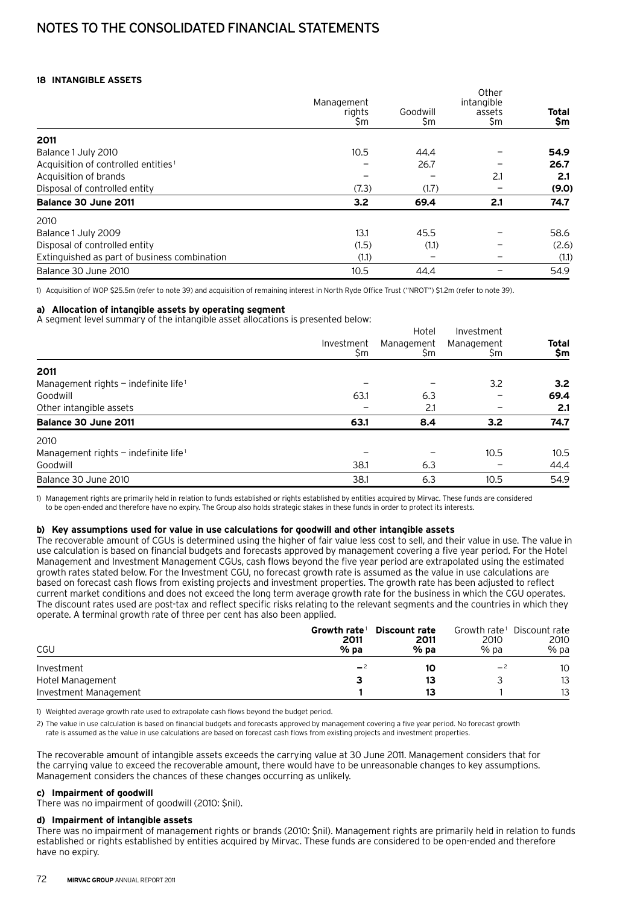## **18 Intangible assets**

|                                                 | Management<br>rights<br>\$m | Goodwill<br>\$m | Other<br>intangible<br>assets<br>\$m | Total<br>\$m |
|-------------------------------------------------|-----------------------------|-----------------|--------------------------------------|--------------|
| 2011                                            |                             |                 |                                      |              |
| Balance 1 July 2010                             | 10.5                        | 44.4            |                                      | 54.9         |
| Acquisition of controlled entities <sup>1</sup> |                             | 26.7            |                                      | 26.7         |
| Acquisition of brands                           |                             |                 | 2.1                                  | 2.1          |
| Disposal of controlled entity                   | (7.3)                       | (1.7)           |                                      | (9.0)        |
| Balance 30 June 2011                            | 3.2                         | 69.4            | 2.1                                  | 74.7         |
| 2010                                            |                             |                 |                                      |              |
| Balance 1 July 2009                             | 13.1                        | 45.5            |                                      | 58.6         |
| Disposal of controlled entity                   | (1.5)                       | (1.1)           |                                      | (2.6)        |
| Extinguished as part of business combination    | (1.1)                       |                 |                                      | (1.1)        |
| Balance 30 June 2010                            | 10.5                        | 44.4            |                                      | 54.9         |

1) Acquisition of WOP \$25.5m (refer to note 39) and acquisition of remaining interest in North Ryde Office Trust ("NROT") \$1.2m (refer to note 39).

#### **a) Allocation of intangible assets by operating segment**

A segment level summary of the intangible asset allocations is presented below:

|                                                    |                   | Hotel             | Investment       |                  |
|----------------------------------------------------|-------------------|-------------------|------------------|------------------|
|                                                    | Investment<br>\$m | Management<br>\$m | Management<br>Şm | Total<br>\$m     |
| 2011                                               |                   |                   |                  |                  |
| Management rights $-$ indefinite life <sup>1</sup> |                   |                   | 3.2              | 3.2 <sub>1</sub> |
| Goodwill                                           | 63.1              | 6.3               |                  | 69.4             |
| Other intangible assets                            |                   | 2.1               |                  | 2.1              |
| Balance 30 June 2011                               | 63.1              | 8.4               | 3.2              | 74.7             |
| 2010                                               |                   |                   |                  |                  |
| Management rights $-$ indefinite life <sup>1</sup> |                   |                   | 10.5             | 10.5             |
| Goodwill                                           | 38.1              | 6.3               |                  | 44.4             |
| Balance 30 June 2010                               | 38.1              | 6.3               | 10.5             | 54.9             |

1) Management rights are primarily held in relation to funds established or rights established by entities acquired by Mirvac. These funds are considered to be open-ended and therefore have no expiry. The Group also holds strategic stakes in these funds in order to protect its interests.

#### **b) Key assumptions used for value in use calculations for goodwill and other intangible assets**

The recoverable amount of CGUs is determined using the higher of fair value less cost to sell, and their value in use. The value in use calculation is based on financial budgets and forecasts approved by management covering a five year period. For the Hotel Management and Investment Management CGUs, cash flows beyond the five year period are extrapolated using the estimated growth rates stated below. For the Investment CGU, no forecast growth rate is assumed as the value in use calculations are based on forecast cash flows from existing projects and investment properties. The growth rate has been adjusted to reflect current market conditions and does not exceed the long term average growth rate for the business in which the CGU operates. The discount rates used are post-tax and reflect specific risks relating to the relevant segments and the countries in which they operate. A terminal growth rate of three per cent has also been applied.

| CGU                   | Growth rate <sup>1</sup><br>2011<br>$%$ pa | <b>Discount rate</b><br>2011<br>$%$ pa | 2010<br>% pa | Growth rate <sup>1</sup> Discount rate<br>2010<br>% pa |
|-----------------------|--------------------------------------------|----------------------------------------|--------------|--------------------------------------------------------|
| Investment            | $-2$                                       | 10                                     | $-2$         | 10                                                     |
| Hotel Management      |                                            | 13                                     |              | 13                                                     |
| Investment Management |                                            | 13                                     |              | 13                                                     |

1) Weighted average growth rate used to extrapolate cash flows beyond the budget period.

2) The value in use calculation is based on financial budgets and forecasts approved by management covering a five year period. No forecast growth rate is assumed as the value in use calculations are based on forecast cash flows from existing projects and investment properties.

The recoverable amount of intangible assets exceeds the carrying value at 30 June 2011. Management considers that for the carrying value to exceed the recoverable amount, there would have to be unreasonable changes to key assumptions. Management considers the chances of these changes occurring as unlikely.

# **c) Impairment of goodwill**

There was no impairment of goodwill (2010: \$nil).

#### **d) Impairment of intangible assets**

There was no impairment of management rights or brands (2010: \$nil). Management rights are primarily held in relation to funds established or rights established by entities acquired by Mirvac. These funds are considered to be open-ended and therefore have no expiry.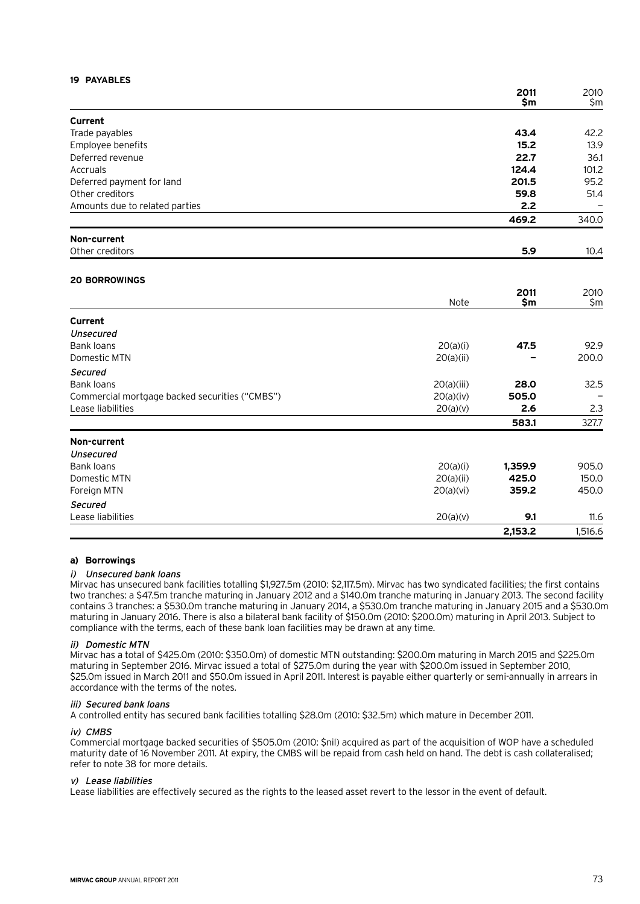## **19 Payables**

|                                                |            | 2011<br>\$m | 2010<br>\$m |
|------------------------------------------------|------------|-------------|-------------|
| <b>Current</b>                                 |            |             |             |
| Trade payables                                 |            | 43.4        | 42.2        |
| Employee benefits                              |            | 15.2        | 13.9        |
| Deferred revenue                               |            | 22.7        | 36.1        |
| Accruals                                       |            | 124.4       | 101.2       |
| Deferred payment for land                      |            | 201.5       | 95.2        |
| Other creditors                                |            | 59.8        | 51.4        |
| Amounts due to related parties                 |            | 2.2         |             |
|                                                |            | 469.2       | 340.0       |
| Non-current                                    |            |             |             |
| Other creditors                                |            | 5.9         | 10.4        |
| <b>20 BORROWINGS</b>                           |            |             |             |
|                                                |            | 2011        | 2010        |
|                                                | Note       | \$m         | \$m         |
| Current                                        |            |             |             |
| <b>Unsecured</b>                               |            |             |             |
| <b>Bank loans</b>                              | 20(a)(i)   | 47.5        | 92.9        |
| Domestic MTN                                   | 20(a)(ii)  |             | 200.0       |
| <b>Secured</b>                                 |            |             |             |
| <b>Bank loans</b>                              | 20(a)(iii) | 28.0        | 32.5        |
| Commercial mortgage backed securities ("CMBS") | 20(a)(iv)  | 505.0       |             |
| Lease liabilities                              | 20(a)(v)   | 2.6         | 2.3         |
|                                                |            | 583.1       | 327.7       |
| Non-current                                    |            |             |             |
| <b>Unsecured</b>                               |            |             |             |
| <b>Bank loans</b>                              | 20(a)(i)   | 1,359.9     | 905.0       |
| Domestic MTN                                   | 20(a)(ii)  | 425.0       | 150.0       |
| Foreign MTN                                    | 20(a)(vi)  | 359.2       | 450.0       |
| <b>Secured</b>                                 |            |             |             |
| Lease liabilities                              | 20(a)(v)   | 9.1         | 11.6        |
|                                                |            | 2,153.2     | 1,516.6     |

#### **a) Borrowings**

#### i) Unsecured bank loans

Mirvac has unsecured bank facilities totalling \$1,927.5m (2010: \$2,117.5m). Mirvac has two syndicated facilities; the first contains two tranches: a \$47.5m tranche maturing in January 2012 and a \$140.0m tranche maturing in January 2013. The second facility contains 3 tranches: a \$530.0m tranche maturing in January 2014, a \$530.0m tranche maturing in January 2015 and a \$530.0m maturing in January 2016. There is also a bilateral bank facility of \$150.0m (2010: \$200.0m) maturing in April 2013. Subject to compliance with the terms, each of these bank loan facilities may be drawn at any time.

#### ii) Domestic MTN

Mirvac has a total of \$425.0m (2010: \$350.0m) of domestic MTN outstanding: \$200.0m maturing in March 2015 and \$225.0m maturing in September 2016. Mirvac issued a total of \$275.0m during the year with \$200.0m issued in September 2010, \$25.0m issued in March 2011 and \$50.0m issued in April 2011. Interest is payable either quarterly or semi-annually in arrears in accordance with the terms of the notes.

#### iii) Secured bank loans

A controlled entity has secured bank facilities totalling \$28.0m (2010: \$32.5m) which mature in December 2011.

#### iv) CMBS

Commercial mortgage backed securities of \$505.0m (2010: \$nil) acquired as part of the acquisition of WOP have a scheduled maturity date of 16 November 2011. At expiry, the CMBS will be repaid from cash held on hand. The debt is cash collateralised; refer to note 38 for more details.

#### v) Lease liabilities

Lease liabilities are effectively secured as the rights to the leased asset revert to the lessor in the event of default.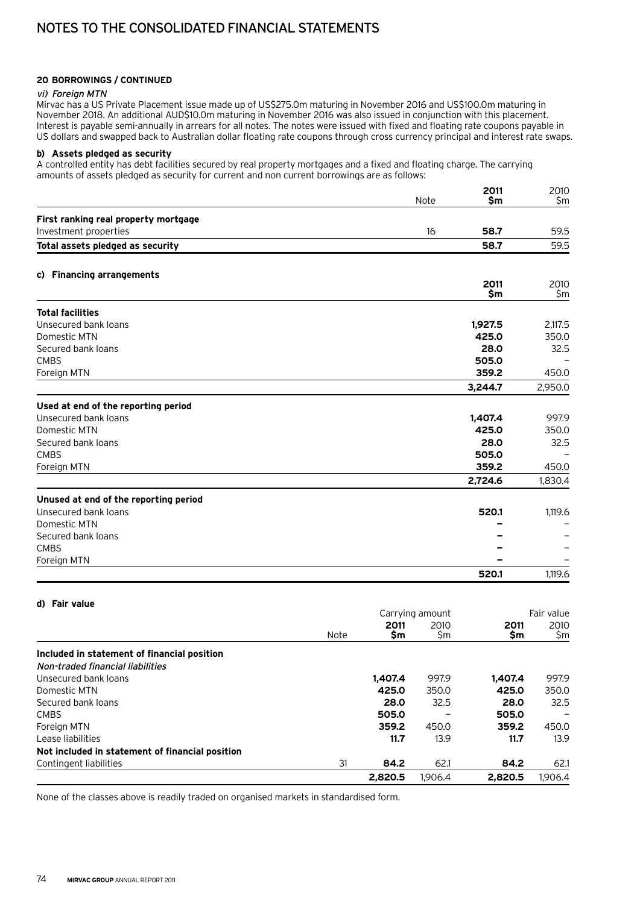## **20 Borrowings / continued**

#### vi) Foreign MTN

Mirvac has a US Private Placement issue made up of US\$275.0m maturing in November 2016 and US\$100.0m maturing in November 2018. An additional AUD\$10.0m maturing in November 2016 was also issued in conjunction with this placement. Interest is payable semi-annually in arrears for all notes. The notes were issued with fixed and floating rate coupons payable in US dollars and swapped back to Australian dollar floating rate coupons through cross currency principal and interest rate swaps.

## **b) Assets pledged as security**

A controlled entity has debt facilities secured by real property mortgages and a fixed and floating charge. The carrying amounts of assets pledged as security for current and non current borrowings are as follows:

|                                       | Note | 2011<br>\$m   | 2010<br>\$m |
|---------------------------------------|------|---------------|-------------|
|                                       |      |               |             |
| First ranking real property mortgage  |      |               |             |
| Investment properties                 | 16   | 58.7          | 59.5        |
| Total assets pledged as security      |      | 58.7          | 59.5        |
| c) Financing arrangements             |      |               |             |
|                                       |      | 2011<br>\$m\$ | 2010<br>\$m |
| <b>Total facilities</b>               |      |               |             |
| Unsecured bank loans                  |      | 1,927.5       | 2,117.5     |
| Domestic MTN                          |      | 425.0         | 350.0       |
| Secured bank loans                    |      | 28.0          | 32.5        |
| <b>CMBS</b>                           |      | 505.0         |             |
| Foreign MTN                           |      | 359.2         | 450.0       |
|                                       |      | 3,244.7       | 2,950.0     |
| Used at end of the reporting period   |      |               |             |
| Unsecured bank loans                  |      | 1,407.4       | 997.9       |
| Domestic MTN                          |      | 425.0         | 350.0       |
| Secured bank loans                    |      | 28.0          | 32.5        |
| <b>CMBS</b>                           |      | 505.0         |             |
| Foreign MTN                           |      | 359.2         | 450.0       |
|                                       |      | 2,724.6       | 1,830.4     |
| Unused at end of the reporting period |      |               |             |
| Unsecured bank loans                  |      | 520.1         | 1,119.6     |
| Domestic MTN                          |      |               |             |
| Secured bank loans                    |      |               |             |
| <b>CMBS</b>                           |      |               |             |
| Foreign MTN                           |      |               |             |
|                                       |      | 520.1         | 1,119.6     |

| d) Fair value                                   |      |             |                 |             |             |  |
|-------------------------------------------------|------|-------------|-----------------|-------------|-------------|--|
|                                                 |      |             | Carrying amount |             | Fair value  |  |
|                                                 | Note | 2011<br>\$m | 2010<br>\$m     | 2011<br>\$m | 2010<br>\$m |  |
|                                                 |      |             |                 |             |             |  |
| Included in statement of financial position     |      |             |                 |             |             |  |
| Non-traded financial liabilities                |      |             |                 |             |             |  |
| Unsecured bank loans                            |      | 1.407.4     | 997.9           | 1.407.4     | 997.9       |  |
| Domestic MTN                                    |      | 425.0       | 350.0           | 425.0       | 350.0       |  |
| Secured bank loans                              |      | 28.0        | 32.5            | 28.0        | 32.5        |  |
| <b>CMBS</b>                                     |      | 505.0       |                 | 505.0       |             |  |
| Foreign MTN                                     |      | 359.2       | 450.0           | 359.2       | 450.0       |  |
| Lease liabilities                               |      | 11.7        | 13.9            | 11.7        | 13.9        |  |
| Not included in statement of financial position |      |             |                 |             |             |  |
| Contingent liabilities                          | 31   | 84.2        | 62.1            | 84.2        | 62.1        |  |
|                                                 |      | 2.820.5     | 1.906.4         | 2,820.5     | 1.906.4     |  |

None of the classes above is readily traded on organised markets in standardised form.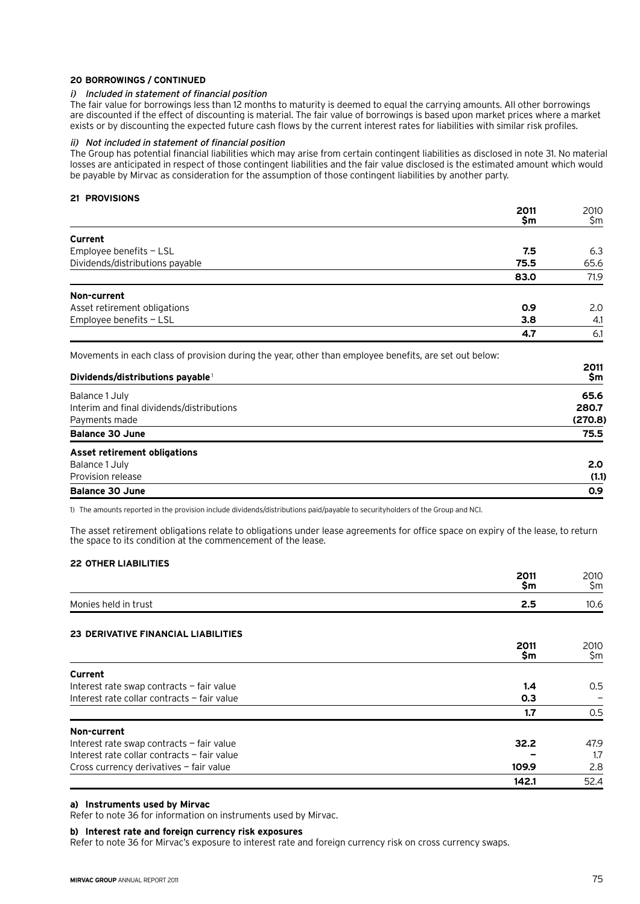#### **20 Borrowings / continued**

#### i) Included in statement of financial position

The fair value for borrowings less than 12 months to maturity is deemed to equal the carrying amounts. All other borrowings are discounted if the effect of discounting is material. The fair value of borrowings is based upon market prices where a market exists or by discounting the expected future cash flows by the current interest rates for liabilities with similar risk profiles.

#### ii) Not included in statement of financial position

The Group has potential financial liabilities which may arise from certain contingent liabilities as disclosed in note 31. No material losses are anticipated in respect of those contingent liabilities and the fair value disclosed is the estimated amount which would be payable by Mirvac as consideration for the assumption of those contingent liabilities by another party.

#### **21 Provisions**

|                                 | 2011<br>\$m | 2010<br>\$m |
|---------------------------------|-------------|-------------|
| Current                         |             |             |
| Employee benefits - LSL         | 7.5         | 6.3         |
| Dividends/distributions payable | 75.5        | 65.6        |
|                                 | 83.0        | 71.9        |
| Non-current                     |             |             |
| Asset retirement obligations    | 0.9         | 2.0         |
| Employee benefits - LSL         | 3.8         | 4.1         |
|                                 | 4.7         | 6.1         |

Movements in each class of provision during the year, other than employee benefits, are set out below:

| Dividends/distributions payable <sup>1</sup> | 2011<br>\$m |
|----------------------------------------------|-------------|
| Balance 1 July                               | 65.6        |
| Interim and final dividends/distributions    | 280.7       |
| Payments made                                | (270.8)     |
| <b>Balance 30 June</b>                       | 75.5        |
| <b>Asset retirement obligations</b>          |             |
| Balance 1 July                               | 2.0         |
| Provision release                            | (1.1)       |
| <b>Balance 30 June</b>                       | 0.9         |

1) The amounts reported in the provision include dividends/distributions paid/payable to securityholders of the Group and NCI.

The asset retirement obligations relate to obligations under lease agreements for office space on expiry of the lease, to return the space to its condition at the commencement of the lease.

## **22 Other liabilities**

|                                             | 2011<br>\$m | 2010<br>\$m |
|---------------------------------------------|-------------|-------------|
| Monies held in trust                        | 2.5         | 10.6        |
|                                             |             |             |
| <b>23 DERIVATIVE FINANCIAL LIABILITIES</b>  |             |             |
|                                             | 2011<br>\$m | 2010<br>\$m |
|                                             |             |             |
| Current                                     |             |             |
| Interest rate swap contracts - fair value   | 1.4         | 0.5         |
| Interest rate collar contracts - fair value | 0.3         |             |
|                                             | 1.7         | 0.5         |
| Non-current                                 |             |             |
| Interest rate swap contracts - fair value   | 32.2        | 47.9        |
| Interest rate collar contracts - fair value |             | 1.7         |
| Cross currency derivatives - fair value     | 109.9       | 2.8         |
|                                             | 142.1       | 52.4        |

## **a) Instruments used by Mirvac**

Refer to note 36 for information on instruments used by Mirvac.

#### **b) Interest rate and foreign currency risk exposures**

Refer to note 36 for Mirvac's exposure to interest rate and foreign currency risk on cross currency swaps.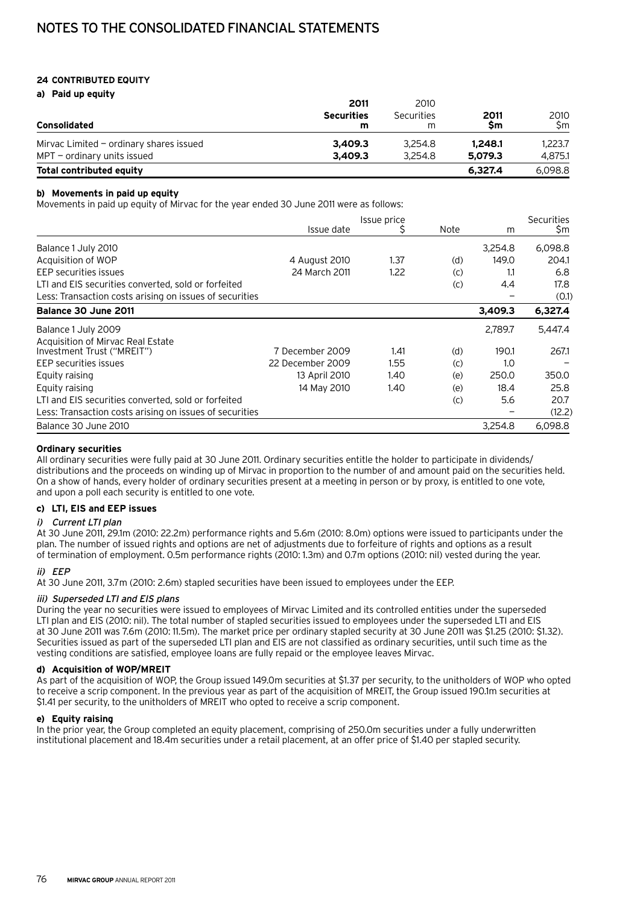# **24 Contributed equity**

**a) Paid up equity**

|                                           | 2011                   | 2010            |            |             |
|-------------------------------------------|------------------------|-----------------|------------|-------------|
| Consolidated                              | <b>Securities</b><br>m | Securities<br>m | 2011<br>Sm | 2010<br>\$m |
| Mirvac Limited $-$ ordinary shares issued | 3.409.3                | 3.254.8         | 1.248.1    | 1.223.7     |
| $MPT$ – ordinary units issued             | 3.409.3                | 3.254.8         | 5,079.3    | 4.875.1     |
| Total contributed equity                  |                        |                 | 6.327.4    | 6.098.8     |

# **b) Movements in paid up equity**

Movements in paid up equity of Mirvac for the year ended 30 June 2011 were as follows:

|                                                         | Issue date       | Issue price | Note | m       | <b>Securities</b><br>\$m |
|---------------------------------------------------------|------------------|-------------|------|---------|--------------------------|
| Balance 1 July 2010                                     |                  |             |      | 3,254.8 | 6,098.8                  |
| Acquisition of WOP                                      | 4 August 2010    | 1.37        | (d)  | 149.0   | 204.1                    |
| EEP securities issues                                   | 24 March 2011    | 1.22        | (C)  | 1.1     | 6.8                      |
| LTI and EIS securities converted, sold or forfeited     |                  |             | (c)  | 4.4     | 17.8                     |
| Less: Transaction costs arising on issues of securities |                  |             |      |         | (0.1)                    |
| Balance 30 June 2011                                    |                  |             |      | 3,409.3 | 6,327.4                  |
| Balance 1 July 2009                                     |                  |             |      | 2,789.7 | 5,447.4                  |
| Acquisition of Mirvac Real Estate                       |                  |             |      |         |                          |
| Investment Trust ("MREIT")                              | 7 December 2009  | 1.41        | (d)  | 190.1   | 267.1                    |
| EEP securities issues                                   | 22 December 2009 | 1.55        | (C)  | 1.0     |                          |
| Equity raising                                          | 13 April 2010    | 1.40        | (e)  | 250.0   | 350.0                    |
| Equity raising                                          | 14 May 2010      | 1.40        | (e)  | 18.4    | 25.8                     |
| LTI and EIS securities converted, sold or forfeited     |                  |             | (c)  | 5.6     | 20.7                     |
| Less: Transaction costs arising on issues of securities |                  |             |      |         | (12.2)                   |
| Balance 30 June 2010                                    |                  |             |      | 3,254.8 | 6.098.8                  |

## **Ordinary securities**

All ordinary securities were fully paid at 30 June 2011. Ordinary securities entitle the holder to participate in dividends/ distributions and the proceeds on winding up of Mirvac in proportion to the number of and amount paid on the securities held. On a show of hands, every holder of ordinary securities present at a meeting in person or by proxy, is entitled to one vote, and upon a poll each security is entitled to one vote.

## **c) LTI, EIS and EEP issues**

## i) Current LTI plan

At 30 June 2011, 29.1m (2010: 22.2m) performance rights and 5.6m (2010: 8.0m) options were issued to participants under the plan. The number of issued rights and options are net of adjustments due to forfeiture of rights and options as a result of termination of employment. 0.5m performance rights (2010: 1.3m) and 0.7m options (2010: nil) vested during the year.

# ii) EEP

At 30 June 2011, 3.7m (2010: 2.6m) stapled securities have been issued to employees under the EEP.

## iii) Superseded LTI and EIS plans

During the year no securities were issued to employees of Mirvac Limited and its controlled entities under the superseded LTI plan and EIS (2010: nil). The total number of stapled securities issued to employees under the superseded LTI and EIS at 30 June 2011 was 7.6m (2010: 11.5m). The market price per ordinary stapled security at 30 June 2011 was \$1.25 (2010: \$1.32). Securities issued as part of the superseded LTI plan and EIS are not classified as ordinary securities, until such time as the vesting conditions are satisfied, employee loans are fully repaid or the employee leaves Mirvac.

# **d) Acquisition of WOP/MREIT**

As part of the acquisition of WOP, the Group issued 149.0m securities at \$1.37 per security, to the unitholders of WOP who opted to receive a scrip component. In the previous year as part of the acquisition of MREIT, the Group issued 190.1m securities at \$1.41 per security, to the unitholders of MREIT who opted to receive a scrip component.

## **e) Equity raising**

In the prior year, the Group completed an equity placement, comprising of 250.0m securities under a fully underwritten institutional placement and 18.4m securities under a retail placement, at an offer price of \$1.40 per stapled security.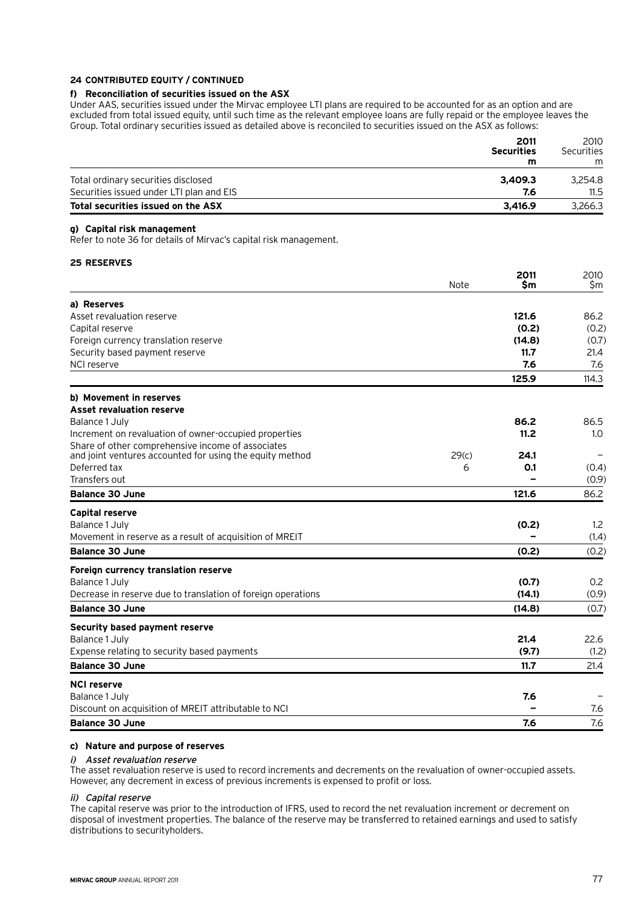## **24 Contributed equity / continued**

# **f) Reconciliation of securities issued on the ASX**

Under AAS, securities issued under the Mirvac employee LTI plans are required to be accounted for as an option and are excluded from total issued equity, until such time as the relevant employee loans are fully repaid or the employee leaves the Group. Total ordinary securities issued as detailed above is reconciled to securities issued on the ASX as follows:

| 2011<br><b>Securities</b>                       | 2010<br>Securities |
|-------------------------------------------------|--------------------|
| m                                               | m                  |
| Total ordinary securities disclosed<br>3.409.3  | 3.254.8            |
| Securities issued under LTI plan and EIS<br>7.6 | 11.5               |
| Total securities issued on the ASX<br>3.416.9   | 3.266.3            |

# **g) Capital risk management**

Refer to note 36 for details of Mirvac's capital risk management.

# **25 Reserves**

|                                                              | Note  | 2011<br>Sm | 2010<br>\$m    |
|--------------------------------------------------------------|-------|------------|----------------|
| a) Reserves                                                  |       |            |                |
| Asset revaluation reserve                                    |       | 121.6      | 86.2           |
| Capital reserve                                              |       | (0.2)      | (0.2)          |
| Foreign currency translation reserve                         |       | (14.8)     | (0.7)          |
| Security based payment reserve                               |       | 11.7       | 21.4           |
| NCI reserve                                                  |       | 7.6        | 7.6            |
|                                                              |       | 125.9      | 114.3          |
| b) Movement in reserves                                      |       |            |                |
| <b>Asset revaluation reserve</b>                             |       |            |                |
| Balance 1 July                                               |       | 86.2       | 86.5           |
| Increment on revaluation of owner-occupied properties        |       | 11.2       | 1.0            |
| Share of other comprehensive income of associates            |       |            |                |
| and joint ventures accounted for using the equity method     | 29(c) | 24.1       |                |
| Deferred tax<br>Transfers out                                | 6     | O.1        | (0.4)<br>(0.9) |
|                                                              |       |            |                |
| <b>Balance 30 June</b>                                       |       | 121.6      | 86.2           |
| <b>Capital reserve</b>                                       |       |            |                |
| Balance 1 July                                               |       | (0.2)      | 1.2            |
| Movement in reserve as a result of acquisition of MREIT      |       |            | (1.4)          |
| <b>Balance 30 June</b>                                       |       | (0.2)      | (0.2)          |
| Foreign currency translation reserve                         |       |            |                |
| Balance 1 July                                               |       | (0.7)      | 0.2            |
| Decrease in reserve due to translation of foreign operations |       | (14.1)     | (0.9)          |
| <b>Balance 30 June</b>                                       |       | (14.8)     | (0.7)          |
| Security based payment reserve                               |       |            |                |
| Balance 1 July                                               |       | 21.4       | 22.6           |
| Expense relating to security based payments                  |       | (9.7)      | (1.2)          |
| <b>Balance 30 June</b>                                       |       | 11.7       | 21.4           |
| <b>NCI reserve</b>                                           |       |            |                |
| Balance 1 July                                               |       | 7.6        |                |
| Discount on acquisition of MREIT attributable to NCI         |       |            | 7.6            |
| <b>Balance 30 June</b>                                       |       | 7.6        | 7.6            |

# **c) Nature and purpose of reserves**

## i) Asset revaluation reserve

The asset revaluation reserve is used to record increments and decrements on the revaluation of owner-occupied assets. However, any decrement in excess of previous increments is expensed to profit or loss.

#### ii) Capital reserve

The capital reserve was prior to the introduction of IFRS, used to record the net revaluation increment or decrement on disposal of investment properties. The balance of the reserve may be transferred to retained earnings and used to satisfy distributions to securityholders.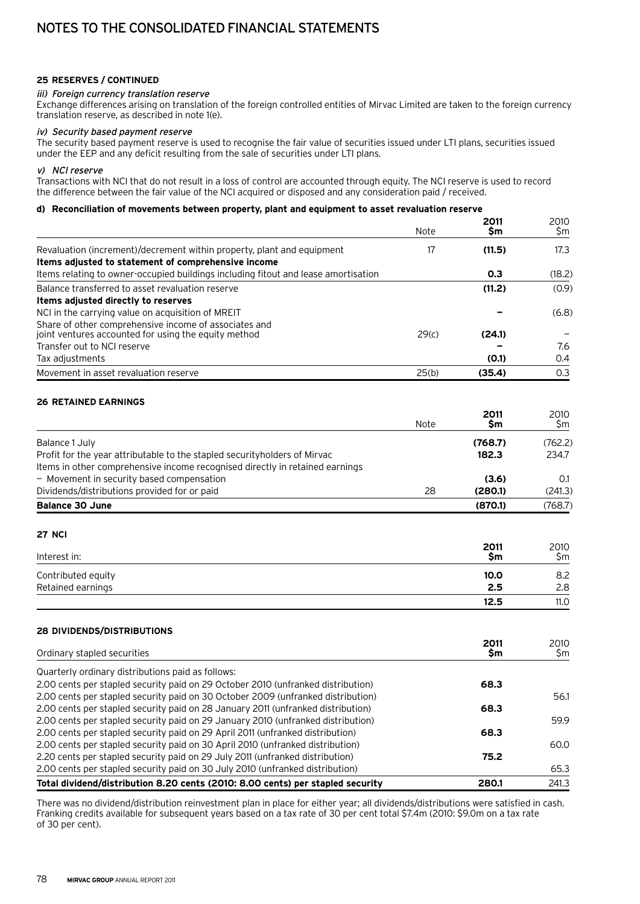## **25 Reserves / continued**

#### iii) Foreign currency translation reserve

Exchange differences arising on translation of the foreign controlled entities of Mirvac Limited are taken to the foreign currency translation reserve, as described in note 1(e).

#### iv) Security based payment reserve

The security based payment reserve is used to recognise the fair value of securities issued under LTI plans, securities issued under the EEP and any deficit resulting from the sale of securities under LTI plans.

#### v) NCI reserve

Transactions with NCI that do not result in a loss of control are accounted through equity. The NCI reserve is used to record the difference between the fair value of the NCI acquired or disposed and any consideration paid / received.

## **d) Reconciliation of movements between property, plant and equipment to asset revaluation reserve**

|                                                                                    |       | 2011   | 2010   |
|------------------------------------------------------------------------------------|-------|--------|--------|
|                                                                                    | Note  | Sm     | \$m    |
| Revaluation (increment)/decrement within property, plant and equipment             | 17    | (11.5) | 17.3   |
| Items adjusted to statement of comprehensive income                                |       |        |        |
| Items relating to owner-occupied buildings including fitout and lease amortisation |       | 0.3    | (18.2) |
| Balance transferred to asset revaluation reserve                                   |       | (11.2) | (0.9)  |
| Items adjusted directly to reserves                                                |       |        |        |
| NCI in the carrying value on acquisition of MREIT                                  |       |        | (6.8)  |
| Share of other comprehensive income of associates and                              |       |        |        |
| joint ventures accounted for using the equity method                               | 29(c) | (24.1) |        |
| Transfer out to NCI reserve                                                        |       |        | 7.6    |
| Tax adjustments                                                                    |       | (0.1)  | 0.4    |
| Movement in asset revaluation reserve                                              | 25(b) | (35.4) | 0.3    |

# **26 Retained earnings**

|                                                                              | Note | 2011<br>Sm | 2010<br>\$m              |
|------------------------------------------------------------------------------|------|------------|--------------------------|
| Balance 1 July                                                               |      | (768.7)    | (762.2)                  |
| Profit for the year attributable to the stapled security holders of Mirvac   |      | 182.3      | 234.7                    |
| Items in other comprehensive income recognised directly in retained earnings |      |            |                          |
| - Movement in security based compensation                                    |      | (3.6)      | 0.1                      |
| Dividends/distributions provided for or paid                                 | 28   | (280.1)    | (241.3)                  |
| <b>Balance 30 June</b>                                                       |      | (870.1)    | (768.7)                  |
| <b>27 NCI</b>                                                                |      |            |                          |
| المحارك والمتحامين                                                           |      | 2011       | 2010<br>C <sub>ran</sub> |

| Interest in:       | Sm   | Şm   |
|--------------------|------|------|
| Contributed equity | 10.0 | 8.2  |
| Retained earnings  | 2.5  | 2.8  |
|                    | 12.5 | 11.0 |

# **28 Dividends/distributions**

| Ordinary stapled securities                                                      | 2011<br>Sm | 2010<br>Sm |
|----------------------------------------------------------------------------------|------------|------------|
| Quarterly ordinary distributions paid as follows:                                |            |            |
| 2.00 cents per stapled security paid on 29 October 2010 (unfranked distribution) | 68.3       |            |
| 2.00 cents per stapled security paid on 30 October 2009 (unfranked distribution) |            | 56.1       |
| 2.00 cents per stapled security paid on 28 January 2011 (unfranked distribution) | 68.3       |            |
| 2.00 cents per stapled security paid on 29 January 2010 (unfranked distribution) |            | 59.9       |
| 2.00 cents per stapled security paid on 29 April 2011 (unfranked distribution)   | 68.3       |            |
| 2.00 cents per stapled security paid on 30 April 2010 (unfranked distribution)   |            | 60.0       |
| 2.20 cents per stapled security paid on 29 July 2011 (unfranked distribution)    | 75.2       |            |
| 2.00 cents per stapled security paid on 30 July 2010 (unfranked distribution)    |            | 65.3       |
| Total dividend/distribution 8.20 cents (2010: 8.00 cents) per stapled security   | 280.1      | 241.3      |

There was no dividend/distribution reinvestment plan in place for either year; all dividends/distributions were satisfied in cash. Franking credits available for subsequent years based on a tax rate of 30 per cent total \$7.4m (2010: \$9.0m on a tax rate of 30 per cent).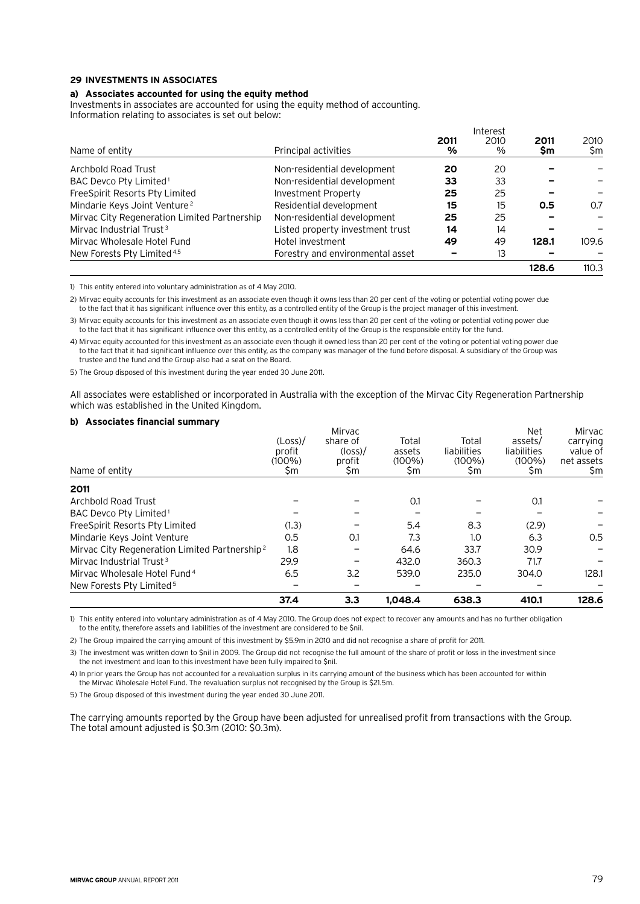#### **29 Investments in associates**

#### **a) Associates accounted for using the equity method**

Investments in associates are accounted for using the equity method of accounting. Information relating to associates is set out below:

|                                              |                                  |           | Interest     |            |             |
|----------------------------------------------|----------------------------------|-----------|--------------|------------|-------------|
| Name of entity                               | Principal activities             | 2011<br>% | 2010<br>$\%$ | 2011<br>Sm | 2010<br>\$m |
|                                              |                                  |           |              |            |             |
| Archbold Road Trust                          | Non-residential development      | 20        | 20           |            |             |
| BAC Devco Pty Limited <sup>1</sup>           | Non-residential development      | 33        | 33           |            |             |
| FreeSpirit Resorts Pty Limited               | Investment Property              | 25        | 25           |            |             |
| Mindarie Keys Joint Venture <sup>2</sup>     | Residential development          | 15        | 15           | 0.5        | 0.7         |
| Mirvac City Regeneration Limited Partnership | Non-residential development      | 25        | 25           |            |             |
| Mirvac Industrial Trust <sup>3</sup>         | Listed property investment trust | 14        | 14           |            |             |
| Mirvac Wholesale Hotel Fund                  | Hotel investment                 | 49        | 49           | 128.1      | 109.6       |
| New Forests Pty Limited <sup>4,5</sup>       | Forestry and environmental asset |           | 13           |            |             |
|                                              |                                  |           |              | 128.6      | 110.3       |

1) This entity entered into voluntary administration as of 4 May 2010.

2) Mirvac equity accounts for this investment as an associate even though it owns less than 20 per cent of the voting or potential voting power due to the fact that it has significant influence over this entity, as a controlled entity of the Group is the project manager of this investment.

3) Mirvac equity accounts for this investment as an associate even though it owns less than 20 per cent of the voting or potential voting power due to the fact that it has significant influence over this entity, as a controlled entity of the Group is the responsible entity for the fund.

4) Mirvac equity accounted for this investment as an associate even though it owned less than 20 per cent of the voting or potential voting power due to the fact that it had significant influence over this entity, as the company was manager of the fund before disposal. A subsidiary of the Group was trustee and the fund and the Group also had a seat on the Board.

5) The Group disposed of this investment during the year ended 30 June 2011.

All associates were established or incorporated in Australia with the exception of the Mirvac City Regeneration Partnership which was established in the United Kingdom.

#### **b) Associates financial summary**

|                                                           |           | Mirvac          |           |             | <b>Net</b>  | Mirvac     |
|-----------------------------------------------------------|-----------|-----------------|-----------|-------------|-------------|------------|
|                                                           | (Loss)    | share of        | Total     | Total       | assets/     | carrying   |
|                                                           | profit    | $(\text{loss})$ | assets    | liabilities | liabilities | value of   |
|                                                           | $(100\%)$ | profit          | $(100\%)$ | $(100\%)$   | $(100\%)$   | net assets |
| Name of entity                                            | Şm        | Sm              | \$m       | \$m         | Şm          | \$m        |
| 2011                                                      |           |                 |           |             |             |            |
| Archbold Road Trust                                       |           |                 | 0.1       |             | 0.1         |            |
| BAC Devco Pty Limited <sup>1</sup>                        |           |                 |           |             |             |            |
| FreeSpirit Resorts Pty Limited                            | (1.3)     |                 | 5.4       | 8.3         | (2.9)       |            |
| Mindarie Keys Joint Venture                               | 0.5       | 0.1             | 7.3       | 1.0         | 6.3         | 0.5        |
| Mirvac City Regeneration Limited Partnership <sup>2</sup> | 1.8       |                 | 64.6      | 33.7        | 30.9        |            |
| Mirvac Industrial Trust <sup>3</sup>                      | 29.9      |                 | 432.0     | 360.3       | 71.7        |            |
| Mirvac Wholesale Hotel Fund <sup>4</sup>                  | 6.5       | 3.2             | 539.0     | 235.0       | 304.0       | 128.1      |
| New Forests Pty Limited <sup>5</sup>                      |           |                 |           |             |             |            |
|                                                           | 37.4      | 3.3             | 1,048.4   | 638.3       | 410.1       | 128.6      |

1) This entity entered into voluntary administration as of 4 May 2010. The Group does not expect to recover any amounts and has no further obligation to the entity, therefore assets and liabilities of the investment are considered to be \$nil.

2) The Group impaired the carrying amount of this investment by \$5.9m in 2010 and did not recognise a share of profit for 2011.

3) The investment was written down to \$nil in 2009. The Group did not recognise the full amount of the share of profit or loss in the investment since the net investment and loan to this investment have been fully impaired to \$nil.

4) In prior years the Group has not accounted for a revaluation surplus in its carrying amount of the business which has been accounted for within the Mirvac Wholesale Hotel Fund. The revaluation surplus not recognised by the Group is \$21.5m.

5) The Group disposed of this investment during the year ended 30 June 2011.

The carrying amounts reported by the Group have been adjusted for unrealised profit from transactions with the Group. The total amount adjusted is \$0.3m (2010: \$0.3m).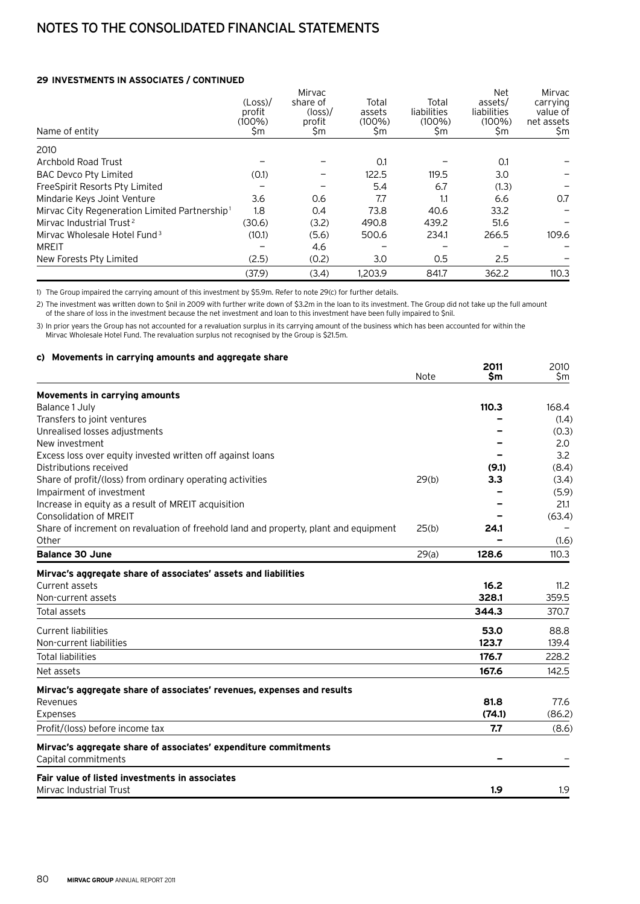## **29 Investments in associates / continued**

| Name of entity                                            | (Loss)<br>profit<br>$(100\%)$<br>\$m | Mirvac<br>share of<br>$(\text{loss})$<br>profit<br>Şm | Total<br>assets<br>$(100\%)$<br>\$m | Total<br>liabilities<br>$(100\%)$<br>\$m | <b>Net</b><br>assets/<br>liabilities<br>$(100\%)$<br>\$m | Mirvac<br>carrying<br>value of<br>net assets<br>\$m |
|-----------------------------------------------------------|--------------------------------------|-------------------------------------------------------|-------------------------------------|------------------------------------------|----------------------------------------------------------|-----------------------------------------------------|
| 2010                                                      |                                      |                                                       |                                     |                                          |                                                          |                                                     |
| Archbold Road Trust                                       |                                      |                                                       | 0.1                                 |                                          | 0.1                                                      |                                                     |
| <b>BAC Devco Pty Limited</b>                              | (0.1)                                |                                                       | 122.5                               | 119.5                                    | 3.0                                                      |                                                     |
| FreeSpirit Resorts Pty Limited                            |                                      |                                                       | 5.4                                 | 6.7                                      | (1.3)                                                    |                                                     |
| Mindarie Keys Joint Venture                               | 3.6                                  | 0.6                                                   | 7.7                                 | 1.1                                      | 6.6                                                      | 0.7                                                 |
| Mirvac City Regeneration Limited Partnership <sup>1</sup> | 1.8                                  | 0.4                                                   | 73.8                                | 40.6                                     | 33.2                                                     |                                                     |
| Mirvac Industrial Trust <sup>2</sup>                      | (30.6)                               | (3.2)                                                 | 490.8                               | 439.2                                    | 51.6                                                     |                                                     |
| Mirvac Wholesale Hotel Fund <sup>3</sup>                  | (10.1)                               | (5.6)                                                 | 500.6                               | 234.1                                    | 266.5                                                    | 109.6                                               |
| <b>MREIT</b>                                              |                                      | 4.6                                                   |                                     |                                          |                                                          |                                                     |
| New Forests Pty Limited                                   | (2.5)                                | (0.2)                                                 | 3.0                                 | 0.5                                      | 2.5                                                      |                                                     |
|                                                           | (37.9)                               | (3.4)                                                 | 1.203.9                             | 841.7                                    | 362.2                                                    | 110.3                                               |

1) The Group impaired the carrying amount of this investment by \$5.9m. Refer to note 29(c) for further details.

2) The investment was written down to \$nil in 2009 with further write down of \$3.2m in the loan to its investment. The Group did not take up the full amount of the share of loss in the investment because the net investment and loan to this investment have been fully impaired to \$nil.

3) In prior years the Group has not accounted for a revaluation surplus in its carrying amount of the business which has been accounted for within the Mirvac Wholesale Hotel Fund. The revaluation surplus not recognised by the Group is \$21.5m.

# **c) Movements in carrying amounts and aggregate share <sup>2011</sup>** <sup>2010</sup>

|                                                                                        | Note  | LV I I<br>\$m | ∠∪∪<br>\$m |
|----------------------------------------------------------------------------------------|-------|---------------|------------|
| Movements in carrying amounts                                                          |       |               |            |
| Balance 1 July                                                                         |       | 110.3         | 168.4      |
| Transfers to joint ventures                                                            |       |               | (1.4)      |
| Unrealised losses adjustments                                                          |       |               | (0.3)      |
| New investment                                                                         |       |               | 2.0        |
| Excess loss over equity invested written off against loans                             |       |               | 3.2        |
| Distributions received                                                                 |       | (9.1)         | (8.4)      |
| Share of profit/(loss) from ordinary operating activities                              | 29(b) | 3.3           | (3.4)      |
| Impairment of investment                                                               |       |               | (5.9)      |
| Increase in equity as a result of MREIT acquisition                                    |       |               | 21.1       |
| <b>Consolidation of MREIT</b>                                                          |       |               | (63.4)     |
| Share of increment on revaluation of freehold land and property, plant and equipment   | 25(b) | 24.1          |            |
| Other                                                                                  |       |               | (1.6)      |
| <b>Balance 30 June</b>                                                                 | 29(a) | 128.6         | 110.3      |
| Mirvac's aggregate share of associates' assets and liabilities                         |       |               |            |
| Current assets                                                                         |       | 16.2          | 11.2       |
| Non-current assets                                                                     |       | 328.1         | 359.5      |
| Total assets                                                                           |       | 344.3         | 370.7      |
| <b>Current liabilities</b>                                                             |       | 53.0          | 88.8       |
| Non-current liabilities                                                                |       | 123.7         | 139.4      |
| <b>Total liabilities</b>                                                               |       | 176.7         | 228.2      |
| Net assets                                                                             |       | 167.6         | 142.5      |
| Mirvac's aggregate share of associates' revenues, expenses and results                 |       |               |            |
| Revenues                                                                               |       | 81.8          | 77.6       |
| Expenses                                                                               |       | (74.1)        | (86.2)     |
| Profit/(loss) before income tax                                                        |       | 7.7           | (8.6)      |
| Mirvac's aggregate share of associates' expenditure commitments<br>Capital commitments |       |               |            |
| Fair value of listed investments in associates                                         |       |               |            |
| Mirvac Industrial Trust                                                                |       | 1.9           | 1.9        |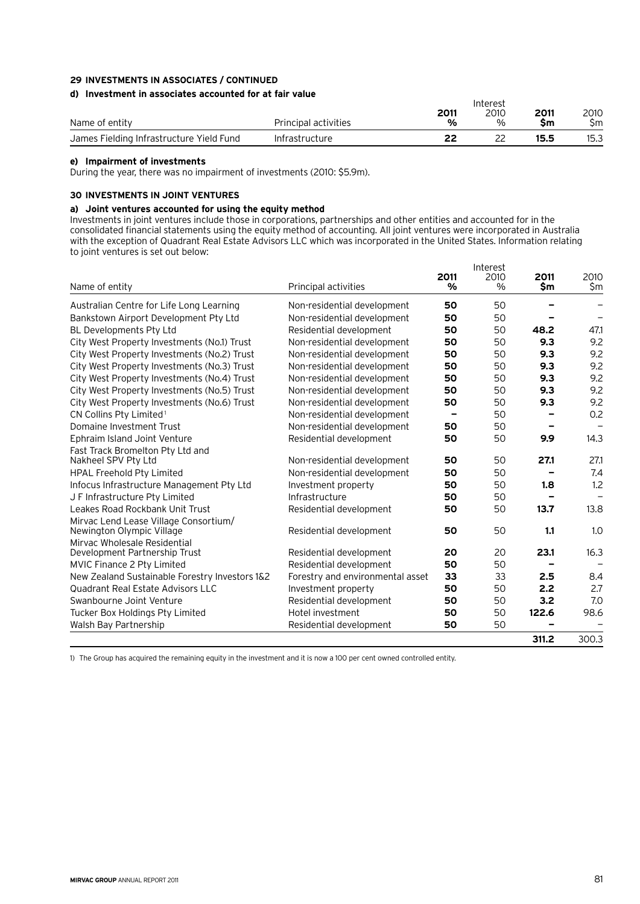# **29 Investments in associates / continued**

## **d) Investment in associates accounted for at fair value**

| AT THE PARTIE III ASSEMENTS ARRAIGENTED AT AN IMALIANS |                             | 2011 | Interest<br>2010 | 2011 | 2010 |
|--------------------------------------------------------|-----------------------------|------|------------------|------|------|
| Name of entity                                         | <b>Principal activities</b> | %    | %                | Sm   | Sm   |
| James Fielding Infrastructure Yield Fund               | Infrastructure              |      |                  | 15.5 | 15.3 |

#### **e) Impairment of investments**

During the year, there was no impairment of investments (2010: \$5.9m).

## **30 Investments in joint ventures**

# **a) Joint ventures accounted for using the equity method**

Investments in joint ventures include those in corporations, partnerships and other entities and accounted for in the consolidated financial statements using the equity method of accounting. All joint ventures were incorporated in Australia with the exception of Quadrant Real Estate Advisors LLC which was incorporated in the United States. Information relating to joint ventures is set out below:

|                                                |                                  | 2011 | Interest<br>2010 | 2011  | 2010  |
|------------------------------------------------|----------------------------------|------|------------------|-------|-------|
| Name of entity                                 | Principal activities             | $\%$ | $\%$             | \$m   | \$m   |
| Australian Centre for Life Long Learning       | Non-residential development      | 50   | 50               |       |       |
| Bankstown Airport Development Pty Ltd          | Non-residential development      | 50   | 50               |       |       |
| <b>BL Developments Pty Ltd</b>                 | Residential development          | 50   | 50               | 48.2  | 47.1  |
| City West Property Investments (No.1) Trust    | Non-residential development      | 50   | 50               | 9.3   | 9.2   |
| City West Property Investments (No.2) Trust    | Non-residential development      | 50   | 50               | 9.3   | 9.2   |
| City West Property Investments (No.3) Trust    | Non-residential development      | 50   | 50               | 9.3   | 9.2   |
| City West Property Investments (No.4) Trust    | Non-residential development      | 50   | 50               | 9.3   | 9.2   |
| City West Property Investments (No.5) Trust    | Non-residential development      | 50   | 50               | 9.3   | 9.2   |
| City West Property Investments (No.6) Trust    | Non-residential development      | 50   | 50               | 9.3   | 9.2   |
| CN Collins Pty Limited <sup>1</sup>            | Non-residential development      |      | 50               |       | 0.2   |
| Domaine Investment Trust                       | Non-residential development      | 50   | 50               |       |       |
| Ephraim Island Joint Venture                   | Residential development          | 50   | 50               | 9.9   | 14.3  |
| Fast Track Bromelton Pty Ltd and               |                                  |      |                  |       |       |
| Nakheel SPV Pty Ltd                            | Non-residential development      | 50   | 50               | 27.1  | 27.1  |
| <b>HPAL Freehold Pty Limited</b>               | Non-residential development      | 50   | 50               |       | 7.4   |
| Infocus Infrastructure Management Pty Ltd      | Investment property              | 50   | 50               | 1.8   | 1.2   |
| J F Infrastructure Pty Limited                 | Infrastructure                   | 50   | 50               |       |       |
| Leakes Road Rockbank Unit Trust                | Residential development          | 50   | 50               | 13.7  | 13.8  |
| Mirvac Lend Lease Village Consortium/          |                                  |      |                  |       |       |
| Newington Olympic Village                      | Residential development          | 50   | 50               | 1.1   | 1.0   |
| Mirvac Wholesale Residential                   |                                  | 20   | 20               | 23.1  | 16.3  |
| Development Partnership Trust                  | Residential development          | 50   | 50               |       |       |
| MVIC Finance 2 Pty Limited                     | Residential development          |      |                  |       |       |
| New Zealand Sustainable Forestry Investors 1&2 | Forestry and environmental asset | 33   | 33               | 2.5   | 8.4   |
| <b>Quadrant Real Estate Advisors LLC</b>       | Investment property              | 50   | 50               | 2.2   | 2.7   |
| Swanbourne Joint Venture                       | Residential development          | 50   | 50               | 3.2   | 7.0   |
| Tucker Box Holdings Pty Limited                | Hotel investment                 | 50   | 50               | 122.6 | 98.6  |
| Walsh Bay Partnership                          | Residential development          | 50   | 50               |       |       |
|                                                |                                  |      |                  | 311.2 | 300.3 |

1) The Group has acquired the remaining equity in the investment and it is now a 100 per cent owned controlled entity.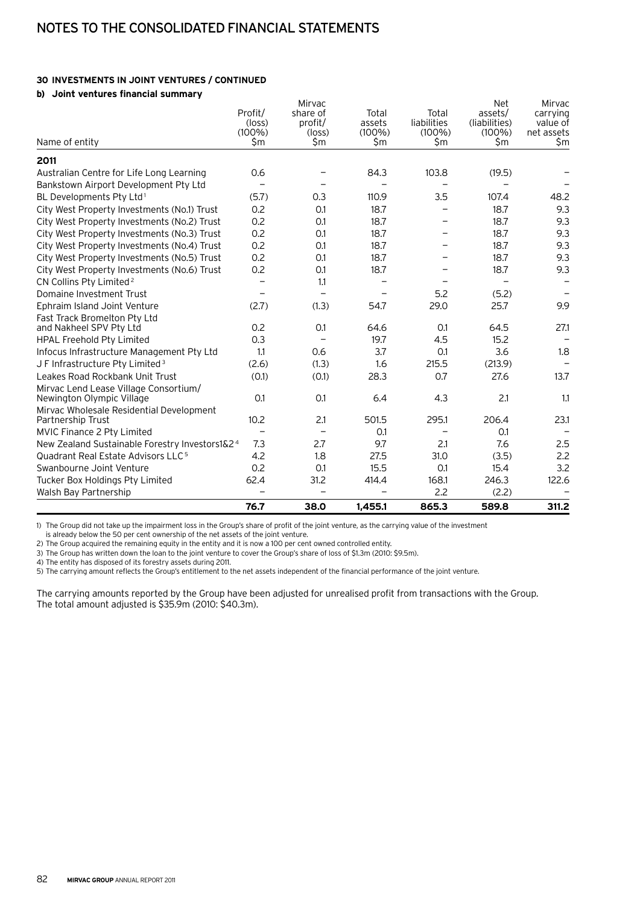# **30 Investments in joint ventures / continued**

# **b) Joint ventures financial summary**

|                                                               |                          | Mirvac                   |                  |                  | <b>Net</b>       | Mirvac            |
|---------------------------------------------------------------|--------------------------|--------------------------|------------------|------------------|------------------|-------------------|
|                                                               | Profit/                  | share of                 | Total            | Total            | assets/          | carrying          |
|                                                               | $(\text{loss})$          | profit/                  | assets           | liabilities      | (liabilities)    | value of          |
| Name of entity                                                | $(100\%)$<br>\$m         | $(\text{loss})$<br>\$m   | $(100\%)$<br>\$m | $(100\%)$<br>\$m | $(100\%)$<br>\$m | net assets<br>\$m |
|                                                               |                          |                          |                  |                  |                  |                   |
| 2011                                                          |                          |                          |                  |                  |                  |                   |
| Australian Centre for Life Long Learning                      | 0.6                      |                          | 84.3             | 103.8            | (19.5)           |                   |
| Bankstown Airport Development Pty Ltd                         |                          |                          |                  |                  |                  |                   |
| BL Developments Pty Ltd <sup>1</sup>                          | (5.7)                    | 0.3                      | 110.9            | 3.5              | 107.4            | 48.2              |
| City West Property Investments (No.1) Trust                   | 0.2                      | O.1                      | 18.7             |                  | 18.7             | 9.3               |
| City West Property Investments (No.2) Trust                   | 0.2                      | O.1                      | 18.7             |                  | 18.7             | 9.3               |
| City West Property Investments (No.3) Trust                   | 0.2                      | O.1                      | 18.7             |                  | 18.7             | 9.3               |
| City West Property Investments (No.4) Trust                   | 0.2                      | O.1                      | 18.7             |                  | 18.7             | 9.3               |
| City West Property Investments (No.5) Trust                   | 0.2                      | O.1                      | 18.7             |                  | 18.7             | 9.3               |
| City West Property Investments (No.6) Trust                   | 0.2                      | 0.1                      | 18.7             |                  | 18.7             | 9.3               |
| CN Collins Pty Limited <sup>2</sup>                           |                          | 1.1                      |                  |                  |                  |                   |
| Domaine Investment Trust                                      |                          |                          |                  | 5.2              | (5.2)            |                   |
| Ephraim Island Joint Venture                                  | (2.7)                    | (1.3)                    | 54.7             | 29.0             | 25.7             | 9.9               |
| Fast Track Bromelton Pty Ltd                                  |                          |                          |                  |                  |                  |                   |
| and Nakheel SPV Pty Ltd                                       | 0.2                      | 0.1                      | 64.6             | 0.1              | 64.5             | 27.1              |
| HPAL Freehold Pty Limited                                     | 0.3                      |                          | 19.7             | 4.5              | 15.2             |                   |
| Infocus Infrastructure Management Pty Ltd                     | 1.1                      | 0.6                      | 3.7              | O.1              | 3.6              | 1.8               |
| J F Infrastructure Pty Limited <sup>3</sup>                   | (2.6)                    | (1.3)                    | 1.6              | 215.5            | (213.9)          |                   |
| Leakes Road Rockbank Unit Trust                               | (0.1)                    | (0.1)                    | 28.3             | 0.7              | 27.6             | 13.7              |
| Mirvac Lend Lease Village Consortium/                         |                          |                          |                  |                  |                  |                   |
| Newington Olympic Village                                     | O.1                      | O.1                      | 6.4              | 4.3              | 2.1              | 1.1               |
| Mirvac Wholesale Residential Development<br>Partnership Trust | 10.2                     | 2.1                      | 501.5            | 295.1            | 206.4            | 23.1              |
| MVIC Finance 2 Pty Limited                                    | $\overline{\phantom{0}}$ | $\overline{\phantom{0}}$ | 0.1              |                  | 0.1              |                   |
| New Zealand Sustainable Forestry Investors1&24                | 7.3                      | 2.7                      | 9.7              | 2.1              | 7.6              | 2.5               |
| Quadrant Real Estate Advisors LLC <sup>5</sup>                | 4.2                      | 1.8                      | 27.5             | 31.0             | (3.5)            | 2.2               |
| Swanbourne Joint Venture                                      | 0.2                      | O.1                      | 15.5             | O.1              | 15.4             | 3.2               |
|                                                               |                          | 31.2                     |                  | 168.1            | 246.3            | 122.6             |
| Tucker Box Holdings Pty Limited                               | 62.4                     |                          | 414.4            | 2.2              |                  |                   |
| Walsh Bay Partnership                                         |                          |                          |                  |                  | (2.2)            |                   |
|                                                               | 76.7                     | 38.0                     | 1,455.1          | 865.3            | 589.8            | 311.2             |

1) The Group did not take up the impairment loss in the Group's share of profit of the joint venture, as the carrying value of the investment

is already below the 50 per cent ownership of the net assets of the joint venture.

2) The Group acquired the remaining equity in the entity and it is now a 100 per cent owned controlled entity.

3) The Group has written down the loan to the joint venture to cover the Group's share of loss of \$1.3m (2010: \$9.5m).

4) The entity has disposed of its forestry assets during 2011.

5) The carrying amount reflects the Group's entitlement to the net assets independent of the financial performance of the joint venture.

The carrying amounts reported by the Group have been adjusted for unrealised profit from transactions with the Group. The total amount adjusted is \$35.9m (2010: \$40.3m).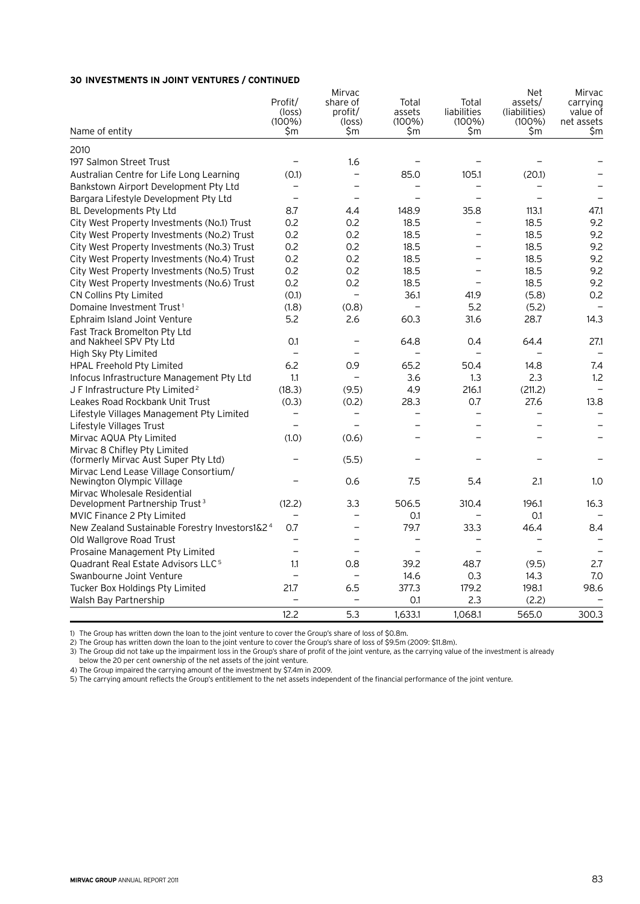# **30 Investments in joint ventures / continued**

| Name of entity                                                     | Profit/<br>$(\text{loss})$<br>$(100\%)$<br>\$m | Mirvac<br>share of<br>profit/<br>(loss)<br>\$m | Total<br>assets<br>$(100\%)$<br>\$m | Total<br>liabilities<br>$(100\%)$<br>\$m | <b>Net</b><br>assets/<br>(liabilities)<br>$(100\%)$<br>\$m | Mirvac<br>carrying<br>value of<br>net assets<br>\$m |
|--------------------------------------------------------------------|------------------------------------------------|------------------------------------------------|-------------------------------------|------------------------------------------|------------------------------------------------------------|-----------------------------------------------------|
|                                                                    |                                                |                                                |                                     |                                          |                                                            |                                                     |
| 2010                                                               |                                                |                                                |                                     |                                          |                                                            |                                                     |
| 197 Salmon Street Trust                                            |                                                | 1.6                                            |                                     |                                          |                                                            |                                                     |
| Australian Centre for Life Long Learning                           | (0.1)                                          | $\overline{\phantom{0}}$                       | 85.0                                | 105.1                                    | (20.1)                                                     |                                                     |
| Bankstown Airport Development Pty Ltd                              |                                                |                                                |                                     |                                          |                                                            |                                                     |
| Bargara Lifestyle Development Pty Ltd                              | $\overline{\phantom{0}}$                       |                                                |                                     | $\overline{\phantom{0}}$                 |                                                            |                                                     |
| BL Developments Pty Ltd                                            | 8.7                                            | 4.4                                            | 148.9                               | 35.8                                     | 113.1                                                      | 47.1                                                |
| City West Property Investments (No.1) Trust                        | 0.2                                            | 0.2                                            | 18.5                                | $\overline{\phantom{0}}$                 | 18.5                                                       | 9.2                                                 |
| City West Property Investments (No.2) Trust                        | 0.2                                            | 0.2                                            | 18.5                                | -                                        | 18.5                                                       | 9.2                                                 |
| City West Property Investments (No.3) Trust                        | 0.2                                            | 0.2                                            | 18.5                                | -                                        | 18.5                                                       | 9.2                                                 |
| City West Property Investments (No.4) Trust                        | 0.2                                            | 0.2                                            | 18.5                                | —                                        | 18.5                                                       | 9.2                                                 |
| City West Property Investments (No.5) Trust                        | 0.2                                            | 0.2                                            | 18.5                                | $\overline{\phantom{m}}$                 | 18.5                                                       | 9.2                                                 |
| City West Property Investments (No.6) Trust                        | 0.2                                            | 0.2                                            | 18.5                                | $\overline{\phantom{0}}$                 | 18.5                                                       | 9.2                                                 |
| CN Collins Pty Limited                                             | (0.1)                                          | $\equiv$                                       | 36.1                                | 41.9                                     | (5.8)                                                      | 0.2                                                 |
| Domaine Investment Trust <sup>1</sup>                              | (1.8)                                          | (0.8)                                          | $\overline{\phantom{0}}$            | 5.2                                      | (5.2)                                                      | $\qquad \qquad -$                                   |
| Ephraim Island Joint Venture                                       | 5.2                                            | 2.6                                            | 60.3                                | 31.6                                     | 28.7                                                       | 14.3                                                |
| Fast Track Bromelton Pty Ltd                                       |                                                |                                                |                                     |                                          |                                                            |                                                     |
| and Nakheel SPV Pty Ltd                                            | 0.1                                            |                                                | 64.8                                | 0.4                                      | 64.4                                                       | 27.1                                                |
| High Sky Pty Limited                                               | $\overline{\phantom{0}}$                       |                                                |                                     |                                          |                                                            |                                                     |
| HPAL Freehold Pty Limited                                          | 6.2                                            | 0.9                                            | 65.2                                | 50.4                                     | 14.8                                                       | 7.4                                                 |
| Infocus Infrastructure Management Pty Ltd                          | 1.1                                            | $\overline{\phantom{0}}$                       | 3.6                                 | 1.3                                      | 2.3                                                        | 1.2                                                 |
| J F Infrastructure Pty Limited <sup>2</sup>                        | (18.3)                                         | (9.5)                                          | 4.9                                 | 216.1                                    | (211.2)                                                    |                                                     |
| Leakes Road Rockbank Unit Trust                                    | (0.3)                                          | (0.2)                                          | 28.3                                | 0.7                                      | 27.6                                                       | 13.8                                                |
| Lifestyle Villages Management Pty Limited                          |                                                | $\overline{\phantom{0}}$                       |                                     | $\overline{\phantom{0}}$                 | $\overline{\phantom{0}}$                                   |                                                     |
| Lifestyle Villages Trust                                           |                                                | $\overline{\phantom{0}}$                       |                                     |                                          |                                                            |                                                     |
| Mirvac AQUA Pty Limited                                            | (1.0)                                          | (0.6)                                          |                                     |                                          |                                                            |                                                     |
| Mirvac 8 Chifley Pty Limited                                       |                                                |                                                |                                     |                                          |                                                            |                                                     |
| (formerly Mirvac Aust Super Pty Ltd)                               |                                                | (5.5)                                          |                                     |                                          |                                                            |                                                     |
| Mirvac Lend Lease Village Consortium/<br>Newington Olympic Village |                                                | 0.6                                            | 7.5                                 | 5.4                                      | 2.1                                                        | 1.0                                                 |
| Mirvac Wholesale Residential                                       |                                                |                                                |                                     |                                          |                                                            |                                                     |
| Development Partnership Trust <sup>3</sup>                         | (12.2)                                         | 3.3                                            | 506.5                               | 310.4                                    | 196.1                                                      | 16.3                                                |
| MVIC Finance 2 Pty Limited                                         |                                                |                                                | O.1                                 |                                          | O.1                                                        |                                                     |
| New Zealand Sustainable Forestry Investors1&24                     | 0.7                                            |                                                | 79.7                                | 33.3                                     | 46.4                                                       | 8.4                                                 |
| Old Wallgrove Road Trust                                           |                                                |                                                |                                     |                                          |                                                            |                                                     |
| Prosaine Management Pty Limited                                    |                                                | $\overline{\phantom{0}}$                       | $\overline{\phantom{0}}$            | $\overline{\phantom{0}}$                 |                                                            |                                                     |
| Quadrant Real Estate Advisors LLC <sup>5</sup>                     | 1.1                                            | 0.8                                            | 39.2                                | 48.7                                     | (9.5)                                                      | 2.7                                                 |
| Swanbourne Joint Venture                                           |                                                |                                                | 14.6                                | 0.3                                      | 14.3                                                       | 7.0                                                 |
| Tucker Box Holdings Pty Limited                                    | 21.7                                           | 6.5                                            | 377.3                               | 179.2                                    | 198.1                                                      | 98.6                                                |
| Walsh Bay Partnership                                              |                                                |                                                | O.1                                 | 2.3                                      | (2.2)                                                      |                                                     |
|                                                                    | 12.2                                           | 5.3                                            | 1,633.1                             |                                          | 565.0                                                      | 300.3                                               |
|                                                                    |                                                |                                                |                                     | 1,068.1                                  |                                                            |                                                     |

1) The Group has written down the loan to the joint venture to cover the Group's share of loss of \$0.8m.

2) The Group has written down the loan to the joint venture to cover the Group's share of loss of \$9.5m (2009: \$11.8m).

3) The Group did not take up the impairment loss in the Group's share of profit of the joint venture, as the carrying value of the investment is already

below the 20 per cent ownership of the net assets of the joint venture.

4) The Group impaired the carrying amount of the investment by \$7.4m in 2009.

5) The carrying amount reflects the Group's entitlement to the net assets independent of the financial performance of the joint venture.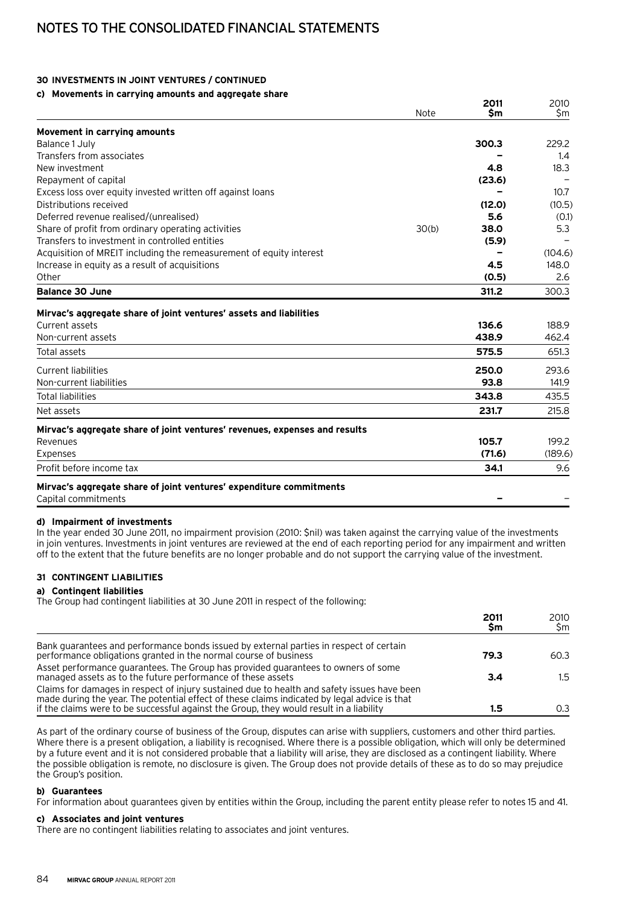# **30 Investments in joint ventures / continued**

# **c) Movements in carrying amounts and aggregate share**

|                                                                            | Note  | 2011<br>\$m | 2010<br>\$m |
|----------------------------------------------------------------------------|-------|-------------|-------------|
| Movement in carrying amounts                                               |       |             |             |
| Balance 1 July                                                             |       | 300.3       | 229.2       |
| Transfers from associates                                                  |       |             | $1.4\,$     |
| New investment                                                             |       | 4.8         | 18.3        |
| Repayment of capital                                                       |       | (23.6)      |             |
| Excess loss over equity invested written off against loans                 |       |             | 10.7        |
| Distributions received                                                     |       | (12.0)      | (10.5)      |
| Deferred revenue realised/(unrealised)                                     |       | 5.6         | (0.1)       |
| Share of profit from ordinary operating activities                         | 30(b) | 38.0        | 5.3         |
| Transfers to investment in controlled entities                             |       | (5.9)       |             |
| Acquisition of MREIT including the remeasurement of equity interest        |       |             | (104.6)     |
| Increase in equity as a result of acquisitions                             |       | 4.5         | 148.0       |
| Other                                                                      |       | (0.5)       | 2.6         |
| <b>Balance 30 June</b>                                                     |       | 311.2       | 300.3       |
| Mirvac's aggregate share of joint ventures' assets and liabilities         |       |             |             |
| Current assets                                                             |       | 136.6       | 188.9       |
| Non-current assets                                                         |       | 438.9       | 462.4       |
| Total assets                                                               |       | 575.5       | 651.3       |
| <b>Current liabilities</b>                                                 |       | 250.0       | 293.6       |
| Non-current liabilities                                                    |       | 93.8        | 141.9       |
| <b>Total liabilities</b>                                                   |       | 343.8       | 435.5       |
| Net assets                                                                 |       | 231.7       | 215.8       |
| Mirvac's aggregate share of joint ventures' revenues, expenses and results |       |             |             |
| Revenues                                                                   |       | 105.7       | 199.2       |
| Expenses                                                                   |       | (71.6)      | (189.6)     |
| Profit before income tax                                                   |       | 34.1        | 9.6         |
| Mirvac's aggregate share of joint ventures' expenditure commitments        |       |             |             |
| Capital commitments                                                        |       |             |             |

## **d) Impairment of investments**

In the year ended 30 June 2011, no impairment provision (2010: \$nil) was taken against the carrying value of the investments in join ventures. Investments in joint ventures are reviewed at the end of each reporting period for any impairment and written off to the extent that the future benefits are no longer probable and do not support the carrying value of the investment.

# **31 Contingent liabilities**

## **a) Contingent liabilities**

The Group had contingent liabilities at 30 June 2011 in respect of the following:

|                                                                                                                                                                                                                                                                                        | 2011<br>Sm | 2010<br>Sm |
|----------------------------------------------------------------------------------------------------------------------------------------------------------------------------------------------------------------------------------------------------------------------------------------|------------|------------|
| Bank guarantees and performance bonds issued by external parties in respect of certain<br>performance obligations granted in the normal course of business                                                                                                                             | 79.3       | 60.3       |
| Asset performance guarantees. The Group has provided guarantees to owners of some<br>managed assets as to the future performance of these assets                                                                                                                                       | 3.4        | 1.5        |
| Claims for damages in respect of injury sustained due to health and safety issues have been<br>made during the year. The potential effect of these claims indicated by legal advice is that<br>if the claims were to be successful against the Group, they would result in a liability | 1.5        | 0.3        |

As part of the ordinary course of business of the Group, disputes can arise with suppliers, customers and other third parties. Where there is a present obligation, a liability is recognised. Where there is a possible obligation, which will only be determined by a future event and it is not considered probable that a liability will arise, they are disclosed as a contingent liability. Where the possible obligation is remote, no disclosure is given. The Group does not provide details of these as to do so may prejudice the Group's position.

## **b) Guarantees**

For information about guarantees given by entities within the Group, including the parent entity please refer to notes 15 and 41.

# **c) Associates and joint ventures**

There are no contingent liabilities relating to associates and joint ventures.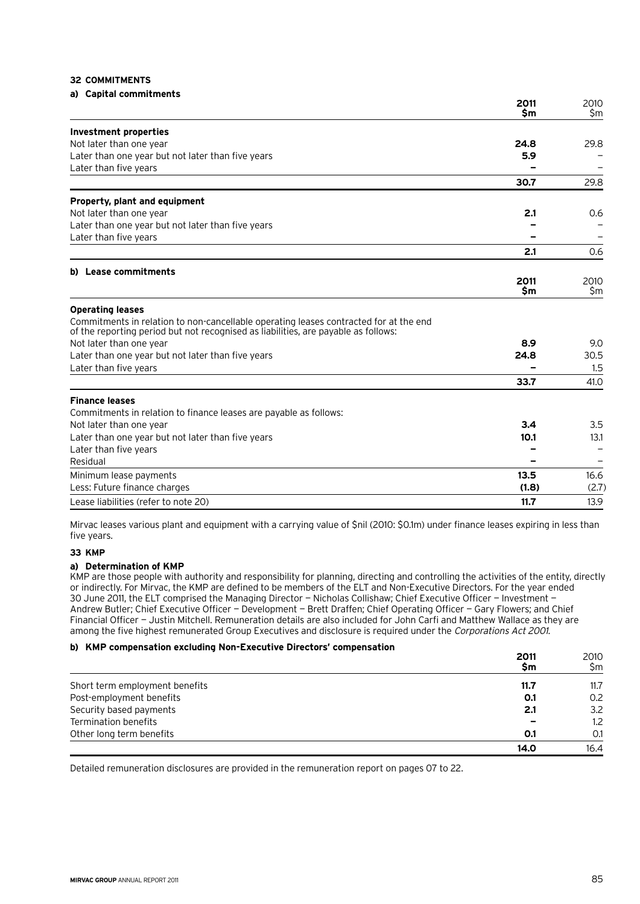## **32 Commitments**

# **a) Capital commitments**

|                                                                                                                                                                             | 2011<br>\$m | 2010<br>\$m |
|-----------------------------------------------------------------------------------------------------------------------------------------------------------------------------|-------------|-------------|
| <b>Investment properties</b>                                                                                                                                                |             |             |
| Not later than one year                                                                                                                                                     | 24.8        | 29.8        |
| Later than one year but not later than five years                                                                                                                           | 5.9         |             |
| Later than five years                                                                                                                                                       |             |             |
|                                                                                                                                                                             | 30.7        | 29.8        |
| Property, plant and equipment                                                                                                                                               |             |             |
| Not later than one year                                                                                                                                                     | 2.1         | 0.6         |
| Later than one year but not later than five years                                                                                                                           |             |             |
| Later than five years                                                                                                                                                       |             |             |
|                                                                                                                                                                             | 2.1         | 0.6         |
| b) Lease commitments                                                                                                                                                        |             |             |
|                                                                                                                                                                             | 2011<br>\$m | 2010<br>\$m |
| <b>Operating leases</b>                                                                                                                                                     |             |             |
| Commitments in relation to non-cancellable operating leases contracted for at the end<br>of the reporting period but not recognised as liabilities, are payable as follows: |             |             |
| Not later than one year                                                                                                                                                     | 8.9         | 9.0         |
| Later than one year but not later than five years                                                                                                                           | 24.8        | 30.5        |
| Later than five years                                                                                                                                                       |             | 1.5         |
|                                                                                                                                                                             | 33.7        | 41.0        |
| <b>Finance leases</b>                                                                                                                                                       |             |             |
| Commitments in relation to finance leases are payable as follows:                                                                                                           |             |             |
| Not later than one year                                                                                                                                                     | 3.4         | 3.5         |
| Later than one year but not later than five years                                                                                                                           | 10.1        | 13.1        |
| Later than five years                                                                                                                                                       |             |             |
| Residual                                                                                                                                                                    |             |             |
| Minimum lease payments                                                                                                                                                      | 13.5        | 16.6        |
| Less: Future finance charges                                                                                                                                                | (1.8)       | (2.7)       |
| Lease liabilities (refer to note 20)                                                                                                                                        | 11.7        | 13.9        |

Mirvac leases various plant and equipment with a carrying value of \$nil (2010: \$0.1m) under finance leases expiring in less than five years.

# **33 KMP**

## **a) Determination of KMP**

KMP are those people with authority and responsibility for planning, directing and controlling the activities of the entity, directly or indirectly. For Mirvac, the KMP are defined to be members of the ELT and Non‑Executive Directors. For the year ended 30 June 2011, the ELT comprised the Managing Director — Nicholas Collishaw; Chief Executive Officer — Investment — Andrew Butler; Chief Executive Officer — Development — Brett Draffen; Chief Operating Officer — Gary Flowers; and Chief Financial Officer — Justin Mitchell. Remuneration details are also included for John Carfi and Matthew Wallace as they are among the five highest remunerated Group Executives and disclosure is required under the Corporations Act 2001.

## **b) KMP compensation excluding Non-Executive Directors' compensation**

|                                | 2011<br>\$m | 2010<br>Sm       |
|--------------------------------|-------------|------------------|
| Short term employment benefits | 11.7        | 11.7             |
| Post-employment benefits       | 0.1         | 0.2              |
| Security based payments        | 2.1         | 3.2              |
| Termination benefits           |             | 1.2 <sub>2</sub> |
| Other long term benefits       | 0.1         | 0.1              |
|                                | 14.0        | 16.4             |

Detailed remuneration disclosures are provided in the remuneration report on pages 07 to 22.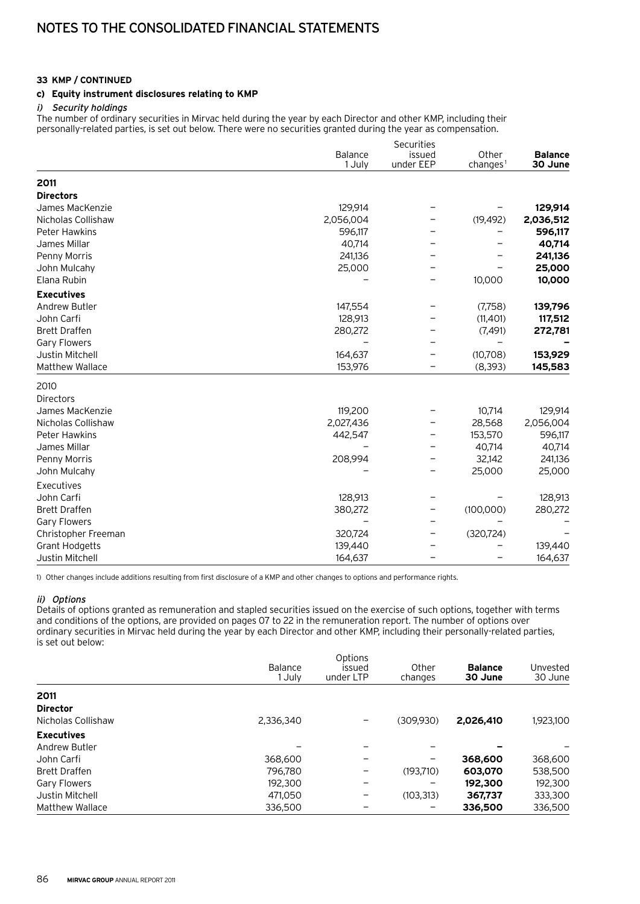# **c) Equity instrument disclosures relating to KMP**

## i) Security holdings

The number of ordinary securities in Mirvac held during the year by each Director and other KMP, including their personally-related parties, is set out below. There were no securities granted during the year as compensation.

|                       |           | Securities |                      |                |
|-----------------------|-----------|------------|----------------------|----------------|
|                       | Balance   | issued     | Other                | <b>Balance</b> |
|                       | 1 July    | under EEP  | changes <sup>1</sup> | 30 June        |
| 2011                  |           |            |                      |                |
| <b>Directors</b>      |           |            |                      |                |
| James MacKenzie       | 129,914   |            |                      | 129,914        |
| Nicholas Collishaw    | 2,056,004 |            | (19, 492)            | 2,036,512      |
| <b>Peter Hawkins</b>  | 596,117   |            |                      | 596,117        |
| James Millar          | 40,714    |            |                      | 40,714         |
| Penny Morris          | 241,136   |            |                      | 241,136        |
| John Mulcahy          | 25,000    |            |                      | 25,000         |
| Elana Rubin           |           |            | 10,000               | 10,000         |
| <b>Executives</b>     |           |            |                      |                |
| <b>Andrew Butler</b>  | 147,554   |            | (7,758)              | 139,796        |
| John Carfi            | 128,913   |            | (11, 401)            | 117,512        |
| <b>Brett Draffen</b>  | 280,272   |            | (7, 491)             | 272,781        |
| <b>Gary Flowers</b>   |           |            |                      |                |
| Justin Mitchell       | 164,637   |            | (10,708)             | 153,929        |
| Matthew Wallace       | 153,976   |            | (8, 393)             | 145,583        |
| 2010                  |           |            |                      |                |
| <b>Directors</b>      |           |            |                      |                |
| James MacKenzie       | 119,200   |            | 10,714               | 129,914        |
| Nicholas Collishaw    | 2,027,436 |            | 28,568               | 2,056,004      |
| <b>Peter Hawkins</b>  | 442,547   |            | 153,570              | 596,117        |
| James Millar          |           |            | 40,714               | 40,714         |
| Penny Morris          | 208,994   |            | 32,142               | 241,136        |
| John Mulcahy          |           |            | 25,000               | 25,000         |
| Executives            |           |            |                      |                |
| John Carfi            | 128,913   |            |                      | 128,913        |
| <b>Brett Draffen</b>  | 380,272   | -          | (100,000)            | 280,272        |
| <b>Gary Flowers</b>   |           |            |                      |                |
| Christopher Freeman   | 320,724   |            | (320, 724)           |                |
| <b>Grant Hodgetts</b> | 139,440   |            |                      | 139,440        |
| Justin Mitchell       | 164,637   |            |                      | 164,637        |

1) Other changes include additions resulting from first disclosure of a KMP and other changes to options and performance rights.

## ii) Options

Details of options granted as remuneration and stapled securities issued on the exercise of such options, together with terms and conditions of the options, are provided on pages 07 to 22 in the remuneration report. The number of options over ordinary securities in Mirvac held during the year by each Director and other KMP, including their personally-related parties, is set out below:

|                        | Balance<br>l July | Options<br>issued<br>under LTP | Other<br>changes | <b>Balance</b><br>30 June | Unvested<br>30 June |
|------------------------|-------------------|--------------------------------|------------------|---------------------------|---------------------|
| 2011                   |                   |                                |                  |                           |                     |
| <b>Director</b>        |                   |                                |                  |                           |                     |
| Nicholas Collishaw     | 2,336,340         |                                | (309.930)        | 2.026.410                 | 1,923,100           |
| <b>Executives</b>      |                   |                                |                  |                           |                     |
| Andrew Butler          |                   |                                |                  |                           |                     |
| John Carfi             | 368,600           | -                              | -                | 368,600                   | 368,600             |
| <b>Brett Draffen</b>   | 796.780           |                                | (193.710)        | 603,070                   | 538,500             |
| Gary Flowers           | 192,300           | -                              |                  | 192,300                   | 192,300             |
| Justin Mitchell        | 471.050           |                                | (103, 313)       | 367,737                   | 333,300             |
| <b>Matthew Wallace</b> | 336,500           |                                |                  | 336,500                   | 336,500             |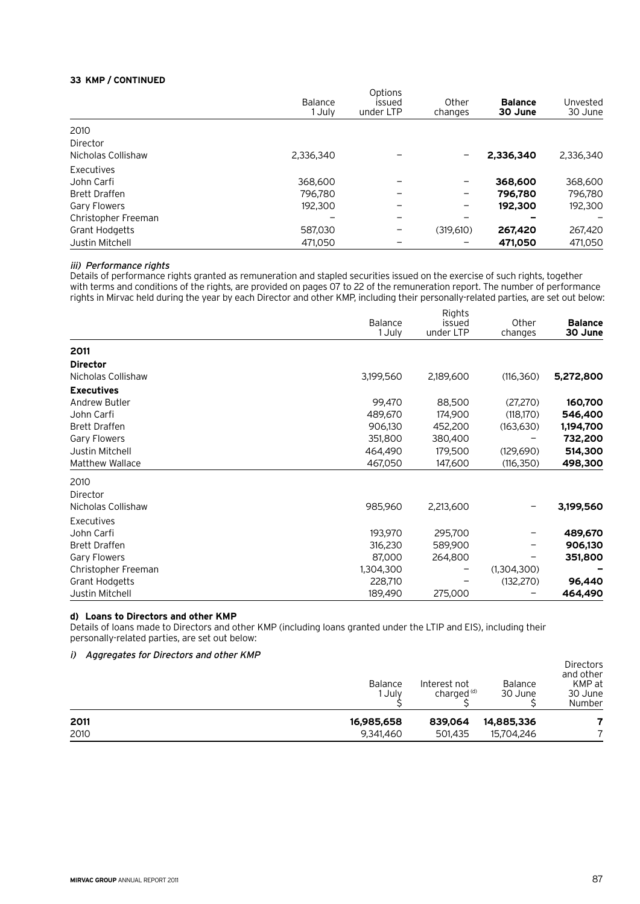|                       | Balance<br>1 Julv | Options<br>issued<br>under LTP | Other<br>changes | <b>Balance</b><br>30 June | Unvested<br>30 June |  |  |
|-----------------------|-------------------|--------------------------------|------------------|---------------------------|---------------------|--|--|
| 2010                  |                   |                                |                  |                           |                     |  |  |
| Director              |                   |                                |                  |                           |                     |  |  |
| Nicholas Collishaw    | 2,336,340         |                                |                  | 2.336.340                 | 2.336.340           |  |  |
| Executives            |                   |                                |                  |                           |                     |  |  |
| John Carfi            | 368,600           |                                | -                | 368,600                   | 368,600             |  |  |
| <b>Brett Draffen</b>  | 796.780           |                                | -                | 796.780                   | 796,780             |  |  |
| Gary Flowers          | 192,300           |                                | -                | 192,300                   | 192,300             |  |  |
| Christopher Freeman   |                   |                                |                  |                           |                     |  |  |
| <b>Grant Hodgetts</b> | 587,030           |                                | (319.610)        | 267,420                   | 267,420             |  |  |
| Justin Mitchell       | 471.050           |                                |                  | 471,050                   | 471.050             |  |  |

# iii) Performance rights

Details of performance rights granted as remuneration and stapled securities issued on the exercise of such rights, together with terms and conditions of the rights, are provided on pages 07 to 22 of the remuneration report. The number of performance rights in Mirvac held during the year by each Director and other KMP, including their personally-related parties, are set out below:

|                        | Balance<br>1 July | Rights<br>issued<br>under LTP | Other<br>changes | <b>Balance</b><br>30 June |
|------------------------|-------------------|-------------------------------|------------------|---------------------------|
| 2011                   |                   |                               |                  |                           |
| <b>Director</b>        |                   |                               |                  |                           |
| Nicholas Collishaw     | 3,199,560         | 2,189,600                     | (116, 360)       | 5,272,800                 |
| <b>Executives</b>      |                   |                               |                  |                           |
| Andrew Butler          | 99,470            | 88,500                        | (27,270)         | 160,700                   |
| John Carfi             | 489,670           | 174,900                       | (118,170)        | 546,400                   |
| <b>Brett Draffen</b>   | 906,130           | 452,200                       | (163, 630)       | 1,194,700                 |
| Gary Flowers           | 351,800           | 380,400                       |                  | 732,200                   |
| Justin Mitchell        | 464,490           | 179,500                       | (129,690)        | 514,300                   |
| <b>Matthew Wallace</b> | 467,050           | 147,600                       | (116, 350)       | 498,300                   |
| 2010                   |                   |                               |                  |                           |
| Director               |                   |                               |                  |                           |
| Nicholas Collishaw     | 985,960           | 2,213,600                     |                  | 3,199,560                 |
| Executives             |                   |                               |                  |                           |
| John Carfi             | 193,970           | 295,700                       |                  | 489,670                   |
| <b>Brett Draffen</b>   | 316,230           | 589,900                       |                  | 906,130                   |
| Gary Flowers           | 87,000            | 264,800                       |                  | 351,800                   |
| Christopher Freeman    | 1,304,300         |                               | (1,304,300)      |                           |
| <b>Grant Hodgetts</b>  | 228,710           |                               | (132, 270)       | 96,440                    |
| Justin Mitchell        | 189,490           | 275,000                       |                  | 464,490                   |

# **d) Loans to Directors and other KMP**

Details of loans made to Directors and other KMP (including loans granted under the LTIP and EIS), including their personally-related parties, are set out below:

# i) Aggregates for Directors and other KMP

| 2011                                     | 16,985,658        | 839,064                                | 14,885,336                |                                                              |
|------------------------------------------|-------------------|----------------------------------------|---------------------------|--------------------------------------------------------------|
| 2010                                     | 9,341,460         | 501.435                                | 15.704.246                |                                                              |
| y Aggregates for Birectors and benefitmi | Balance<br>l Julv | Interest not<br>charged <sup>(d)</sup> | <b>Balance</b><br>30 June | <b>Directors</b><br>and other<br>KMP at<br>30 June<br>Number |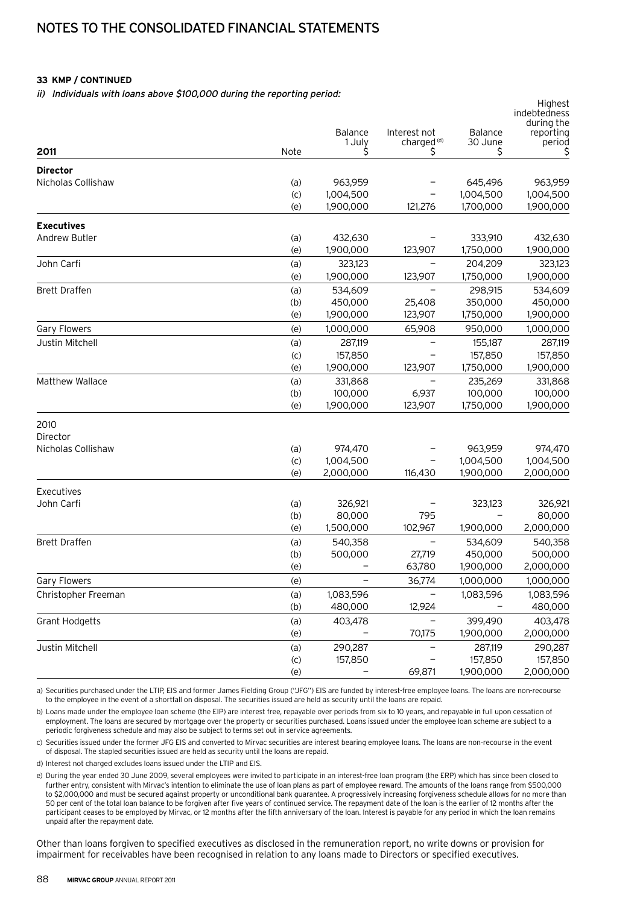ii) Individuals with loans above \$100,000 during the reporting period:

| ii) murviduais with ioans above <i>\$100,000 during the reporting period.</i> |           | Highest<br>indebtedness<br>during the |                                        |                    |                     |
|-------------------------------------------------------------------------------|-----------|---------------------------------------|----------------------------------------|--------------------|---------------------|
|                                                                               |           | Balance<br>1 July                     | Interest not<br>charged <sup>(d)</sup> | Balance<br>30 June | reporting<br>period |
| 2011                                                                          | Note      | S                                     | \$                                     | S                  | S                   |
| <b>Director</b>                                                               |           |                                       |                                        |                    |                     |
| Nicholas Collishaw                                                            | (a)       | 963,959                               |                                        | 645,496            | 963,959             |
|                                                                               | (c)       | 1,004,500                             |                                        | 1,004,500          | 1,004,500           |
|                                                                               | (e)       | 1,900,000                             | 121,276                                | 1,700,000          | 1,900,000           |
| <b>Executives</b>                                                             |           |                                       |                                        |                    |                     |
| <b>Andrew Butler</b>                                                          | (a)       | 432,630                               |                                        | 333,910            | 432,630             |
|                                                                               | (e)       | 1,900,000                             | 123,907                                | 1,750,000          | 1,900,000           |
| John Carfi                                                                    | (a)       | 323,123                               | $\overline{\phantom{0}}$               | 204,209            | 323,123             |
|                                                                               | (e)       | 1,900,000                             | 123,907                                | 1,750,000          | 1,900,000           |
| <b>Brett Draffen</b>                                                          | (a)       | 534,609                               |                                        | 298,915            | 534,609             |
|                                                                               | (b)       | 450,000                               | 25,408                                 | 350,000            | 450,000             |
|                                                                               | (e)       | 1,900,000                             | 123,907                                | 1,750,000          | 1,900,000           |
| Gary Flowers                                                                  | (e)       | 1,000,000                             | 65,908                                 | 950,000            | 1,000,000           |
| Justin Mitchell                                                               | (a)       | 287,119                               |                                        | 155,187            | 287,119             |
|                                                                               | (c)       | 157,850                               |                                        | 157,850            | 157,850             |
|                                                                               | (e)       | 1,900,000                             | 123,907                                | 1,750,000          | 1,900,000           |
| <b>Matthew Wallace</b>                                                        | (a)       | 331,868                               |                                        | 235,269            | 331,868             |
|                                                                               | (b)       | 100,000                               | 6,937                                  | 100,000            | 100,000             |
|                                                                               | (e)       | 1,900,000                             | 123,907                                | 1,750,000          | 1,900,000           |
| 2010                                                                          |           |                                       |                                        |                    |                     |
| Director                                                                      |           |                                       |                                        |                    |                     |
| Nicholas Collishaw                                                            | (a)       | 974,470                               |                                        | 963,959            | 974,470             |
|                                                                               | (c)       | 1,004,500                             |                                        | 1,004,500          | 1,004,500           |
|                                                                               | (e)       | 2,000,000                             | 116,430                                | 1,900,000          | 2,000,000           |
| Executives                                                                    |           |                                       |                                        |                    |                     |
| John Carfi                                                                    | (a)       | 326,921                               |                                        | 323,123            | 326,921             |
|                                                                               | (b)       | 80,000                                | 795                                    |                    | 80,000              |
|                                                                               | (e)       | 1,500,000                             | 102,967                                | 1,900,000          | 2,000,000           |
| <b>Brett Draffen</b>                                                          | (a)       | 540,358                               | $\qquad \qquad -$                      | 534,609            | 540,358             |
|                                                                               | (b)       | 500,000                               | 27,719                                 | 450,000            | 500,000             |
|                                                                               | (e)       |                                       | 63,780                                 | 1,900,000          | 2,000,000           |
| <b>Gary Flowers</b>                                                           | (e)       |                                       | 36,774                                 | 1,000,000          | 1,000,000           |
| Christopher Freeman                                                           | (a)       | 1,083,596                             |                                        | 1,083,596          | 1,083,596           |
|                                                                               | (b)       | 480,000                               | 12,924                                 |                    | 480,000             |
| <b>Grant Hodgetts</b>                                                         | (a)       | 403,478                               | -                                      | 399,490            | 403,478             |
|                                                                               | (e)       |                                       | 70,175                                 | 1,900,000          | 2,000,000           |
| Justin Mitchell                                                               | (a)       | 290,287                               |                                        | 287,119            | 290,287             |
|                                                                               | $\left( $ | 157,850                               |                                        | 157,850            | 157,850             |
|                                                                               | (e)       |                                       | 69,871                                 | 1,900,000          | 2,000,000           |

a) Securities purchased under the LTIP, EIS and former James Fielding Group ("JFG") EIS are funded by interest-free employee loans. The loans are non-recourse to the employee in the event of a shortfall on disposal. The securities issued are held as security until the loans are repaid.

b) Loans made under the employee loan scheme (the EIP) are interest free, repayable over periods from six to 10 years, and repayable in full upon cessation of employment. The loans are secured by mortgage over the property or securities purchased. Loans issued under the employee loan scheme are subject to a periodic forgiveness schedule and may also be subject to terms set out in service agreements.

c) Securities issued under the former JFG EIS and converted to Mirvac securities are interest bearing employee loans. The loans are non-recourse in the event of disposal. The stapled securities issued are held as security until the loans are repaid.

d) Interest not charged excludes loans issued under the LTIP and EIS.

e) During the year ended 30 June 2009, several employees were invited to participate in an interest-free loan program (the ERP) which has since been closed to further entry, consistent with Mirvac's intention to eliminate the use of loan plans as part of employee reward. The amounts of the loans range from \$500,000 to \$2,000,000 and must be secured against property or unconditional bank guarantee. A progressively increasing forgiveness schedule allows for no more than 50 per cent of the total loan balance to be forgiven after five years of continued service. The repayment date of the loan is the earlier of 12 months after the participant ceases to be employed by Mirvac, or 12 months after the fifth anniversary of the loan. Interest is payable for any period in which the loan remains unpaid after the repayment date.

Other than loans forgiven to specified executives as disclosed in the remuneration report, no write downs or provision for impairment for receivables have been recognised in relation to any loans made to Directors or specified executives.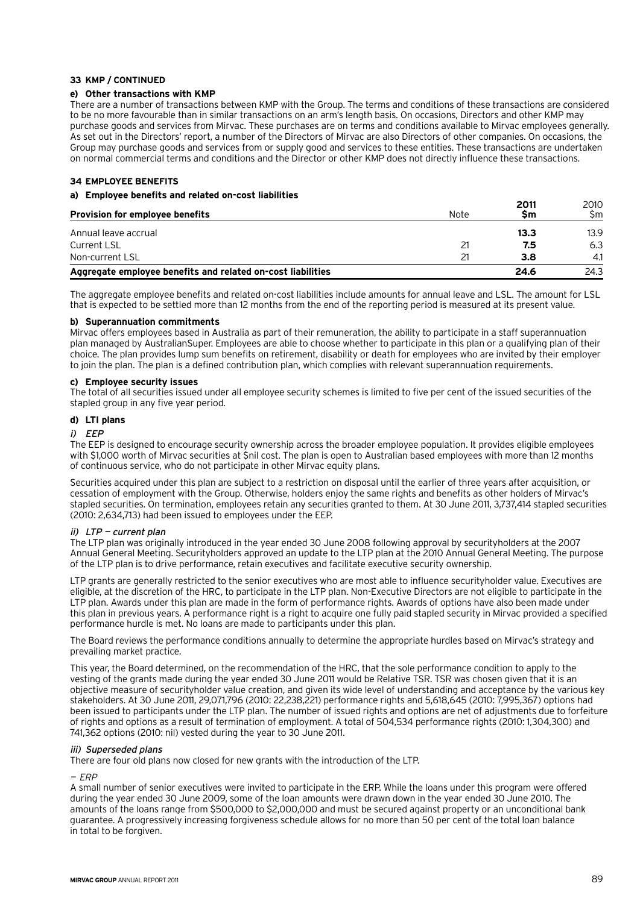## **e) Other transactions with KMP**

There are a number of transactions between KMP with the Group. The terms and conditions of these transactions are considered to be no more favourable than in similar transactions on an arm's length basis. On occasions, Directors and other KMP may purchase goods and services from Mirvac. These purchases are on terms and conditions available to Mirvac employees generally. As set out in the Directors' report, a number of the Directors of Mirvac are also Directors of other companies. On occasions, the Group may purchase goods and services from or supply good and services to these entities. These transactions are undertaken on normal commercial terms and conditions and the Director or other KMP does not directly influence these transactions.

# **34 Employee benefits**

## **a) Employee benefits and related on-cost liabilities**

| <b>Provision for employee benefits</b>                      | Note | 2011<br><b>Sm</b> | 2010<br>Sm. |
|-------------------------------------------------------------|------|-------------------|-------------|
| Annual leave accrual                                        |      | 13.3              | 13.9        |
| <b>Current LSL</b>                                          |      | 7.5               | 6.3         |
| Non-current LSL                                             |      | 3.8               | 4.1         |
| Aggregate employee benefits and related on-cost liabilities |      | 24.6              | 24.3        |

The aggregate employee benefits and related on-cost liabilities include amounts for annual leave and LSL. The amount for LSL that is expected to be settled more than 12 months from the end of the reporting period is measured at its present value.

#### **b) Superannuation commitments**

Mirvac offers employees based in Australia as part of their remuneration, the ability to participate in a staff superannuation plan managed by AustralianSuper. Employees are able to choose whether to participate in this plan or a qualifying plan of their choice. The plan provides lump sum benefits on retirement, disability or death for employees who are invited by their employer to join the plan. The plan is a defined contribution plan, which complies with relevant superannuation requirements.

## **c) Employee security issues**

The total of all securities issued under all employee security schemes is limited to five per cent of the issued securities of the stapled group in any five year period.

## **d) LTI plans**

#### i) EEP

The EEP is designed to encourage security ownership across the broader employee population. It provides eligible employees with \$1,000 worth of Mirvac securities at \$nil cost. The plan is open to Australian based employees with more than 12 months of continuous service, who do not participate in other Mirvac equity plans.

Securities acquired under this plan are subject to a restriction on disposal until the earlier of three years after acquisition, or cessation of employment with the Group. Otherwise, holders enjoy the same rights and benefits as other holders of Mirvac's stapled securities. On termination, employees retain any securities granted to them. At 30 June 2011, 3,737,414 stapled securities (2010: 2,634,713) had been issued to employees under the EEP.

## ii) LTP — current plan

The LTP plan was originally introduced in the year ended 30 June 2008 following approval by securityholders at the 2007 Annual General Meeting. Securityholders approved an update to the LTP plan at the 2010 Annual General Meeting. The purpose of the LTP plan is to drive performance, retain executives and facilitate executive security ownership.

LTP grants are generally restricted to the senior executives who are most able to influence securityholder value. Executives are eligible, at the discretion of the HRC, to participate in the LTP plan. Non-Executive Directors are not eligible to participate in the LTP plan. Awards under this plan are made in the form of performance rights. Awards of options have also been made under this plan in previous years. A performance right is a right to acquire one fully paid stapled security in Mirvac provided a specified performance hurdle is met. No loans are made to participants under this plan.

The Board reviews the performance conditions annually to determine the appropriate hurdles based on Mirvac's strategy and prevailing market practice.

This year, the Board determined, on the recommendation of the HRC, that the sole performance condition to apply to the vesting of the grants made during the year ended 30 June 2011 would be Relative TSR. TSR was chosen given that it is an objective measure of securityholder value creation, and given its wide level of understanding and acceptance by the various key stakeholders. At 30 June 2011, 29,071,796 (2010: 22,238,221) performance rights and 5,618,645 (2010: 7,995,367) options had been issued to participants under the LTP plan. The number of issued rights and options are net of adjustments due to forfeiture of rights and options as a result of termination of employment. A total of 504,534 performance rights (2010: 1,304,300) and 741,362 options (2010: nil) vested during the year to 30 June 2011.

## iii) Superseded plans

There are four old plans now closed for new grants with the introduction of the LTP.

# — ERP

A small number of senior executives were invited to participate in the ERP. While the loans under this program were offered during the year ended 30 June 2009, some of the loan amounts were drawn down in the year ended 30 June 2010. The amounts of the loans range from \$500,000 to \$2,000,000 and must be secured against property or an unconditional bank guarantee. A progressively increasing forgiveness schedule allows for no more than 50 per cent of the total loan balance in total to be forgiven.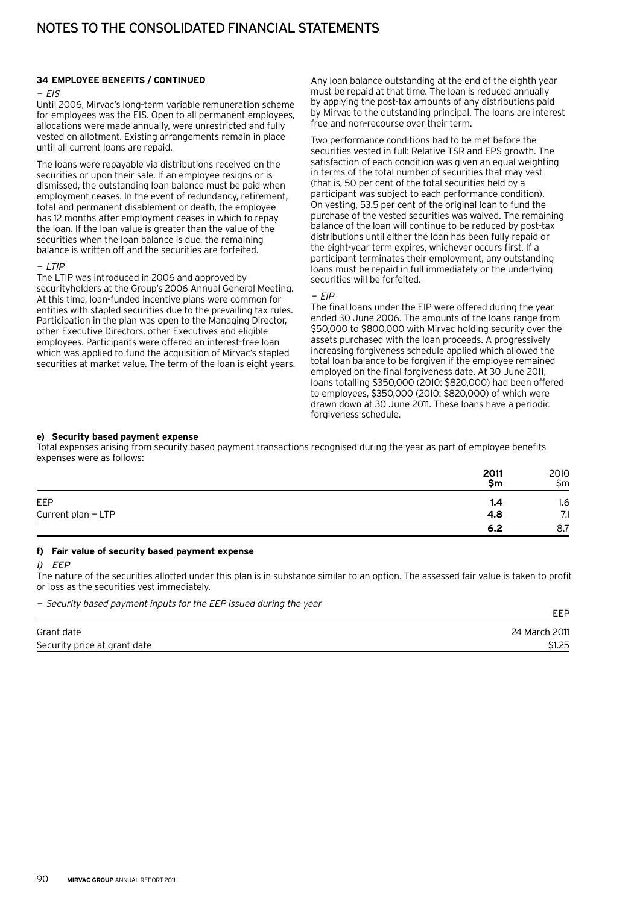#### **34 Employee benefits / continued**

#### $-FIS$

Until 2006, Mirvac's long-term variable remuneration scheme for employees was the EIS. Open to all permanent employees, allocations were made annually, were unrestricted and fully vested on allotment. Existing arrangements remain in place until all current loans are repaid.

The loans were repayable via distributions received on the securities or upon their sale. If an employee resigns or is dismissed, the outstanding loan balance must be paid when employment ceases. In the event of redundancy, retirement, total and permanent disablement or death, the employee has 12 months after employment ceases in which to repay the loan. If the loan value is greater than the value of the securities when the loan balance is due, the remaining balance is written off and the securities are forfeited.

#### — LTIP

The LTIP was introduced in 2006 and approved by securityholders at the Group's 2006 Annual General Meeting. At this time, loan-funded incentive plans were common for entities with stapled securities due to the prevailing tax rules. Participation in the plan was open to the Managing Director, other Executive Directors, other Executives and eligible employees. Participants were offered an interest-free loan which was applied to fund the acquisition of Mirvac's stapled securities at market value. The term of the loan is eight years.

Any loan balance outstanding at the end of the eighth year must be repaid at that time. The loan is reduced annually by applying the post-tax amounts of any distributions paid by Mirvac to the outstanding principal. The loans are interest free and non-recourse over their term.

Two performance conditions had to be met before the securities vested in full: Relative TSR and EPS growth. The satisfaction of each condition was given an equal weighting in terms of the total number of securities that may vest (that is, 50 per cent of the total securities held by a participant was subject to each performance condition). On vesting, 53.5 per cent of the original loan to fund the purchase of the vested securities was waived. The remaining balance of the loan will continue to be reduced by post-tax distributions until either the loan has been fully repaid or the eight-year term expires, whichever occurs first. If a participant terminates their employment, any outstanding loans must be repaid in full immediately or the underlying securities will be forfeited.

 $-FIF$ 

The final loans under the EIP were offered during the year ended 30 June 2006. The amounts of the loans range from \$50,000 to \$800,000 with Mirvac holding security over the assets purchased with the loan proceeds. A progressively increasing forgiveness schedule applied which allowed the total loan balance to be forgiven if the employee remained employed on the final forgiveness date. At 30 June 2011, loans totalling \$350,000 (2010: \$820,000) had been offered to employees, \$350,000 (2010: \$820,000) of which were drawn down at 30 June 2011. These loans have a periodic forgiveness schedule.

EEP

#### **e) Security based payment expense**

Total expenses arising from security based payment transactions recognised during the year as part of employee benefits expenses were as follows:

|                    | 2011<br>Şm | 2010<br>Sm |
|--------------------|------------|------------|
| EEP                | 1.4        | 1.6        |
| Current plan - LTP | 4.8        | 74<br>     |
|                    | 6.2        | 8.7        |

#### **f) Fair value of security based payment expense**

#### i) EEP

The nature of the securities allotted under this plan is in substance similar to an option. The assessed fair value is taken to profit or loss as the securities vest immediately.

— Security based payment inputs for the EEP issued during the year

|                              | ---           |
|------------------------------|---------------|
| Grant date                   | 24 March 2011 |
|                              |               |
| Security price at grant date | \$1.25        |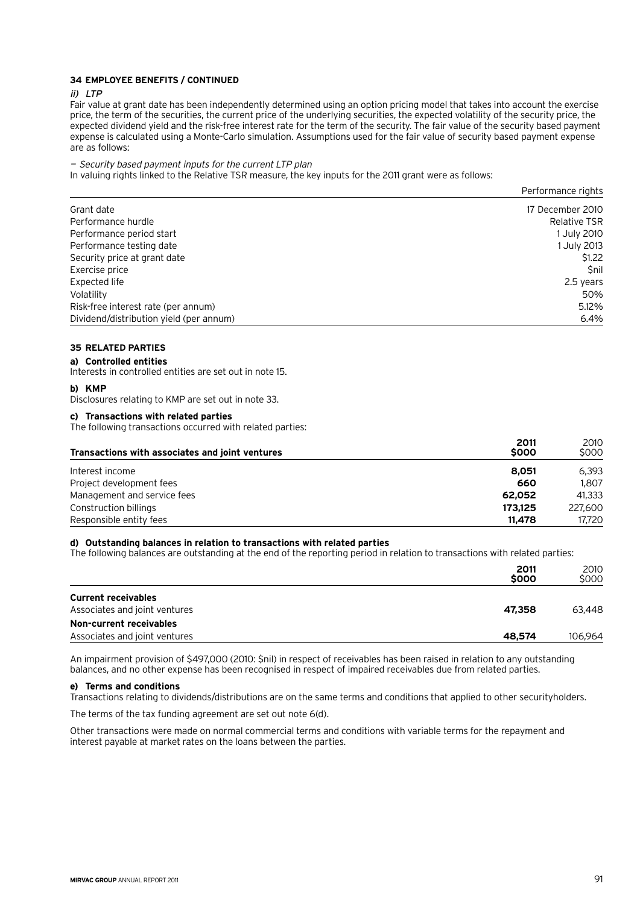# **34 Employee benefits / continued**

#### ii) LTP

Fair value at grant date has been independently determined using an option pricing model that takes into account the exercise price, the term of the securities, the current price of the underlying securities, the expected volatility of the security price, the expected dividend yield and the risk-free interest rate for the term of the security. The fair value of the security based payment expense is calculated using a Monte-Carlo simulation. Assumptions used for the fair value of security based payment expense are as follows:

#### — Security based payment inputs for the current LTP plan

In valuing rights linked to the Relative TSR measure, the key inputs for the 2011 grant were as follows:

|                                         | Performance rights  |
|-----------------------------------------|---------------------|
| Grant date                              | 17 December 2010    |
| Performance hurdle                      | <b>Relative TSR</b> |
| Performance period start                | 1 July 2010         |
| Performance testing date                | 1 July 2013         |
| Security price at grant date            | \$1.22              |
| Exercise price                          | <b>Snil</b>         |
| Expected life                           | 2.5 years           |
| Volatility                              | 50%                 |
| Risk-free interest rate (per annum)     | 5.12%               |
| Dividend/distribution yield (per annum) | 6.4%                |

# **35 Related parties**

**a) Controlled entities**

Interests in controlled entities are set out in note 15.

#### **b) KMP**

Disclosures relating to KMP are set out in note 33.

# **c) Transactions with related parties**

The following transactions occurred with related parties:

| Transactions with associates and joint ventures | 2011<br>\$000 | 2010<br>\$000 |
|-------------------------------------------------|---------------|---------------|
| Interest income                                 | 8.051         | 6.393         |
| Project development fees                        | 660           | 1.807         |
| Management and service fees                     | 62.052        | 41.333        |
| Construction billings                           | 173.125       | 227,600       |
| Responsible entity fees                         | 11,478        | 17.720        |

## **d) Outstanding balances in relation to transactions with related parties**

The following balances are outstanding at the end of the reporting period in relation to transactions with related parties:

|                                                             | 2011<br>\$000 | 2010<br>\$000 |
|-------------------------------------------------------------|---------------|---------------|
| <b>Current receivables</b><br>Associates and joint ventures | 47,358        | 63,448        |
| Non-current receivables<br>Associates and joint ventures    | 48,574        | 106.964       |

An impairment provision of \$497,000 (2010: \$nil) in respect of receivables has been raised in relation to any outstanding balances, and no other expense has been recognised in respect of impaired receivables due from related parties.

#### **e) Terms and conditions**

Transactions relating to dividends/distributions are on the same terms and conditions that applied to other securityholders.

The terms of the tax funding agreement are set out note 6(d).

Other transactions were made on normal commercial terms and conditions with variable terms for the repayment and interest payable at market rates on the loans between the parties.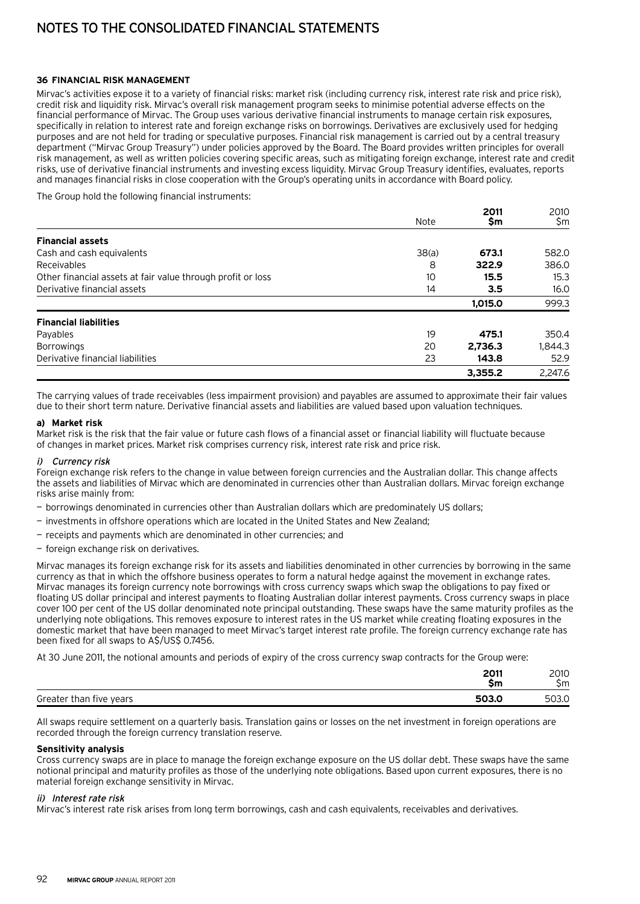#### **36 Financial risk management**

Mirvac's activities expose it to a variety of financial risks: market risk (including currency risk, interest rate risk and price risk), credit risk and liquidity risk. Mirvac's overall risk management program seeks to minimise potential adverse effects on the financial performance of Mirvac. The Group uses various derivative financial instruments to manage certain risk exposures, specifically in relation to interest rate and foreign exchange risks on borrowings. Derivatives are exclusively used for hedging purposes and are not held for trading or speculative purposes. Financial risk management is carried out by a central treasury department ("Mirvac Group Treasury") under policies approved by the Board. The Board provides written principles for overall risk management, as well as written policies covering specific areas, such as mitigating foreign exchange, interest rate and credit risks, use of derivative financial instruments and investing excess liquidity. Mirvac Group Treasury identifies, evaluates, reports and manages financial risks in close cooperation with the Group's operating units in accordance with Board policy.

The Group hold the following financial instruments:

|                                                             |             | 2011    | 2010    |
|-------------------------------------------------------------|-------------|---------|---------|
|                                                             | <b>Note</b> | \$m     | \$m     |
| <b>Financial assets</b>                                     |             |         |         |
| Cash and cash equivalents                                   | 38(a)       | 673.1   | 582.0   |
| Receivables                                                 | 8           | 322.9   | 386.0   |
| Other financial assets at fair value through profit or loss | 10          | 15.5    | 15.3    |
| Derivative financial assets                                 | 14          | 3.5     | 16.0    |
|                                                             |             | 1.015.0 | 999.3   |
| <b>Financial liabilities</b>                                |             |         |         |
| Payables                                                    | 19          | 475.1   | 350.4   |
| <b>Borrowings</b>                                           | 20          | 2.736.3 | 1,844.3 |
| Derivative financial liabilities                            | 23          | 143.8   | 52.9    |
|                                                             |             | 3.355.2 | 2.247.6 |

The carrying values of trade receivables (less impairment provision) and payables are assumed to approximate their fair values due to their short term nature. Derivative financial assets and liabilities are valued based upon valuation techniques.

#### **a) Market risk**

Market risk is the risk that the fair value or future cash flows of a financial asset or financial liability will fluctuate because of changes in market prices. Market risk comprises currency risk, interest rate risk and price risk.

#### i) Currency risk

Foreign exchange risk refers to the change in value between foreign currencies and the Australian dollar. This change affects the assets and liabilities of Mirvac which are denominated in currencies other than Australian dollars. Mirvac foreign exchange risks arise mainly from:

- borrowings denominated in currencies other than Australian dollars which are predominately US dollars;
- investments in offshore operations which are located in the United States and New Zealand;
- receipts and payments which are denominated in other currencies; and
- foreign exchange risk on derivatives.

Mirvac manages its foreign exchange risk for its assets and liabilities denominated in other currencies by borrowing in the same currency as that in which the offshore business operates to form a natural hedge against the movement in exchange rates. Mirvac manages its foreign currency note borrowings with cross currency swaps which swap the obligations to pay fixed or floating US dollar principal and interest payments to floating Australian dollar interest payments. Cross currency swaps in place cover 100 per cent of the US dollar denominated note principal outstanding. These swaps have the same maturity profiles as the underlying note obligations. This removes exposure to interest rates in the US market while creating floating exposures in the domestic market that have been managed to meet Mirvac's target interest rate profile. The foreign currency exchange rate has been fixed for all swaps to A\$/US\$ 0.7456.

At 30 June 2011, the notional amounts and periods of expiry of the cross currency swap contracts for the Group were:

|                         | 2011<br>ZUII<br>5m | 2010<br>Sm |
|-------------------------|--------------------|------------|
| Greater than five years | 503.0              | 503.0      |

All swaps require settlement on a quarterly basis. Translation gains or losses on the net investment in foreign operations are recorded through the foreign currency translation reserve.

#### **Sensitivity analysis**

Cross currency swaps are in place to manage the foreign exchange exposure on the US dollar debt. These swaps have the same notional principal and maturity profiles as those of the underlying note obligations. Based upon current exposures, there is no material foreign exchange sensitivity in Mirvac.

#### ii) Interest rate risk

Mirvac's interest rate risk arises from long term borrowings, cash and cash equivalents, receivables and derivatives.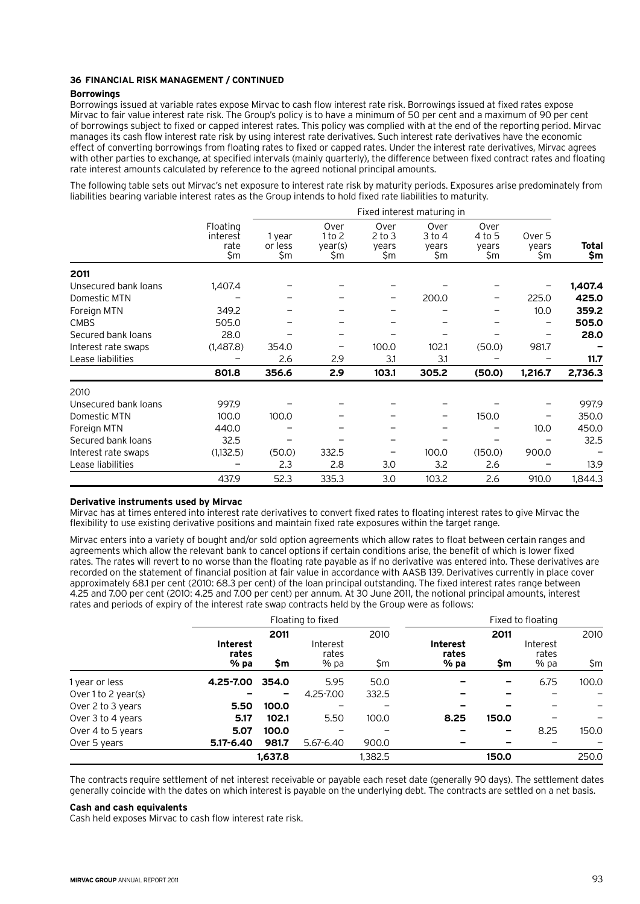#### **36 Financial risk management / continued**

#### **Borrowings**

Borrowings issued at variable rates expose Mirvac to cash flow interest rate risk. Borrowings issued at fixed rates expose Mirvac to fair value interest rate risk. The Group's policy is to have a minimum of 50 per cent and a maximum of 90 per cent of borrowings subject to fixed or capped interest rates. This policy was complied with at the end of the reporting period. Mirvac manages its cash flow interest rate risk by using interest rate derivatives. Such interest rate derivatives have the economic effect of converting borrowings from floating rates to fixed or capped rates. Under the interest rate derivatives, Mirvac agrees with other parties to exchange, at specified intervals (mainly quarterly), the difference between fixed contract rates and floating rate interest amounts calculated by reference to the agreed notional principal amounts.

The following table sets out Mirvac's net exposure to interest rate risk by maturity periods. Exposures arise predominately from liabilities bearing variable interest rates as the Group intends to hold fixed rate liabilities to maturity.

|                      |                                     | Fixed interest maturing in |                                  |                                    |                                |                                |                        |              |
|----------------------|-------------------------------------|----------------------------|----------------------------------|------------------------------------|--------------------------------|--------------------------------|------------------------|--------------|
|                      | Floating<br>interest<br>rate<br>\$m | 1 year<br>or less<br>\$m   | Over<br>1 to 2<br>year(s)<br>\$m | Over<br>$2$ to $3$<br>vears<br>\$m | Over<br>3 to 4<br>years<br>\$m | Over<br>4 to 5<br>years<br>\$m | Over 5<br>years<br>\$m | Total<br>\$m |
| 2011                 |                                     |                            |                                  |                                    |                                |                                |                        |              |
| Unsecured bank loans | 1,407.4                             |                            |                                  |                                    |                                |                                |                        | 1,407.4      |
| Domestic MTN         |                                     |                            |                                  |                                    | 200.0                          |                                | 225.0                  | 425.0        |
| Foreign MTN          | 349.2                               |                            |                                  |                                    |                                |                                | 10.0                   | 359.2        |
| <b>CMBS</b>          | 505.0                               |                            |                                  |                                    |                                |                                |                        | 505.0        |
| Secured bank loans   | 28.0                                |                            |                                  |                                    |                                |                                |                        | 28.0         |
| Interest rate swaps  | (1,487.8)                           | 354.0                      |                                  | 100.0                              | 102.1                          | (50.0)                         | 981.7                  |              |
| Lease liabilities    |                                     | 2.6                        | 2.9                              | 3.1                                | 3.1                            |                                |                        | 11.7         |
|                      | 801.8                               | 356.6                      | 2.9                              | 103.1                              | 305.2                          | (50.0)                         | 1,216.7                | 2,736.3      |
| 2010                 |                                     |                            |                                  |                                    |                                |                                |                        |              |
| Unsecured bank loans | 997.9                               |                            |                                  |                                    |                                |                                |                        | 997.9        |
| Domestic MTN         | 100.0                               | 100.0                      |                                  |                                    |                                | 150.0                          |                        | 350.0        |
| Foreign MTN          | 440.0                               |                            |                                  |                                    |                                |                                | 10.0                   | 450.0        |
| Secured bank loans   | 32.5                                |                            |                                  |                                    |                                |                                |                        | 32.5         |
| Interest rate swaps  | (1,132.5)                           | (50.0)                     | 332.5                            |                                    | 100.0                          | (150.0)                        | 900.0                  |              |
| Lease liabilities    |                                     | 2.3                        | 2.8                              | 3.0                                | 3.2                            | 2.6                            |                        | 13.9         |
|                      | 437.9                               | 52.3                       | 335.3                            | 3.0                                | 103.2                          | 2.6                            | 910.0                  | 1.844.3      |

## **Derivative instruments used by Mirvac**

Mirvac has at times entered into interest rate derivatives to convert fixed rates to floating interest rates to give Mirvac the flexibility to use existing derivative positions and maintain fixed rate exposures within the target range.

Mirvac enters into a variety of bought and/or sold option agreements which allow rates to float between certain ranges and agreements which allow the relevant bank to cancel options if certain conditions arise, the benefit of which is lower fixed rates. The rates will revert to no worse than the floating rate payable as if no derivative was entered into. These derivatives are recorded on the statement of financial position at fair value in accordance with AASB 139. Derivatives currently in place cover approximately 68.1 per cent (2010: 68.3 per cent) of the loan principal outstanding. The fixed interest rates range between 4.25 and 7.00 per cent (2010: 4.25 and 7.00 per cent) per annum. At 30 June 2011, the notional principal amounts, interest rates and periods of expiry of the interest rate swap contracts held by the Group were as follows:

|                     | Floating to fixed        |         |                   |         |                          |       | Fixed to floating |       |
|---------------------|--------------------------|---------|-------------------|---------|--------------------------|-------|-------------------|-------|
|                     | <b>Interest</b><br>rates | 2011    | Interest<br>rates | 2010    | <b>Interest</b><br>rates | 2011  | Interest<br>rates | 2010  |
|                     | $%$ pa                   | \$m     | % pa              | \$m     | % pa                     | \$m   | % pa              | \$m   |
| 1 year or less      | 4.25-7.00                | 354.0   | 5.95              | 50.0    |                          | -     | 6.75              | 100.0 |
| Over 1 to 2 year(s) |                          | -       | 4.25-7.00         | 332.5   |                          | -     |                   |       |
| Over 2 to 3 years   | 5.50                     | 100.0   |                   |         |                          |       |                   |       |
| Over 3 to 4 years   | 5.17                     | 102.1   | 5.50              | 100.0   | 8.25                     | 150.0 |                   |       |
| Over 4 to 5 years   | 5.07                     | 100.0   |                   |         |                          | -     | 8.25              | 150.0 |
| Over 5 years        | $5.17 - 6.40$            | 981.7   | $5.67 - 6.40$     | 900.0   |                          |       |                   |       |
|                     |                          | 1,637.8 |                   | 1,382.5 |                          | 150.0 |                   | 250.0 |

The contracts require settlement of net interest receivable or payable each reset date (generally 90 days). The settlement dates generally coincide with the dates on which interest is payable on the underlying debt. The contracts are settled on a net basis.

#### **Cash and cash equivalents**

Cash held exposes Mirvac to cash flow interest rate risk.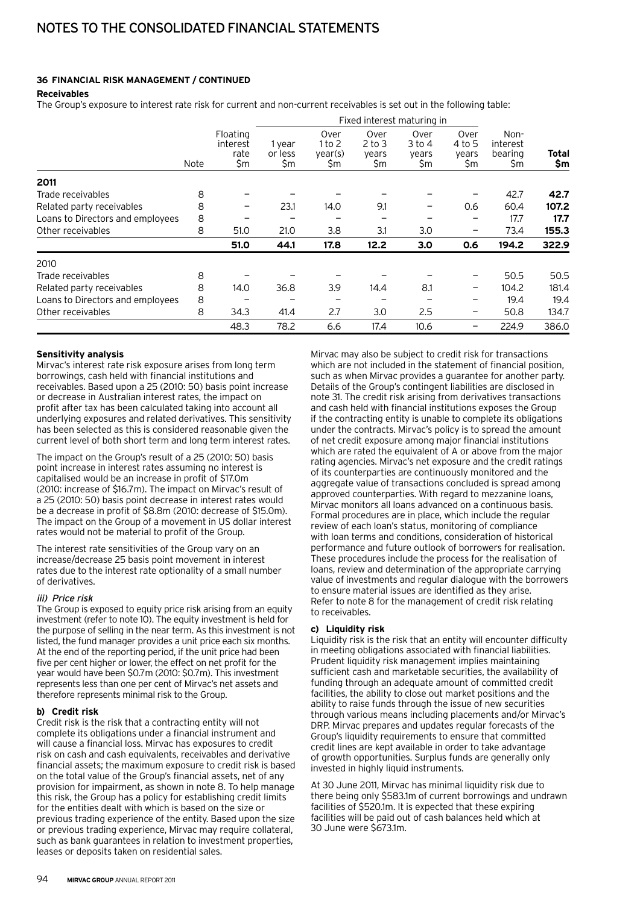# **36 Financial risk management / continued**

## **Receivables**

The Group's exposure to interest rate risk for current and non-current receivables is set out in the following table:

|                                  | <b>Note</b> |                                     |                          |                                  |                                    | Fixed interest maturing in     |                                |                                   |              |
|----------------------------------|-------------|-------------------------------------|--------------------------|----------------------------------|------------------------------------|--------------------------------|--------------------------------|-----------------------------------|--------------|
|                                  |             | Floating<br>interest<br>rate<br>\$m | 1 year<br>or less<br>\$m | Over<br>1 to 2<br>vear(s)<br>\$m | Over<br>$2$ to $3$<br>years<br>\$m | Over<br>3 to 4<br>years<br>\$m | Over<br>4 to 5<br>years<br>\$m | Non-<br>interest<br>bearing<br>Şm | Total<br>\$m |
| 2011                             |             |                                     |                          |                                  |                                    |                                |                                |                                   |              |
| Trade receivables                | 8           |                                     |                          |                                  |                                    |                                |                                | 42.7                              | 42.7         |
| Related party receivables        | 8           | $\qquad \qquad$                     | 23.1                     | 14.0                             | 9.1                                |                                | 0.6                            | 60.4                              | 107.2        |
| Loans to Directors and employees | 8           |                                     |                          |                                  |                                    |                                |                                | 17.7                              | 17.7         |
| Other receivables                | 8           | 51.0                                | 21.0                     | 3.8                              | 3.1                                | 3.0                            |                                | 73.4                              | 155.3        |
|                                  |             | 51.0                                | 44.1                     | 17.8                             | 12.2                               | 3.0                            | 0.6                            | 194.2                             | 322.9        |
| 2010                             |             |                                     |                          |                                  |                                    |                                |                                |                                   |              |
| Trade receivables                | 8           |                                     |                          |                                  |                                    |                                |                                | 50.5                              | 50.5         |
| Related party receivables        | 8           | 14.0                                | 36.8                     | 3.9                              | 14.4                               | 8.1                            | -                              | 104.2                             | 181.4        |
| Loans to Directors and employees | 8           |                                     |                          |                                  |                                    |                                |                                | 19.4                              | 19.4         |
| Other receivables                | 8           | 34.3                                | 41.4                     | 2.7                              | 3.0                                | 2.5                            | -                              | 50.8                              | 134.7        |
|                                  |             | 48.3                                | 78.2                     | 6.6                              | 17.4                               | 10.6                           |                                | 224.9                             | 386.0        |

#### **Sensitivity analysis**

Mirvac's interest rate risk exposure arises from long term borrowings, cash held with financial institutions and receivables. Based upon a 25 (2010: 50) basis point increase or decrease in Australian interest rates, the impact on profit after tax has been calculated taking into account all underlying exposures and related derivatives. This sensitivity has been selected as this is considered reasonable given the current level of both short term and long term interest rates.

The impact on the Group's result of a 25 (2010: 50) basis point increase in interest rates assuming no interest is capitalised would be an increase in profit of \$17.0m (2010: increase of \$16.7m). The impact on Mirvac's result of a 25 (2010: 50) basis point decrease in interest rates would be a decrease in profit of \$8.8m (2010: decrease of \$15.0m). The impact on the Group of a movement in US dollar interest rates would not be material to profit of the Group.

The interest rate sensitivities of the Group vary on an increase/decrease 25 basis point movement in interest rates due to the interest rate optionality of a small number of derivatives.

## iii) Price risk

The Group is exposed to equity price risk arising from an equity investment (refer to note 10). The equity investment is held for the purpose of selling in the near term. As this investment is not listed, the fund manager provides a unit price each six months. At the end of the reporting period, if the unit price had been five per cent higher or lower, the effect on net profit for the year would have been \$0.7m (2010: \$0.7m). This investment represents less than one per cent of Mirvac's net assets and therefore represents minimal risk to the Group.

## **b) Credit risk**

Credit risk is the risk that a contracting entity will not complete its obligations under a financial instrument and will cause a financial loss. Mirvac has exposures to credit risk on cash and cash equivalents, receivables and derivative financial assets; the maximum exposure to credit risk is based on the total value of the Group's financial assets, net of any provision for impairment, as shown in note 8. To help manage this risk, the Group has a policy for establishing credit limits for the entities dealt with which is based on the size or previous trading experience of the entity. Based upon the size or previous trading experience, Mirvac may require collateral, such as bank guarantees in relation to investment properties, leases or deposits taken on residential sales.

Mirvac may also be subject to credit risk for transactions which are not included in the statement of financial position, such as when Mirvac provides a guarantee for another party. Details of the Group's contingent liabilities are disclosed in note 31. The credit risk arising from derivatives transactions and cash held with financial institutions exposes the Group if the contracting entity is unable to complete its obligations under the contracts. Mirvac's policy is to spread the amount of net credit exposure among major financial institutions which are rated the equivalent of A or above from the major rating agencies. Mirvac's net exposure and the credit ratings of its counterparties are continuously monitored and the aggregate value of transactions concluded is spread among approved counterparties. With regard to mezzanine loans, Mirvac monitors all loans advanced on a continuous basis. Formal procedures are in place, which include the regular review of each loan's status, monitoring of compliance with loan terms and conditions, consideration of historical performance and future outlook of borrowers for realisation. These procedures include the process for the realisation of loans, review and determination of the appropriate carrying value of investments and regular dialogue with the borrowers to ensure material issues are identified as they arise. Refer to note 8 for the management of credit risk relating to receivables.

## **c) Liquidity risk**

Liquidity risk is the risk that an entity will encounter difficulty in meeting obligations associated with financial liabilities. Prudent liquidity risk management implies maintaining sufficient cash and marketable securities, the availability of funding through an adequate amount of committed credit facilities, the ability to close out market positions and the ability to raise funds through the issue of new securities through various means including placements and/or Mirvac's DRP. Mirvac prepares and updates regular forecasts of the Group's liquidity requirements to ensure that committed credit lines are kept available in order to take advantage of growth opportunities. Surplus funds are generally only invested in highly liquid instruments.

At 30 June 2011, Mirvac has minimal liquidity risk due to there being only \$583.1m of current borrowings and undrawn facilities of \$520.1m. It is expected that these expiring facilities will be paid out of cash balances held which at 30 June were \$673.1m.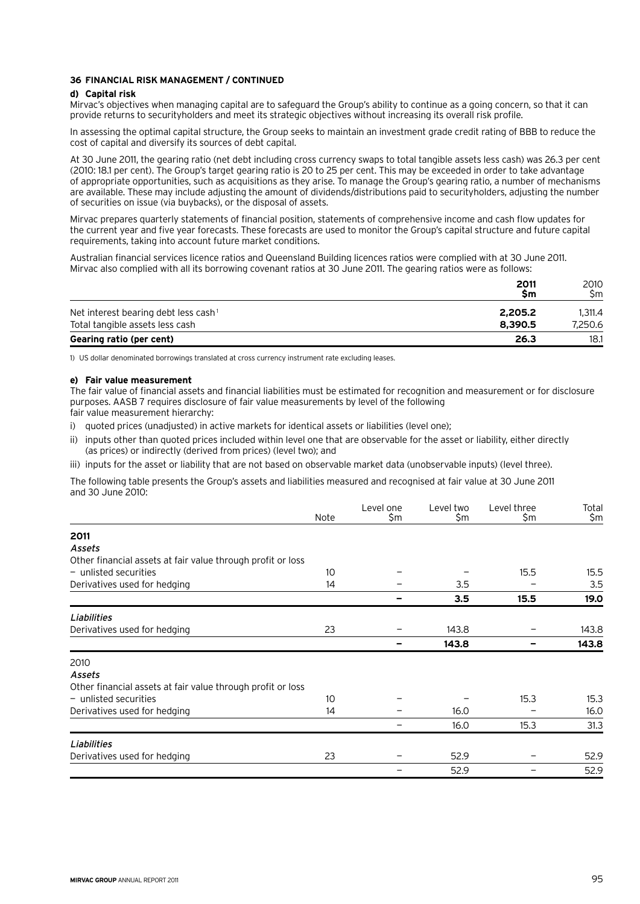#### **36 Financial risk management / continued**

#### **d) Capital risk**

Mirvac's objectives when managing capital are to safeguard the Group's ability to continue as a going concern, so that it can provide returns to securityholders and meet its strategic objectives without increasing its overall risk profile.

In assessing the optimal capital structure, the Group seeks to maintain an investment grade credit rating of BBB to reduce the cost of capital and diversify its sources of debt capital.

At 30 June 2011, the gearing ratio (net debt including cross currency swaps to total tangible assets less cash) was 26.3 per cent (2010: 18.1 per cent). The Group's target gearing ratio is 20 to 25 per cent. This may be exceeded in order to take advantage of appropriate opportunities, such as acquisitions as they arise. To manage the Group's gearing ratio, a number of mechanisms are available. These may include adjusting the amount of dividends/distributions paid to securityholders, adjusting the number of securities on issue (via buybacks), or the disposal of assets.

Mirvac prepares quarterly statements of financial position, statements of comprehensive income and cash flow updates for the current year and five year forecasts. These forecasts are used to monitor the Group's capital structure and future capital requirements, taking into account future market conditions.

Australian financial services licence ratios and Queensland Building licences ratios were complied with at 30 June 2011. Mirvac also complied with all its borrowing covenant ratios at 30 June 2011. The gearing ratios were as follows:

|                                                  | 2011<br>Sm | 2010<br>Sm. |
|--------------------------------------------------|------------|-------------|
| Net interest bearing debt less cash <sup>1</sup> | 2.205.2    | 1.311.4     |
| Total tangible assets less cash                  | 8.390.5    | 7.250.6     |
| Gearing ratio (per cent)                         | 26.3       | 18.1        |

1) US dollar denominated borrowings translated at cross currency instrument rate excluding leases.

#### **e) Fair value measurement**

The fair value of financial assets and financial liabilities must be estimated for recognition and measurement or for disclosure purposes. AASB 7 requires disclosure of fair value measurements by level of the following

fair value measurement hierarchy:

i) quoted prices (unadjusted) in active markets for identical assets or liabilities (level one);

- ii) inputs other than quoted prices included within level one that are observable for the asset or liability, either directly (as prices) or indirectly (derived from prices) (level two); and
- iii) inputs for the asset or liability that are not based on observable market data (unobservable inputs) (level three).

The following table presents the Group's assets and liabilities measured and recognised at fair value at 30 June 2011 and 30 June 2010:

|                                                             | Note | Level one<br>\$m | Level two<br>\$m | Level three<br>\$m | Total<br>\$m |
|-------------------------------------------------------------|------|------------------|------------------|--------------------|--------------|
|                                                             |      |                  |                  |                    |              |
| 2011                                                        |      |                  |                  |                    |              |
| Assets                                                      |      |                  |                  |                    |              |
| Other financial assets at fair value through profit or loss |      |                  |                  |                    |              |
| $-$ unlisted securities                                     | 10   |                  |                  | 15.5               | 15.5         |
| Derivatives used for hedging                                | 14   |                  | 3.5              |                    | 3.5          |
|                                                             |      |                  | 3.5              | 15.5               | 19.0         |
| Liabilities                                                 |      |                  |                  |                    |              |
| Derivatives used for hedging                                | 23   |                  | 143.8            |                    | 143.8        |
|                                                             |      |                  | 143.8            |                    | 143.8        |
| 2010                                                        |      |                  |                  |                    |              |
| Assets                                                      |      |                  |                  |                    |              |
| Other financial assets at fair value through profit or loss |      |                  |                  |                    |              |
| $-$ unlisted securities                                     | 10   |                  |                  | 15.3               | 15.3         |
| Derivatives used for hedging                                | 14   |                  | 16.0             |                    | 16.0         |
|                                                             |      |                  | 16.0             | 15.3               | 31.3         |
| Liabilities                                                 |      |                  |                  |                    |              |
| Derivatives used for hedging                                | 23   |                  | 52.9             |                    | 52.9         |
|                                                             |      |                  | 52.9             |                    | 52.9         |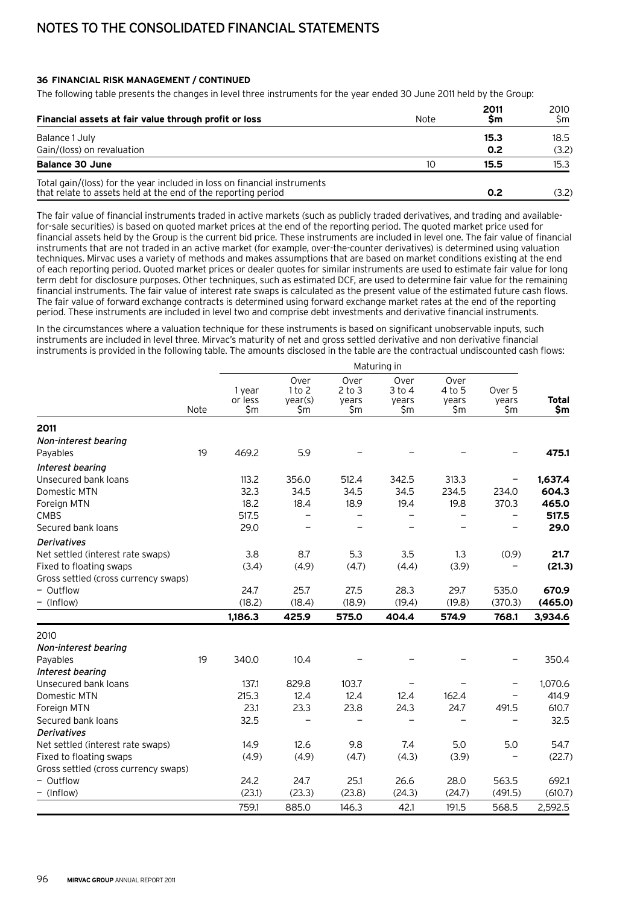# **36 Financial risk management / continued**

The following table presents the changes in level three instruments for the year ended 30 June 2011 held by the Group:

| Financial assets at fair value through profit or loss                                                                                     | Note | 2011<br>Sm | 2010<br>\$m |
|-------------------------------------------------------------------------------------------------------------------------------------------|------|------------|-------------|
| Balance 1 July                                                                                                                            |      | 15.3       | 18.5        |
| Gain/(loss) on revaluation                                                                                                                |      | 0.2        | (3.2)       |
| <b>Balance 30 June</b>                                                                                                                    | 10   | 15.5       | 15.3        |
| Total gain/(loss) for the year included in loss on financial instruments<br>that relate to assets held at the end of the reporting period |      | 0.2        | (3.2)       |

The fair value of financial instruments traded in active markets (such as publicly traded derivatives, and trading and availablefor-sale securities) is based on quoted market prices at the end of the reporting period. The quoted market price used for financial assets held by the Group is the current bid price. These instruments are included in level one. The fair value of financial instruments that are not traded in an active market (for example, over-the-counter derivatives) is determined using valuation techniques. Mirvac uses a variety of methods and makes assumptions that are based on market conditions existing at the end of each reporting period. Quoted market prices or dealer quotes for similar instruments are used to estimate fair value for long term debt for disclosure purposes. Other techniques, such as estimated DCF, are used to determine fair value for the remaining financial instruments. The fair value of interest rate swaps is calculated as the present value of the estimated future cash flows. The fair value of forward exchange contracts is determined using forward exchange market rates at the end of the reporting period. These instruments are included in level two and comprise debt investments and derivative financial instruments.

In the circumstances where a valuation technique for these instruments is based on significant unobservable inputs, such instruments are included in level three. Mirvac's maturity of net and gross settled derivative and non derivative financial instruments is provided in the following table. The amounts disclosed in the table are the contractual undiscounted cash flows:

|                                      |      |                          |                                     |                                    | Maturing in                        |                                |                                   |                     |
|--------------------------------------|------|--------------------------|-------------------------------------|------------------------------------|------------------------------------|--------------------------------|-----------------------------------|---------------------|
|                                      | Note | 1 year<br>or less<br>\$m | Over<br>1 to 2<br>year(s)<br>$\sin$ | Over<br>$2$ to $3$<br>years<br>\$m | Over<br>$3$ to $4$<br>years<br>\$m | Over<br>4 to 5<br>years<br>\$m | Over <sub>5</sub><br>years<br>\$m | <b>Total</b><br>\$m |
| 2011                                 |      |                          |                                     |                                    |                                    |                                |                                   |                     |
| Non-interest bearing                 |      |                          |                                     |                                    |                                    |                                |                                   |                     |
| Payables                             | 19   | 469.2                    | 5.9                                 |                                    |                                    |                                |                                   | 475.1               |
| Interest bearing                     |      |                          |                                     |                                    |                                    |                                |                                   |                     |
| Unsecured bank loans                 |      | 113.2                    | 356.0                               | 512.4                              | 342.5                              | 313.3                          |                                   | 1,637.4             |
| Domestic MTN                         |      | 32.3                     | 34.5                                | 34.5                               | 34.5                               | 234.5                          | 234.0                             | 604.3               |
| Foreign MTN                          |      | 18.2                     | 18.4                                | 18.9                               | 19.4                               | 19.8                           | 370.3                             | 465.0               |
| <b>CMBS</b>                          |      | 517.5                    |                                     |                                    |                                    | $\qquad \qquad -$              | $\qquad \qquad -$                 | 517.5               |
| Secured bank loans                   |      | 29.0                     |                                     |                                    |                                    |                                |                                   | 29.0                |
| <b>Derivatives</b>                   |      |                          |                                     |                                    |                                    |                                |                                   |                     |
| Net settled (interest rate swaps)    |      | 3.8                      | 8.7                                 | 5.3                                | 3.5                                | 1.3                            | (0.9)                             | 21.7                |
| Fixed to floating swaps              |      | (3.4)                    | (4.9)                               | (4.7)                              | (4.4)                              | (3.9)                          |                                   | (21.3)              |
| Gross settled (cross currency swaps) |      |                          |                                     |                                    |                                    |                                |                                   |                     |
| - Outflow                            |      | 24.7                     | 25.7                                | 27.5                               | 28.3                               | 29.7                           | 535.0                             | 670.9               |
| - (Inflow)                           |      | (18.2)                   | (18.4)                              | (18.9)                             | (19.4)                             | (19.8)                         | (370.3)                           | (465.0)             |
|                                      |      | 1,186.3                  | 425.9                               | 575.0                              | 404.4                              | 574.9                          | 768.1                             | 3,934.6             |
| 2010                                 |      |                          |                                     |                                    |                                    |                                |                                   |                     |
| Non-interest bearing                 |      |                          |                                     |                                    |                                    |                                |                                   |                     |
| Payables                             | 19   | 340.0                    | 10.4                                |                                    |                                    |                                |                                   | 350.4               |
| Interest bearing                     |      |                          |                                     |                                    |                                    |                                |                                   |                     |
| Unsecured bank loans                 |      | 137.1                    | 829.8                               | 103.7                              |                                    |                                |                                   | 1,070.6             |
| Domestic MTN                         |      | 215.3                    | 12.4                                | 12.4                               | 12.4                               | 162.4                          |                                   | 414.9               |
| Foreign MTN                          |      | 23.1                     | 23.3                                | 23.8                               | 24.3                               | 24.7                           | 491.5                             | 610.7               |
| Secured bank loans                   |      | 32.5                     |                                     |                                    |                                    |                                |                                   | 32.5                |
| Derivatives                          |      |                          |                                     |                                    |                                    |                                |                                   |                     |
| Net settled (interest rate swaps)    |      | 14.9                     | 12.6                                | 9.8                                | 7.4                                | 5.0                            | 5.0                               | 54.7                |
| Fixed to floating swaps              |      | (4.9)                    | (4.9)                               | (4.7)                              | (4.3)                              | (3.9)                          |                                   | (22.7)              |
| Gross settled (cross currency swaps) |      |                          |                                     |                                    |                                    |                                |                                   |                     |
| - Outflow                            |      | 24.2                     | 24.7                                | 25.1                               | 26.6                               | 28.0                           | 563.5                             | 692.1               |
| - (Inflow)                           |      | (23.1)                   | (23.3)                              | (23.8)                             | (24.3)                             | (24.7)                         | (491.5)                           | (610.7)             |
|                                      |      | 759.1                    | 885.0                               | 146.3                              | 42.1                               | 191.5                          | 568.5                             | 2,592.5             |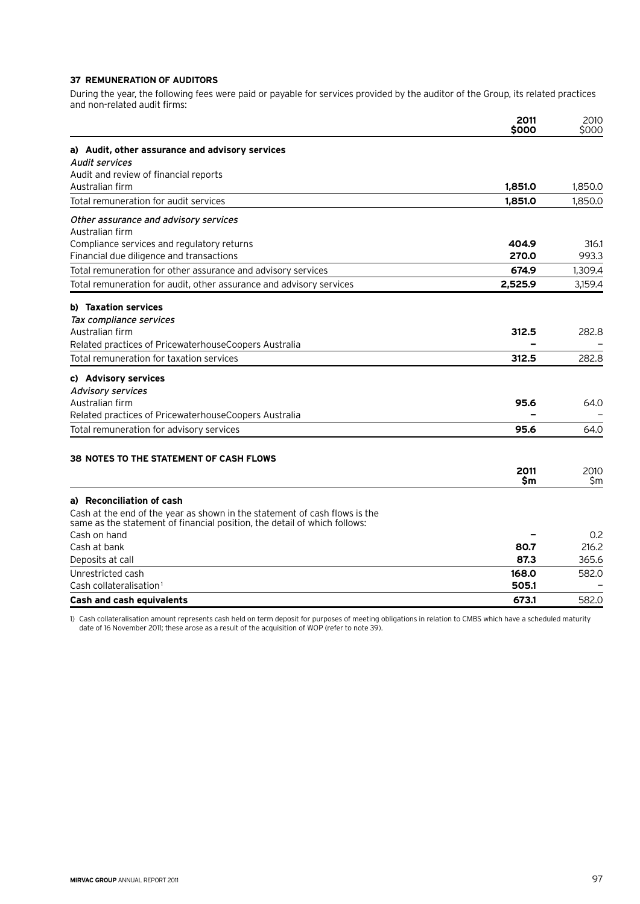# **37 Remuneration of auditors**

During the year, the following fees were paid or payable for services provided by the auditor of the Group, its related practices and non-related audit firms:

|                                                                                                                                                         | 2011<br>\$000 | 2010<br>\$000 |
|---------------------------------------------------------------------------------------------------------------------------------------------------------|---------------|---------------|
| a) Audit, other assurance and advisory services                                                                                                         |               |               |
| <b>Audit services</b>                                                                                                                                   |               |               |
| Audit and review of financial reports                                                                                                                   |               |               |
| Australian firm                                                                                                                                         | 1,851.0       | 1,850.0       |
| Total remuneration for audit services                                                                                                                   | 1,851.0       | 1,850.0       |
| Other assurance and advisory services                                                                                                                   |               |               |
| Australian firm                                                                                                                                         |               |               |
| Compliance services and regulatory returns                                                                                                              | 404.9         | 316.1         |
| Financial due diligence and transactions                                                                                                                | 270.0         | 993.3         |
| Total remuneration for other assurance and advisory services                                                                                            | 674.9         | 1,309.4       |
| Total remuneration for audit, other assurance and advisory services                                                                                     | 2,525.9       | 3,159.4       |
| b) Taxation services                                                                                                                                    |               |               |
| Tax compliance services                                                                                                                                 |               |               |
| Australian firm                                                                                                                                         | 312.5         | 282.8         |
| Related practices of PricewaterhouseCoopers Australia                                                                                                   |               |               |
| Total remuneration for taxation services                                                                                                                | 312.5         | 282.8         |
| c) Advisory services                                                                                                                                    |               |               |
| <b>Advisory services</b>                                                                                                                                |               |               |
| Australian firm                                                                                                                                         | 95.6          | 64.0          |
| Related practices of PricewaterhouseCoopers Australia                                                                                                   |               |               |
| Total remuneration for advisory services                                                                                                                | 95.6          | 64.0          |
| <b>38 NOTES TO THE STATEMENT OF CASH FLOWS</b>                                                                                                          |               |               |
|                                                                                                                                                         | 2011          | 2010          |
|                                                                                                                                                         | \$m           | \$m           |
| a) Reconciliation of cash                                                                                                                               |               |               |
| Cash at the end of the year as shown in the statement of cash flows is the<br>same as the statement of financial position, the detail of which follows: |               |               |
| Cash on hand                                                                                                                                            |               | 0.2           |
| Cash at bank                                                                                                                                            | 80.7          | 216.2         |
| Deposits at call                                                                                                                                        | 87.3          | 365.6         |
| Unrestricted cash                                                                                                                                       | 168.0         | 582.0         |
| Cash collateralisation <sup>1</sup>                                                                                                                     | 505.1         |               |
| <b>Cash and cash equivalents</b>                                                                                                                        | 673.1         | 582.0         |

1) Cash collateralisation amount represents cash held on term deposit for purposes of meeting obligations in relation to CMBS which have a scheduled maturity date of 16 November 2011; these arose as a result of the acquisition of WOP (refer to note 39).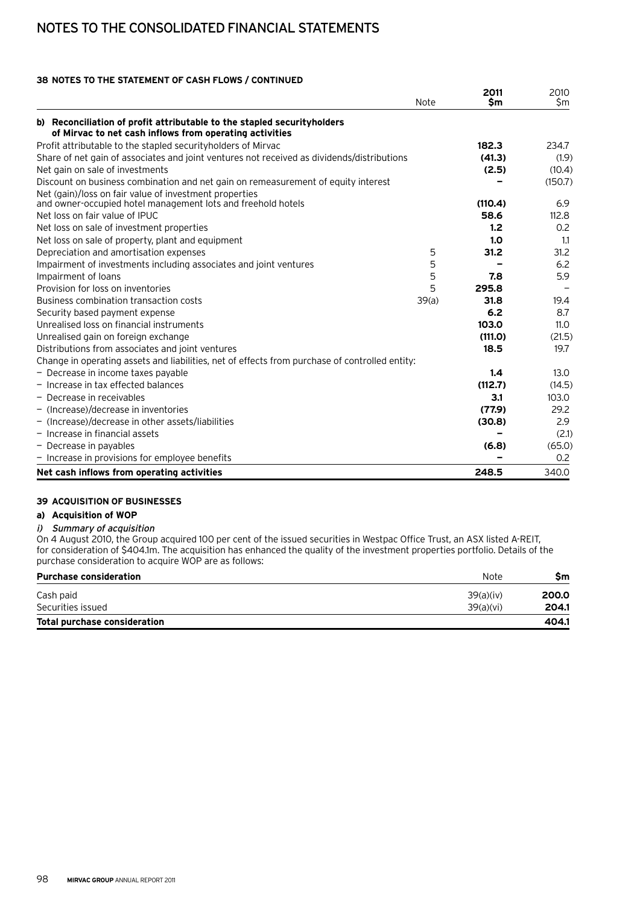# **38 Notes to the statement of cash flows / continued**

|                                                                                                | Note  | 2011<br>\$m | 2010<br>\$m |
|------------------------------------------------------------------------------------------------|-------|-------------|-------------|
| b) Reconciliation of profit attributable to the stapled security holders                       |       |             |             |
| of Mirvac to net cash inflows from operating activities                                        |       |             |             |
| Profit attributable to the stapled security holders of Mirvac                                  |       | 182.3       | 234.7       |
| Share of net gain of associates and joint ventures not received as dividends/distributions     |       | (41.3)      | (1.9)       |
| Net gain on sale of investments                                                                |       | (2.5)       | (10.4)      |
| Discount on business combination and net gain on remeasurement of equity interest              |       |             | (150.7)     |
| Net (gain)/loss on fair value of investment properties                                         |       |             |             |
| and owner-occupied hotel management lots and freehold hotels                                   |       | (110.4)     | 6.9         |
| Net loss on fair value of IPUC                                                                 |       | 58.6        | 112.8       |
| Net loss on sale of investment properties                                                      |       | 1.2         | 0.2         |
| Net loss on sale of property, plant and equipment                                              |       | 1.0         | 1.1         |
| Depreciation and amortisation expenses                                                         | 5     | 31.2        | 31.2        |
| Impairment of investments including associates and joint ventures                              | 5     |             | 6.2         |
| Impairment of loans                                                                            | 5     | 7.8         | 5.9         |
| Provision for loss on inventories                                                              | 5     | 295.8       |             |
| Business combination transaction costs                                                         | 39(a) | 31.8        | 19.4        |
| Security based payment expense                                                                 |       | 6.2         | 8.7         |
| Unrealised loss on financial instruments                                                       |       | 103.0       | 11.0        |
| Unrealised gain on foreign exchange                                                            |       | (111.0)     | (21.5)      |
| Distributions from associates and joint ventures                                               |       | 18.5        | 19.7        |
| Change in operating assets and liabilities, net of effects from purchase of controlled entity: |       |             |             |
| - Decrease in income taxes payable                                                             |       | 1.4         | 13.0        |
| - Increase in tax effected balances                                                            |       | (112.7)     | (14.5)      |
| $-$ Decrease in receivables                                                                    |       | 3.1         | 103.0       |
| $-$ (Increase)/decrease in inventories                                                         |       | (77.9)      | 29.2        |
| - (Increase)/decrease in other assets/liabilities                                              |       | (30.8)      | 2.9         |
| $-$ Increase in financial assets                                                               |       |             | (2.1)       |
| - Decrease in payables                                                                         |       | (6.8)       | (65.0)      |
| - Increase in provisions for employee benefits                                                 |       |             | 0.2         |
| Net cash inflows from operating activities                                                     |       | 248.5       | 340.0       |

# **39 Acquisition of businesses**

# **a) Acquisition of WOP**

# i) Summary of acquisition

On 4 August 2010, the Group acquired 100 per cent of the issued securities in Westpac Office Trust, an ASX listed A-REIT, for consideration of \$404.1m. The acquisition has enhanced the quality of the investment properties portfolio. Details of the purchase consideration to acquire WOP are as follows:

| <b>Purchase consideration</b>       | Note      | Sm    |
|-------------------------------------|-----------|-------|
| Cash paid                           | 39(a)(iv) | 200.0 |
| Securities issued                   | 39(a)(vi) | 204.1 |
| <b>Total purchase consideration</b> |           | 404.1 |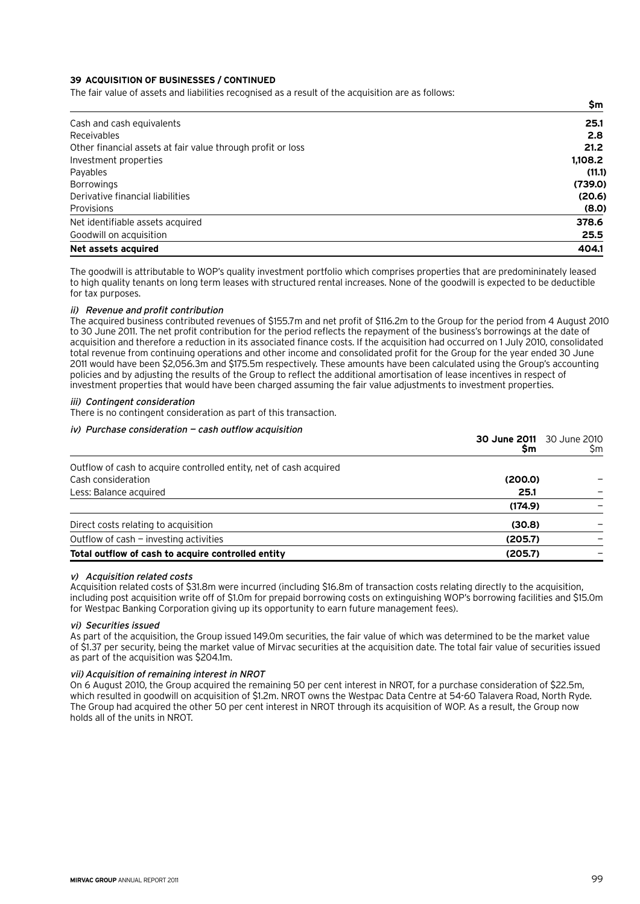## **39 Acquisition of businesses / continued**

The fair value of assets and liabilities recognised as a result of the acquisition are as follows:

|                                                             | \$m     |
|-------------------------------------------------------------|---------|
| Cash and cash equivalents                                   | 25.1    |
| Receivables                                                 | 2.8     |
| Other financial assets at fair value through profit or loss | 21.2    |
| Investment properties                                       | 1,108.2 |
| Payables                                                    | (11.1)  |
| <b>Borrowings</b>                                           | (739.0) |
| Derivative financial liabilities                            | (20.6)  |
| Provisions                                                  | (8.0)   |
| Net identifiable assets acquired                            | 378.6   |
| Goodwill on acquisition                                     | 25.5    |
| Net assets acquired                                         | 404.1   |

The goodwill is attributable to WOP's quality investment portfolio which comprises properties that are predomininately leased to high quality tenants on long term leases with structured rental increases. None of the goodwill is expected to be deductible for tax purposes.

#### ii) Revenue and profit contribution

The acquired business contributed revenues of \$155.7m and net profit of \$116.2m to the Group for the period from 4 August 2010 to 30 June 2011. The net profit contribution for the period reflects the repayment of the business's borrowings at the date of acquisition and therefore a reduction in its associated finance costs. If the acquisition had occurred on 1 July 2010, consolidated total revenue from continuing operations and other income and consolidated profit for the Group for the year ended 30 June 2011 would have been \$2,056.3m and \$175.5m respectively. These amounts have been calculated using the Group's accounting policies and by adjusting the results of the Group to reflect the additional amortisation of lease incentives in respect of investment properties that would have been charged assuming the fair value adjustments to investment properties.

## iii) Contingent consideration

There is no contingent consideration as part of this transaction.

#### iv) Purchase consideration — cash outflow acquisition

|                                                                    | <b>30 June 2011</b> 30 June 2010<br><b>Sm</b> | Sm |
|--------------------------------------------------------------------|-----------------------------------------------|----|
| Outflow of cash to acquire controlled entity, net of cash acquired |                                               |    |
| Cash consideration                                                 | (200.0)                                       |    |
| Less: Balance acquired                                             | 25.1                                          |    |
|                                                                    | (174.9)                                       |    |
| Direct costs relating to acquisition                               | (30.8)                                        |    |
| Outflow of cash - investing activities                             | (205.7)                                       |    |
| Total outflow of cash to acquire controlled entity                 | (205.7)                                       |    |

#### v) Acquisition related costs

Acquisition related costs of \$31.8m were incurred (including \$16.8m of transaction costs relating directly to the acquisition, including post acquisition write off of \$1.0m for prepaid borrowing costs on extinguishing WOP's borrowing facilities and \$15.0m for Westpac Banking Corporation giving up its opportunity to earn future management fees).

#### vi) Securities issued

As part of the acquisition, the Group issued 149.0m securities, the fair value of which was determined to be the market value of \$1.37 per security, being the market value of Mirvac securities at the acquisition date. The total fair value of securities issued as part of the acquisition was \$204.1m.

#### vii) Acquisition of remaining interest in NROT

On 6 August 2010, the Group acquired the remaining 50 per cent interest in NROT, for a purchase consideration of \$22.5m, which resulted in goodwill on acquisition of \$1.2m. NROT owns the Westpac Data Centre at 54-60 Talavera Road, North Ryde. The Group had acquired the other 50 per cent interest in NROT through its acquisition of WOP. As a result, the Group now holds all of the units in NROT.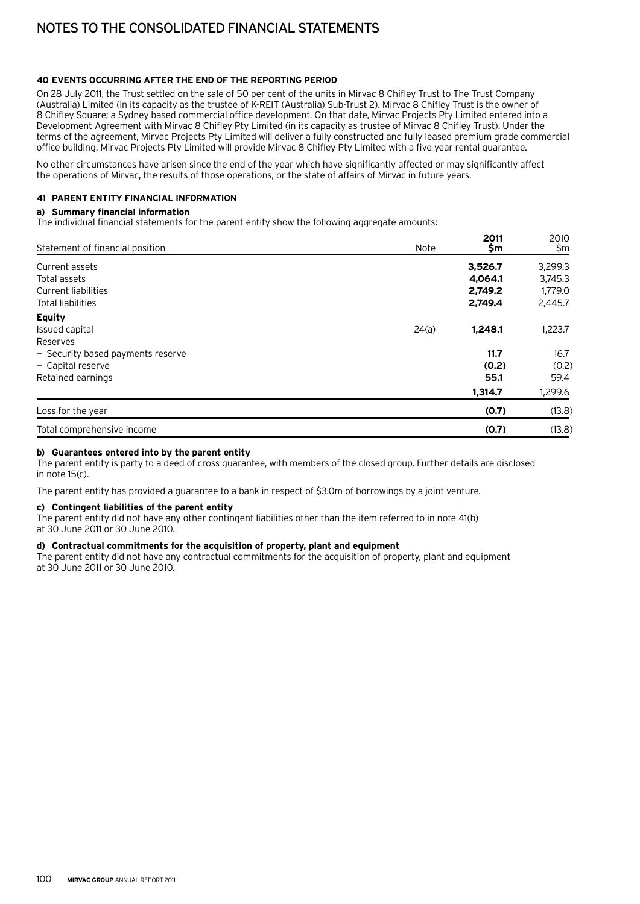## **40 Events occurring after the end of the reporting period**

On 28 July 2011, the Trust settled on the sale of 50 per cent of the units in Mirvac 8 Chifley Trust to The Trust Company (Australia) Limited (in its capacity as the trustee of K-REIT (Australia) Sub-Trust 2). Mirvac 8 Chifley Trust is the owner of 8 Chifley Square; a Sydney based commercial office development. On that date, Mirvac Projects Pty Limited entered into a Development Agreement with Mirvac 8 Chifley Pty Limited (in its capacity as trustee of Mirvac 8 Chifley Trust). Under the terms of the agreement, Mirvac Projects Pty Limited will deliver a fully constructed and fully leased premium grade commercial office building. Mirvac Projects Pty Limited will provide Mirvac 8 Chifley Pty Limited with a five year rental guarantee.

No other circumstances have arisen since the end of the year which have significantly affected or may significantly affect the operations of Mirvac, the results of those operations, or the state of affairs of Mirvac in future years.

# **41 Parent entity financial information**

## **a) Summary financial information**

The individual financial statements for the parent entity show the following aggregate amounts:

| Statement of financial position   | Note  | 2011<br>\$m | 2010    |
|-----------------------------------|-------|-------------|---------|
|                                   |       |             | \$m     |
| Current assets                    |       | 3,526.7     | 3,299.3 |
| Total assets                      |       | 4,064.1     | 3,745.3 |
| <b>Current liabilities</b>        |       | 2,749.2     | 1,779.0 |
| <b>Total liabilities</b>          |       | 2,749.4     | 2,445.7 |
| <b>Equity</b>                     |       |             |         |
| Issued capital                    | 24(a) | 1,248.1     | 1,223.7 |
| Reserves                          |       |             |         |
| - Security based payments reserve |       | 11.7        | 16.7    |
| - Capital reserve                 |       | (0.2)       | (0.2)   |
| Retained earnings                 |       | 55.1        | 59.4    |
|                                   |       | 1,314.7     | 1,299.6 |
| Loss for the year                 |       | (0.7)       | (13.8)  |
| Total comprehensive income        |       | (0.7)       | (13.8)  |

## **b) Guarantees entered into by the parent entity**

The parent entity is party to a deed of cross guarantee, with members of the closed group. Further details are disclosed in note 15(c).

The parent entity has provided a guarantee to a bank in respect of \$3.0m of borrowings by a joint venture.

#### **c) Contingent liabilities of the parent entity**

The parent entity did not have any other contingent liabilities other than the item referred to in note 41(b) at 30 June 2011 or 30 June 2010.

# **d) Contractual commitments for the acquisition of property, plant and equipment**

The parent entity did not have any contractual commitments for the acquisition of property, plant and equipment at 30 June 2011 or 30 June 2010.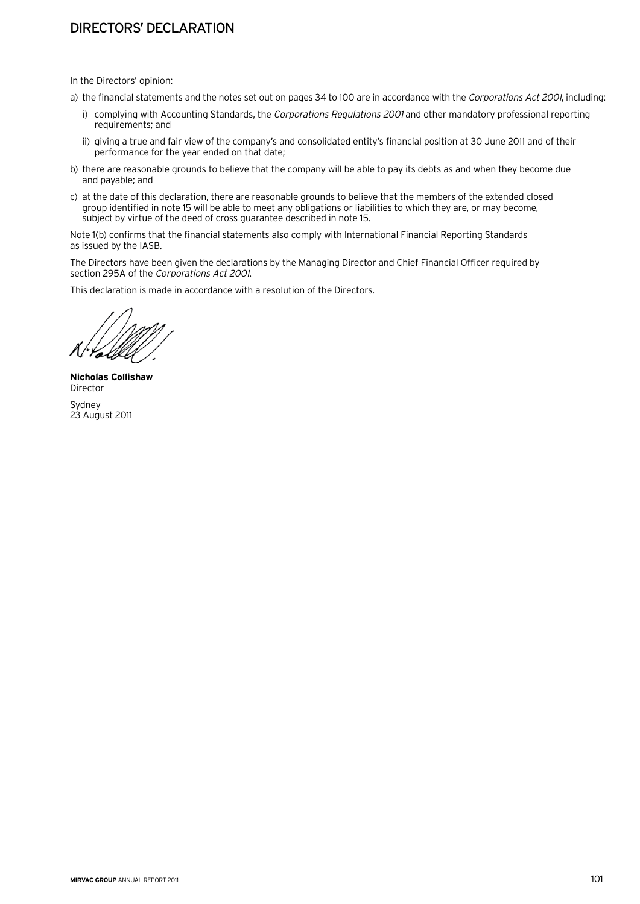# Directors' declaration

In the Directors' opinion:

- a) the financial statements and the notes set out on pages 34 to 100 are in accordance with the Corporations Act 2001, including:
	- i) complying with Accounting Standards, the Corporations Regulations 2001 and other mandatory professional reporting requirements; and
	- ii) giving a true and fair view of the company's and consolidated entity's financial position at 30 June 2011 and of their performance for the year ended on that date;
- b) there are reasonable grounds to believe that the company will be able to pay its debts as and when they become due and payable; and
- c) at the date of this declaration, there are reasonable grounds to believe that the members of the extended closed group identified in note 15 will be able to meet any obligations or liabilities to which they are, or may become, subject by virtue of the deed of cross guarantee described in note 15.

Note 1(b) confirms that the financial statements also comply with International Financial Reporting Standards as issued by the IASB.

The Directors have been given the declarations by the Managing Director and Chief Financial Officer required by section 295A of the Corporations Act 2001.

This declaration is made in accordance with a resolution of the Directors.

**Nicholas Collishaw** Director Sydney 23 August 2011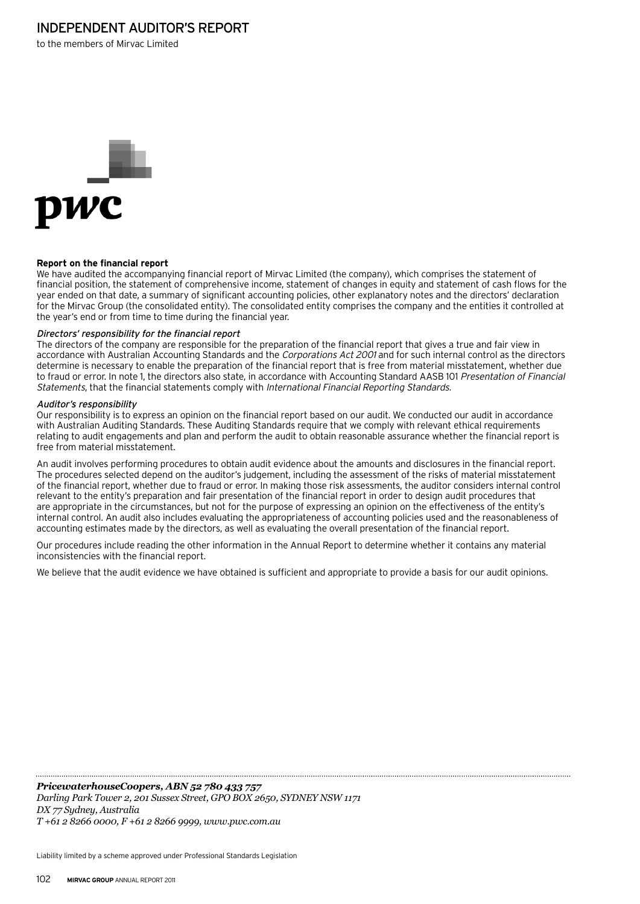# Independent auditor's report

to the members of Mirvac Limited



## **Report on the financial report**

We have audited the accompanying financial report of Mirvac Limited (the company), which comprises the statement of financial position, the statement of comprehensive income, statement of changes in equity and statement of cash flows for the year ended on that date, a summary of significant accounting policies, other explanatory notes and the directors' declaration for the Mirvac Group (the consolidated entity). The consolidated entity comprises the company and the entities it controlled at the year's end or from time to time during the financial year.

#### Directors' responsibility for the financial report

The directors of the company are responsible for the preparation of the financial report that gives a true and fair view in accordance with Australian Accounting Standards and the Corporations Act 2001 and for such internal control as the directors determine is necessary to enable the preparation of the financial report that is free from material misstatement, whether due to fraud or error. In note 1, the directors also state, in accordance with Accounting Standard AASB 101 Presentation of Financial Statements, that the financial statements comply with International Financial Reporting Standards.

#### Auditor's responsibility

Our responsibility is to express an opinion on the financial report based on our audit. We conducted our audit in accordance with Australian Auditing Standards. These Auditing Standards require that we comply with relevant ethical requirements relating to audit engagements and plan and perform the audit to obtain reasonable assurance whether the financial report is free from material misstatement.

An audit involves performing procedures to obtain audit evidence about the amounts and disclosures in the financial report. The procedures selected depend on the auditor's judgement, including the assessment of the risks of material misstatement of the financial report, whether due to fraud or error. In making those risk assessments, the auditor considers internal control relevant to the entity's preparation and fair presentation of the financial report in order to design audit procedures that are appropriate in the circumstances, but not for the purpose of expressing an opinion on the effectiveness of the entity's internal control. An audit also includes evaluating the appropriateness of accounting policies used and the reasonableness of accounting estimates made by the directors, as well as evaluating the overall presentation of the financial report.

Our procedures include reading the other information in the Annual Report to determine whether it contains any material inconsistencies with the financial report.

We believe that the audit evidence we have obtained is sufficient and appropriate to provide a basis for our audit opinions.

*PricewaterhouseCoopers, ABN 52 780 433 757*

*Darling Park Tower 2, 201 Sussex Street, GPO BOX 2650, SYDNEY NSW 1171 DX 77 Sydney, Australia T +61 2 8266 0000, F +61 2 8266 9999, www.pwc.com.au*

Liability limited by a scheme approved under Professional Standards Legislation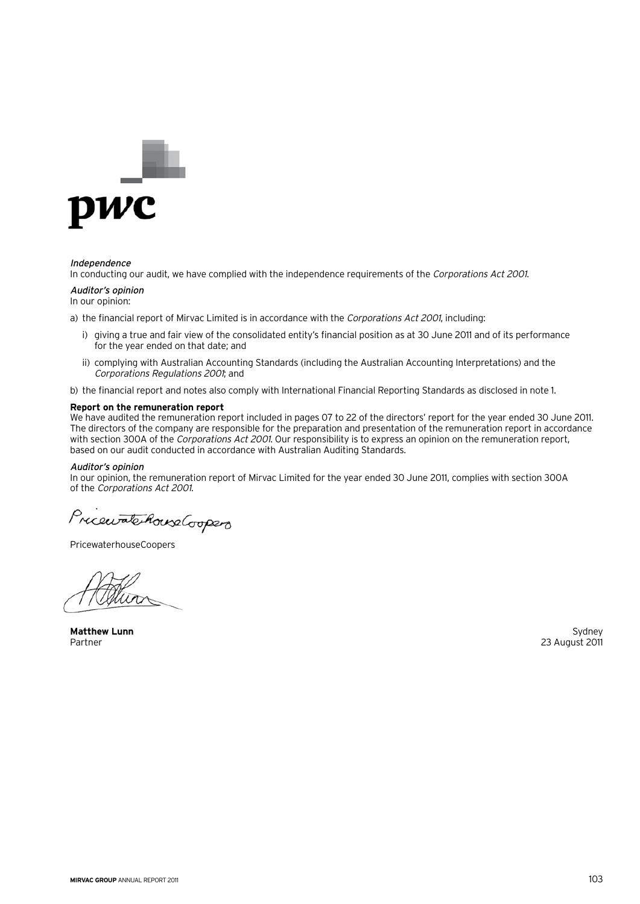

#### Independence

In conducting our audit, we have complied with the independence requirements of the Corporations Act 2001.

#### Auditor's opinion

In our opinion:

a) the financial report of Mirvac Limited is in accordance with the Corporations Act 2001, including:

- i) giving a true and fair view of the consolidated entity's financial position as at 30 June 2011 and of its performance for the year ended on that date; and
- ii) complying with Australian Accounting Standards (including the Australian Accounting Interpretations) and the Corporations Regulations 2001; and

b) the financial report and notes also comply with International Financial Reporting Standards as disclosed in note 1.

# **Report on the remuneration report**

We have audited the remuneration report included in pages 07 to 22 of the directors' report for the year ended 30 June 2011. The directors of the company are responsible for the preparation and presentation of the remuneration report in accordance with section 300A of the Corporations Act 2001. Our responsibility is to express an opinion on the remuneration report, based on our audit conducted in accordance with Australian Auditing Standards.

#### Auditor's opinion

In our opinion, the remuneration report of Mirvac Limited for the year ended 30 June 2011, complies with section 300A of the Corporations Act 2001.

PricewatchouseCoopers

PricewaterhouseCoopers

Matthew Lunn Sydney<br>Partner 23 August 2011

Partner 23 August 2011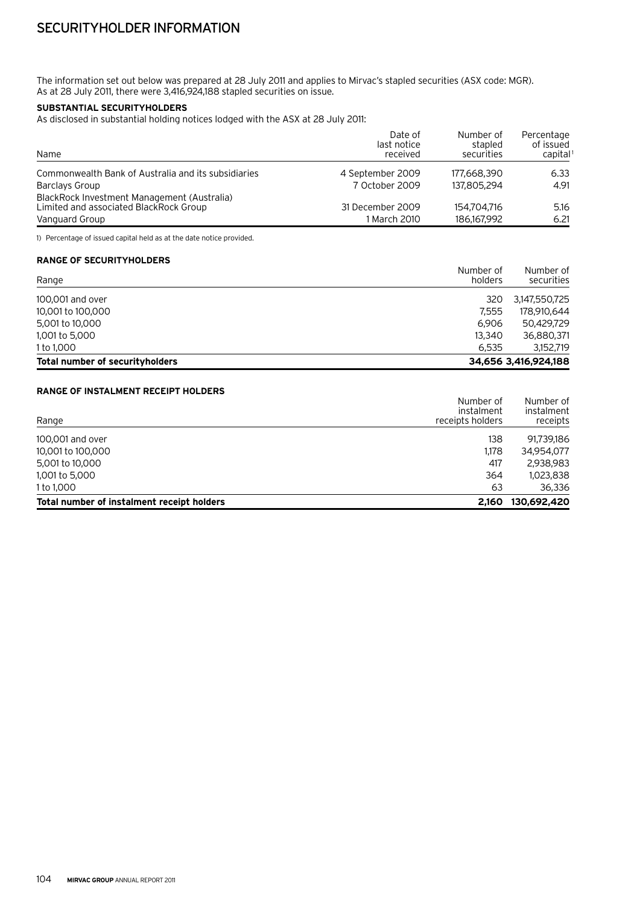The information set out below was prepared at 28 July 2011 and applies to Mirvac's stapled securities (ASX code: MGR). As at 28 July 2011, there were 3,416,924,188 stapled securities on issue.

# **Substantial securityholders**

As disclosed in substantial holding notices lodged with the ASX at 28 July 2011:

| Name                                                                                                    | Date of<br>last notice<br>received | Number of<br>stapled<br>securities | Percentage<br>of issued<br>capital <sup>1</sup> |
|---------------------------------------------------------------------------------------------------------|------------------------------------|------------------------------------|-------------------------------------------------|
| Commonwealth Bank of Australia and its subsidiaries                                                     | 4 September 2009                   | 177,668,390                        | 6.33                                            |
| Barclays Group                                                                                          | 7 October 2009                     | 137,805,294                        | 4.91                                            |
| BlackRock Investment Management (Australia)<br>Limited and associated BlackRock Group<br>Vanguard Group | 31 December 2009<br>1 March 2010   | 154.704.716<br>186,167,992         | 5.16<br>6.21                                    |

1) Percentage of issued capital held as at the date notice provided.

# **Range of securityholders**

| Range                           | Number of<br>holders | Number of<br>securities |
|---------------------------------|----------------------|-------------------------|
| 100,001 and over                | 320                  | 3,147,550,725           |
| 10,001 to 100,000               | 7.555                | 178,910,644             |
| 5,001 to 10,000                 | 6.906                | 50.429.729              |
| 1,001 to 5,000                  | 13,340               | 36,880,371              |
| 1 to 1,000                      | 6.535                | 3,152,719               |
| Total number of securityholders |                      | 34,656 3,416,924,188    |

#### **Range of instalment receipt holders**

| Total number of instalment receipt holders | 2.160                          | 130,692,420            |
|--------------------------------------------|--------------------------------|------------------------|
| 1 to 1,000                                 | 63                             | 36,336                 |
| 1,001 to 5,000                             | 364                            | 1,023,838              |
| 5,001 to 10,000                            | 417                            | 2,938,983              |
| 10,001 to 100,000                          | 1.178                          | 34.954.077             |
| 100,001 and over                           | 138                            | 91,739,186             |
| Range                                      | instalment<br>receipts holders | instalment<br>receipts |
|                                            | Number of                      | Number of              |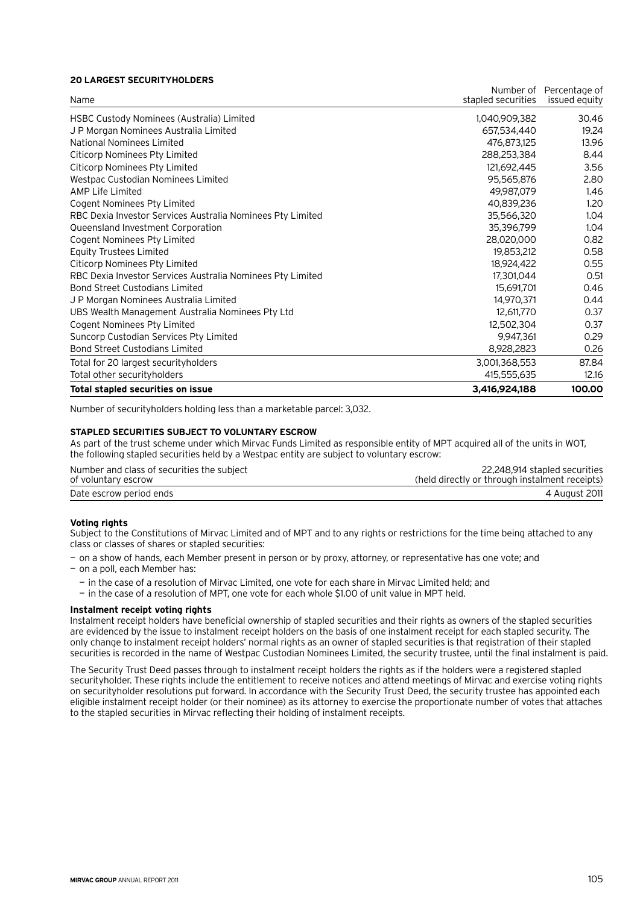#### **20 largest securityholders**

| Name                                                       | stapled securities | Number of Percentage of<br>issued equity |
|------------------------------------------------------------|--------------------|------------------------------------------|
|                                                            | 1,040,909,382      | 30.46                                    |
| HSBC Custody Nominees (Australia) Limited                  |                    |                                          |
| J P Morgan Nominees Australia Limited                      | 657,534,440        | 19.24                                    |
| National Nominees Limited                                  | 476,873,125        | 13.96                                    |
| Citicorp Nominees Pty Limited                              | 288,253,384        | 8.44                                     |
| Citicorp Nominees Pty Limited                              | 121,692,445        | 3.56                                     |
| Westpac Custodian Nominees Limited                         | 95,565,876         | 2.80                                     |
| <b>AMP Life Limited</b>                                    | 49,987,079         | 1.46                                     |
| Cogent Nominees Pty Limited                                | 40,839,236         | 1.20                                     |
| RBC Dexia Investor Services Australia Nominees Pty Limited | 35,566,320         | 1.04                                     |
| Queensland Investment Corporation                          | 35,396,799         | 1.04                                     |
| Cogent Nominees Pty Limited                                | 28,020,000         | 0.82                                     |
| <b>Equity Trustees Limited</b>                             | 19,853,212         | 0.58                                     |
| Citicorp Nominees Pty Limited                              | 18,924,422         | 0.55                                     |
| RBC Dexia Investor Services Australia Nominees Pty Limited | 17,301,044         | 0.51                                     |
| <b>Bond Street Custodians Limited</b>                      | 15,691,701         | 0.46                                     |
| J P Morgan Nominees Australia Limited                      | 14,970,371         | 0.44                                     |
| UBS Wealth Management Australia Nominees Pty Ltd           | 12,611,770         | 0.37                                     |
| Cogent Nominees Pty Limited                                | 12,502,304         | 0.37                                     |
| Suncorp Custodian Services Pty Limited                     | 9,947,361          | 0.29                                     |
| <b>Bond Street Custodians Limited</b>                      | 8,928,2823         | 0.26                                     |
| Total for 20 largest securityholders                       | 3,001,368,553      | 87.84                                    |
| Total other securityholders                                | 415,555,635        | 12.16                                    |
| Total stapled securities on issue                          | 3,416,924,188      | 100.00                                   |

Number of securityholders holding less than a marketable parcel: 3,032.

#### **Stapled securities subject to voluntary escrow**

As part of the trust scheme under which Mirvac Funds Limited as responsible entity of MPT acquired all of the units in WOT, the following stapled securities held by a Westpac entity are subject to voluntary escrow:

| Number and class of securities the subject | 22,248,914 stapled securities                  |
|--------------------------------------------|------------------------------------------------|
| of voluntary escrow                        | (held directly or through instalment receipts) |
| Date escrow period ends                    | 4 August 2011                                  |

#### **Voting rights**

Subject to the Constitutions of Mirvac Limited and of MPT and to any rights or restrictions for the time being attached to any class or classes of shares or stapled securities:

— on a show of hands, each Member present in person or by proxy, attorney, or representative has one vote; and

— on a poll, each Member has:

— in the case of a resolution of Mirvac Limited, one vote for each share in Mirvac Limited held; and

— in the case of a resolution of MPT, one vote for each whole \$1.00 of unit value in MPT held.

#### **Instalment receipt voting rights**

Instalment receipt holders have beneficial ownership of stapled securities and their rights as owners of the stapled securities are evidenced by the issue to instalment receipt holders on the basis of one instalment receipt for each stapled security. The only change to instalment receipt holders' normal rights as an owner of stapled securities is that registration of their stapled securities is recorded in the name of Westpac Custodian Nominees Limited, the security trustee, until the final instalment is paid.

The Security Trust Deed passes through to instalment receipt holders the rights as if the holders were a registered stapled securityholder. These rights include the entitlement to receive notices and attend meetings of Mirvac and exercise voting rights on securityholder resolutions put forward. In accordance with the Security Trust Deed, the security trustee has appointed each eligible instalment receipt holder (or their nominee) as its attorney to exercise the proportionate number of votes that attaches to the stapled securities in Mirvac reflecting their holding of instalment receipts.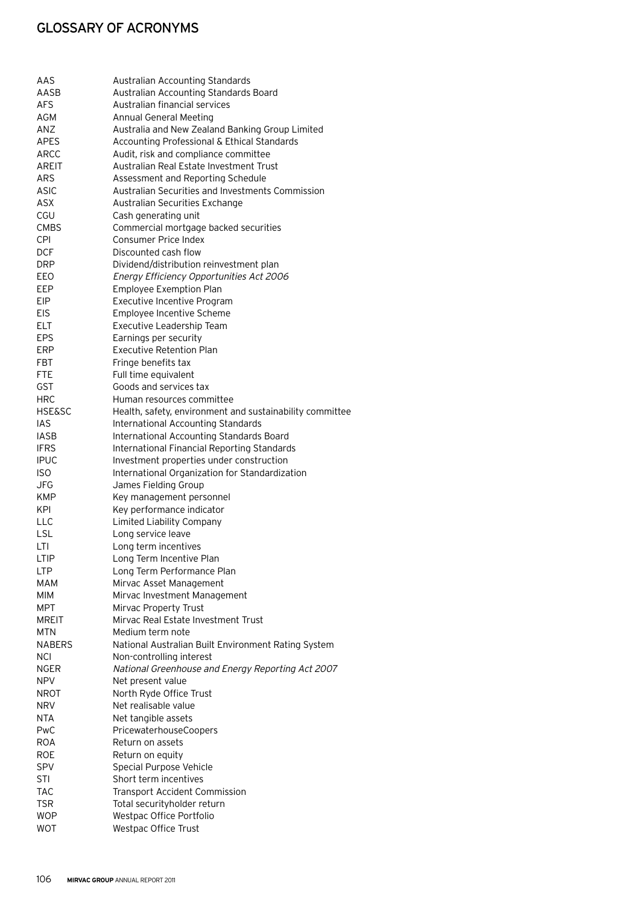| AAS               | Australian Accounting Standards                          |
|-------------------|----------------------------------------------------------|
| AASB              | Australian Accounting Standards Board                    |
| <b>AFS</b>        | Australian financial services                            |
| AGM               | <b>Annual General Meeting</b>                            |
| <b>ANZ</b>        | Australia and New Zealand Banking Group Limited          |
| <b>APES</b>       | Accounting Professional & Ethical Standards              |
| <b>ARCC</b>       | Audit, risk and compliance committee                     |
| AREIT             | Australian Real Estate Investment Trust                  |
| ARS               | Assessment and Reporting Schedule                        |
| ASIC              | Australian Securities and Investments Commission         |
| ASX               | Australian Securities Exchange                           |
| CGU               | Cash generating unit                                     |
| <b>CMBS</b>       | Commercial mortgage backed securities                    |
| CPI               | <b>Consumer Price Index</b>                              |
| <b>DCF</b>        | Discounted cash flow                                     |
| <b>DRP</b>        | Dividend/distribution reinvestment plan                  |
| EEO               | Energy Efficiency Opportunities Act 2006                 |
| EEP               | <b>Employee Exemption Plan</b>                           |
| EIP               | Executive Incentive Program                              |
| <b>EIS</b>        | Employee Incentive Scheme                                |
| <b>ELT</b>        | Executive Leadership Team                                |
| EPS               | Earnings per security                                    |
| <b>ERP</b>        | <b>Executive Retention Plan</b>                          |
| <b>FBT</b>        | Fringe benefits tax                                      |
| <b>FTE</b>        | Full time equivalent                                     |
| GST               | Goods and services tax                                   |
| <b>HRC</b>        | Human resources committee                                |
| <b>HSE&amp;SC</b> | Health, safety, environment and sustainability committee |
| IAS               | International Accounting Standards                       |
| <b>IASB</b>       | International Accounting Standards Board                 |
| <b>IFRS</b>       | International Financial Reporting Standards              |
| <b>IPUC</b>       | Investment properties under construction                 |
| <b>ISO</b>        | International Organization for Standardization           |
| JFG               | James Fielding Group                                     |
| <b>KMP</b>        | Key management personnel                                 |
| KPI               | Key performance indicator                                |
| <b>LLC</b>        | <b>Limited Liability Company</b>                         |
| <b>LSL</b>        | Long service leave                                       |
| LTI               | Long term incentives                                     |
| <b>LTIP</b>       | Long Term Incentive Plan                                 |
| LTP               | Long Term Performance Plan                               |
| MAM               | Mirvac Asset Management                                  |
| MIM               | Mirvac Investment Management                             |
| <b>MPT</b>        | Mirvac Property Trust                                    |
| <b>MREIT</b>      | Mirvac Real Estate Investment Trust                      |
| MTN               | Medium term note                                         |
| NABERS            | National Australian Built Environment Rating System      |
| <b>NCI</b>        | Non-controlling interest                                 |
| <b>NGER</b>       | National Greenhouse and Energy Reporting Act 2007        |
| NPV               | Net present value                                        |
| NROT              | North Ryde Office Trust                                  |
| NRV.              | Net realisable value                                     |
| NTA               | Net tangible assets                                      |
| PwC               | PricewaterhouseCoopers                                   |
| <b>ROA</b>        | Return on assets                                         |
| <b>ROE</b>        | Return on equity                                         |
| <b>SPV</b>        | <b>Special Purpose Vehicle</b>                           |
| STI               | Short term incentives                                    |
| TAC               | <b>Transport Accident Commission</b>                     |
| <b>TSR</b>        | Total securityholder return                              |
| <b>WOP</b>        | Westpac Office Portfolio                                 |
| <b>WOT</b>        | Westpac Office Trust                                     |